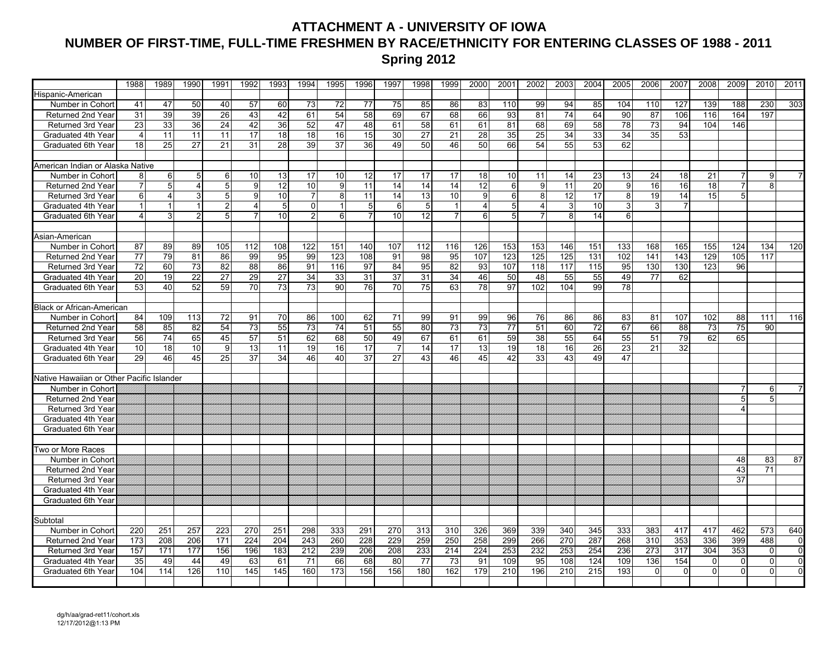### **ATTACHMENT A - UNIVERSITY OF IOWA NUMBER OF FIRST-TIME, FULL-TIME FRESHMEN BY RACE/ETHNICITY FOR ENTERING CLASSES OF 1988 - 2011 Spring 2012**

|                                           | 1988           | 1989             | 1990            | 1991           | 1992           | 1993            | 1994            | 1995             | 1996 | 1997            | 1998           | 1999            | 2000            | 2001            | 2002           | 2003            | 2004 | 2005            | 2006            | 2007            | 2008           | 2009                  | 2010           | 2011           |
|-------------------------------------------|----------------|------------------|-----------------|----------------|----------------|-----------------|-----------------|------------------|------|-----------------|----------------|-----------------|-----------------|-----------------|----------------|-----------------|------|-----------------|-----------------|-----------------|----------------|-----------------------|----------------|----------------|
| Hispanic-American                         |                |                  |                 |                |                |                 |                 |                  |      |                 |                |                 |                 |                 |                |                 |      |                 |                 |                 |                |                       |                |                |
| Number in Cohort                          | 41             | 47               | 50              | 40             | 57             | 60              | 73              | 72               | 77   | 75              | 85             | 86              | 83              | 110             | 99             | 94              | 85   | 104             | 110             | 127             | 139            | 188                   | 230            | 303            |
| <b>Returned 2nd Year</b>                  | 31             | 39               | 39              | 26             | 43             | 42              | 61              | 54               | 58   | 69              | 67             | 68              | 66              | 93              | 81             | 74              | 64   | 90              | 87              | 106             | 116            | 164                   | 197            |                |
| Returned 3rd Year                         | 23             | 33               | 36              | 24             | 42             | 36              | 52              | 47               | 48   | 61              | 58             | 61              | 61              | 81              | 68             | 69              | 58   | 78              | 73              | 94              | 104            | 146                   |                |                |
| Graduated 4th Year                        | $\overline{4}$ | 11               | 11              | 11             | 17             | 18              | 18              | 16               | 15   | 30              | 27             | 21              | 28              | 35              | 25             | 34              | 33   | 34              | 35              | 53              |                |                       |                |                |
| Graduated 6th Year                        | 18             | 25               | 27              | 21             | 31             | 28              | 39              | 37               | 36   | 49              | 50             | 46              | 50              | 66              | 54             | 55              | 53   | 62              |                 |                 |                |                       |                |                |
|                                           |                |                  |                 |                |                |                 |                 |                  |      |                 |                |                 |                 |                 |                |                 |      |                 |                 |                 |                |                       |                |                |
| American Indian or Alaska Native          |                |                  |                 |                |                |                 |                 |                  |      |                 |                |                 |                 |                 |                |                 |      |                 |                 |                 |                |                       |                |                |
| Number in Cohort                          | 8              | $6 \overline{6}$ | $5\phantom{.0}$ | 6              | 10             | 13              | 17              | 10               | 12   | 17              | 17             | 17              | 18              | 10              | 11             | 14              | 23   | 13              | 24              | 18              | 21             | $\overline{7}$        | 9              |                |
| <b>Returned 2nd Year</b>                  | $\overline{7}$ | 5                | $\overline{4}$  | 5              | 9              | $\overline{12}$ | $\overline{10}$ | 9                | 11   | $\overline{14}$ | 14             | $\overline{14}$ | $\overline{12}$ | 6               | 9              | 11              | 20   | 9               | $\overline{16}$ | $\overline{16}$ | 18             | $\overline{7}$        | $\overline{8}$ |                |
| Returned 3rd Year                         | 6              | $\overline{4}$   | $\mathbf{3}$    | 5 <sub>5</sub> | 9              | 10              | $\overline{7}$  | 8                | 11   | 14              | 13             | 10 <sup>1</sup> | 9 <sup>1</sup>  | 6               | 8              | $\overline{12}$ | 17   | 8               | 19              | 14              | 15             | 5                     |                |                |
| Graduated 4th Year                        | $\overline{1}$ | $\vert$ 1        | $\vert$ 1       | $\overline{2}$ | $\overline{4}$ | 5               | $\Omega$        | $\mathbf{1}$     | 5    | 6               | 5 <sub>5</sub> | $\vert$         | $\overline{4}$  | 5               | $\overline{4}$ | 3               | 10   | 3               | 3               | $\overline{7}$  |                |                       |                |                |
| Graduated 6th Year                        | $\overline{4}$ | 3 <sup>1</sup>   | $\overline{2}$  | 5 <sub>5</sub> |                | 10              | $\overline{2}$  | $6 \overline{6}$ |      | 10              | 12             | $\overline{7}$  | 6               | 5               |                | 8               | 14   | 6               |                 |                 |                |                       |                |                |
|                                           |                |                  |                 |                |                |                 |                 |                  |      |                 |                |                 |                 |                 |                |                 |      |                 |                 |                 |                |                       |                |                |
| Asian-American                            |                |                  |                 |                |                |                 |                 |                  |      |                 |                |                 |                 |                 |                |                 |      |                 |                 |                 |                |                       |                |                |
| Number in Cohort                          | 87             | 89               | 89              | 105            | 112            | 108             | 122             | 151              | 140  | 107             | 112            | 116             | 126             | 153             | 153            | 146             | 151  | 133             | 168             | 165             | 155            | 124                   | 134            | 120            |
| Returned 2nd Year                         | 77             | 79               | 81              | 86             | 99             | 95              | 99              | 123              | 108  | 91              | 98             | 95              | 107             | 123             | 125            | 125             | 131  | 102             | 141             | 143             | 129            | 105                   | 117            |                |
| Returned 3rd Year                         | 72             | 60               | 73              | 82             | 88             | 86              | 91              | 116              | 97   | 84              | 95             | 82              | 93              | 107             | 118            | 117             | 115  | 95              | 130             | 130             | 123            | 96                    |                |                |
| Graduated 4th Year                        | 20             | 19               | 22              | 27             | 29             | 27              | 34              | 33               | 31   | 37              | 31             | 34              | 46              | 50              | 48             | 55              | 55   | 49              | 77              | 62              |                |                       |                |                |
| Graduated 6th Year                        | 53             | 40               | 52              | 59             | 70             | $\overline{73}$ | $\overline{73}$ | 90               | 76   | $\overline{70}$ | 75             | 63              | 78              | $\overline{97}$ | 102            | 104             | 99   | 78              |                 |                 |                |                       |                |                |
|                                           |                |                  |                 |                |                |                 |                 |                  |      |                 |                |                 |                 |                 |                |                 |      |                 |                 |                 |                |                       |                |                |
| <b>Black or African-American</b>          |                |                  |                 |                |                |                 |                 |                  |      |                 |                |                 |                 |                 |                |                 |      |                 |                 |                 |                |                       |                |                |
| Number in Cohort                          | 84             | 109              | 113             | 72             | 91             | 70              | 86              | 100              | 62   | 71              | 99             | 91              | 99              | 96              | 76             | 86              | 86   | 83              | 81              | 107             | 102            | 88                    | 111            | 116            |
| <b>Returned 2nd Year</b>                  | 58             | 85               | 82              | 54             | 73             | 55              | 73              | 74               | 51   | 55              | 80             | 73              | 73              | 77              | 51             | 60              | 72   | 67              | 66              | 88              | 73             | 75                    | 90             |                |
| Returned 3rd Year                         | 56             | 74               | 65              | 45             | 57             | 51              | 62              | 68               | 50   | 49              | 67             | 61              | 61              | 59              | 38             | 55              | 64   | 55              | 51              | 79              | 62             | 65                    |                |                |
| Graduated 4th Year                        | 10             | 18               | 10              | 9              | 13             | 11              | 19              | 16               | 17   | $\overline{7}$  | 14             | 17              | 13              | 19              | 18             | 16              | 26   | $\overline{23}$ | 21              | $\overline{32}$ |                |                       |                |                |
| Graduated 6th Year                        | 29             | 46               | 45              | 25             | 37             | 34              | 46              | 40               | 37   | 27              | 43             | 46              | 45              | 42              | 33             | 43              | 49   | 47              |                 |                 |                |                       |                |                |
|                                           |                |                  |                 |                |                |                 |                 |                  |      |                 |                |                 |                 |                 |                |                 |      |                 |                 |                 |                |                       |                |                |
| Native Hawaiian or Other Pacific Islander |                |                  |                 |                |                |                 |                 |                  |      |                 |                |                 |                 |                 |                |                 |      |                 |                 |                 |                |                       |                |                |
| Number in Cohort                          |                |                  |                 |                |                |                 |                 |                  |      |                 |                |                 |                 |                 |                |                 |      |                 |                 |                 |                |                       | 6              |                |
| Returned 2nd Year                         |                |                  |                 |                |                |                 |                 |                  |      |                 |                |                 |                 |                 |                |                 |      |                 |                 |                 |                | 5                     | 5              |                |
| Returned 3rd Year                         |                |                  |                 |                |                |                 |                 |                  |      |                 |                |                 |                 |                 |                |                 |      |                 |                 |                 |                | $\boldsymbol{\Delta}$ |                |                |
| Graduated 4th Year                        |                |                  |                 |                |                |                 |                 |                  |      |                 |                |                 |                 |                 |                |                 |      |                 |                 |                 |                |                       |                |                |
| Graduated 6th Year                        |                |                  |                 |                |                |                 |                 |                  |      |                 |                |                 |                 |                 |                |                 |      |                 |                 |                 |                |                       |                |                |
|                                           |                |                  |                 |                |                |                 |                 |                  |      |                 |                |                 |                 |                 |                |                 |      |                 |                 |                 |                |                       |                |                |
| Two or More Races                         |                |                  |                 |                |                |                 |                 |                  |      |                 |                |                 |                 |                 |                |                 |      |                 |                 |                 |                |                       |                |                |
| Number in Cohort                          |                |                  |                 |                |                |                 |                 |                  |      |                 |                |                 |                 |                 |                |                 |      |                 |                 |                 |                | 48                    | 83             | 87             |
| Returned 2nd Year                         |                |                  |                 |                |                |                 |                 |                  |      |                 |                |                 |                 |                 |                |                 |      |                 |                 |                 |                | 43                    | 71             |                |
| Returned 3rd Year                         |                |                  |                 |                |                |                 |                 |                  |      |                 |                |                 |                 |                 |                |                 |      |                 |                 |                 |                | 37                    |                |                |
| Graduated 4th Year                        |                |                  |                 |                |                |                 |                 |                  |      |                 |                |                 |                 |                 |                |                 |      |                 |                 |                 |                |                       |                |                |
| Graduated 6th Year                        |                |                  |                 |                |                |                 |                 |                  |      |                 |                |                 |                 |                 |                |                 |      |                 |                 |                 |                |                       |                |                |
|                                           |                |                  |                 |                |                |                 |                 |                  |      |                 |                |                 |                 |                 |                |                 |      |                 |                 |                 |                |                       |                |                |
| Subtotal                                  |                |                  |                 |                |                |                 |                 |                  |      |                 |                |                 |                 |                 |                |                 |      |                 |                 |                 |                |                       |                |                |
| Number in Cohort                          | 220            | 251              | 257             | 223            | 270            | 251             | 298             | 333              | 291  | 270             | 313            | 310             | 326             | 369             | 339            | 340             | 345  | 333             | 383             | 417             | 417            | 462                   | 573            | 640            |
| Returned 2nd Year                         | 173            | 208              | 206             | 171            | 224            | 204             | 243             | 260              | 228  | 229             | 259            | 250             | 258             | 299             | 266            | 270             | 287  | 268             | 310             | 353             | 336            | 399                   | 488            | $\overline{0}$ |
| Returned 3rd Year                         | 157            | 171              | 177             | 156            | 196            | 183             | 212             | 239              | 206  | 208             | 233            | 214             | 224             | 253             | 232            | 253             | 254  | 236             | 273             | 317             | 304            | 353                   | $\overline{0}$ | $\overline{0}$ |
| Graduated 4th Year                        | 35             | 49               | 44              | 49             | 63             | 61              | 71              | 66               | 68   | 80              | 77             | 73              | 91              | 109             | 95             | 108             | 124  | 109             | 136             | 154             | $\overline{0}$ | $\mathbf 0$           | $\Omega$       | $\mathbf{0}$   |
| Graduated 6th Year                        | 104            | 114              | 126             | 110            | 145            | 145             | 160             | 173              | 156  | 156             | 180            | 162             | 179             | 210             | 196            | 210             | 215  | 193             | $\Omega$        | $\Omega$        | $\Omega$       | $\Omega$              | ٥I             | $\Omega$       |
|                                           |                |                  |                 |                |                |                 |                 |                  |      |                 |                |                 |                 |                 |                |                 |      |                 |                 |                 |                |                       |                |                |
|                                           |                |                  |                 |                |                |                 |                 |                  |      |                 |                |                 |                 |                 |                |                 |      |                 |                 |                 |                |                       |                |                |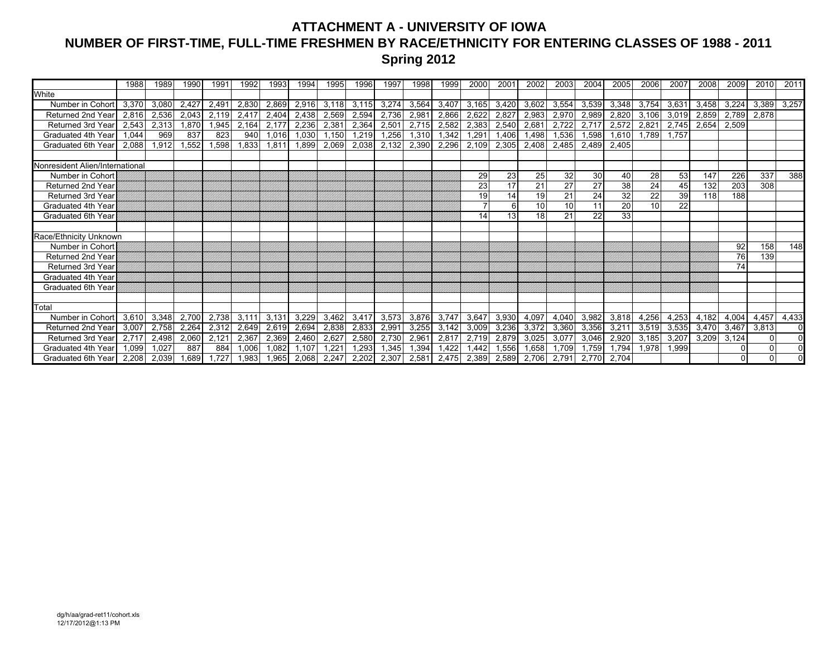### **ATTACHMENT A - UNIVERSITY OF IOWA NUMBER OF FIRST-TIME, FULL-TIME FRESHMEN BY RACE/ETHNICITY FOR ENTERING CLASSES OF 1988 - 2011 Spring 2012**

|                                 | 1988  | 1989  | 1990  | 1991           | 1992  | 1993  | 1994  | 1995  | 1996  | 1997  | 1998  | 1999  | 2000  | 2001  | 2002  | 2003  | 2004  | 2005  | 2006  | 2007  | 2008  | 2009     | 2010     | 2011           |
|---------------------------------|-------|-------|-------|----------------|-------|-------|-------|-------|-------|-------|-------|-------|-------|-------|-------|-------|-------|-------|-------|-------|-------|----------|----------|----------------|
| White                           |       |       |       |                |       |       |       |       |       |       |       |       |       |       |       |       |       |       |       |       |       |          |          |                |
| Number in Cohort                | 3,370 | 3,080 | 2,427 | 2,491          | 2,830 | 2,869 | 2,916 | 3,118 | 3,115 | 3,274 | 3,564 | 3,407 | 3,165 | 3,420 | 3,602 | 3,554 | 3,539 | 3,348 | 3,754 | 3,631 | 3,458 | 3,224    | 3,389    | 3,257          |
| Returned 2nd Year               | 2.816 | 2,536 | 2,043 | 2,119          | 2,417 | 2,404 | 2,438 | 2,569 | 2,594 | 2,736 | 2,981 | 2,866 | 2,622 | 2,827 | 2,983 | 2,970 | 2,989 | 2,820 | 3,106 | 3,019 | 2,859 | 2,789    | 2,878    |                |
| <b>Returned 3rd Year</b>        | 2,543 | 2,313 | ,870  | ,945           | 2,164 | 2,177 | 2,236 | 2,381 | 2,364 | 2,501 | 2,715 | 2,582 | 2,383 | 2,540 | 2,681 | 2,722 | 2,717 | 2,572 | 2,821 | 2,745 | 2,654 | 2,509    |          |                |
| Graduated 4th Year              | 1.044 | 969   | 837   | 823            | 940   | 1.016 | 1.030 | 1.150 | 1,219 | 1,256 | 1,310 | 1,342 | 1,291 | 1,406 | 1,498 | ,536  | 1.598 | 1.610 | 1.789 | 1.757 |       |          |          |                |
| Graduated 6th Year              | 2,088 | 1,912 | .552  | .598           | .833  | 1,811 | 1,899 | 2,069 | 2,038 | 2,132 | 2,390 | 2,296 | 2,109 | 2,305 | 2,408 | 2,485 | 2,489 | 2,405 |       |       |       |          |          |                |
|                                 |       |       |       |                |       |       |       |       |       |       |       |       |       |       |       |       |       |       |       |       |       |          |          |                |
| Nonresident Alien/International |       |       |       |                |       |       |       |       |       |       |       |       |       |       |       |       |       |       |       |       |       |          |          |                |
| Number in Cohort                |       |       |       |                |       |       |       |       |       |       |       |       | 29    | 23    | 25    | 32    | 30    | 40    | 28    | 53    | 147   | 226      | 337      | 388            |
| Returned 2nd Year               |       |       |       |                |       |       |       |       |       |       |       |       | 23    | 17    | 21    | 27    | 27    | 38    | 24    | 45    | 132   | 203      | 308      |                |
| <b>Returned 3rd Year</b>        |       |       |       |                |       |       |       |       |       |       |       |       | 19    | 14    | 19    | 21    | 24    | 32    | 22    | 39    | 118   | 188      |          |                |
| Graduated 4th Year              |       |       |       |                |       |       |       |       |       |       |       |       |       | 6     | 10    | 10    | 11    | 20    | 10    | 22    |       |          |          |                |
| <b>Graduated 6th Year</b>       |       |       |       |                |       |       |       |       |       |       |       |       | 14    | 13    | 18    | 21    | 22    | 33    |       |       |       |          |          |                |
|                                 |       |       |       |                |       |       |       |       |       |       |       |       |       |       |       |       |       |       |       |       |       |          |          |                |
| Race/Ethnicity Unknown          |       |       |       |                |       |       |       |       |       |       |       |       |       |       |       |       |       |       |       |       |       |          |          |                |
| Number in Cohort                |       |       |       |                |       |       |       |       |       |       |       |       |       |       |       |       |       |       |       |       |       | 92       | 158      | 148            |
| Returned 2nd Year               |       |       |       |                |       |       |       |       |       |       |       |       |       |       |       |       |       |       |       |       |       | 76       | 139      |                |
| <b>Returned 3rd Year</b>        |       |       |       |                |       |       |       |       |       |       |       |       |       |       |       |       |       |       |       |       |       | 74       |          |                |
| Graduated 4th Year              |       |       |       |                |       |       |       |       |       |       |       |       |       |       |       |       |       |       |       |       |       |          |          |                |
| <b>Graduated 6th Year</b>       |       |       |       |                |       |       |       |       |       |       |       |       |       |       |       |       |       |       |       |       |       |          |          |                |
|                                 |       |       |       |                |       |       |       |       |       |       |       |       |       |       |       |       |       |       |       |       |       |          |          |                |
| Total                           |       |       |       |                |       |       |       |       |       |       |       |       |       |       |       |       |       |       |       |       |       |          |          |                |
| Number in Cohort                | 3,610 | 3,348 | 2,700 | 2,738          | 3.111 | 3,131 | 3,229 | 3,462 | 3,417 | 3,573 | 3,876 | 3,747 | 3,647 | 3,930 | 4,097 | 4,040 | 3,982 | 3,818 | 4,256 | 4,253 | 4,182 | 4,004    | 4,457    | 4,433          |
| <b>Returned 2nd Year</b>        | 3,007 | 2,758 | 2,264 | 2,312          | 2,649 | 2,619 | 2,694 | 2,838 | 2,833 | 2,991 | 3,255 | 3,142 | 3,009 | 3,236 | 3,372 | 3,360 | 3,356 | 3,211 | 3,519 | 3,535 | 3,470 | 3,467    | 3,813    | $\overline{0}$ |
| <b>Returned 3rd Year</b>        | 2.717 | 2,498 | 2,060 | $2.12^{\circ}$ | 2,367 | 2,369 | 2,460 | 2,627 | 2,580 | 2,730 | 2,961 | 2,817 | 2,719 | 2,879 | 3,025 | 3,077 | 3,046 | 2,920 | 3,185 | 3,207 | 3,209 | 3.124    | $\Omega$ | $\Omega$       |
| Graduated 4th Year              | 1.099 | 1.027 | 887   | 884            | 1,006 | 1,082 | .107  | 1.221 | 1.293 | 1,345 | 1,394 | 1.422 | 1.442 | 1,556 | 1,658 | 1.709 | 1.759 | 1,794 | 1,978 | 1,999 |       | $\Omega$ |          | $\overline{0}$ |
| Graduated 6th Year              | 2.208 | 2,039 | .689  | .727           | .983  | 1.965 | 2.068 | 2.247 | 2,202 | 2,307 | 2,581 | 2,475 | 2,389 | 2,589 | 2,706 | 2,791 | 2.770 | 2,704 |       |       |       | $\Omega$ | $\Omega$ | ΩI             |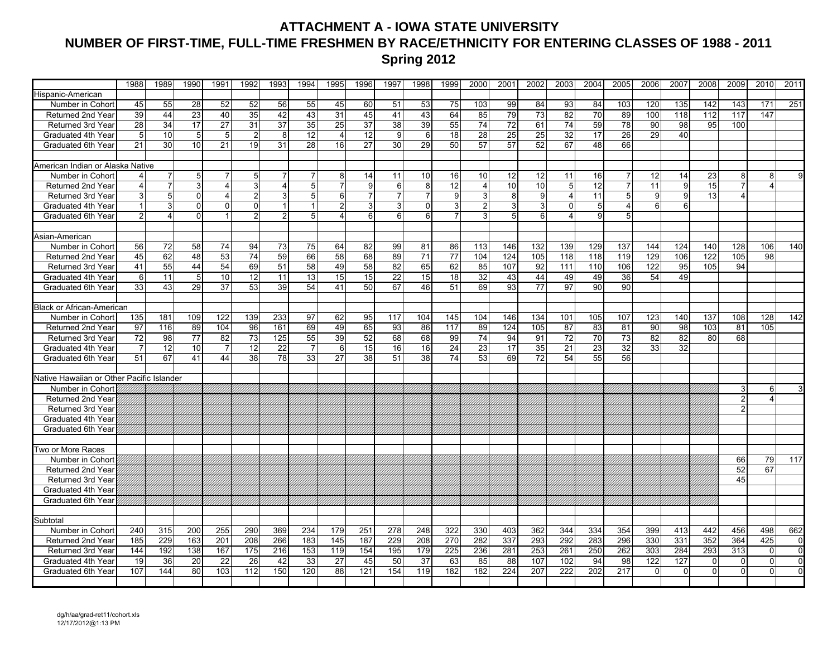### **ATTACHMENT A - IOWA STATE UNIVERSITY NUMBER OF FIRST-TIME, FULL-TIME FRESHMEN BY RACE/ETHNICITY FOR ENTERING CLASSES OF 1988 - 2011 Spring 2012**

|                                           | 1988           | 1989            | 1990            | 1991            | 1992           | 1993            | 1994           | 1995            | 1996 | 1997            | 1998           | 1999            | 2000           | 2001 | 2002            | 2003           | 2004            | 2005            | 2006            | 2007           | 2008     | 2009           | 2010           | 2011         |
|-------------------------------------------|----------------|-----------------|-----------------|-----------------|----------------|-----------------|----------------|-----------------|------|-----------------|----------------|-----------------|----------------|------|-----------------|----------------|-----------------|-----------------|-----------------|----------------|----------|----------------|----------------|--------------|
| Hispanic-American                         |                |                 |                 |                 |                |                 |                |                 |      |                 |                |                 |                |      |                 |                |                 |                 |                 |                |          |                |                |              |
| Number in Cohort                          | 45             | 55              | 28              | 52              | 52             | 56              | 55             | 45              | 60   | 51              | 53             | 75              | 103            | 99   | 84              | 93             | 84              | 103             | 120             | 135            | 142      | 143            | 171            | 251          |
| Returned 2nd Year                         | 39             | 44              | 23              | 40              | 35             | 42              | 43             | 31              | 45   | 41              | 43             | 64              | 85             | 79   | 73              | 82             | 70              | 89              | 100             | 118            | 112      | 117            | 147            |              |
| <b>Returned 3rd Year</b>                  | 28             | 34              | 17              | $\overline{27}$ | 31             | $\overline{37}$ | 35             | $\overline{25}$ | 37   | $\overline{38}$ | 39             | 55              | 74             | 72   | 61              | 74             | 59              | 78              | 90              | 98             | 95       | 100            |                |              |
| Graduated 4th Year                        | 5              | 10              | 5               | $5\overline{)}$ | $\overline{2}$ | 8               | 12             | 4               | 12   | 9               | 6              | 18              | 28             | 25   | 25              | 32             | 17              | 26              | 29              | 40             |          |                |                |              |
| Graduated 6th Year                        | 21             | 30              | 10              | 21              | 19             | 31              | 28             | 16              | 27   | 30              | 29             | 50              | 57             | 57   | 52              | 67             | 48              | 66              |                 |                |          |                |                |              |
|                                           |                |                 |                 |                 |                |                 |                |                 |      |                 |                |                 |                |      |                 |                |                 |                 |                 |                |          |                |                |              |
| American Indian or Alaska Native          |                |                 |                 |                 |                |                 |                |                 |      |                 |                |                 |                |      |                 |                |                 |                 |                 |                |          |                |                |              |
| Number in Cohort                          |                | 7               | $5\phantom{.0}$ | 7               | 5              | 7               | 7              | 8               | 14   | 11              | 10             | 16              | 10             | 12   | 12              | 11             | 16              | 7               | 12              | 14             | 23       | 8              | 8 <sup>1</sup> | 9            |
| Returned 2nd Year                         | $\overline{4}$ | $\overline{7}$  | 3               | $\overline{4}$  | 3              | $\overline{4}$  | 5              | $\overline{7}$  | 9    | 6               | 8              | $\overline{12}$ | $\overline{4}$ | 10   | 10              | $\overline{5}$ | 12              | 7               | $\overline{11}$ | $\overline{9}$ | 15       | $\overline{7}$ | $\overline{4}$ |              |
| Returned 3rd Year                         | 3              | $5\overline{)}$ | $\overline{0}$  | $\overline{4}$  | $\overline{2}$ | 3               | 5              | 6               |      | $\overline{7}$  | $\overline{7}$ | 9               | 3              | 8    | 9               | 4              | 11              | $\mathbf 5$     | 9 <sup>1</sup>  | $\overline{9}$ | 13       | $\overline{4}$ |                |              |
| Graduated 4th Year                        | $\overline{1}$ | $\mathbf{3}$    | $\Omega$        | $\Omega$        | $\Omega$       | $\mathbf{1}$    | $\overline{1}$ | $\overline{2}$  | 3    | 3               | $\Omega$       | $\overline{3}$  | $\overline{2}$ | 3    | $\overline{3}$  | $\mathbf 0$    | 5 <sup>1</sup>  | $\overline{4}$  | $6 \mid$        | 6              |          |                |                |              |
| Graduated 6th Year                        | $\overline{2}$ | $\overline{4}$  | $\Omega$        | 1 <sup>1</sup>  | $\overline{2}$ | $\overline{a}$  | 5              | 4               | 6    | 6               | 6 <sup>1</sup> | $\overline{7}$  | 3              | 5    | 6               | $\overline{4}$ | 9 <sup>1</sup>  | 5               |                 |                |          |                |                |              |
|                                           |                |                 |                 |                 |                |                 |                |                 |      |                 |                |                 |                |      |                 |                |                 |                 |                 |                |          |                |                |              |
| Asian-American                            |                |                 |                 |                 |                |                 |                |                 |      |                 |                |                 |                |      |                 |                |                 |                 |                 |                |          |                |                |              |
| Number in Cohort                          | 56             | 72              | 58              | 74              | 94             | 73              | 75             | 64              | 82   | 99              | 81             | 86              | 113            | 146  | 132             | 139            | 129             | 137             | 144             | 124            | 140      | 128            | 106            | 140          |
| Returned 2nd Year                         | 45             | 62              | 48              | 53              | 74             | 59              | 66             | 58              | 68   | 89              | 71             | 77              | 104            | 124  | 105             | 118            | 118             | 119             | 129             | 106            | 122      | 105            | 98             |              |
| Returned 3rd Year                         | 41             | 55              | 44              | 54              | 69             | 51              | 58             | 49              | 58   | 82              | 65             | 62              | 85             | 107  | 92              | 111            | 110             | 106             | 122             | 95             | 105      | 94             |                |              |
| Graduated 4th Year                        | 6              | 11              | $5\phantom{.0}$ | 10              | 12             | 11              | 13             | 15              | 15   | 22              | 15             | 18              | 32             | 43   | 44              | 49             | 49              | 36              | 54              | 49             |          |                |                |              |
| Graduated 6th Year                        | 33             | 43              | 29              | $\overline{37}$ | 53             | 39              | 54             | 41              | 50   | 67              | 46             | 51              | 69             | 93   | $\overline{77}$ | 97             | $\overline{90}$ | $\overline{90}$ |                 |                |          |                |                |              |
|                                           |                |                 |                 |                 |                |                 |                |                 |      |                 |                |                 |                |      |                 |                |                 |                 |                 |                |          |                |                |              |
| Black or African-American                 |                |                 |                 |                 |                |                 |                |                 |      |                 |                |                 |                |      |                 |                |                 |                 |                 |                |          |                |                |              |
| Number in Cohort                          | 135            | 181             | 109             | 122             | 139            | 233             | 97             | 62              | 95   | 117             | 104            | 145             | 104            | 146  | 134             | 101            | 105             | 107             | 123             | 140            | 137      | 108            | 128            | 142          |
| Returned 2nd Year                         | 97             | 116             | 89              | 104             | 96             | 161             | 69             | 49              | 65   | 93              | 86             | 117             | 89             | 124  | 105             | 87             | 83              | 81              | 90              | 98             | 103      | 81             | 105            |              |
| Returned 3rd Year                         | 72             | 98              | $\overline{77}$ | 82              | 73             | 125             | 55             | 39              | 52   | 68              | 68             | 99              | 74             | 94   | 91              | 72             | 70              | 73              | 82              | 82             | 80       | 68             |                |              |
| Graduated 4th Year                        | $\overline{7}$ | 12              | 10              |                 | 12             | 22              | $\overline{7}$ | 6               | 15   | 16              | 16             | 24              | 23             | 17   | 35              | 21             | 23              | 32              | 33              | 32             |          |                |                |              |
| Graduated 6th Year                        | 51             | 67              | 41              | 44              | 38             | 78              | 33             | 27              | 38   | 51              | 38             | 74              | 53             | 69   | 72              | 54             | 55              | 56              |                 |                |          |                |                |              |
|                                           |                |                 |                 |                 |                |                 |                |                 |      |                 |                |                 |                |      |                 |                |                 |                 |                 |                |          |                |                |              |
| Native Hawaiian or Other Pacific Islander |                |                 |                 |                 |                |                 |                |                 |      |                 |                |                 |                |      |                 |                |                 |                 |                 |                |          |                |                |              |
| Number in Cohort                          |                |                 |                 |                 |                |                 |                |                 |      |                 |                |                 |                |      |                 |                |                 |                 |                 |                |          | 3              | 6 <sup>1</sup> |              |
| Returned 2nd Year                         |                |                 |                 |                 |                |                 |                |                 |      |                 |                |                 |                |      |                 |                |                 |                 |                 |                |          | $\overline{2}$ | 4              |              |
| <b>Returned 3rd Year</b>                  |                |                 |                 |                 |                |                 |                |                 |      |                 |                |                 |                |      |                 |                |                 |                 |                 |                |          | $\overline{2}$ |                |              |
| Graduated 4th Year                        |                |                 |                 |                 |                |                 |                |                 |      |                 |                |                 |                |      |                 |                |                 |                 |                 |                |          |                |                |              |
| Graduated 6th Year                        |                |                 |                 |                 |                |                 |                |                 |      |                 |                |                 |                |      |                 |                |                 |                 |                 |                |          |                |                |              |
|                                           |                |                 |                 |                 |                |                 |                |                 |      |                 |                |                 |                |      |                 |                |                 |                 |                 |                |          |                |                |              |
| Two or More Races                         |                |                 |                 |                 |                |                 |                |                 |      |                 |                |                 |                |      |                 |                |                 |                 |                 |                |          |                |                |              |
| Number in Cohor                           |                |                 |                 |                 |                |                 |                |                 |      |                 |                |                 |                |      |                 |                |                 |                 |                 |                |          | 66             | 79             | 117          |
| Returned 2nd Year                         |                |                 |                 |                 |                |                 |                |                 |      |                 |                |                 |                |      |                 |                |                 |                 |                 |                |          | 52             | 67             |              |
| Returned 3rd Year                         |                |                 |                 |                 |                |                 |                |                 |      |                 |                |                 |                |      |                 |                |                 |                 |                 |                |          | 45             |                |              |
| Graduated 4th Year                        |                |                 |                 |                 |                |                 |                |                 |      |                 |                |                 |                |      |                 |                |                 |                 |                 |                |          |                |                |              |
| Graduated 6th Year                        |                |                 |                 |                 |                |                 |                |                 |      |                 |                |                 |                |      |                 |                |                 |                 |                 |                |          |                |                |              |
|                                           |                |                 |                 |                 |                |                 |                |                 |      |                 |                |                 |                |      |                 |                |                 |                 |                 |                |          |                |                |              |
| Subtotal<br>Number in Cohort              | 240            | 315             | 200             | 255             | 290            | 369             | 234            | 179             | 251  | 278             | 248            | 322             | 330            | 403  | 362             | 344            | 334             | 354             | 399             | 413            | 442      | 456            | 498            | 662          |
| Returned 2nd Year                         | 185            | 229             | 163             | 201             | 208            | 266             | 183            | 145             | 187  | 229             | 208            | 270             | 282            | 337  | 293             | 292            | 283             | 296             | 330             | 331            | 352      | 364            | 425            | $\mathbf{0}$ |
| Returned 3rd Year                         |                | 192             | 138             | 167             | 175            | 216             | 153            | 119             | 154  | 195             | 179            | 225             | 236            | 281  | 253             | 261            | 250             | 262             | 303             | 284            | 293      | 313            | $\overline{0}$ | $\mathbf{0}$ |
|                                           | 144<br>19      |                 | 20              |                 |                |                 |                |                 | 45   | 50              |                | 63              | 85             | 88   | 107             | 102            |                 | 98              | 122             | 127            | $\Omega$ | $\Omega$       | $\Omega$       | $\mathbf{0}$ |
| Graduated 4th Year<br>Graduated 6th Year  | 107            | 36<br>144       | 80              | 22<br>103       | 26<br>112      | 42<br>150       | 33<br>120      | 27<br>88        | 121  | 154             | 37<br>119      | 182             | 182            | 224  | 207             | 222            | 94<br>202       | 217             | $\Omega$        | $\Omega$       | $\Omega$ | $\Omega$       | 0              | $\mathbf{0}$ |
|                                           |                |                 |                 |                 |                |                 |                |                 |      |                 |                |                 |                |      |                 |                |                 |                 |                 |                |          |                |                |              |
|                                           |                |                 |                 |                 |                |                 |                |                 |      |                 |                |                 |                |      |                 |                |                 |                 |                 |                |          |                |                |              |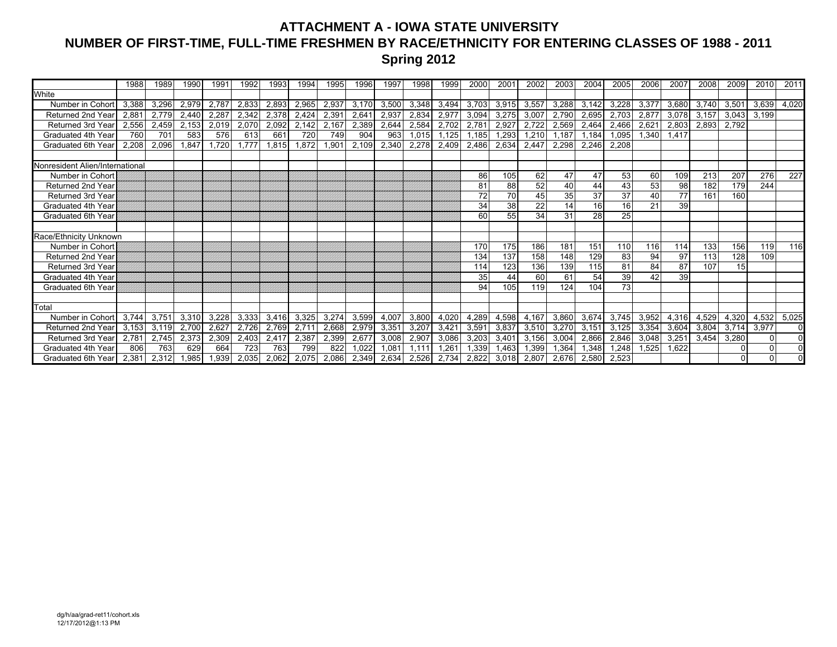### **ATTACHMENT A - IOWA STATE UNIVERSITY NUMBER OF FIRST-TIME, FULL-TIME FRESHMEN BY RACE/ETHNICITY FOR ENTERING CLASSES OF 1988 - 2011 Spring 2012**

|                                 | 1988  | 1989  | 1990  | 1991  | 1992  | 1993  | 1994  | 1995  | 1996  | 1997  | 1998  | 1999  | 2000  | 2001  | 2002           | 2003  | 2004  | 2005  | 2006  | 2007  | 2008  | 2009     | 2010     | 2011     |
|---------------------------------|-------|-------|-------|-------|-------|-------|-------|-------|-------|-------|-------|-------|-------|-------|----------------|-------|-------|-------|-------|-------|-------|----------|----------|----------|
| White                           |       |       |       |       |       |       |       |       |       |       |       |       |       |       |                |       |       |       |       |       |       |          |          |          |
| Number in Cohort                | 3,388 | 3,296 | 2,979 | 2,787 | 2,833 | 2,893 | 2,965 | 2,937 | 3,170 | 3,500 | 3,348 | 3,494 | 3,703 | 3,915 | 3,557          | 3,288 | 3,142 | 3,228 | 3,37  | 3,680 | 3,740 | 3,501    | 3,639    | 4,020    |
| <b>Returned 2nd Year</b>        | 2,881 | 2,779 | 2,440 | 2,287 | 2,342 | 2,378 | 2,424 | 2,391 | 2,641 | 2,937 | 2,834 | 2,977 | 3,094 | 3,275 | 3,007          | 2,790 | 2,695 | 2,703 | 2,87  | 3,078 | 3,157 | 3,043    | 3,199    |          |
| Returned 3rd Year               | 2,556 | 2,459 | 2,153 | 2,019 | 2,070 | 2,092 | 2,142 | 2,167 | 2,389 | 2,644 | 2,584 | 2,702 | 2,781 | 2,927 | 2,722          | 2,569 | 2,464 | 2,466 | 2,621 | 2,803 | 2,893 | 2,792    |          |          |
| Graduated 4th Year              | 760   | 701   | 583   | 576   | 613   | 661   | 720   | 749   | 904   | 963   | 1,015 | 1,125 | 1,185 | 1,293 | 1,210          | 1,187 | 1,184 | 1,095 | 1,340 | 1,417 |       |          |          |          |
| Graduated 6th Year              | 2.208 | 2,096 | 1.847 | .720  | 1,777 | 1.815 | 1,872 | 1,901 | 2,109 | 2,340 | 2,278 | 2,409 | 2.486 | 2,634 | 2,447          | 2,298 | 2.246 | 2,208 |       |       |       |          |          |          |
|                                 |       |       |       |       |       |       |       |       |       |       |       |       |       |       |                |       |       |       |       |       |       |          |          |          |
| Nonresident Alien/International |       |       |       |       |       |       |       |       |       |       |       |       |       |       |                |       |       |       |       |       |       |          |          |          |
| Number in Cohort                |       |       |       |       |       |       |       |       |       |       |       |       | 86    | 105   | 62             | 47    | 47    | 53    | 60    | 109   | 213   | 207      | 276      | 227      |
| <b>Returned 2nd Year</b>        |       |       |       |       |       |       |       |       |       |       |       |       | 81    | 88    | 52             | 40    | 44    | 43    | 53    | 98    | 182   | 179      | 244      |          |
| <b>Returned 3rd Year</b>        |       |       |       |       |       |       |       |       |       |       |       |       | 72    | 70    | 45             | 35    | 37    | 37    | 40    | 77    | 161   | 160      |          |          |
| Graduated 4th Year              |       |       |       |       |       |       |       |       |       |       |       |       | 34    | 38    | 22             | 14    | 16    | 16    | 21    | 39    |       |          |          |          |
| Graduated 6th Year              |       |       |       |       |       |       |       |       |       |       |       |       | 60    | 55    | 34             | 31    | 28    | 25    |       |       |       |          |          |          |
|                                 |       |       |       |       |       |       |       |       |       |       |       |       |       |       |                |       |       |       |       |       |       |          |          |          |
| Race/Ethnicity Unknown          |       |       |       |       |       |       |       |       |       |       |       |       |       |       |                |       |       |       |       |       |       |          |          |          |
| Number in Cohort                |       |       |       |       |       |       |       |       |       |       |       |       | 170   | 175   | 186            | 181   | 151   | 110   | 116   | 114   | 133   | 156      | 119      | 116      |
| <b>Returned 2nd Year</b>        |       |       |       |       |       |       |       |       |       |       |       |       | 134   | 137   | 158            | 148   | 129   | 83    | 94    | 97    | 113   | 128      | 109      |          |
| <b>Returned 3rd Year</b>        |       |       |       |       |       |       |       |       |       |       |       |       | 114   | 123   | 136            | 139   | 115   | 81    | 84    | 87    | 107   | 15       |          |          |
| Graduated 4th Year              |       |       |       |       |       |       |       |       |       |       |       |       | 35    | 44    | 60             | 61    | 54    | 39    | 42    | 39    |       |          |          |          |
| Graduated 6th Year              |       |       |       |       |       |       |       |       |       |       |       |       | 94    | 105   | 119            | 124   | 104   | 73    |       |       |       |          |          |          |
|                                 |       |       |       |       |       |       |       |       |       |       |       |       |       |       |                |       |       |       |       |       |       |          |          |          |
| Total                           |       |       |       |       |       |       |       |       |       |       |       |       |       |       |                |       |       |       |       |       |       |          |          |          |
| Number in Cohort                | 3,744 | 3,751 | 3,310 | 3,228 | 3,333 | 3,416 | 3,325 | 3,274 | 3,599 | 4,007 | 3,800 | 4,020 | 4,289 | 4,598 | 4,167          | 3,860 | 3,674 | 3,745 | 3,952 | 4,316 | 4,529 | 4,320    | 4,532    | 5,025    |
| <b>Returned 2nd Year</b>        | 3.153 | 3,119 | 2,700 | 2,627 | 2,726 | 2,769 | 2,711 | 2,668 | 2,979 | 3,351 | 3,207 | 3,421 | 3,591 | 3,837 | 3,510          | 3,270 | 3.151 | 3,125 | 3,354 | 3,604 | 3,804 | 3,714    | 3,977    | $\Omega$ |
| <b>Returned 3rd Year</b>        | 2.781 | 2.745 | 2,373 | 2,309 | 2,403 | 2.417 | 2,387 | 2,399 | 2,677 | 3.008 | 2,907 | 3.086 | 3,203 | 3,401 | 3,156          | 3,004 | 2.866 | 2,846 | 3,048 | 3,251 | 3,454 | 3,280    | $\Omega$ | $\Omega$ |
| Graduated 4th Year              | 806   | 763   | 629   | 664   | 723   | 763   | 799   | 822   | 1.022 | 1.081 | 1.111 | 1.261 | 1,339 | 1,463 | 1,399          | 1,364 | .348  | 1,248 | 1,525 | 1.622 |       | $\Omega$ |          | $\Omega$ |
| Graduated 6th Year              | 2.381 | 2,312 | .985  | .939  | 2.035 | 2.062 | 2.075 | 2.086 | 2,349 | 2,634 | 2,526 | 2,734 | 2.822 | 3,018 | $2.80^{\circ}$ | 2.676 | 2.580 | 2,523 |       |       |       | $\Omega$ | $\Omega$ | ΩI       |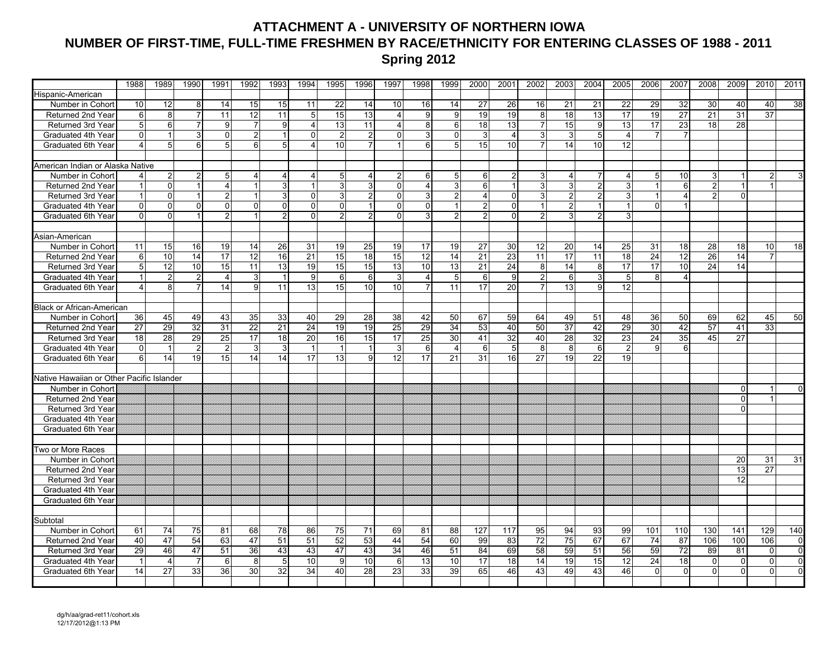### **ATTACHMENT A - UNIVERSITY OF NORTHERN IOWA NUMBER OF FIRST-TIME, FULL-TIME FRESHMEN BY RACE/ETHNICITY FOR ENTERING CLASSES OF 1988 - 2011 Spring 2012**

|                                           | 1988           | 1989             | 1990            | 1991           | 1992           | 1993           | 1994                  | 1995           | 1996           | 1997            | 1998                    | 1999           | 2000            | 2001            | 2002           | 2003            | 2004           | 2005            | 2006            | 2007           | 2008            | 2009           | 2010           | 2011           |
|-------------------------------------------|----------------|------------------|-----------------|----------------|----------------|----------------|-----------------------|----------------|----------------|-----------------|-------------------------|----------------|-----------------|-----------------|----------------|-----------------|----------------|-----------------|-----------------|----------------|-----------------|----------------|----------------|----------------|
| Hispanic-American                         |                |                  |                 |                |                |                |                       |                |                |                 |                         |                |                 |                 |                |                 |                |                 |                 |                |                 |                |                |                |
| Number in Cohort                          | 10             | 12               | 8               | 14             | 15             | 15             | 11                    | 22             | 14             | 10              | 16                      | 14             | 27              | 26              | 16             | 21              | 21             | 22              | 29              | 32             | 30              | 40             | 40             | 38             |
| Returned 2nd Year                         | 6              | 8                | $\overline{7}$  | 11             | 12             | 11             | 5 <sub>5</sub>        | 15             | 13             | 4               | 9                       | 9              | 19              | 19              | 8              | 18              | 13             | 17              | 19              | 27             | 21              | 31             | 37             |                |
| Returned 3rd Year                         | 5              | $6 \overline{6}$ | $\overline{7}$  | 9              | $\overline{7}$ | 9              | $\boldsymbol{\Delta}$ | 13             | 11             | 4               | 8                       | 6              | $\overline{18}$ | 13              |                | 15              | 9              | 13              | 17              | 23             | 18              | 28             |                |                |
| Graduated 4th Year                        | $\Omega$       |                  | 3               | $\mathsf{o}$   | $\overline{2}$ | 1              | $\Omega$              | $\overline{2}$ | $\overline{2}$ | $\Omega$        | $\overline{\mathbf{3}}$ | $\mathbf{0}$   | 3               | 4               | 3              | 3               | 5              | $\overline{4}$  |                 |                |                 |                |                |                |
| Graduated 6th Year                        | $\overline{4}$ | 5                | 6               | 5 <sup>1</sup> | 6              | 5              |                       | 10             |                |                 | 6                       | 5              | 15              | 10              |                | 14              | 10             | 12              |                 |                |                 |                |                |                |
|                                           |                |                  |                 |                |                |                |                       |                |                |                 |                         |                |                 |                 |                |                 |                |                 |                 |                |                 |                |                |                |
| American Indian or Alaska Native          |                |                  |                 |                |                |                |                       |                |                |                 |                         |                |                 |                 |                |                 |                |                 |                 |                |                 |                |                |                |
| Number in Cohort                          |                | $\overline{2}$   | $\overline{2}$  | 5 <sub>5</sub> | 4              | $\overline{a}$ | 4                     | 5              | 4              | $\overline{2}$  | $6 \mid$                | 5              | 6               | $\overline{2}$  | 3              | 4               | $\overline{7}$ | $\overline{4}$  | 5 <sub>l</sub>  | 10             | 3 <sup>1</sup>  |                | 2 <sub>l</sub> |                |
| <b>Returned 2nd Year</b>                  | $\overline{1}$ | $\Omega$         | $\vert$ 1       | $\overline{4}$ | $\mathbf{1}$   | 3              | $\overline{1}$        | 3              | 3              | $\Omega$        | $\overline{4}$          | 3              | 6               | $\mathbf{1}$    | 3 <sup>1</sup> | 3               | $\overline{2}$ | 3               | $\overline{1}$  | 6              | $\overline{2}$  | $\overline{1}$ | $\mathbf{1}$   |                |
| Returned 3rd Year                         | $\overline{1}$ | $\overline{0}$   | $\vert$ 1       | $\overline{2}$ | $\mathbf{1}$   | 3              | $\Omega$              | 3              | $\overline{2}$ | $\mathbf{0}$    | 3 <sup>1</sup>          | $\overline{2}$ | $\overline{4}$  | 0               | 3 <sup>1</sup> | $\overline{a}$  | 2 <sub>1</sub> | 3               | $\mathbf{1}$    | $\overline{4}$ | $\overline{2}$  | $\Omega$       |                |                |
| Graduated 4th Year                        | $\overline{0}$ | $\Omega$         | $\Omega$        | $\overline{0}$ | $\Omega$       | $\mathbf 0$    | $\Omega$              | $\Omega$       | $\overline{1}$ | $\Omega$        | $\Omega$                | 1              | $\overline{2}$  | $\mathbf 0$     | $\mathbf{1}$   | $\overline{2}$  | $\mathbf{1}$   | $\mathbf{1}$    | $\Omega$        |                |                 |                |                |                |
| Graduated 6th Year                        | $\Omega$       | 0                | $\mathbf{1}$    | 21             | -1             | $\overline{2}$ | $\Omega$              | $\overline{2}$ | $\mathcal{P}$  | $\Omega$        | 3 <sup>1</sup>          | $\overline{2}$ | $\overline{2}$  | 0               | $\overline{2}$ | 3               | $\overline{2}$ | 3               |                 |                |                 |                |                |                |
|                                           |                |                  |                 |                |                |                |                       |                |                |                 |                         |                |                 |                 |                |                 |                |                 |                 |                |                 |                |                |                |
| Asian-American                            |                |                  |                 |                |                |                |                       |                |                |                 |                         |                |                 |                 |                |                 |                |                 |                 |                |                 |                |                |                |
| Number in Cohort                          | 11             | 15               | 16              | 19             | 14             | 26             | 31                    | 19             | 25             | 19              | 17                      | 19             | 27              | 30              | 12             | 20              | 14             | 25              | 31              | 18             | 28              | 18             | 10             | 18             |
| Returned 2nd Year                         | 6              | 10               | 14              | 17             | 12             | 16             | 21                    | 15             | 18             | 15              | 12                      | 14             | 21              | 23              | 11             | 17              | 11             | 18              | 24              | 12             | $\overline{26}$ | 14             | $\overline{7}$ |                |
| Returned 3rd Year                         | 5              | 12               | $10$            | 15             | 11             | 13             | 19                    | 15             | 15             | 13              | 10                      | 13             | 21              | 24              | 8              | 14              | 8              | 17              | 17              | 10             | 24              | 14             |                |                |
| Graduated 4th Year                        | $\overline{1}$ | $\overline{2}$   | $\overline{2}$  | $\overline{4}$ | 3              | $\overline{1}$ | 9                     | 6              | 6              | 3               | $\overline{4}$          | 5              | 6               | 9               | $\overline{c}$ | 6               | 3 <sup>1</sup> | 5               | 8               | $\overline{4}$ |                 |                |                |                |
| <b>Graduated 6th Year</b>                 | $\overline{4}$ | 8                | $\overline{7}$  | 14             | 9              | 11             | 13                    | 15             | 10             | 10              | $\overline{7}$          | 11             | 17              | $\overline{20}$ | $\overline{7}$ | $\overline{13}$ | $\mathbf{g}$   | $\overline{12}$ |                 |                |                 |                |                |                |
|                                           |                |                  |                 |                |                |                |                       |                |                |                 |                         |                |                 |                 |                |                 |                |                 |                 |                |                 |                |                |                |
| <b>Black or African-American</b>          |                |                  |                 |                |                |                |                       |                |                |                 |                         |                |                 |                 |                |                 |                |                 |                 |                |                 |                |                |                |
| Number in Cohort                          | 36             | 45               | 49              | 43             | 35             | 33             | 40                    | 29             | 28             | 38              | 42                      | 50             | 67              | 59              | 64             | 49              | 51             | 48              | 36              | 50             | 69              | 62             | 45             | 50             |
| <b>Returned 2nd Year</b>                  | 27             | 29               | $\overline{32}$ | 31             | 22             | 21             | $\overline{24}$       | 19             | 19             | $\overline{25}$ | 29                      | 34             | 53              | 40              | 50             | 37              | 42             | 29              | $\overline{30}$ | 42             | 57              | 41             | 33             |                |
| Returned 3rd Year                         | 18             | 28               | $\overline{29}$ | 25             | 17             | 18             | 20                    | 16             | 15             | 17              | 25                      | 30             | 41              | 32              | 40             | 28              | 32             | 23              | 24              | 35             | 45              | 27             |                |                |
| Graduated 4th Year                        | $\mathbf 0$    | $\mathbf{1}$     | $\overline{2}$  | 2              | 3              | 3              | $\mathbf{1}$          | $\mathbf{1}$   | -1             | 3               | $6 \overline{6}$        | $\overline{4}$ | 6               | 5               | 8              | 8               | $6 \mid$       | $\overline{2}$  | 9               | 6              |                 |                |                |                |
| Graduated 6th Year                        | 6              | 14               | 19              | 15             | 14             | 14             | 17                    | 13             | 9              | 12              | 17                      | 21             | 31              | 16              | 27             | 19              | 22             | 19              |                 |                |                 |                |                |                |
|                                           |                |                  |                 |                |                |                |                       |                |                |                 |                         |                |                 |                 |                |                 |                |                 |                 |                |                 |                |                |                |
| Native Hawaiian or Other Pacific Islander |                |                  |                 |                |                |                |                       |                |                |                 |                         |                |                 |                 |                |                 |                |                 |                 |                |                 |                |                |                |
| Number in Cohort                          |                |                  |                 |                |                |                |                       |                |                |                 |                         |                |                 |                 |                |                 |                |                 |                 |                |                 | $\Omega$       |                |                |
| Returned 2nd Year                         |                |                  |                 |                |                |                |                       |                |                |                 |                         |                |                 |                 |                |                 |                |                 |                 |                |                 | $\Omega$       |                |                |
| Returned 3rd Year                         |                |                  |                 |                |                |                |                       |                |                |                 |                         |                |                 |                 |                |                 |                |                 |                 |                |                 | $\Omega$       |                |                |
| Graduated 4th Year                        |                |                  |                 |                |                |                |                       |                |                |                 |                         |                |                 |                 |                |                 |                |                 |                 |                |                 |                |                |                |
| Graduated 6th Year                        |                |                  |                 |                |                |                |                       |                |                |                 |                         |                |                 |                 |                |                 |                |                 |                 |                |                 |                |                |                |
|                                           |                |                  |                 |                |                |                |                       |                |                |                 |                         |                |                 |                 |                |                 |                |                 |                 |                |                 |                |                |                |
| Two or More Races                         |                |                  |                 |                |                |                |                       |                |                |                 |                         |                |                 |                 |                |                 |                |                 |                 |                |                 |                |                |                |
| Number in Cohort                          |                |                  |                 |                |                |                |                       |                |                |                 |                         |                |                 |                 |                |                 |                |                 |                 |                |                 | 20             | 31             | 31             |
| Returned 2nd Year                         |                |                  |                 |                |                |                |                       |                |                |                 |                         |                |                 |                 |                |                 |                |                 |                 |                |                 | 13             | 27             |                |
| Returned 3rd Year                         |                |                  |                 |                |                |                |                       |                |                |                 |                         |                |                 |                 |                |                 |                |                 |                 |                |                 | 12             |                |                |
| Graduated 4th Year                        |                |                  |                 |                |                |                |                       |                |                |                 |                         |                |                 |                 |                |                 |                |                 |                 |                |                 |                |                |                |
| Graduated 6th Year                        |                |                  |                 |                |                |                |                       |                |                |                 |                         |                |                 |                 |                |                 |                |                 |                 |                |                 |                |                |                |
|                                           |                |                  |                 |                |                |                |                       |                |                |                 |                         |                |                 |                 |                |                 |                |                 |                 |                |                 |                |                |                |
| Subtotal                                  |                |                  |                 |                |                |                |                       |                |                |                 |                         |                |                 |                 |                |                 |                |                 |                 |                |                 |                |                |                |
| Number in Cohort                          | 61             | 74               | 75              | 81             | 68             | 78             | 86                    | 75             | 71             | 69              | 81                      | 88             | 127             | 117             | 95             | 94              | 93             | 99              | 101             | 110            | 130             | 141            | 129            | 140            |
| Returned 2nd Year                         | 40             | 47               | 54              | 63             | 47             | 51             | 51                    | 52             | 53             | 44              | 54                      | 60             | 99              | 83              | 72             | 75              | 67             | 67              | 74              | 87             | 106             | 100            | 106            | $\overline{0}$ |
| Returned 3rd Year                         | 29             | 46               | 47              | 51             | 36             | 43             | 43                    | 47             | 43             | 34              | 46                      | 51             | 84              | 69              | 58             | 59              | 51             | 56              | 59              | 72             | 89              | 81             | $\overline{0}$ | $\overline{0}$ |
| Graduated 4th Year                        | -1             | $\overline{4}$   | $\overline{7}$  | 6              | 8              | 5              | 10                    | 9              | 10             | 6               | 13                      | 10             | 17              | 18              | 14             | 19              | 15             | 12              | 24              | 18             | $\overline{0}$  | $\mathbf 0$    | $\overline{0}$ | $\mathbf{0}$   |
| Graduated 6th Year                        | 14             | 27               | 33              | 36             | 30             | 32             | 34                    | 40             | 28             | 23              | 33                      | 39             | 65              | 46              | 43             | 49              | 43             | 46              | $\Omega$        | $\Omega$       | $\Omega$        | $\Omega$       | $\Omega$       | $\Omega$       |
|                                           |                |                  |                 |                |                |                |                       |                |                |                 |                         |                |                 |                 |                |                 |                |                 |                 |                |                 |                |                |                |
|                                           |                |                  |                 |                |                |                |                       |                |                |                 |                         |                |                 |                 |                |                 |                |                 |                 |                |                 |                |                |                |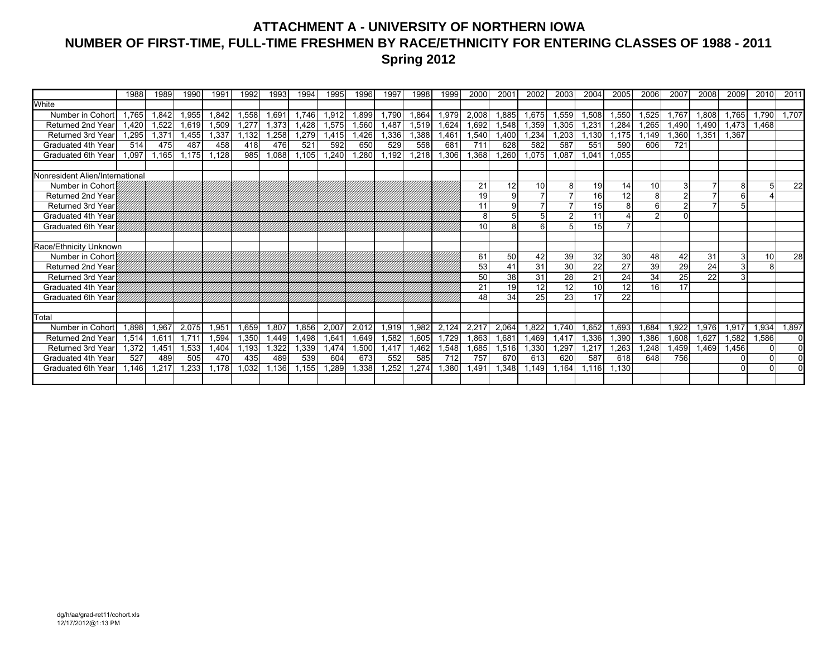### **ATTACHMENT A - UNIVERSITY OF NORTHERN IOWA NUMBER OF FIRST-TIME, FULL-TIME FRESHMEN BY RACE/ETHNICITY FOR ENTERING CLASSES OF 1988 - 2011 Spring 2012**

| White<br>.765<br>1.842<br>Number in Cohort<br>1,522<br><b>Returned 2nd Year</b><br>.420<br><b>Returned 3rd Year</b><br>.295<br>1.371<br>Graduated 4th Year<br>514<br>475<br>Graduated 6th Year<br>.097<br>1.165 | 1.955<br>1,619<br>.455<br>487<br>.175 | 1,842<br>1,509<br>1.337<br>458<br>,128 | .558<br>.277<br>.132<br>418<br>985 | 1.691<br>1,373<br>1,258<br>476<br>880,1 | 1.746<br>1.428<br>1,279<br>521 | 1,912<br>1,575<br>1.415<br>592 | .899<br>.560<br>.426 | 1.790<br>1,487<br>1,336 | 1.864<br>1,519 | 1,979<br>1,624 | 2,008<br>.692 | 1.885           | 1,675           | 1,559          | ,508            | .550            | .525            | 1.767 | 808.  | 1.765 | 1,790 | 1,707    |
|-----------------------------------------------------------------------------------------------------------------------------------------------------------------------------------------------------------------|---------------------------------------|----------------------------------------|------------------------------------|-----------------------------------------|--------------------------------|--------------------------------|----------------------|-------------------------|----------------|----------------|---------------|-----------------|-----------------|----------------|-----------------|-----------------|-----------------|-------|-------|-------|-------|----------|
|                                                                                                                                                                                                                 |                                       |                                        |                                    |                                         |                                |                                |                      |                         |                |                |               |                 |                 |                |                 |                 |                 |       |       |       |       |          |
|                                                                                                                                                                                                                 |                                       |                                        |                                    |                                         |                                |                                |                      |                         |                |                |               |                 |                 |                |                 |                 |                 |       |       |       |       |          |
|                                                                                                                                                                                                                 |                                       |                                        |                                    |                                         |                                |                                |                      |                         |                |                |               | 1,548           | 1,359           | 1,305          | .231            | 1.284           | .265            | 1.490 | .490  | 1,473 | 1.468 |          |
|                                                                                                                                                                                                                 |                                       |                                        |                                    |                                         |                                |                                |                      |                         | .388           | l.461          | .540          | .400            | .234            | .203           | .130            | .175            | .149            | .360  | 1.351 | 1.367 |       |          |
|                                                                                                                                                                                                                 |                                       |                                        |                                    |                                         |                                |                                | 650                  | 529                     | 558            | 681            | 711           | 628             | 582             | 587            | 551             | 590             | 606             | 721   |       |       |       |          |
|                                                                                                                                                                                                                 |                                       |                                        |                                    |                                         | 1,105                          | 1,240                          | ,280                 | 1,192                   | .218           | ,306           | .368          | ,260            | ,075            | .087           | .041            | .055            |                 |       |       |       |       |          |
|                                                                                                                                                                                                                 |                                       |                                        |                                    |                                         |                                |                                |                      |                         |                |                |               |                 |                 |                |                 |                 |                 |       |       |       |       |          |
| Nonresident Alien/International                                                                                                                                                                                 |                                       |                                        |                                    |                                         |                                |                                |                      |                         |                |                |               |                 |                 |                |                 |                 |                 |       |       |       |       |          |
| Number in Cohort                                                                                                                                                                                                |                                       |                                        |                                    |                                         |                                |                                |                      |                         |                |                | 21            | 12              | 10              | 8              | 19              | 14              | 10              | 3     |       |       |       | 22       |
| <b>Returned 2nd Year</b>                                                                                                                                                                                        |                                       |                                        |                                    |                                         |                                |                                |                      |                         |                |                | 19            | 9               |                 | $\overline{7}$ | 16              | 12              | 8               |       |       |       |       |          |
| <b>Returned 3rd Year</b>                                                                                                                                                                                        |                                       |                                        |                                    |                                         |                                |                                |                      |                         |                |                | 11            | 9               |                 |                | 15              | 8               |                 |       |       |       |       |          |
| Graduated 4th Year                                                                                                                                                                                              |                                       |                                        |                                    |                                         |                                |                                |                      |                         |                |                | 8             |                 |                 | $\mathfrak{p}$ | 11              |                 |                 |       |       |       |       |          |
| Graduated 6th Year                                                                                                                                                                                              |                                       |                                        |                                    |                                         |                                |                                |                      |                         |                |                | 10            | 8               |                 | 5 <sup>1</sup> | 15              |                 |                 |       |       |       |       |          |
|                                                                                                                                                                                                                 |                                       |                                        |                                    |                                         |                                |                                |                      |                         |                |                |               |                 |                 |                |                 |                 |                 |       |       |       |       |          |
| Race/Ethnicity Unknown                                                                                                                                                                                          |                                       |                                        |                                    |                                         |                                |                                |                      |                         |                |                |               |                 |                 |                |                 |                 |                 |       |       |       |       |          |
| Number in Cohort                                                                                                                                                                                                |                                       |                                        |                                    |                                         |                                |                                |                      |                         |                |                | 61            | 50              | 42              | 39             | 32              | 30              | 48              | 42    | 31    | 3     | 10    | 28       |
| Returned 2nd Year                                                                                                                                                                                               |                                       |                                        |                                    |                                         |                                |                                |                      |                         |                |                | 53            | 41              | $\overline{31}$ | 30             | $\overline{22}$ | $\overline{27}$ | 39              | 29    | 24    |       |       |          |
| <b>Returned 3rd Year</b>                                                                                                                                                                                        |                                       |                                        |                                    |                                         |                                |                                |                      |                         |                |                | 50            | 38              | 31              | 28             | 21              | 24              | 34              | 25    | 22    |       |       |          |
| Graduated 4th Year                                                                                                                                                                                              |                                       |                                        |                                    |                                         |                                |                                |                      |                         |                |                | 21            | $\overline{19}$ | $\overline{12}$ | 12             | 10              | 12              | $\overline{16}$ | 17    |       |       |       |          |
| Graduated 6th Year                                                                                                                                                                                              |                                       |                                        |                                    |                                         |                                |                                |                      |                         |                |                | 48            | 34              | 25              | 23             | 17              | 22              |                 |       |       |       |       |          |
|                                                                                                                                                                                                                 |                                       |                                        |                                    |                                         |                                |                                |                      |                         |                |                |               |                 |                 |                |                 |                 |                 |       |       |       |       |          |
| Total                                                                                                                                                                                                           |                                       |                                        |                                    |                                         |                                |                                |                      |                         |                |                |               |                 |                 |                |                 |                 |                 |       |       |       |       |          |
| Number in Cohort<br>.898<br>1,967                                                                                                                                                                               | 2,075                                 | 1.951                                  | .659                               | 1.807                                   | 1,856                          | 2,007                          | 2.012                | 1,919                   | 1,982          | 2.124          | 2,217         | 2,064           | .822            | .740           | .652            | .693            | .684            | 1,922 | .976  | 1,917 | 1,934 | 1,897    |
| <b>Returned 2nd Year</b><br>.514<br>1,611                                                                                                                                                                       | 1.711                                 | .594                                   | ,350                               | 1,449                                   | 1,498                          | 1,641                          | .649                 | 1,582                   | 1,605          | 1,729          | .863          | .681            | l,469           | 417. ا         | ,336            | .390            | ,386            | 0.608 | 1.627 | 1,582 | 1,586 | $\Omega$ |
| <b>Returned 3rd Year</b><br>.372<br>1,451                                                                                                                                                                       | 1,533                                 | ,404                                   | .193                               | .322                                    | 1,339                          | 1,474                          | ,500                 | 1,417                   | .462           | ,548           | .685          | 1,516           | ,330            | ,297           | ,217            | ,263            | .248            | .459  | .469  | .456  |       | $\Omega$ |
| 527<br>Graduated 4th Year<br>489                                                                                                                                                                                | 505                                   | 470                                    | 435                                | 489                                     | 539                            | 604                            | 673                  | 552                     | 585            | 712            | 757           | 670             | 613             | 620            | 587             | 618             | 648             | 756   |       |       |       |          |
| .217<br><b>Graduated 6th Year</b><br>.146                                                                                                                                                                       | .233                                  | 1.178                                  | ,032                               | 1,136                                   | .155                           | 1,289                          | .338                 | .252                    | .274           | ,380           | .491          | .348            | .149            | .164           | .116            | .130            |                 |       |       |       |       |          |
|                                                                                                                                                                                                                 |                                       |                                        |                                    |                                         |                                |                                |                      |                         |                |                |               |                 |                 |                |                 |                 |                 |       |       |       |       |          |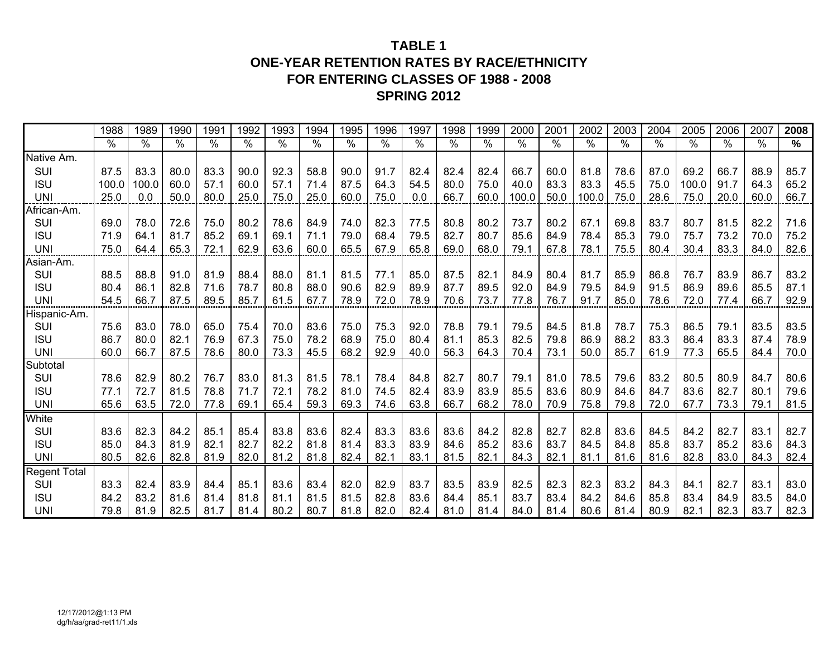## **TABLE 1ONE-YEAR RETENTION RATES BY RACE/ETHNICITY FOR ENTERING CLASSES OF 1988 - 2008 SPRING 2012**

|                     | 1988  | 1989          | 1990 | 1991 | 1992 | 1993 | 1994          | 1995          | 1996 | 1997          | 1998          | 1999 | 2000  | 2001            | 2002            | 2003 | 2004 | 2005            | 2006          | 2007 | 2008 |
|---------------------|-------|---------------|------|------|------|------|---------------|---------------|------|---------------|---------------|------|-------|-----------------|-----------------|------|------|-----------------|---------------|------|------|
|                     | $\%$  | $\frac{1}{2}$ | $\%$ | %    | %    | %    | $\frac{1}{2}$ | $\frac{1}{2}$ | $\%$ | $\frac{0}{0}$ | $\frac{0}{0}$ | $\%$ | $\%$  | $\overline{\%}$ | $\overline{\%}$ | $\%$ | $\%$ | $\overline{\%}$ | $\frac{0}{0}$ | $\%$ | %    |
| Native Am.          |       |               |      |      |      |      |               |               |      |               |               |      |       |                 |                 |      |      |                 |               |      |      |
| SUI                 | 87.5  | 83.3          | 80.0 | 83.3 | 90.0 | 92.3 | 58.8          | 90.0          | 91.7 | 82.4          | 82.4          | 82.4 | 66.7  | 60.0            | 81.8            | 78.6 | 87.0 | 69.2            | 66.7          | 88.9 | 85.7 |
| <b>ISU</b>          | 100.0 | 100.0         | 60.0 | 57.1 | 60.0 | 57.1 | 71.4          | 87.5          | 64.3 | 54.5          | 80.0          | 75.0 | 40.0  | 83.3            | 83.3            | 45.5 | 75.0 | 100.0           | 91.7          | 64.3 | 65.2 |
| <b>UNI</b>          | 25.0  | 0.0           | 50.0 | 80.0 | 25.0 | 75.0 | 25.0          | 60.0          | 75.0 | 0.0           | 66.7          | 60.0 | 100.0 | 50.0            | 100.0           | 75.0 | 28.6 | 75.0            | 20.0          | 60.0 | 66.7 |
| African-Am.         |       |               |      |      |      |      |               |               |      |               |               |      |       |                 |                 |      |      |                 |               |      |      |
| SUI                 | 69.0  | 78.0          | 72.6 | 75.0 | 80.2 | 78.6 | 84.9          | 74.0          | 82.3 | 77.5          | 80.8          | 80.2 | 73.7  | 80.2            | 67.1            | 69.8 | 83.7 | 80.7            | 81.5          | 82.2 | 71.6 |
| <b>ISU</b>          | 71.9  | 64.1          | 81.7 | 85.2 | 69.1 | 69.1 | 71.1          | 79.0          | 68.4 | 79.5          | 82.7          | 80.7 | 85.6  | 84.9            | 78.4            | 85.3 | 79.0 | 75.7            | 73.2          | 70.0 | 75.2 |
| <b>UNI</b>          | 75.0  | 64.4          | 65.3 | 72.1 | 62.9 | 63.6 | 60.0          | 65.5          | 67.9 | 65.8          | 69.0          | 68.0 | 79.1  | 67.8            | 78.1            | 75.5 | 80.4 | 30.4            | 83.3          | 84.0 | 82.6 |
| Asian-Am.           |       |               |      |      |      |      |               |               |      |               |               |      |       |                 |                 |      |      |                 |               |      |      |
| SUI                 | 88.5  | 88.8          | 91.0 | 81.9 | 88.4 | 88.0 | 81.1          | 81.5          | 77.1 | 85.0          | 87.5          | 82.1 | 84.9  | 80.4            | 81.7            | 85.9 | 86.8 | 76.7            | 83.9          | 86.7 | 83.2 |
| <b>ISU</b>          | 80.4  | 86.1          | 82.8 | 71.6 | 78.7 | 80.8 | 88.0          | 90.6          | 82.9 | 89.9          | 87.7          | 89.5 | 92.0  | 84.9            | 79.5            | 84.9 | 91.5 | 86.9            | 89.6          | 85.5 | 87.1 |
| <b>UNI</b>          | 54.5  | 66.7          | 87.5 | 89.5 | 85.7 | 61.5 | 67.7          | 78.9          | 72.0 | 78.9          | 70.6          | 73.7 | 77.8  | 76.7            | 91.7            | 85.0 | 78.6 | 72.0            | 77.4          | 66.7 | 92.9 |
| Hispanic-Am.        |       |               |      |      |      |      |               |               |      |               |               |      |       |                 |                 |      |      |                 |               |      |      |
| SUI                 | 75.6  | 83.0          | 78.0 | 65.0 | 75.4 | 70.0 | 83.6          | 75.0          | 75.3 | 92.0          | 78.8          | 79.1 | 79.5  | 84.5            | 81.8            | 78.7 | 75.3 | 86.5            | 79.1          | 83.5 | 83.5 |
| <b>ISU</b>          | 86.7  | 80.0          | 82.1 | 76.9 | 67.3 | 75.0 | 78.2          | 68.9          | 75.0 | 80.4          | 81.1          | 85.3 | 82.5  | 79.8            | 86.9            | 88.2 | 83.3 | 86.4            | 83.3          | 87.4 | 78.9 |
| <b>UNI</b>          | 60.0  | 66.7          | 87.5 | 78.6 | 80.0 | 73.3 | 45.5          | 68.2          | 92.9 | 40.0          | 56.3          | 64.3 | 70.4  | 73.1            | 50.0            | 85.7 | 61.9 | 77.3            | 65.5          | 84.4 | 70.0 |
| Subtotal            |       |               |      |      |      |      |               |               |      |               |               |      |       |                 |                 |      |      |                 |               |      |      |
| SUI                 | 78.6  | 82.9          | 80.2 | 76.7 | 83.0 | 81.3 | 81.5          | 78.1          | 78.4 | 84.8          | 82.7          | 80.7 | 79.1  | 81.0            | 78.5            | 79.6 | 83.2 | 80.5            | 80.9          | 84.7 | 80.6 |
| <b>ISU</b>          | 77.1  | 72.7          | 81.5 | 78.8 | 71.7 | 72.1 | 78.2          | 81.0          | 74.5 | 82.4          | 83.9          | 83.9 | 85.5  | 83.6            | 80.9            | 84.6 | 84.7 | 83.6            | 82.7          | 80.1 | 79.6 |
| <b>UNI</b>          | 65.6  | 63.5          | 72.0 | 77.8 | 69.1 | 65.4 | 59.3          | 69.3          | 74.6 | 63.8          | 66.7          | 68.2 | 78.0  | 70.9            | 75.8            | 79.8 | 72.0 | 67.7            | 73.3          | 79.1 | 81.5 |
| White               |       |               |      |      |      |      |               |               |      |               |               |      |       |                 |                 |      |      |                 |               |      |      |
| SUI                 | 83.6  | 82.3          | 84.2 | 85.1 | 85.4 | 83.8 | 83.6          | 82.4          | 83.3 | 83.6          | 83.6          | 84.2 | 82.8  | 82.7            | 82.8            | 83.6 | 84.5 | 84.2            | 82.7          | 83.1 | 82.7 |
| <b>ISU</b>          | 85.0  | 84.3          | 81.9 | 82.1 | 82.7 | 82.2 | 81.8          | 81.4          | 83.3 | 83.9          | 84.6          | 85.2 | 83.6  | 83.7            | 84.5            | 84.8 | 85.8 | 83.7            | 85.2          | 83.6 | 84.3 |
| <b>UNI</b>          | 80.5  | 82.6          | 82.8 | 81.9 | 82.0 | 81.2 | 81.8          | 82.4          | 82.1 | 83.1          | 81.5          | 82.1 | 84.3  | 82.1            | 81.1            | 81.6 | 81.6 | 82.8            | 83.0          | 84.3 | 82.4 |
| <b>Regent Total</b> |       |               |      |      |      |      |               |               |      |               |               |      |       |                 |                 |      |      |                 |               |      |      |
| SUI                 | 83.3  | 82.4          | 83.9 | 84.4 | 85.1 | 83.6 | 83.4          | 82.0          | 82.9 | 83.7          | 83.5          | 83.9 | 82.5  | 82.3            | 82.3            | 83.2 | 84.3 | 84.1            | 82.7          | 83.1 | 83.0 |
| <b>ISU</b>          | 84.2  | 83.2          | 81.6 | 81.4 | 81.8 | 81.1 | 81.5          | 81.5          | 82.8 | 83.6          | 84.4          | 85.1 | 83.7  | 83.4            | 84.2            | 84.6 | 85.8 | 83.4            | 84.9          | 83.5 | 84.0 |
| <b>UNI</b>          | 79.8  | 81.9          | 82.5 | 81.7 | 81.4 | 80.2 | 80.7          | 81.8          | 82.0 | 82.4          | 81.0          | 81.4 | 84.0  | 81.4            | 80.6            | 81.4 | 80.9 | 82.1            | 82.3          | 83.7 | 82.3 |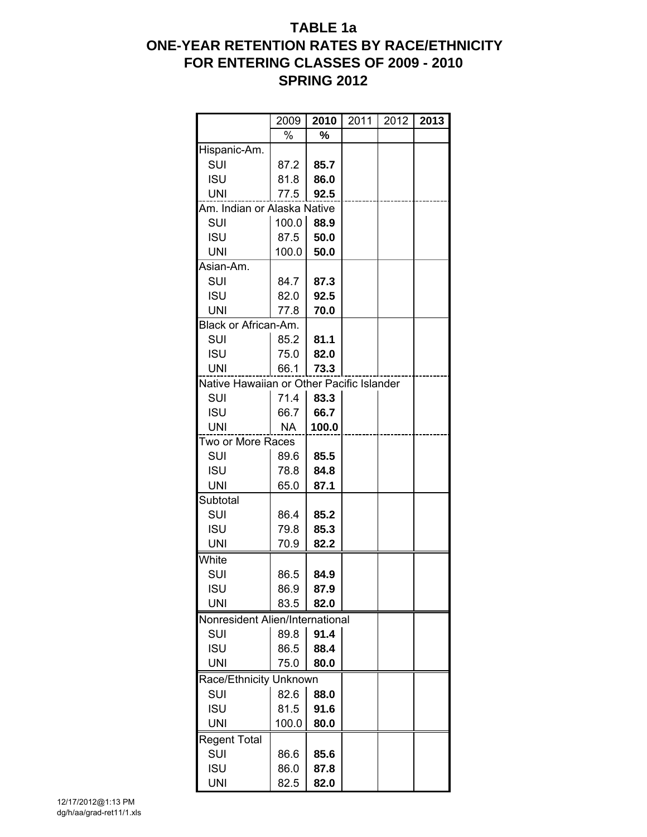# **TABLE 1a ONE-YEAR RETENTION RATES BY RACE/ETHNICITY FOR ENTERING CLASSES OF 2009 - 2010 SPRING 2012**

|                                           | 2009      | 2010  | 2011 | 2012 | 2013 |
|-------------------------------------------|-----------|-------|------|------|------|
|                                           | %         | %     |      |      |      |
| Hispanic-Am.                              |           |       |      |      |      |
| SUI                                       | 87.2      | 85.7  |      |      |      |
| <b>ISU</b>                                | 81.8      | 86.0  |      |      |      |
| <b>UNI</b>                                | 77.5      | 92.5  |      |      |      |
| Am. Indian or Alaska Native               |           |       |      |      |      |
| SUI                                       | 100.0     | 88.9  |      |      |      |
| <b>ISU</b>                                | 87.5      | 50.0  |      |      |      |
| <b>UNI</b>                                | 100.0     | 50.0  |      |      |      |
| Asian-Am.                                 |           |       |      |      |      |
| SUI                                       | 84.7      | 87.3  |      |      |      |
| <b>ISU</b>                                | 82.0      | 92.5  |      |      |      |
| UNI                                       | 77.8      | 70.0  |      |      |      |
| Black or African-Am.                      |           |       |      |      |      |
| SUI                                       | 85.2      | 81.1  |      |      |      |
| <b>ISU</b>                                | 75.0      | 82.0  |      |      |      |
| UNI                                       | 66.1      | 73.3  |      |      |      |
| Native Hawaiian or Other Pacific Islander |           |       |      |      |      |
| <b>SUI</b>                                | 71.4      | 83.3  |      |      |      |
| <b>ISU</b>                                | 66.7      | 66.7  |      |      |      |
| <b>UNI</b>                                | <b>NA</b> | 100.0 |      |      |      |
| Two or More Races                         |           |       |      |      |      |
| SUI                                       | 89.6      | 85.5  |      |      |      |
| <b>ISU</b>                                | 78.8      | 84.8  |      |      |      |
| UNI                                       | 65.0      | 87.1  |      |      |      |
| Subtotal                                  |           |       |      |      |      |
| SUI                                       | 86.4      | 85.2  |      |      |      |
| <b>ISU</b>                                | 79.8      | 85.3  |      |      |      |
| <b>UNI</b>                                | 70.9      | 82.2  |      |      |      |
| White                                     |           |       |      |      |      |
| SUI                                       | 86.5      | 84.9  |      |      |      |
| <b>ISU</b>                                | 86.9      | 87.9  |      |      |      |
| <b>UNI</b>                                | 83.5      | 82.0  |      |      |      |
| Nonresident Alien/International           |           |       |      |      |      |
| SUI                                       | 89.8      | 91.4  |      |      |      |
| <b>ISU</b>                                | 86.5      | 88.4  |      |      |      |
| <b>UNI</b>                                | 75.0      | 80.0  |      |      |      |
| Race/Ethnicity Unknown                    |           |       |      |      |      |
| SUI                                       | 82.6      | 88.0  |      |      |      |
| <b>ISU</b>                                | 81.5      | 91.6  |      |      |      |
| <b>UNI</b>                                | 100.0     | 80.0  |      |      |      |
| <b>Regent Total</b>                       |           |       |      |      |      |
| SUI                                       | 86.6      | 85.6  |      |      |      |
| <b>ISU</b>                                | 86.0      | 87.8  |      |      |      |
| <b>UNI</b>                                | 82.5      | 82.0  |      |      |      |
|                                           |           |       |      |      |      |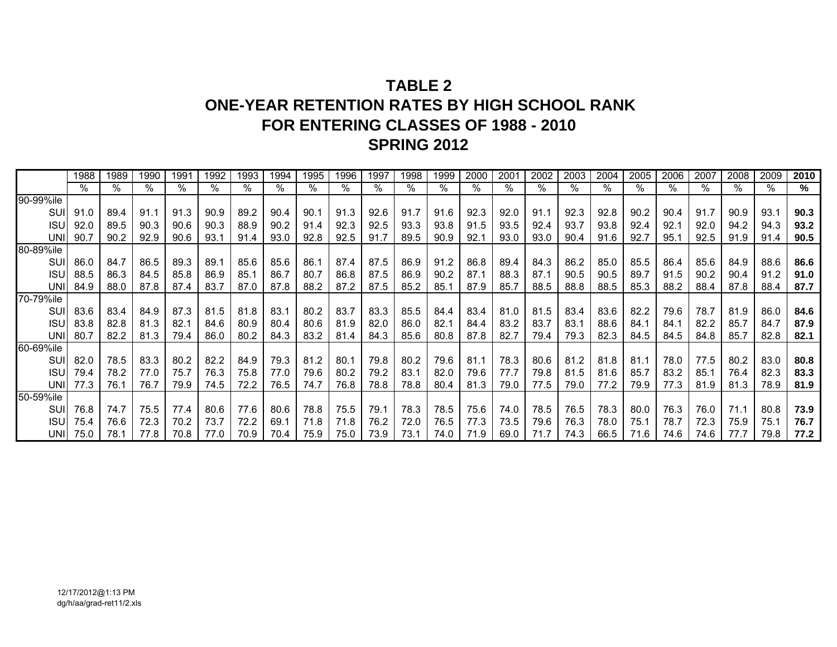# **TABLE 2ONE-YEAR RETENTION RATES BY HIGH SCHOOL RANKFOR ENTERING CLASSES OF 1988 - 2010 SPRING 2012**

|            | 1988 | 1989 | 1990 | 1991 | 1992 | 1993 | 1994 | 1995 | 1996 | 1997 | 1998 | 1999 | 2000 | 2001 | 2002 | 2003 | 2004 | 2005 | 2006 | 2007 | 2008 | 2009 | 2010 |
|------------|------|------|------|------|------|------|------|------|------|------|------|------|------|------|------|------|------|------|------|------|------|------|------|
|            | %    | %    | $\%$ | $\%$ | %    |      | %    | %    | %    | %    | %    |      |      | %    | %    | %    | $\%$ | %    | %    | %    | $\%$ | %    | ℅    |
| 90-99%ile  |      |      |      |      |      |      |      |      |      |      |      |      |      |      |      |      |      |      |      |      |      |      |      |
| SUI        | 91.0 | 89.4 | 91.1 | 91.3 | 90.9 | 89.2 | 90.4 | 90.1 | 91.3 | 92.6 | 91.7 | 91.6 | 92.3 | 92.0 | 91.1 | 92.3 | 92.8 | 90.2 | 90.4 | 91.7 | 90.9 | 93.1 | 90.3 |
| ISL        | 92.0 | 89.5 | 90.3 | 90.6 | 90.3 | 88.9 | 90.2 | 91.4 | 92.3 | 92.5 | 93.3 | 93.8 | 91.5 | 93.5 | 92.4 | 93.7 | 93.8 | 92.4 | 92.1 | 92.0 | 94.2 | 94.3 | 93.2 |
| <b>UNI</b> | 90.7 | 90.2 | 92.9 | 90.6 | 93.1 | 91.4 | 93.0 | 92.8 | 92.5 | 91.7 | 89.5 | 90.9 | 92.7 | 93.0 | 93.0 | 90.4 | 91.6 | 92.7 | 95.1 | 92.5 | 91.9 | 91.4 | 90.5 |
| 80-89%ile  |      |      |      |      |      |      |      |      |      |      |      |      |      |      |      |      |      |      |      |      |      |      |      |
| SUI        | 86.0 | 84.7 | 86.5 | 89.3 | 89.7 | 85.6 | 85.6 | 86.1 | 87.4 | 87.5 | 86.9 | 91.2 | 86.8 | 89.4 | 84.3 | 86.2 | 85.0 | 85.5 | 86.4 | 85.6 | 84.9 | 88.6 | 86.6 |
| <b>ISU</b> | 88.5 | 86.3 | 84.5 | 85.8 | 86.9 | 85.1 | 86.7 | 80.7 | 86.8 | 87.5 | 86.9 | 90.2 | 87.1 | 88.3 | 87.1 | 90.5 | 90.5 | 89.7 | 91.5 | 90.2 | 90.4 | 91.2 | 91.0 |
| <b>UNI</b> | 84.9 | 88.0 | 87.8 | 87.4 | 83.7 | 87.0 | 87.8 | 88.2 | 87.2 | 87.5 | 85.2 | 85.1 | 87.9 | 85.7 | 88.5 | 88.8 | 88.5 | 85.3 | 88.2 | 88.4 | 87.8 | 88.4 | 87.7 |
| 70-79%ile  |      |      |      |      |      |      |      |      |      |      |      |      |      |      |      |      |      |      |      |      |      |      |      |
| SUI        | 83.6 | 83.4 | 84.9 | 87.3 | 81.5 | 81.8 | 83.1 | 80.2 | 83.7 | 83.3 | 85.5 | 84.4 | 83.4 | 81.0 | 81.5 | 83.4 | 83.6 | 82.2 | 79.6 | 78.7 | 81.9 | 86.0 | 84.6 |
| <b>ISU</b> | 83.8 | 82.8 | 81.3 | 82.7 | 84.6 | 80.9 | 80.4 | 80.6 | 81.9 | 82.0 | 86.0 | 82.1 | 84.4 | 83.2 | 83.7 | 83.1 | 88.6 | 84.1 | 84.1 | 82.2 | 85.7 | 84.7 | 87.9 |
| UNI        | 80.7 | 82.2 | 81.3 | 79.4 | 86.0 | 80.2 | 84.3 | 83.2 | 81.4 | 84.3 | 85.6 | 80.8 | 87.8 | 82.7 | 79.4 | 79.3 | 82.3 | 84.5 | 84.5 | 84.8 | 85.7 | 82.8 | 82.1 |
| 60-69%ile  |      |      |      |      |      |      |      |      |      |      |      |      |      |      |      |      |      |      |      |      |      |      |      |
| SUI        | 82.0 | 78.5 | 83.3 | 80.2 | 82.2 | 84.9 | 79.3 | 81.2 | 80.1 | 79.8 | 80.2 | 79.6 | 81.1 | 78.3 | 80.6 | 81.2 | 81.8 | 81.1 | 78.0 | 77.5 | 80.2 | 83.0 | 80.8 |
| ISL        | 79.4 | 78.2 | 77.0 | 75.7 | 76.3 | 75.8 | 77.0 | 79.6 | 80.2 | 79.2 | 83.1 | 82.0 | 79.6 | 77.7 | 79.8 | 81.5 | 81.6 | 85.7 | 83.2 | 85.7 | 76.4 | 82.3 | 83.3 |
| UNII       | 77.3 | 76.1 | 76.7 | 79.9 | 74.5 | 72.2 | 76.5 | 74.7 | 76.8 | 78.8 | 78.8 | 80.4 | 81.3 | 79.0 | 77.5 | 79.0 | 77.2 | 79.9 | 77.3 | 81.9 | 81.3 | 78.9 | 81.9 |
| 50-59%ile  |      |      |      |      |      |      |      |      |      |      |      |      |      |      |      |      |      |      |      |      |      |      |      |
| SUI        | 76.8 | 74.7 | 75.5 | 77.4 | 80.6 | 77.6 | 80.6 | 78.8 | 75.5 | 79.1 | 78.3 | 78.5 | 75.6 | 74.0 | 78.5 | 76.5 | 78.3 | 80.0 | 76.3 | 76.0 | 71.1 | 80.8 | 73.9 |
| <b>ISU</b> | 75.4 | 76.6 | 72.3 | 70.2 | 73.7 | 72.2 | 69.1 | 71.8 | 71.8 | 76.2 | 72.0 | 76.5 | 77.3 | 73.5 | 79.6 | 76.3 | 78.0 | 75.1 | 78.7 | 72.3 | 75.9 | 75.1 | 76.7 |
| UNII       | 75.0 | 78.1 | 77.8 | 70.8 | 77.0 | 70.9 | 70.4 | 75.9 | 75.0 | 73.9 | 73.1 | 74.0 | 71.9 | 69.0 | 71.7 | 74.3 | 66.5 | 71.6 | 74.6 | 74.6 |      | 79.8 | 77.2 |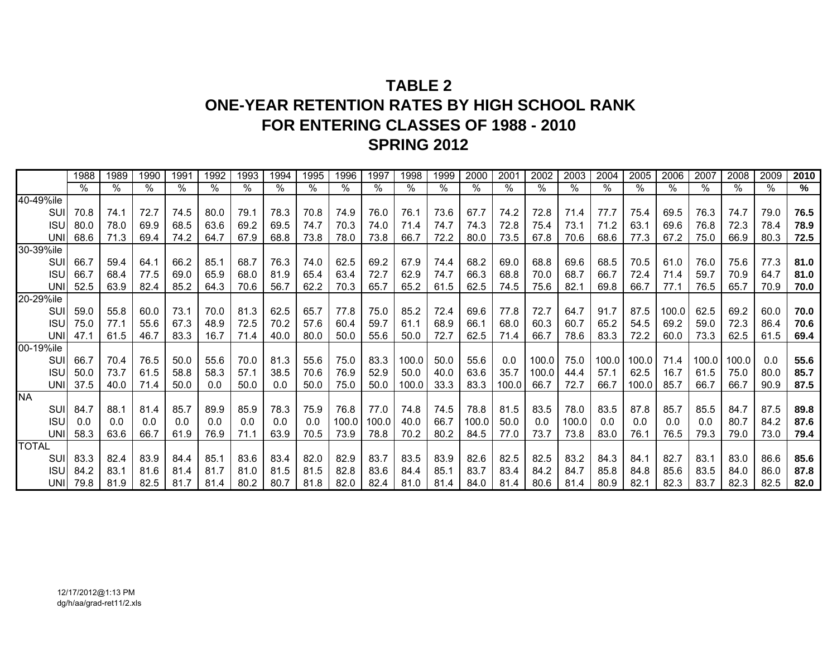# **TABLE 2ONE-YEAR RETENTION RATES BY HIGH SCHOOL RANKFOR ENTERING CLASSES OF 1988 - 2010 SPRING 2012**

|              | 1988 | 1989 | 1990 | 1991 | 1992 | 1993 | 1994 | 1995 | 1996  | 1997  | 1998  | 1999 | 2000  | 2001  | 2002  | 2003  | 2004  | 2005  | 2006  | 2007  | 2008  | 2009 | 2010 |
|--------------|------|------|------|------|------|------|------|------|-------|-------|-------|------|-------|-------|-------|-------|-------|-------|-------|-------|-------|------|------|
|              | %    | %    | %    | %    | %    | %    | $\%$ | $\%$ | %     | $\%$  | ℅     | %    | %     | %     | ℅     | ℅     | ℅     | %     | %     | %     | ℅     | %    | ℅    |
| 40-49%ile    |      |      |      |      |      |      |      |      |       |       |       |      |       |       |       |       |       |       |       |       |       |      |      |
| SUI          | 70.8 | 74.1 | 72.7 | 74.5 | 80.0 | 79.1 | 78.3 | 70.8 | 74.9  | 76.0  | 76.1  | 73.6 | 67.7  | 74.2  | 72.8  | 71.4  | 77.7  | 75.4  | 69.5  | 76.3  | 74.7  | 79.0 | 76.5 |
| <b>ISL</b>   | 80.0 | 78.0 | 69.9 | 68.5 | 63.6 | 69.2 | 69.5 | 74.7 | 70.3  | 74.0  | 71.4  | 74.7 | 74.3  | 72.8  | 75.4  | 73.1  | 71.2  | 63.1  | 69.6  | 76.8  | 72.3  | 78.4 | 78.9 |
| UNI          | 68.6 | 71.3 | 69.4 | 74.2 | 64.7 | 67.9 | 68.8 | 73.8 | 78.0  | 73.8  | 66.7  | 72.2 | 80.0  | 73.5  | 67.8  | 70.6  | 68.6  | 77.3  | 67.2  | 75.0  | 66.9  | 80.3 | 72.5 |
| 30-39%ile    |      |      |      |      |      |      |      |      |       |       |       |      |       |       |       |       |       |       |       |       |       |      |      |
| SUI          | 66.7 | 59.4 | 64.1 | 66.2 | 85.1 | 68.7 | 76.3 | 74.0 | 62.5  | 69.2  | 67.9  | 74.4 | 68.2  | 69.0  | 68.8  | 69.6  | 68.5  | 70.5  | 61.0  | 76.0  | 75.6  | 77.3 | 81.0 |
| <b>ISU</b>   | 66.7 | 68.4 | 77.5 | 69.0 | 65.9 | 68.0 | 81.9 | 65.4 | 63.4  | 72.7  | 62.9  | 74.7 | 66.3  | 68.8  | 70.0  | 68.7  | 66.7  | 72.4  | 71.4  | 59.7  | 70.9  | 64.7 | 81.0 |
| <b>UNI</b>   | 52.5 | 63.9 | 82.4 | 85.2 | 64.3 | 70.6 | 56.7 | 62.2 | 70.3  | 65.7  | 65.2  | 61.5 | 62.5  | 74.5  | 75.6  | 82.1  | 69.8  | 66.7  | 77.1  | 76.5  | 65.7  | 70.9 | 70.0 |
| 20-29%ile    |      |      |      |      |      |      |      |      |       |       |       |      |       |       |       |       |       |       |       |       |       |      |      |
| SUI          | 59.0 | 55.8 | 60.0 | 73.1 | 70.0 | 81.3 | 62.5 | 65.7 | 77.8  | 75.0  | 85.2  | 72.4 | 69.6  | 77.8  | 72.7  | 64.7  | 91.7  | 87.5  | 100.0 | 62.5  | 69.2  | 60.0 | 70.0 |
| ISL          | 75.0 | 77.1 | 55.6 | 67.3 | 48.9 | 72.5 | 70.2 | 57.6 | 60.4  | 59.7  | 61.1  | 68.9 | 66.1  | 68.0  | 60.3  | 60.7  | 65.2  | 54.5  | 69.2  | 59.0  | 72.3  | 86.4 | 70.6 |
| UNI          | 47.1 | 61.5 | 46.7 | 83.3 | 16.7 | 71.4 | 40.0 | 80.0 | 50.0  | 55.6  | 50.0  | 72.7 | 62.5  | 71.4  | 66.7  | 78.6  | 83.3  | 72.2  | 60.0  | 73.3  | 62.5  | 61.5 | 69.4 |
| 00-19%ile    |      |      |      |      |      |      |      |      |       |       |       |      |       |       |       |       |       |       |       |       |       |      |      |
| SUI          | 66.7 | 70.4 | 76.5 | 50.0 | 55.6 | 70.0 | 81.3 | 55.6 | 75.0  | 83.3  | 100.0 | 50.0 | 55.6  | 0.0   | 100.0 | 75.0  | 100.0 | 100.0 | 71.4  | 100.0 | 100.0 | 0.0  | 55.6 |
| ISL          | 50.0 | 73.7 | 61.5 | 58.8 | 58.3 | 57.1 | 38.5 | 70.6 | 76.9  | 52.9  | 50.0  | 40.0 | 63.6  | 35.7  | 100.0 | 44.4  | 57.1  | 62.5  | 16.7  | 61.5  | 75.0  | 80.0 | 85.7 |
| UNII         | 37.5 | 40.0 | 71.4 | 50.0 | 0.0  | 50.0 | 0.0  | 50.0 | 75.0  | 50.0  | 100.0 | 33.3 | 83.3  | 100.0 | 66.7  | 72.7  | 66.7  | 100.0 | 85.7  | 66.7  | 66.7  | 90.9 | 87.5 |
| <b>NA</b>    |      |      |      |      |      |      |      |      |       |       |       |      |       |       |       |       |       |       |       |       |       |      |      |
| SUI          | 84.7 | 88.1 | 81.4 | 85.7 | 89.9 | 85.9 | 78.3 | 75.9 | 76.8  | 77.0  | 74.8  | 74.5 | 78.8  | 81.5  | 83.5  | 78.0  | 83.5  | 87.8  | 85.7  | 85.5  | 84.7  | 87.5 | 89.8 |
| <b>ISL</b>   | 0.0  | 0.0  | 0.0  | 0.0  | 0.0  | 0.0  | 0.0  | 0.0  | 100.0 | 100.0 | 40.0  | 66.7 | 100.0 | 50.0  | 0.0   | 100.0 | 0.0   | 0.0   | 0.0   | 0.0   | 80.7  | 84.2 | 87.6 |
| <b>UNI</b>   | 58.3 | 63.6 | 66.7 | 61.9 | 76.9 | 71.1 | 63.9 | 70.5 | 73.9  | 78.8  | 70.2  | 80.2 | 84.5  | 77.0  | 73.7  | 73.8  | 83.0  | 76.1  | 76.5  | 79.3  | 79.0  | 73.0 | 79.4 |
| <b>TOTAL</b> |      |      |      |      |      |      |      |      |       |       |       |      |       |       |       |       |       |       |       |       |       |      |      |
| SUI          | 83.3 | 82.4 | 83.9 | 84.4 | 85.1 | 83.6 | 83.4 | 82.0 | 82.9  | 83.7  | 83.5  | 83.9 | 82.6  | 82.5  | 82.5  | 83.2  | 84.3  | 84.1  | 82.7  | 83.1  | 83.0  | 86.6 | 85.6 |
| ISL          | 84.2 | 83.1 | 81.6 | 81.4 | 81.7 | 81.0 | 81.5 | 81.5 | 82.8  | 83.6  | 84.4  | 85.1 | 83.7  | 83.4  | 84.2  | 84.7  | 85.8  | 84.8  | 85.6  | 83.5  | 84.0  | 86.0 | 87.8 |
| UNI          | 79.8 | 81.9 | 82.5 | 81.7 | 81.4 | 80.2 | 80.7 | 81.8 | 82.0  | 82.4  | 81.0  | 81.4 | 84.0  | 81.4  | 80.6  | 81.4  | 80.9  | 82.1  | 82.3  | 83.7  | 82.3  | 82.5 | 82.0 |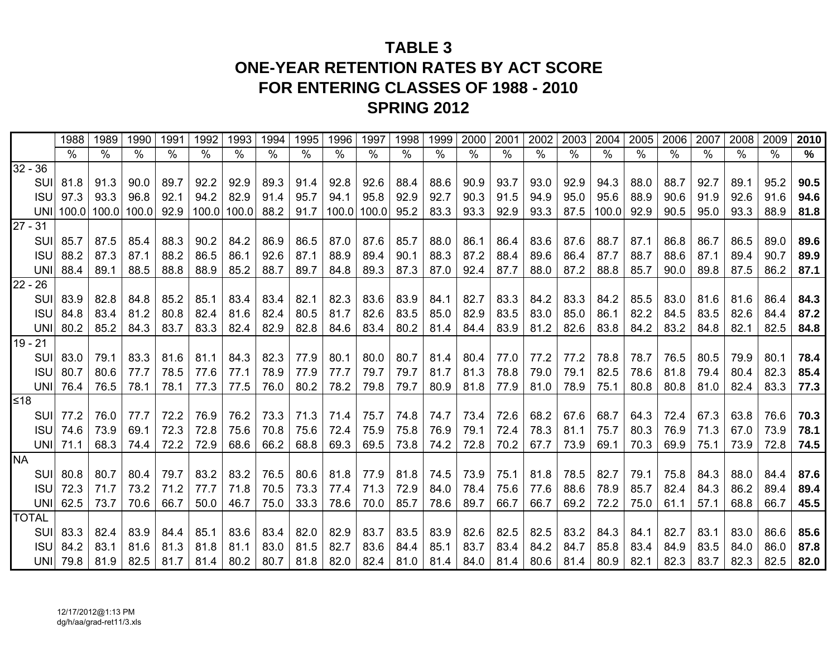# **TABLE 3ONE-YEAR RETENTION RATES BY ACT SCOREFOR ENTERING CLASSES OF 1988 - 2010 SPRING 2012**

|              |             | 1988             | 1989 | 1990                  | 1991          | 1992                     | 1993             | 1994 | 1995          | 1996                        | 1997 | 1998 | 1999          | 2000 | 2001          | 2002 | 2003 | 2004       | 2005                 | 2006 | 2007 | 2008 | 2009 | 2010 |
|--------------|-------------|------------------|------|-----------------------|---------------|--------------------------|------------------|------|---------------|-----------------------------|------|------|---------------|------|---------------|------|------|------------|----------------------|------|------|------|------|------|
|              |             | $\%$             | ℅    | $\%$                  | $\frac{0}{0}$ | $\overline{\frac{9}{6}}$ | $\frac{0}{0}$    | $\%$ | $\frac{0}{0}$ | $\frac{0}{0}$               | $\%$ | %    | $\frac{0}{0}$ | $\%$ | $\frac{1}{2}$ | $\%$ | $\%$ | $\%$       | $\%$                 | ℅    | $\%$ | $\%$ | $\%$ | %    |
| $32 - 36$    |             |                  |      |                       |               |                          |                  |      |               |                             |      |      |               |      |               |      |      |            |                      |      |      |      |      |      |
|              | SUI         | 81.8             | 91.3 | 90.0                  | 89.7          | 92.2                     | 92.9             | 89.3 | 91.4          | 92.8                        | 92.6 | 88.4 | 88.6          | 90.9 | 93.7          | 93.0 | 92.9 | 94.3       | 88.0                 | 88.7 | 92.7 | 89.1 | 95.2 | 90.5 |
|              | <b>ISUI</b> | 97.3             | 93.3 | 96.8                  | 92.1          | 94.2                     | 82.9             | 91.4 | 95.7          | 94.1                        | 95.8 | 92.9 | 92.7          | 90.3 | 91.5          | 94.9 | 95.0 | 95.6       | 88.9                 | 90.6 | 91.9 | 92.6 | 91.6 | 94.6 |
|              |             |                  |      | UNI 100.0 100.0 100.0 | 92.9          |                          | 100.0 100.0 88.2 |      |               | 91.7   100.0   100.0   95.2 |      |      | 83.3          | 93.3 | 92.9          | 93.3 | 87.5 | 100.0 92.9 |                      | 90.5 | 95.0 | 93.3 | 88.9 | 81.8 |
| $27 - 31$    |             |                  |      |                       |               |                          |                  |      |               |                             |      |      |               |      |               |      |      |            |                      |      |      |      |      |      |
|              | SUI         | 85.7             | 87.5 | 85.4                  | 88.3          | 90.2                     | 84.2             | 86.9 | 86.5          | 87.0                        | 87.6 | 85.7 | 88.0          | 86.1 | 86.4          | 83.6 | 87.6 | 88.7       | 87.1                 | 86.8 | 86.7 | 86.5 | 89.0 | 89.6 |
|              | <b>ISU</b>  | 88.2             | 87.3 | 87.1                  | 88.2          | 86.5                     | 86.1             | 92.6 | 87.1          | 88.9                        | 89.4 | 90.1 | 88.3          | 87.2 | 88.4          | 89.6 | 86.4 | 87.7       | 88.7                 | 88.6 | 87.1 | 89.4 | 90.7 | 89.9 |
|              | UNI         | 88.4             | 89.1 | 88.5                  | 88.8          | 88.9                     | 85.2             | 88.7 | 89.7          | 84.8                        | 89.3 | 87.3 | 87.0          | 92.4 | 87.7          | 88.0 | 87.2 | 88.8       | 85.7                 | 90.0 | 89.8 | 87.5 | 86.2 | 87.1 |
| $22 - 26$    |             |                  |      |                       |               |                          |                  |      |               |                             |      |      |               |      |               |      |      |            |                      |      |      |      |      |      |
|              | SUI         | 83.9             | 82.8 | 84.8                  | 85.2          | 85.1                     | 83.4             | 83.4 | 82.1          | 82.3                        | 83.6 | 83.9 | 84.1          | 82.7 | 83.3          | 84.2 | 83.3 | 84.2       | 85.5                 | 83.0 | 81.6 | 81.6 | 86.4 | 84.3 |
|              | <b>ISU</b>  | 84.8             | 83.4 | 81.2                  | 80.8          | 82.4                     | 81.6             | 82.4 | 80.5          | 81.7                        | 82.6 | 83.5 | 85.0          | 82.9 | 83.5          | 83.0 | 85.0 | 86.1       | 82.2                 | 84.5 | 83.5 | 82.6 | 84.4 | 87.2 |
|              |             | UNI 80.2         | 85.2 | 84.3                  | 83.7          | 83.3                     | 82.4             | 82.9 | 82.8          | 84.6                        | 83.4 | 80.2 | 81.4          | 84.4 | 83.9          | 81.2 | 82.6 | 83.8       | 84.2                 | 83.2 | 84.8 | 82.1 | 82.5 | 84.8 |
| $19 - 21$    |             |                  |      |                       |               |                          |                  |      |               |                             |      |      |               |      |               |      |      |            |                      |      |      |      |      |      |
|              | SUI         | 83.0             | 79.1 | 83.3                  | 81.6          | 81.1                     | 84.3             | 82.3 | 77.9          | 80.1                        | 80.0 | 80.7 | 81.4          | 80.4 | 77.0          | 77.2 | 77.2 | 78.8       | 78.7                 | 76.5 | 80.5 | 79.9 | 80.1 | 78.4 |
|              | <b>ISU</b>  | 80.7             | 80.6 | 77.7                  | 78.5          | 77.6                     | 77.1             | 78.9 | 77.9          | 77.7                        | 79.7 | 79.7 | 81.7          | 81.3 | 78.8          | 79.0 | 79.1 | 82.5       | 78.6                 | 81.8 | 79.4 | 80.4 | 82.3 | 85.4 |
|              |             | UNI 76.4         | 76.5 | 78.1                  | 78.1          | 77.3                     | 77.5             | 76.0 | 80.2          | 78.2                        | 79.8 | 79.7 | 80.9          | 81.8 | 77.9          | 81.0 | 78.9 | 75.1       | 80.8                 | 80.8 | 81.0 | 82.4 | 83.3 | 77.3 |
| l≤18         |             |                  |      |                       |               |                          |                  |      |               |                             |      |      |               |      |               |      |      |            |                      |      |      |      |      |      |
|              | SUI         | 77.2             | 76.0 | 77.7                  | 72.2          | 76.9                     | 76.2             |      |               | 73.3   71.3   71.4          | 75.7 | 74.8 | 74.7          | 73.4 | 72.6          | 68.2 | 67.6 | 68.7       | 64.3                 | 72.4 | 67.3 | 63.8 | 76.6 | 70.3 |
|              |             | <b>ISU</b> 74.6  | 73.9 | 69.1                  | 72.3          | 72.8                     | 75.6             |      | 70.8 75.6     | 72.4                        | 75.9 | 75.8 | 76.9          | 79.1 | 72.4          | 78.3 | 81.1 | 75.7       | 80.3                 | 76.9 | 71.3 | 67.0 | 73.9 | 78.1 |
|              |             | UNI 71.1         | 68.3 | 74.4                  | 72.2          | 72.9                     | 68.6             | 66.2 | 68.8          | 69.3                        | 69.5 | 73.8 | 74.2          | 72.8 | 70.2          | 67.7 | 73.9 | 69.1       | 70.3                 | 69.9 | 75.1 | 73.9 | 72.8 | 74.5 |
| <b>NA</b>    |             |                  |      |                       |               |                          |                  |      |               |                             |      |      |               |      |               |      |      |            |                      |      |      |      |      |      |
|              | suil        | 80.8             | 80.7 | 80.4                  | 79.7          | 83.2                     | 83.2             | 76.5 |               | $80.6$   81.8               | 77.9 | 81.8 | 74.5          | 73.9 | 75.1          | 81.8 | 78.5 | 82.7       | 79.1                 | 75.8 | 84.3 | 88.0 | 84.4 | 87.6 |
|              | <b>ISU</b>  | 72.3             | 71.7 | 73.2                  | 71.2          | 77.7                     | 71.8             |      |               | 70.5   73.3   77.4          | 71.3 | 72.9 | 84.0          | 78.4 | 75.6          | 77.6 | 88.6 | 78.9       | 85.7                 | 82.4 | 84.3 | 86.2 | 89.4 | 89.4 |
|              |             | UNI $\vert$ 62.5 | 73.7 | 70.6                  | 66.7          | 50.0                     | 46.7             | 75.0 | 33.3          | 78.6                        | 70.0 | 85.7 | 78.6          | 89.7 | 66.7          | 66.7 | 69.2 | 72.2       | 75.0                 | 61.1 | 57.1 | 68.8 | 66.7 | 45.5 |
| <b>TOTAL</b> |             |                  |      |                       |               |                          |                  |      |               |                             |      |      |               |      |               |      |      |            |                      |      |      |      |      |      |
|              | SUI         | 83.3             | 82.4 | 83.9                  | 84.4          | 85.1                     | 83.6             |      | $83.4$ 82.0   | 82.9                        | 83.7 | 83.5 | 83.9          | 82.6 | 82.5          | 82.5 | 83.2 | 84.3       | 84.1                 | 82.7 | 83.1 | 83.0 | 86.6 | 85.6 |
|              | <b>ISU</b>  | 84.2             | 83.1 | 81.6                  | 81.3          | 81.8                     | 81.1             | 83.0 | 81.5          | 82.7                        | 83.6 | 84.4 | 85.1          | 83.7 | 83.4          | 84.2 | 84.7 | 85.8       | 83.4                 | 84.9 | 83.5 | 84.0 | 86.0 | 87.8 |
|              |             | UNI 79.8         |      | 81.9 82.5             | 81.7          |                          | $81.4$ 80.2      | 80.7 |               | 81.8 82.0 82.4 81.0         |      |      | 81.4          | 84.0 | 81.4          | 80.6 |      |            | $81.4$   80.9   82.1 | 82.3 | 83.7 | 82.3 | 82.5 | 82.0 |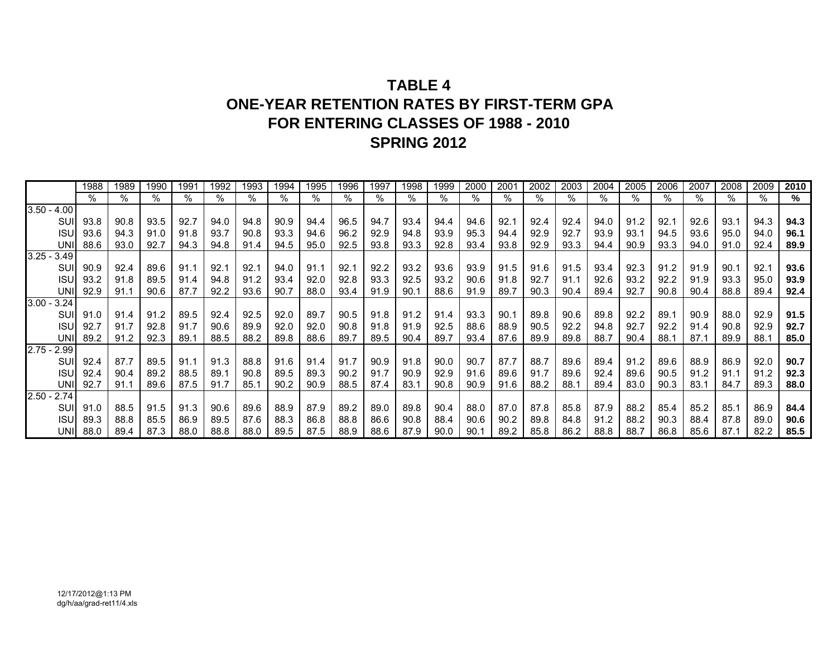# **TABLE 4ONE-YEAR RETENTION RATES BY FIRST-TERM GPA FOR ENTERING CLASSES OF 1988 - 2010 SPRING 2012**

|               | 1988     | 1989 | 1990 | 1991 | 1992 | 1993 | 1994 | 1995 | 1996 | 1997 | 1998 | 1999 | 2000 | 2001 | 2002 | 2003 | 2004 | 2005 | 2006 | 2007 | 2008 | 2009 | 2010 |
|---------------|----------|------|------|------|------|------|------|------|------|------|------|------|------|------|------|------|------|------|------|------|------|------|------|
|               | %        | %    | %    | %    | %    | %    | %    | %    | %    | %    | %    | %    | %    | %    | %    | ℅    | %    | %    | %    | %    | %    | %    | %    |
| $3.50 - 4.00$ |          |      |      |      |      |      |      |      |      |      |      |      |      |      |      |      |      |      |      |      |      |      |      |
| SUI           | 93.8     | 90.8 | 93.5 | 92.7 | 94.0 | 94.8 | 90.9 | 94.4 | 96.5 | 94.7 | 93.4 | 94.4 | 94.6 | 92.1 | 92.4 | 92.4 | 94.0 | 91.2 | 92.1 | 92.6 | 93.1 | 94.3 | 94.3 |
| <b>ISU</b>    | 93.6     | 94.3 | 91.0 | 91.8 | 93.7 | 90.8 | 93.3 | 94.6 | 96.2 | 92.9 | 94.8 | 93.9 | 95.3 | 94.4 | 92.9 | 92.7 | 93.9 | 93.1 | 94.5 | 93.6 | 95.0 | 94.0 | 96.1 |
| UNII          | 88.6     | 93.0 | 92.7 | 94.3 | 94.8 | 91.4 | 94.5 | 95.0 | 92.5 | 93.8 | 93.3 | 92.8 | 93.4 | 93.8 | 92.9 | 93.3 | 94.4 | 90.9 | 93.3 | 94.0 | 91.0 | 92.4 | 89.9 |
| $3.25 - 3.49$ |          |      |      |      |      |      |      |      |      |      |      |      |      |      |      |      |      |      |      |      |      |      |      |
| SUII          | 90.9     | 92.4 | 89.6 | 91.1 | 92.1 | 92.1 | 94.0 | 91.1 | 92.1 | 92.2 | 93.2 | 93.6 | 93.9 | 91.5 | 91.6 | 91.5 | 93.4 | 92.3 | 91.2 | 91.9 | 90.1 | 92.1 | 93.6 |
| <b>ISU</b>    | 93.2     | 91.8 | 89.5 | 91.4 | 94.8 | 91.2 | 93.4 | 92.0 | 92.8 | 93.3 | 92.5 | 93.2 | 90.6 | 91.8 | 92.7 | 91.1 | 92.6 | 93.2 | 92.2 | 91.9 | 93.3 | 95.0 | 93.9 |
| UNII          | 92.9     | 91.1 | 90.6 | 87.7 | 92.2 | 93.6 | 90.7 | 88.0 | 93.4 | 91.9 | 90.1 | 88.6 | 91.9 | 89.7 | 90.3 | 90.4 | 89.4 | 92.7 | 90.8 | 90.4 | 88.8 | 89.4 | 92.4 |
| $3.00 - 3.24$ |          |      |      |      |      |      |      |      |      |      |      |      |      |      |      |      |      |      |      |      |      |      |      |
| SUII          | 91.0     | 91.4 | 91.2 | 89.5 | 92.4 | 92.5 | 92.0 | 89.7 | 90.5 | 91.8 | 91.2 | 91.4 | 93.3 | 90.1 | 89.8 | 90.6 | 89.8 | 92.2 | 89.1 | 90.9 | 88.0 | 92.9 | 91.5 |
| <b>ISU</b>    | 92.7     | 91.7 | 92.8 | 91.7 | 90.6 | 89.9 | 92.0 | 92.0 | 90.8 | 91.8 | 91.9 | 92.5 | 88.6 | 88.9 | 90.5 | 92.2 | 94.8 | 92.7 | 92.2 | 91.4 | 90.8 | 92.9 | 92.7 |
| UNI           | 89.2     | 91.2 | 92.3 | 89.1 | 88.5 | 88.2 | 89.8 | 88.6 | 89.7 | 89.5 | 90.4 | 89.7 | 93.4 | 87.6 | 89.9 | 89.8 | 88.7 | 90.4 | 88.1 | 87.1 | 89.9 | 88.1 | 85.0 |
| $2.75 - 2.99$ |          |      |      |      |      |      |      |      |      |      |      |      |      |      |      |      |      |      |      |      |      |      |      |
| SUII          | 92.4     | 87.7 | 89.5 | 91.1 | 91.3 | 88.8 | 91.6 | 91.4 | 91.7 | 90.9 | 91.8 | 90.0 | 90.7 | 87.7 | 88.7 | 89.6 | 89.4 | 91.2 | 89.6 | 88.9 | 86.9 | 92.0 | 90.7 |
| <b>ISU</b>    | 92.4     | 90.4 | 89.2 | 88.5 | 89.1 | 90.8 | 89.5 | 89.3 | 90.2 | 91.7 | 90.9 | 92.9 | 91.6 | 89.6 | 91.7 | 89.6 | 92.4 | 89.6 | 90.5 | 91.2 | 91.1 | 91.2 | 92.3 |
| UNII          | 92.7     | 91.1 | 89.6 | 87.5 | 91.7 | 85.1 | 90.2 | 90.9 | 88.5 | 87.4 | 83.1 | 90.8 | 90.9 | 91.6 | 88.2 | 88.1 | 89.4 | 83.0 | 90.3 | 83.1 | 84.7 | 89.3 | 88.0 |
| $2.50 - 2.74$ |          |      |      |      |      |      |      |      |      |      |      |      |      |      |      |      |      |      |      |      |      |      |      |
| SUII          | 91.0     | 88.5 | 91.5 | 91.3 | 90.6 | 89.6 | 88.9 | 87.9 | 89.2 | 89.0 | 89.8 | 90.4 | 88.0 | 87.0 | 87.8 | 85.8 | 87.9 | 88.2 | 85.4 | 85.2 | 85.1 | 86.9 | 84.4 |
| <b>ISUI</b>   | 89.3     | 88.8 | 85.5 | 86.9 | 89.5 | 87.6 | 88.3 | 86.8 | 88.8 | 86.6 | 90.8 | 88.4 | 90.6 | 90.2 | 89.8 | 84.8 | 91.2 | 88.2 | 90.3 | 88.4 | 87.8 | 89.0 | 90.6 |
|               | UNI 88.0 | 89.4 | 87.3 | 88.0 | 88.8 | 88.0 | 89.5 | 87.5 | 88.9 | 88.6 | 87.9 | 90.0 | 90.1 | 89.2 | 85.8 | 86.2 | 88.8 | 88.7 | 86.8 | 85.6 | 87.1 | 82.2 | 85.5 |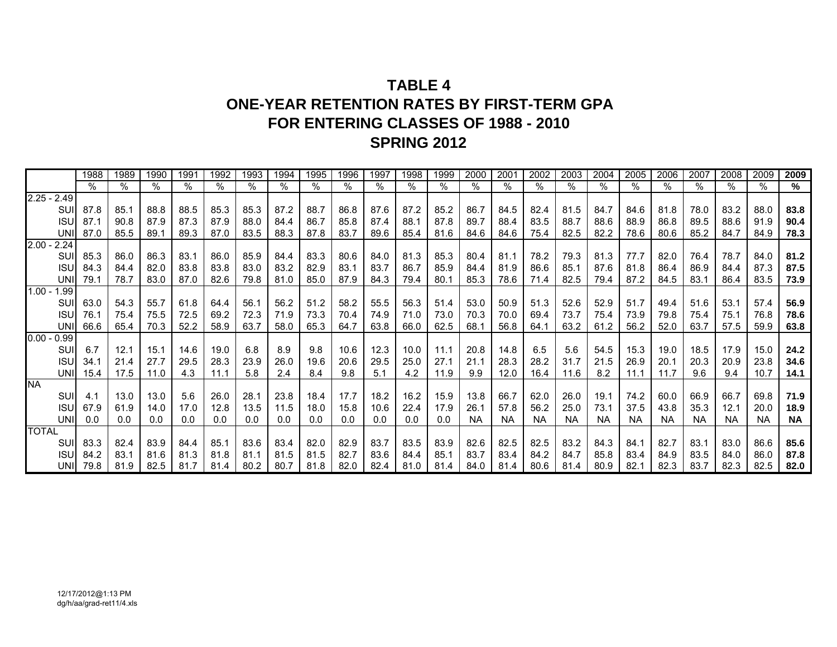# **TABLE 4ONE-YEAR RETENTION RATES BY FIRST-TERM GPA FOR ENTERING CLASSES OF 1988 - 2010 SPRING 2012**

|               | 1988 | 1989 | 1990 | 1991 | 1992 | 1993 | 1994 | 1995 | 1996 | 1997 | 1998 | 1999 | 2000      | 2001      | 2002      | 2003 | 2004      | 2005      | 2006      | 2007      | 2008 | 2009      | 2009      |
|---------------|------|------|------|------|------|------|------|------|------|------|------|------|-----------|-----------|-----------|------|-----------|-----------|-----------|-----------|------|-----------|-----------|
|               | %    | %    | %    | %    | $\%$ | %    | %    | %    | %    | %    | %    | %    | ℅         | %         | %         | %    | %         | %         | ℅         | %         | %    | %         | %         |
| $2.25 - 2.49$ |      |      |      |      |      |      |      |      |      |      |      |      |           |           |           |      |           |           |           |           |      |           |           |
| SUI           | 87.8 | 85.1 | 88.8 | 88.5 | 85.3 | 85.3 | 87.2 | 88.7 | 86.8 | 87.6 | 87.2 | 85.2 | 86.7      | 84.5      | 82.4      | 81.5 | 84.7      | 84.6      | 81.8      | 78.0      | 83.2 | 88.0      | 83.8      |
| <b>ISU</b>    | 87.1 | 90.8 | 87.9 | 87.3 | 87.9 | 88.0 | 84.4 | 86.7 | 85.8 | 87.4 | 88.1 | 87.8 | 89.7      | 88.4      | 83.5      | 88.7 | 88.6      | 88.9      | 86.8      | 89.5      | 88.6 | 91.9      | 90.4      |
| UNII          | 87.0 | 85.5 | 89.1 | 89.3 | 87.0 | 83.5 | 88.3 | 87.8 | 83.7 | 89.6 | 85.4 | 81.6 | 84.6      | 84.6      | 75.4      | 82.5 | 82.2      | 78.6      | 80.6      | 85.2      | 84.7 | 84.9      | 78.3      |
| $2.00 - 2.24$ |      |      |      |      |      |      |      |      |      |      |      |      |           |           |           |      |           |           |           |           |      |           |           |
| SUI           | 85.3 | 86.0 | 86.3 | 83.1 | 86.0 | 85.9 | 84.4 | 83.3 | 80.6 | 84.0 | 81.3 | 85.3 | 80.4      | 81.1      | 78.2      | 79.3 | 81.3      | 77.7      | 82.0      | 76.4      | 78.7 | 84.0      | 81.2      |
| <b>ISU</b>    | 84.3 | 84.4 | 82.0 | 83.8 | 83.8 | 83.0 | 83.2 | 82.9 | 83.1 | 83.7 | 86.7 | 85.9 | 84.4      | 81.9      | 86.6      | 85.1 | 87.6      | 81.8      | 86.4      | 86.9      | 84.4 | 87.3      | 87.5      |
| UNII          | 79.1 | 78.7 | 83.0 | 87.0 | 82.6 | 79.8 | 81.0 | 85.0 | 87.9 | 84.3 | 79.4 | 80.1 | 85.3      | 78.6      | 71.4      | 82.5 | 79.4      | 87.2      | 84.5      | 83.1      | 86.4 | 83.5      | 73.9      |
| $1.00 - 1.99$ |      |      |      |      |      |      |      |      |      |      |      |      |           |           |           |      |           |           |           |           |      |           |           |
| SUI           | 63.0 | 54.3 | 55.7 | 61.8 | 64.4 | 56.1 | 56.2 | 51.2 | 58.2 | 55.5 | 56.3 | 51.4 | 53.0      | 50.9      | 51.3      | 52.6 | 52.9      | 51.7      | 49.4      | 51.6      | 53.1 | 57.4      | 56.9      |
| <b>ISU</b>    | 76.1 | 75.4 | 75.5 | 72.5 | 69.2 | 72.3 | 71.9 | 73.3 | 70.4 | 74.9 | 71.0 | 73.0 | 70.3      | 70.0      | 69.4      | 73.7 | 75.4      | 73.9      | 79.8      | 75.4      | 75.1 | 76.8      | 78.6      |
| <b>UNI</b>    | 66.6 | 65.4 | 70.3 | 52.2 | 58.9 | 63.7 | 58.0 | 65.3 | 64.7 | 63.8 | 66.0 | 62.5 | 68.1      | 56.8      | 64.1      | 63.2 | 61.2      | 56.2      | 52.0      | 63.7      | 57.5 | 59.9      | 63.8      |
| $0.00 - 0.99$ |      |      |      |      |      |      |      |      |      |      |      |      |           |           |           |      |           |           |           |           |      |           |           |
| SUI           | 6.7  | 12.1 | 15.1 | 14.6 | 19.0 | 6.8  | 8.9  | 9.8  | 10.6 | 12.3 | 10.0 | 11.1 | 20.8      | 14.8      | 6.5       | 5.6  | 54.5      | 15.3      | 19.0      | 18.5      | 17.9 | 15.0      | 24.2      |
| <b>ISU</b>    | 34.1 | 21.4 | 27.7 | 29.5 | 28.3 | 23.9 | 26.0 | 19.6 | 20.6 | 29.5 | 25.0 | 27.1 | 21.1      | 28.3      | 28.2      | 31.7 | 21.5      | 26.9      | 20.1      | 20.3      | 20.9 | 23.8      | 34.6      |
| UNII          | 15.4 | 17.5 | 11.0 | 4.3  | 11.1 | 5.8  | 2.4  | 8.4  | 9.8  | 5.1  | 4.2  | 11.9 | 9.9       | 12.0      | 16.4      | 11.6 | 8.2       | 11.1      | 11.7      | 9.6       | 9.4  | 10.7      | 14.1      |
| <b>NA</b>     |      |      |      |      |      |      |      |      |      |      |      |      |           |           |           |      |           |           |           |           |      |           |           |
| SUI           | 4.1  | 13.0 | 13.0 | 5.6  | 26.0 | 28.1 | 23.8 | 18.4 | 17.7 | 18.2 | 16.2 | 15.9 | 13.8      | 66.7      | 62.0      | 26.0 | 19.1      | 74.2      | 60.0      | 66.9      | 66.7 | 69.8      | 71.9      |
| <b>ISU</b>    | 67.9 | 61.9 | 14.0 | 17.0 | 12.8 | 13.5 | 11.5 | 18.0 | 15.8 | 10.6 | 22.4 | 17.9 | 26.1      | 57.8      | 56.2      | 25.0 | 73.1      | 37.5      | 43.8      | 35.3      | 12.1 | 20.0      | 18.9      |
| UNI           | 0.0  | 0.0  | 0.0  | 0.0  | 0.0  | 0.0  | 0.0  | 0.0  | 0.0  | 0.0  | 0.0  | 0.0  | <b>NA</b> | <b>NA</b> | <b>NA</b> | NA   | <b>NA</b> | <b>NA</b> | <b>NA</b> | <b>NA</b> | ΝA   | <b>NA</b> | <b>NA</b> |
| <b>TOTAL</b>  |      |      |      |      |      |      |      |      |      |      |      |      |           |           |           |      |           |           |           |           |      |           |           |
| SUI           | 83.3 | 82.4 | 83.9 | 84.4 | 85.1 | 83.6 | 83.4 | 82.0 | 82.9 | 83.7 | 83.5 | 83.9 | 82.6      | 82.5      | 82.5      | 83.2 | 84.3      | 84.1      | 82.7      | 83.1      | 83.0 | 86.6      | 85.6      |
| <b>ISU</b>    | 84.2 | 83.1 | 81.6 | 81.3 | 81.8 | 81.1 | 81.5 | 81.5 | 82.7 | 83.6 | 84.4 | 85.1 | 83.7      | 83.4      | 84.2      | 84.7 | 85.8      | 83.4      | 84.9      | 83.5      | 84.0 | 86.0      | 87.8      |
| UNI           | 79.8 | 81.9 | 82.5 | 81.7 | 81.4 | 80.2 | 80.7 | 81.8 | 82.0 | 82.4 | 81.0 | 81.4 | 84.0      | 81.4      | 80.6      | 81.4 | 80.9      | 82.1      | 82.3      | 83.7      | 82.3 | 82.5      | 82.0      |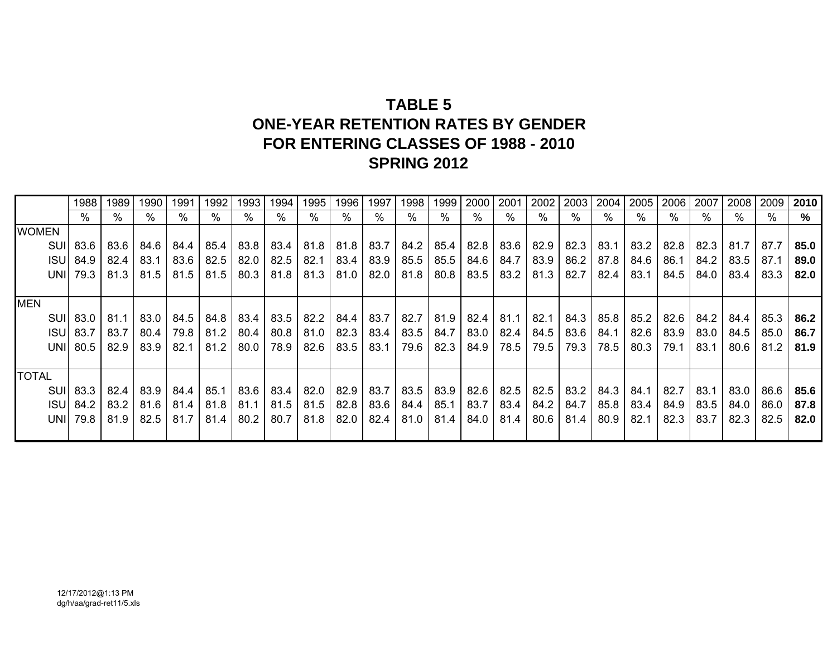# **TABLE 5 ONE-YEAR RETENTION RATES BY GENDER FOR ENTERING CLASSES OF 1988 - 2010 SPRING 2012**

|              | 1988            | 1989 | 1990 | 1991 | 1992 | 1993 | 1994 | 1995 | 1996 | 1997 | 1998        | 1999        | 2000 | 2001 | 2002 | 2003 | 2004      | 2005 | 2006 | 2007 | 2008 | 2009 | 2010 |
|--------------|-----------------|------|------|------|------|------|------|------|------|------|-------------|-------------|------|------|------|------|-----------|------|------|------|------|------|------|
|              | %               | %    |      |      |      | %    | %    | %    | %    | %    | %           | %           | %    | %    | %    | %    | %         | %    | %    | %    | $\%$ | %    | %    |
| <b>WOMEN</b> |                 |      |      |      |      |      |      |      |      |      |             |             |      |      |      |      |           |      |      |      |      |      |      |
|              | SUI 83.6        | 83.6 | 84.6 | 84.4 | 85.4 | 83.8 | 83.4 | 81.8 | 81.8 | 83.7 |             | $84.2$ 85.4 | 82.8 | 83.6 | 82.9 | 82.3 | 83.1      | 83.2 | 82.8 | 82.3 | 81.7 | 87.7 | 85.0 |
|              | <b>ISU</b> 84.9 | 82.4 | 83.1 | 83.6 | 82.5 | 82.0 | 82.5 | 82.1 | 83.4 | 83.9 |             | 85.5 85.5   | 84.6 | 84.7 | 83.9 | 86.2 | 87.8      | 84.6 | 86.1 | 84.2 | 83.5 | 87.1 | 89.0 |
|              | UNI 79.3        | 81.3 | 81.5 | 81.5 | 81.5 | 80.3 | 81.8 | 81.3 | 81.0 | 82.0 |             | $81.8$ 80.8 | 83.5 | 83.2 | 81.3 | 82.7 | 82.4      | 83.1 | 84.5 | 84.0 | 83.4 | 83.3 | 82.0 |
|              |                 |      |      |      |      |      |      |      |      |      |             |             |      |      |      |      |           |      |      |      |      |      |      |
| <b>MEN</b>   |                 |      |      |      |      |      |      |      |      |      |             |             |      |      |      |      |           |      |      |      |      |      |      |
| SUII         | 83.0            | 81.1 | 83.0 | 84.5 | 84.8 | 83.4 | 83.5 | 82.2 | 84.4 | 83.7 |             | 82.7 81.9   | 82.4 | 81.1 | 82.1 | 84.3 | 85.8      | 85.2 | 82.6 | 84.2 | 84.4 | 85.3 | 86.2 |
|              | <b>ISU</b> 83.7 | 83.7 | 80.4 | 79.8 | 81.2 | 80.4 | 80.8 | 81.0 | 82.3 | 83.4 | $83.5$ 84.7 |             | 83.0 | 82.4 | 84.5 | 83.6 | 84.1      | 82.6 | 83.9 | 83.0 | 84.5 | 85.0 | 86.7 |
|              | UNI 80.5        | 82.9 | 83.9 | 82.1 | 81.2 | 80.0 | 78.9 | 82.6 | 83.5 | 83.1 | 79.6        | 82.3        | 84.9 | 78.5 | 79.5 | 79.3 | 78.5      | 80.3 | 79.1 | 83.1 | 80.6 | 81.2 | 81.9 |
|              |                 |      |      |      |      |      |      |      |      |      |             |             |      |      |      |      |           |      |      |      |      |      |      |
| <b>TOTAL</b> |                 |      |      |      |      |      |      |      |      |      |             |             |      |      |      |      |           |      |      |      |      |      |      |
|              | SUI 83.3        | 82.4 | 83.9 | 84.4 | 85.1 | 83.6 | 83.4 | 82.0 | 82.9 | 83.7 |             | 83.5 83.9   | 82.6 | 82.5 | 82.5 | 83.2 | 84.3 84.1 |      | 82.7 | 83.1 | 83.0 | 86.6 | 85.6 |
|              | <b>ISU</b> 84.2 | 83.2 | 81.6 | 81.4 | 81.8 | 81.1 | 81.5 | 81.5 | 82.8 | 83.6 | 84.4 85.1   |             | 83.7 | 83.4 | 84.2 | 84.7 | 85.8      | 83.4 | 84.9 | 83.5 | 84.0 | 86.0 | 87.8 |
|              | UNI 79.8        | 81.9 | 82.5 | 81.7 | 81.4 | 80.2 | 80.7 | 81.8 | 82.0 | 82.4 | $81.0$ 81.4 |             | 84.0 | 81.4 | 80.6 | 81.4 | 80.9      | 82.1 | 82.3 | 83.7 | 82.3 | 82.5 | 82.0 |
|              |                 |      |      |      |      |      |      |      |      |      |             |             |      |      |      |      |           |      |      |      |      |      |      |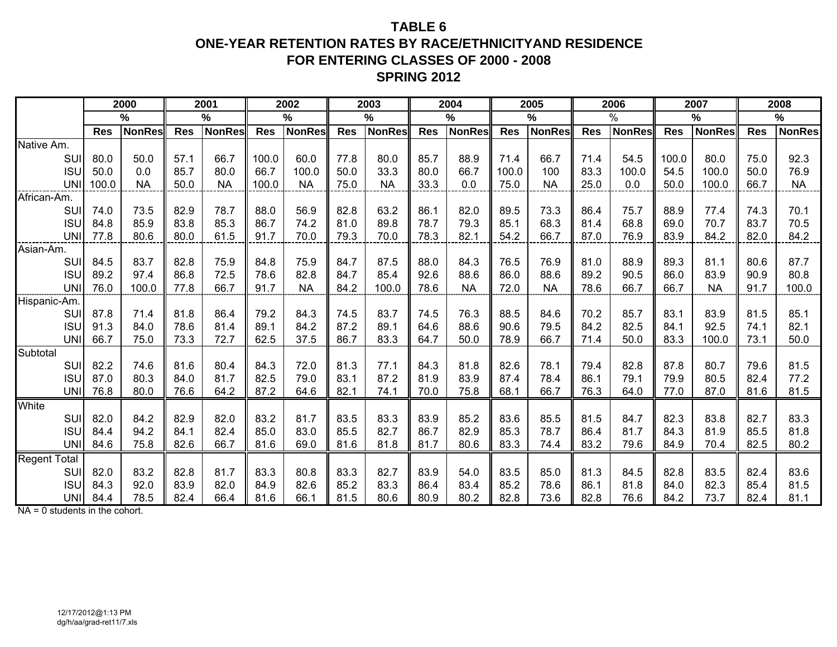### **TABLE 6ONE-YEAR RETENTION RATES BY RACE/ETHNICITYAND RESIDENCEFOR ENTERING CLASSES OF 2000 - 2008SPRING 2012**

|                     |              | 2000          |              | 2001          |              | 2002          |              | 2003          |              | 2004          |              | 2005          |              | 2006          |              | 2007          |              | 2008          |
|---------------------|--------------|---------------|--------------|---------------|--------------|---------------|--------------|---------------|--------------|---------------|--------------|---------------|--------------|---------------|--------------|---------------|--------------|---------------|
|                     |              | %             |              | $\%$          |              | %             |              | %             |              | $\frac{0}{0}$ |              | %             |              | $\%$          |              | %             |              | %             |
|                     | <b>Res</b>   | <b>NonRes</b> | <b>Res</b>   | <b>NonRes</b> | <b>Res</b>   | <b>NonRes</b> | <b>Res</b>   | <b>NonRes</b> | <b>Res</b>   | <b>NonRes</b> | <b>Res</b>   | <b>NonRes</b> | <b>Res</b>   | <b>NonRes</b> | <b>Res</b>   | <b>NonRes</b> | <b>Res</b>   | <b>NonRes</b> |
| Native Am.          |              |               |              |               |              |               |              |               |              |               |              |               |              |               |              |               |              |               |
| SUI                 | 80.0         | 50.0          | 57.1         | 66.7          | 100.0        | 60.0          | 77.8         | 80.0          | 85.7         | 88.9          | 71.4         | 66.7          | 71.4         | 54.5          | 100.0        | 80.0          | 75.0         | 92.3          |
| <b>ISU</b>          | 50.0         | 0.0           | 85.7         | 80.0          | 66.7         | 100.0         | 50.0         | 33.3          | 80.0         | 66.7          | 100.0        | 100           | 83.3         | 100.0         | 54.5         | 100.0         | 50.0         | 76.9          |
| UNI                 | 100.0        | <b>NA</b>     | 50.0         | <b>NA</b>     | 100.0        | <b>NA</b>     | 75.0         | <b>NA</b>     | 33.3         | 0.0           | 75.0         | <b>NA</b>     | 25.0         | 0.0           | 50.0         | 100.0         | 66.7         | <b>NA</b>     |
| African-Am.         |              |               |              |               |              |               |              |               |              |               |              |               |              |               |              |               |              |               |
| SUI                 | 74.0         | 73.5          | 82.9         | 78.7          | 88.0         | 56.9          | 82.8         | 63.2          | 86.1         | 82.0          | 89.5         | 73.3          | 86.4         | 75.7          | 88.9         | 77.4          | 74.3         | 70.1          |
| <b>ISU</b>          | 84.8         | 85.9          | 83.8         | 85.3          | 86.7         | 74.2          | 81.0         | 89.8          | 78.7         | 79.3          | 85.1         | 68.3          | 81.4         | 68.8          | 69.0         | 70.7          | 83.7         | 70.5          |
| <b>UNI</b>          | 77.8         | 80.6          | 80.0         | 61.5          | 91.7         | 70.0          | 79.3         | 70.0          | 78.3         | 82.1          | 54.2         | 66.7          | 87.0         | 76.9          | 83.9         | 84.2          | 82.0         | 84.2          |
| Asian-Am.           |              |               |              |               |              |               |              |               |              |               |              |               |              |               |              |               |              |               |
| SUI                 | 84.5         | 83.7          | 82.8         | 75.9          | 84.8         | 75.9          | 84.7         | 87.5          | 88.0         | 84.3          | 76.5         | 76.9          | 81.0         | 88.9          | 89.3         | 81.1          | 80.6         | 87.7          |
| <b>ISU</b>          | 89.2         | 97.4          | 86.8         | 72.5          | 78.6         | 82.8          | 84.7         | 85.4          | 92.6         | 88.6          | 86.0         | 88.6          | 89.2         | 90.5          | 86.0         | 83.9          | 90.9         | 80.8          |
| <b>UNI</b>          | 76.0         | 100.0         | 77.8         | 66.7          | 91.7         | <b>NA</b>     | 84.2         | 100.0         | 78.6         | <b>NA</b>     | 72.0         | <b>NA</b>     | 78.6         | 66.7          | 66.7         | <b>NA</b>     | 91.7         | 100.0         |
| Hispanic-Am.        |              |               |              |               |              |               |              |               |              |               |              |               |              |               |              |               |              |               |
| SUI                 | 87.8         | 71.4          | 81.8         | 86.4          | 79.2         | 84.3          | 74.5         | 83.7          | 74.5         | 76.3          | 88.5         | 84.6          | 70.2         | 85.7          | 83.1         | 83.9          | 81.5         | 85.1          |
| <b>ISU</b>          | 91.3         | 84.0          | 78.6         | 81.4          | 89.1         | 84.2          | 87.2         | 89.1          | 64.6         | 88.6          | 90.6         | 79.5          | 84.2         | 82.5          | 84.1         | 92.5          | 74.1         | 82.1          |
| <b>UNI</b>          | 66.7         | 75.0          | 73.3         | 72.7          | 62.5         | 37.5          | 86.7         | 83.3          | 64.7         | 50.0          | 78.9         | 66.7          | 71.4         | 50.0          | 83.3         | 100.0         | 73.1         | 50.0          |
| Subtotal            |              |               |              |               |              |               |              |               |              |               |              |               |              |               |              |               |              |               |
| SUI                 | 82.2         | 74.6          | 81.6         | 80.4          | 84.3         | 72.0          | 81.3         | 77.1          | 84.3         | 81.8          | 82.6         | 78.1          | 79.4         | 82.8          | 87.8         | 80.7          | 79.6         | 81.5          |
| <b>ISU</b><br>UNI   | 87.0<br>76.8 | 80.3<br>80.0  | 84.0<br>76.6 | 81.7<br>64.2  | 82.5<br>87.2 | 79.0<br>64.6  | 83.1<br>82.1 | 87.2<br>74.1  | 81.9<br>70.0 | 83.9<br>75.8  | 87.4<br>68.1 | 78.4<br>66.7  | 86.1<br>76.3 | 79.1<br>64.0  | 79.9<br>77.0 | 80.5<br>87.0  | 82.4<br>81.6 | 77.2<br>81.5  |
| White               |              |               |              |               |              |               |              |               |              |               |              |               |              |               |              |               |              |               |
| SUI                 |              | 84.2          | 82.9         | 82.0          | 83.2         | 81.7          | 83.5         | 83.3          | 83.9         | 85.2          | 83.6         | 85.5          | 81.5         | 84.7          | 82.3         | 83.8          | 82.7         | 83.3          |
| <b>ISU</b>          | 82.0<br>84.4 | 94.2          | 84.1         | 82.4          | 85.0         | 83.0          | 85.5         | 82.7          | 86.7         | 82.9          | 85.3         | 78.7          | 86.4         | 81.7          | 84.3         | 81.9          | 85.5         | 81.8          |
| <b>UNI</b>          | 84.6         | 75.8          | 82.6         | 66.7          | 81.6         | 69.0          | 81.6         | 81.8          | 81.7         | 80.6          | 83.3         | 74.4          | 83.2         | 79.6          | 84.9         | 70.4          | 82.5         | 80.2          |
|                     |              |               |              |               |              |               |              |               |              |               |              |               |              |               |              |               |              |               |
| Regent Total<br>SUI | 82.0         | 83.2          | 82.8         | 81.7          | 83.3         | 80.8          | 83.3         | 82.7          | 83.9         | 54.0          | 83.5         | 85.0          | 81.3         | 84.5          | 82.8         | 83.5          | 82.4         | 83.6          |
| <b>ISU</b>          | 84.3         | 92.0          | 83.9         | 82.0          | 84.9         | 82.6          | 85.2         | 83.3          | 86.4         | 83.4          | 85.2         | 78.6          | 86.1         | 81.8          | 84.0         | 82.3          | 85.4         | 81.5          |
| UNI                 | 84.4         | 78.5          | 82.4         | 66.4          | 81.6         | 66.1          | 81.5         | 80.6          | 80.9         | 80.2          | 82.8         | 73.6          | 82.8         | 76.6          | 84.2         | 73.7          | 82.4         | 81.1          |

NA = 0 students in the cohort.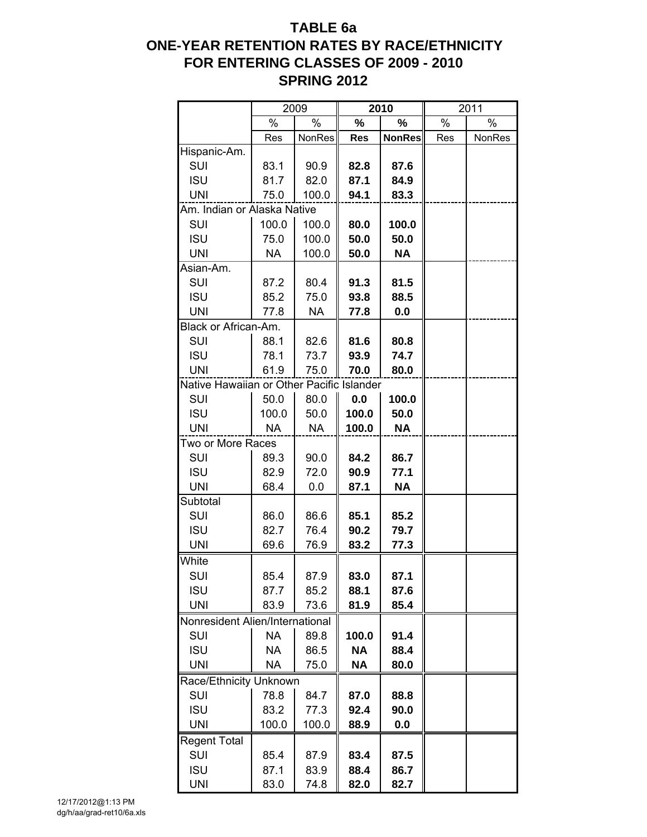# **TABLE 6a ONE-YEAR RETENTION RATES BY RACE/ETHNICITY FOR ENTERING CLASSES OF 2009 - 2010 SPRING 2012**

|                                           |           | 2009      |               | 2010          |     | 2011   |
|-------------------------------------------|-----------|-----------|---------------|---------------|-----|--------|
|                                           | %         | %         | $\frac{1}{2}$ | %             | %   | $\%$   |
|                                           | Res       | NonRes    | <b>Res</b>    | <b>NonRes</b> | Res | NonRes |
| Hispanic-Am.                              |           |           |               |               |     |        |
| SUI                                       | 83.1      | 90.9      | 82.8          | 87.6          |     |        |
| <b>ISU</b>                                | 81.7      | 82.0      | 87.1          | 84.9          |     |        |
| <b>UNI</b>                                | 75.0      | 100.0     | 94.1          | 83.3          |     |        |
| Am. Indian or Alaska Native               |           |           |               |               |     |        |
| SUI                                       | 100.0     | 100.0     | 80.0          | 100.0         |     |        |
| <b>ISU</b>                                | 75.0      | 100.0     | 50.0          | 50.0          |     |        |
| <b>UNI</b>                                | <b>NA</b> | 100.0     | 50.0          | <b>NA</b>     |     |        |
| Asian-Am.                                 |           |           |               |               |     |        |
| SUI                                       | 87.2      | 80.4      | 91.3          | 81.5          |     |        |
| <b>ISU</b>                                | 85.2      | 75.0      | 93.8          | 88.5          |     |        |
| <b>UNI</b>                                | 77.8      | <b>NA</b> | 77.8          | 0.0           |     |        |
| Black or African-Am.                      |           |           |               |               |     |        |
| SUI                                       | 88.1      | 82.6      | 81.6          | 80.8          |     |        |
| <b>ISU</b>                                | 78.1      | 73.7      | 93.9          | 74.7          |     |        |
| <b>UNI</b>                                | 61.9      | 75.0      | 70.0          | 80.0          |     |        |
| Native Hawaiian or Other Pacific Islander |           |           |               |               |     |        |
| SUI                                       | 50.0      | 80.0      | 0.0           | 100.0         |     |        |
| <b>ISU</b>                                | 100.0     | 50.0      | 100.0         | 50.0          |     |        |
| <b>UNI</b>                                | <b>NA</b> | <b>NA</b> | 100.0         | <b>NA</b>     |     |        |
| Two or More Races                         |           |           |               |               |     |        |
| SUI                                       | 89.3      | 90.0      | 84.2          | 86.7          |     |        |
| <b>ISU</b>                                | 82.9      | 72.0      | 90.9          | 77.1          |     |        |
| <b>UNI</b>                                | 68.4      | 0.0       | 87.1          | <b>NA</b>     |     |        |
| Subtotal                                  |           |           |               |               |     |        |
| SUI                                       | 86.0      | 86.6      | 85.1          | 85.2          |     |        |
| <b>ISU</b>                                | 82.7      | 76.4      | 90.2          | 79.7          |     |        |
| <b>UNI</b>                                | 69.6      | 76.9      | 83.2          | 77.3          |     |        |
| White                                     |           |           |               |               |     |        |
| SUI                                       | 85.4      | 87.9      | 83.0          | 87.1          |     |        |
| <b>ISU</b>                                | 87.7      | 85.2      | 88.1          | 87.6          |     |        |
| <b>UNI</b>                                | 83.9      | 73.6      | 81.9          | 85.4          |     |        |
| Nonresident Alien/International           |           |           |               |               |     |        |
| SUI                                       | <b>NA</b> | 89.8      | 100.0         | 91.4          |     |        |
| <b>ISU</b>                                | NА        | 86.5      | <b>NA</b>     | 88.4          |     |        |
| <b>UNI</b>                                | NА        | 75.0      | <b>NA</b>     | 80.0          |     |        |
| Race/Ethnicity Unknown                    |           |           |               |               |     |        |
| SUI                                       | 78.8      | 84.7      | 87.0          | 88.8          |     |        |
| <b>ISU</b>                                | 83.2      | 77.3      | 92.4          | 90.0          |     |        |
| <b>UNI</b>                                | 100.0     | 100.0     | 88.9          | 0.0           |     |        |
| <b>Regent Total</b>                       |           |           |               |               |     |        |
| SUI                                       | 85.4      | 87.9      | 83.4          | 87.5          |     |        |
| <b>ISU</b>                                | 87.1      | 83.9      | 88.4          | 86.7          |     |        |
| <b>UNI</b>                                | 83.0      | 74.8      | 82.0          | 82.7          |     |        |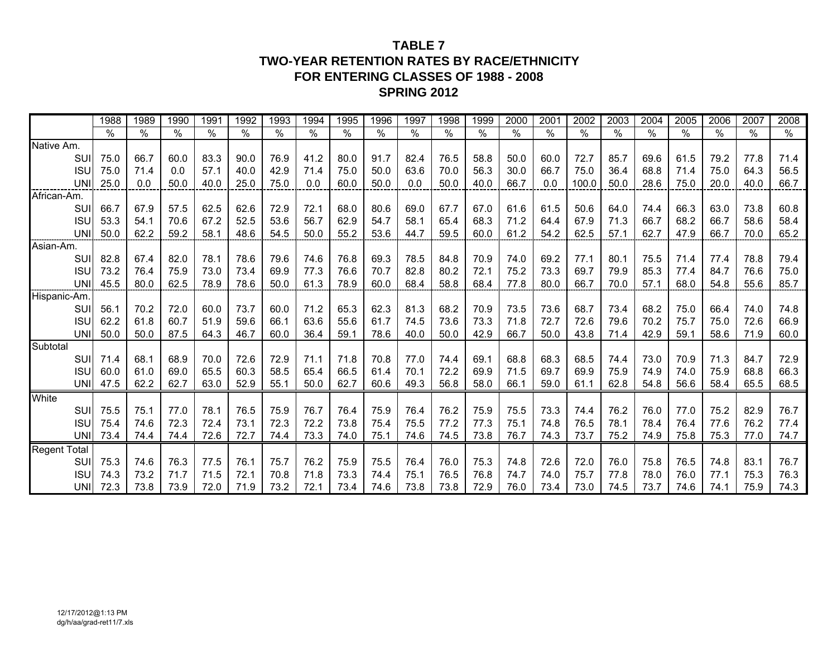### **TABLE 7TWO-YEAR RETENTION RATES BY RACE/ETHNICITY FOR ENTERING CLASSES OF 1988 - 2008SPRING 2012**

|                     | 1988 | 1989          | 1990 | 1991 | 1992 | 1993 | 1994 | 1995 | 1996 | 1997 | 1998 | 1999          | 2000 | 2001 | 2002  | 2003 | 2004 | 2005 | 2006 | 2007 | 2008 |
|---------------------|------|---------------|------|------|------|------|------|------|------|------|------|---------------|------|------|-------|------|------|------|------|------|------|
|                     | $\%$ | $\frac{0}{0}$ | $\%$ | $\%$ | %    | $\%$ | $\%$ | $\%$ | $\%$ | $\%$ | $\%$ | $\frac{0}{0}$ | %    | $\%$ | $\%$  | $\%$ | $\%$ | %    | $\%$ | %    | %    |
| Native Am.          |      |               |      |      |      |      |      |      |      |      |      |               |      |      |       |      |      |      |      |      |      |
| SUI                 | 75.0 | 66.7          | 60.0 | 83.3 | 90.0 | 76.9 | 41.2 | 80.0 | 91.7 | 82.4 | 76.5 | 58.8          | 50.0 | 60.0 | 72.7  | 85.7 | 69.6 | 61.5 | 79.2 | 77.8 | 71.4 |
| <b>ISU</b>          | 75.0 | 71.4          | 0.0  | 57.1 | 40.0 | 42.9 | 71.4 | 75.0 | 50.0 | 63.6 | 70.0 | 56.3          | 30.0 | 66.7 | 75.0  | 36.4 | 68.8 | 71.4 | 75.0 | 64.3 | 56.5 |
| <b>UNI</b>          | 25.0 | 0.0           | 50.0 | 40.0 | 25.0 | 75.0 | 0.0  | 60.0 | 50.0 | 0.0  | 50.0 | 40.0          | 66.7 | 0.0  | 100.0 | 50.0 | 28.6 | 75.0 | 20.0 | 40.0 | 66.7 |
| African-Am.         |      |               |      |      |      |      |      |      |      |      |      |               |      |      |       |      |      |      |      |      |      |
| SUI                 | 66.7 | 67.9          | 57.5 | 62.5 | 62.6 | 72.9 | 72.1 | 68.0 | 80.6 | 69.0 | 67.7 | 67.0          | 61.6 | 61.5 | 50.6  | 64.0 | 74.4 | 66.3 | 63.0 | 73.8 | 60.8 |
| <b>ISU</b>          | 53.3 | 54.1          | 70.6 | 67.2 | 52.5 | 53.6 | 56.7 | 62.9 | 54.7 | 58.1 | 65.4 | 68.3          | 71.2 | 64.4 | 67.9  | 71.3 | 66.7 | 68.2 | 66.7 | 58.6 | 58.4 |
| <b>UNI</b>          | 50.0 | 62.2          | 59.2 | 58.1 | 48.6 | 54.5 | 50.0 | 55.2 | 53.6 | 44.7 | 59.5 | 60.0          | 61.2 | 54.2 | 62.5  | 57.1 | 62.7 | 47.9 | 66.7 | 70.0 | 65.2 |
| Asian-Am.           |      |               |      |      |      |      |      |      |      |      |      |               |      |      |       |      |      |      |      |      |      |
| <b>SUI</b>          | 82.8 | 67.4          | 82.0 | 78.1 | 78.6 | 79.6 | 74.6 | 76.8 | 69.3 | 78.5 | 84.8 | 70.9          | 74.0 | 69.2 | 77.1  | 80.1 | 75.5 | 71.4 | 77.4 | 78.8 | 79.4 |
| <b>ISU</b>          | 73.2 | 76.4          | 75.9 | 73.0 | 73.4 | 69.9 | 77.3 | 76.6 | 70.7 | 82.8 | 80.2 | 72.1          | 75.2 | 73.3 | 69.7  | 79.9 | 85.3 | 77.4 | 84.7 | 76.6 | 75.0 |
| <b>UNI</b>          | 45.5 | 80.0          | 62.5 | 78.9 | 78.6 | 50.0 | 61.3 | 78.9 | 60.0 | 68.4 | 58.8 | 68.4          | 77.8 | 80.0 | 66.7  | 70.0 | 57.1 | 68.0 | 54.8 | 55.6 | 85.7 |
| Hispanic-Am.        |      |               |      |      |      |      |      |      |      |      |      |               |      |      |       |      |      |      |      |      |      |
| <b>SUI</b>          | 56.1 | 70.2          | 72.0 | 60.0 | 73.7 | 60.0 | 71.2 | 65.3 | 62.3 | 81.3 | 68.2 | 70.9          | 73.5 | 73.6 | 68.7  | 73.4 | 68.2 | 75.0 | 66.4 | 74.0 | 74.8 |
| <b>ISU</b>          | 62.2 | 61.8          | 60.7 | 51.9 | 59.6 | 66.1 | 63.6 | 55.6 | 61.7 | 74.5 | 73.6 | 73.3          | 71.8 | 72.7 | 72.6  | 79.6 | 70.2 | 75.7 | 75.0 | 72.6 | 66.9 |
| UNI                 | 50.0 | 50.0          | 87.5 | 64.3 | 46.7 | 60.0 | 36.4 | 59.1 | 78.6 | 40.0 | 50.0 | 42.9          | 66.7 | 50.0 | 43.8  | 71.4 | 42.9 | 59.1 | 58.6 | 71.9 | 60.0 |
| Subtotal            |      |               |      |      |      |      |      |      |      |      |      |               |      |      |       |      |      |      |      |      |      |
| SUI                 | 71.4 | 68.1          | 68.9 | 70.0 | 72.6 | 72.9 | 71.1 | 71.8 | 70.8 | 77.0 | 74.4 | 69.1          | 68.8 | 68.3 | 68.5  | 74.4 | 73.0 | 70.9 | 71.3 | 84.7 | 72.9 |
| <b>ISU</b>          | 60.0 | 61.0          | 69.0 | 65.5 | 60.3 | 58.5 | 65.4 | 66.5 | 61.4 | 70.1 | 72.2 | 69.9          | 71.5 | 69.7 | 69.9  | 75.9 | 74.9 | 74.0 | 75.9 | 68.8 | 66.3 |
| <b>UNI</b>          | 47.5 | 62.2          | 62.7 | 63.0 | 52.9 | 55.1 | 50.0 | 62.7 | 60.6 | 49.3 | 56.8 | 58.0          | 66.1 | 59.0 | 61.1  | 62.8 | 54.8 | 56.6 | 58.4 | 65.5 | 68.5 |
| White               |      |               |      |      |      |      |      |      |      |      |      |               |      |      |       |      |      |      |      |      |      |
| <b>SUI</b>          | 75.5 | 75.1          | 77.0 | 78.1 | 76.5 | 75.9 | 76.7 | 76.4 | 75.9 | 76.4 | 76.2 | 75.9          | 75.5 | 73.3 | 74.4  | 76.2 | 76.0 | 77.0 | 75.2 | 82.9 | 76.7 |
| <b>ISU</b>          | 75.4 | 74.6          | 72.3 | 72.4 | 73.1 | 72.3 | 72.2 | 73.8 | 75.4 | 75.5 | 77.2 | 77.3          | 75.1 | 74.8 | 76.5  | 78.1 | 78.4 | 76.4 | 77.6 | 76.2 | 77.4 |
| <b>UNI</b>          | 73.4 | 74.4          | 74.4 | 72.6 | 72.7 | 74.4 | 73.3 | 74.0 | 75.1 | 74.6 | 74.5 | 73.8          | 76.7 | 74.3 | 73.7  | 75.2 | 74.9 | 75.8 | 75.3 | 77.0 | 74.7 |
| <b>Regent Total</b> |      |               |      |      |      |      |      |      |      |      |      |               |      |      |       |      |      |      |      |      |      |
| <b>SUI</b>          | 75.3 | 74.6          | 76.3 | 77.5 | 76.1 | 75.7 | 76.2 | 75.9 | 75.5 | 76.4 | 76.0 | 75.3          | 74.8 | 72.6 | 72.0  | 76.0 | 75.8 | 76.5 | 74.8 | 83.1 | 76.7 |
| <b>ISU</b>          | 74.3 | 73.2          | 71.7 | 71.5 | 72.1 | 70.8 | 71.8 | 73.3 | 74.4 | 75.1 | 76.5 | 76.8          | 74.7 | 74.0 | 75.7  | 77.8 | 78.0 | 76.0 | 77.1 | 75.3 | 76.3 |
| UNII                | 72.3 | 73.8          | 73.9 | 72.0 | 71.9 | 73.2 | 72.1 | 73.4 | 74.6 | 73.8 | 73.8 | 72.9          | 76.0 | 73.4 | 73.0  | 74.5 | 73.7 | 74.6 | 74.1 | 75.9 | 74.3 |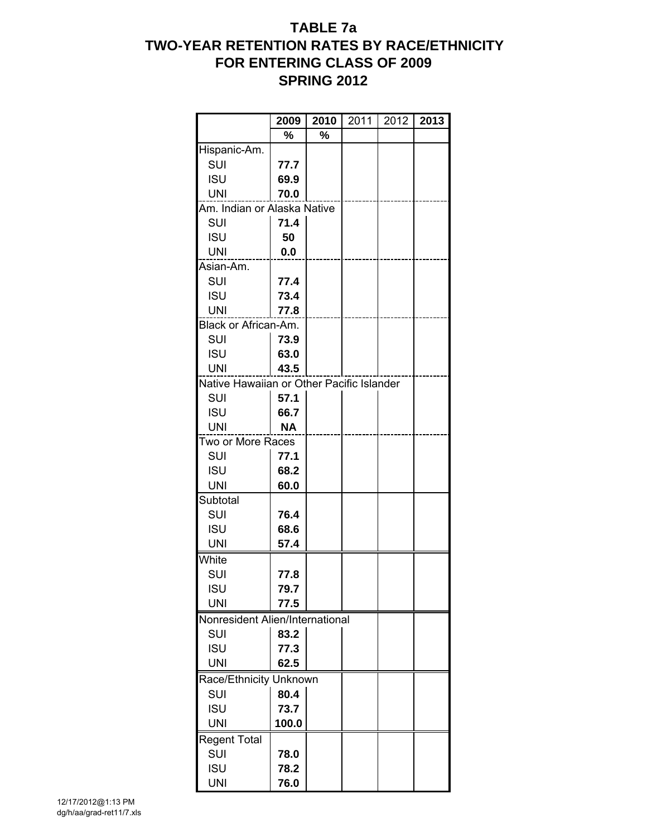# **TABLE 7a TWO-YEAR RETENTION RATES BY RACE/ETHNICITY FOR ENTERING CLASS OF 2009 SPRING 2012**

|                                           | 2009      | 2010 | 2011 | 2012 | 2013 |
|-------------------------------------------|-----------|------|------|------|------|
|                                           | %         | %    |      |      |      |
| Hispanic-Am.                              |           |      |      |      |      |
| SUI                                       | 77.7      |      |      |      |      |
| <b>ISU</b>                                | 69.9      |      |      |      |      |
| <b>UNI</b>                                | 70.0      |      |      |      |      |
| Am. Indian or Alaska Native               |           |      |      |      |      |
| SUI                                       | 71.4      |      |      |      |      |
| <b>ISU</b>                                | 50        |      |      |      |      |
| <b>UNI</b>                                | 0.0       |      |      |      |      |
| Asian-Am.                                 |           |      |      |      |      |
| SUI                                       | 77.4      |      |      |      |      |
| <b>ISU</b>                                | 73.4      |      |      |      |      |
| <b>UNI</b>                                | 77.8      |      |      |      |      |
| Black or African-Am.                      |           |      |      |      |      |
| SUI                                       | 73.9      |      |      |      |      |
| <b>ISU</b>                                | 63.0      |      |      |      |      |
| <b>UNI</b>                                | 43.5      |      |      |      |      |
| Native Hawaiian or Other Pacific Islander |           |      |      |      |      |
| <b>SUI</b>                                | 57.1      |      |      |      |      |
| <b>ISU</b>                                | 66.7      |      |      |      |      |
| <b>UNI</b>                                | <b>NA</b> |      |      |      |      |
| Two or More Races                         |           |      |      |      |      |
| SUI                                       | 77.1      |      |      |      |      |
| <b>ISU</b>                                | 68.2      |      |      |      |      |
| <b>UNI</b>                                | 60.0      |      |      |      |      |
| Subtotal                                  |           |      |      |      |      |
| SUI                                       | 76.4      |      |      |      |      |
| <b>ISU</b>                                | 68.6      |      |      |      |      |
| <b>UNI</b>                                | 57.4      |      |      |      |      |
| White                                     |           |      |      |      |      |
| SUI                                       | 77.8      |      |      |      |      |
| <b>ISU</b>                                | 79.7      |      |      |      |      |
| <b>UNI</b>                                | 77.5      |      |      |      |      |
| Nonresident Alien/International           |           |      |      |      |      |
| SUI                                       | 83.2      |      |      |      |      |
| <b>ISU</b>                                | 77.3      |      |      |      |      |
| <b>UNI</b>                                | 62.5      |      |      |      |      |
| Race/Ethnicity Unknown                    |           |      |      |      |      |
| SUI                                       | 80.4      |      |      |      |      |
| <b>ISU</b>                                | 73.7      |      |      |      |      |
| <b>UNI</b>                                | 100.0     |      |      |      |      |
| <b>Regent Total</b>                       |           |      |      |      |      |
| SUI                                       | 78.0      |      |      |      |      |
| <b>ISU</b>                                | 78.2      |      |      |      |      |
| <b>UNI</b>                                | 76.0      |      |      |      |      |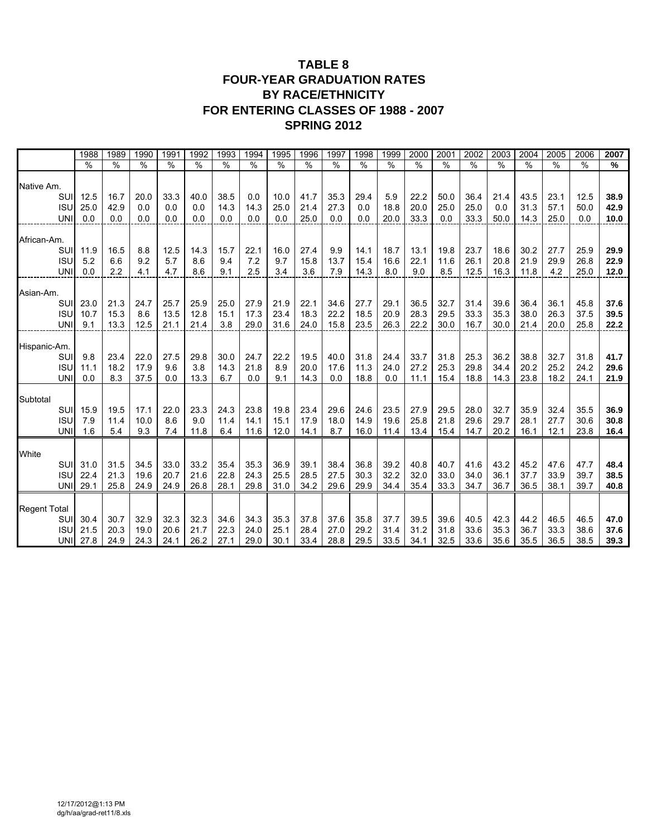### **TABLE 8 FOUR-YEAR GRADUATION RATES BY RACE/ETHNICITY FOR ENTERING CLASSES OF 1988 - 2007 SPRING 2012**

|                     |            | 1988          | 1989          | 1990          | 199 <sup>7</sup> | 1992          | 1993          | 1994          | 1995          | 1996          | 1997          | 1998          | 1999 | 2000          | 200'          | 2002          | 2003          | 2004          | 2005          | 2006          | 2007          |
|---------------------|------------|---------------|---------------|---------------|------------------|---------------|---------------|---------------|---------------|---------------|---------------|---------------|------|---------------|---------------|---------------|---------------|---------------|---------------|---------------|---------------|
|                     |            | $\frac{9}{6}$ | $\frac{9}{6}$ | $\frac{9}{6}$ | $\frac{9}{6}$    | $\frac{9}{6}$ | $\frac{9}{6}$ | $\frac{9}{6}$ | $\frac{9}{6}$ | $\frac{9}{6}$ | $\frac{9}{6}$ | $\frac{9}{6}$ | %    | $\frac{0}{0}$ | $\frac{9}{6}$ | $\frac{9}{6}$ | $\frac{1}{2}$ | $\frac{0}{0}$ | $\frac{9}{6}$ | $\frac{1}{2}$ | $\frac{9}{6}$ |
| Native Am.          |            |               |               |               |                  |               |               |               |               |               |               |               |      |               |               |               |               |               |               |               |               |
|                     | SUI        | 12.5          | 16.7          | 20.0          | 33.3             | 40.0          | 38.5          | 0.0           | 10.0          | 41.7          | 35.3          | 29.4          | 5.9  | 22.2          | 50.0          | 36.4          | 21.4          | 43.5          | 23.1          | 12.5          | 38.9          |
|                     | <b>ISU</b> | 25.0          | 42.9          | 0.0           | 0.0              | 0.0           | 14.3          | 14.3          | 25.0          | 21.4          | 27.3          | 0.0           | 18.8 | 20.0          | 25.0          | 25.0          | 0.0           | 31.3          | 57.1          | 50.0          | 42.9          |
|                     | <b>UNI</b> | 0.0           | 0.0           | 0.0           | 0.0              | 0.0           | 0.0           | 0.0           | 0.0           | 25.0          | 0.0           | 0.0           | 20.0 | 33.3          | 0.0           | 33.3          | 50.0          | 14.3          | 25.0          | 0.0           | 10.0          |
| African-Am.         |            |               |               |               |                  |               |               |               |               |               |               |               |      |               |               |               |               |               |               |               |               |
|                     | SUI        | 11.9          | 16.5          | 8.8           | 12.5             | 14.3          | 15.7          | 22.1          | 16.0          | 27.4          | 9.9           | 14.1          | 18.7 | 13.1          | 19.8          | 23.7          | 18.6          | 30.2          | 27.7          | 25.9          | 29.9          |
|                     | <b>ISU</b> | 5.2           | 6.6           | 9.2           | 5.7              | 8.6           | 9.4           | 7.2           | 9.7           | 15.8          | 13.7          | 15.4          | 16.6 | 22.1          | 11.6          | 26.1          | 20.8          | 21.9          | 29.9          | 26.8          | 22.9          |
|                     | <b>UNI</b> | 0.0           | 2.2           | 4.1           | 4.7              | 8.6           | 9.1           | 2.5           | 3.4           | 3.6           | 7.9           | 14.3          | 8.0  | 9.0           | 8.5           | 12.5          | 16.3          | 11.8          | 4.2           | 25.0          | 12.0          |
| Asian-Am.           |            |               |               |               |                  |               |               |               |               |               |               |               |      |               |               |               |               |               |               |               |               |
|                     | SUI        | 23.0          | 21.3          | 24.7          | 25.7             | 25.9          | 25.0          | 27.9          | 21.9          | 22.1          | 34.6          | 27.7          | 29.1 | 36.5          | 32.7          | 31.4          | 39.6          | 36.4          | 36.1          | 45.8          | 37.6          |
|                     | <b>ISU</b> | 10.7          | 15.3          | 8.6           | 13.5             | 12.8          | 15.1          | 17.3          | 23.4          | 18.3          | 22.2          | 18.5          | 20.9 | 28.3          | 29.5          | 33.3          | 35.3          | 38.0          | 26.3          | 37.5          | 39.5          |
|                     | UNI        | 9.1           | 13.3          | 12.5          | 21.1             | 21.4          | 3.8           | 29.0          | 31.6          | 24.0          | 15.8          | 23.5          | 26.3 | 22.2          | 30.0          | 16.7          | 30.0          | 21.4          | 20.0          | 25.8          | 22.2          |
|                     |            |               |               |               |                  |               |               |               |               |               |               |               |      |               |               |               |               |               |               |               |               |
| Hispanic-Am.        |            |               |               |               |                  |               |               |               |               |               |               |               |      |               |               |               |               |               |               |               |               |
|                     | SUI        | 9.8           | 23.4          | 22.0          | 27.5             | 29.8          | 30.0          | 24.7          | 22.2          | 19.5          | 40.0          | 31.8          | 24.4 | 33.7          | 31.8          | 25.3          | 36.2          | 38.8          | 32.7          | 31.8          | 41.7          |
|                     | <b>ISU</b> | 11.1          | 18.2          | 17.9          | 9.6              | 3.8           | 14.3          | 21.8          | 8.9           | 20.0          | 17.6          | 11.3          | 24.0 | 27.2          | 25.3          | 29.8          | 34.4          | 20.2          | 25.2          | 24.2          | 29.6          |
|                     | <b>UNI</b> | 0.0           | 8.3           | 37.5          | 0.0              | 13.3          | 6.7           | 0.0           | 9.1           | 14.3          | 0.0           | 18.8          | 0.0  | 11.1          | 15.4          | 18.8          | 14.3          | 23.8          | 18.2          | 24.1          | 21.9          |
| Subtotal            |            |               |               |               |                  |               |               |               |               |               |               |               |      |               |               |               |               |               |               |               |               |
|                     | SUI        | 15.9          | 19.5          | 17.1          | 22.0             | 23.3          | 24.3          | 23.8          | 19.8          | 23.4          | 29.6          | 24.6          | 23.5 | 27.9          | 29.5          | 28.0          | 32.7          | 35.9          | 32.4          | 35.5          | 36.9          |
|                     | <b>ISU</b> | 7.9           | 11.4          | 10.0          | 8.6              | 9.0           | 11.4          | 14.1          | 15.1          | 17.9          | 18.0          | 14.9          | 19.6 | 25.8          | 21.8          | 29.6          | 29.7          | 28.1          | 27.7          | 30.6          | 30.8          |
|                     | <b>UNI</b> | 1.6           | 5.4           | 9.3           | 7.4              | 11.8          | 6.4           | 11.6          | 12.0          | 14.1          | 8.7           | 16.0          | 11.4 | 13.4          | 15.4          | 14.7          | 20.2          | 16.1          | 12.1          | 23.8          | 16.4          |
| White               |            |               |               |               |                  |               |               |               |               |               |               |               |      |               |               |               |               |               |               |               |               |
|                     | SUI        | 31.0          | 31.5          | 34.5          | 33.0             | 33.2          | 35.4          | 35.3          | 36.9          | 39.1          | 38.4          | 36.8          | 39.2 | 40.8          | 40.7          | 41.6          | 43.2          | 45.2          | 47.6          | 47.7          | 48.4          |
|                     | <b>ISU</b> | 22.4          | 21.3          | 19.6          | 20.7             | 21.6          | 22.8          | 24.3          | 25.5          | 28.5          | 27.5          | 30.3          | 32.2 | 32.0          | 33.0          | 34.0          | 36.1          | 37.7          | 33.9          | 39.7          | 38.5          |
|                     | <b>UNI</b> | 29.1          | 25.8          | 24.9          | 24.9             | 26.8          | 28.1          | 29.8          | 31.0          | 34.2          | 29.6          | 29.9          | 34.4 | 35.4          | 33.3          | 34.7          | 36.7          | 36.5          | 38.1          | 39.7          | 40.8          |
|                     |            |               |               |               |                  |               |               |               |               |               |               |               |      |               |               |               |               |               |               |               |               |
| <b>Regent Total</b> |            |               |               |               |                  |               |               |               |               |               |               |               |      |               |               |               |               |               |               |               |               |
|                     | SUI        | 30.4          | 30.7          | 32.9          | 32.3             | 32.3          | 34.6          | 34.3          | 35.3          | 37.8          | 37.6          | 35.8          | 37.7 | 39.5          | 39.6          | 40.5          | 42.3          | 44.2          | 46.5          | 46.5          | 47.0          |
|                     | <b>ISU</b> | 21.5          | 20.3          | 19.0          | 20.6             | 21.7          | 22.3          | 24.0          | 25.1          | 28.4          | 27.0          | 29.2          | 31.4 | 31.2          | 31.8          | 33.6          | 35.3          | 36.7          | 33.3          | 38.6          | 37.6          |
|                     | <b>UNI</b> | 27.8          | 24.9          | 24.3          | 24.1             | 26.2          | 27.1          | 29.0          | 30.1          | 33.4          | 28.8          | 29.5          | 33.5 | 34.1          | 32.5          | 33.6          | 35.6          | 35.5          | 36.5          | 38.5          | 39.3          |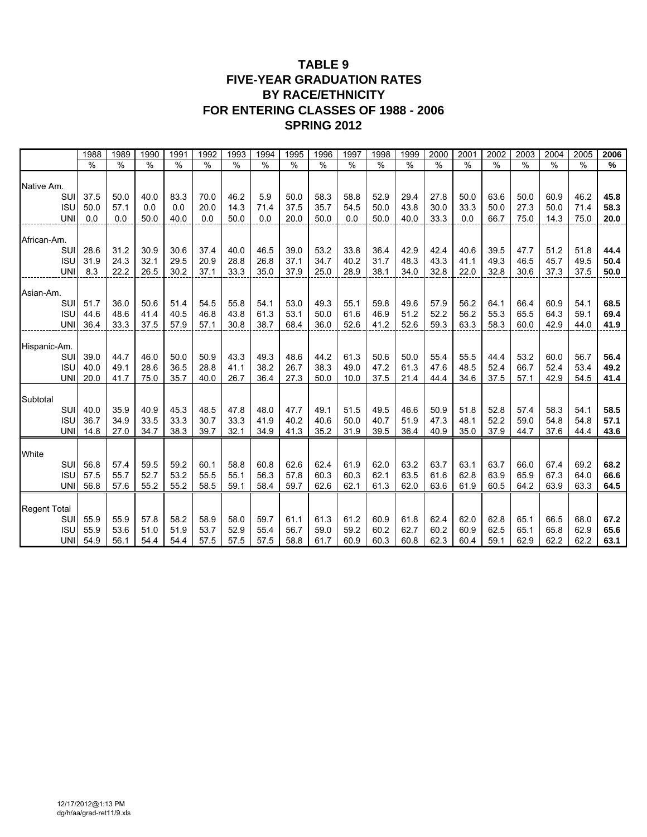### **TABLE 9 FIVE-YEAR GRADUATION RATES BY RACE/ETHNICITY FOR ENTERING CLASSES OF 1988 - 2006 SPRING 2012**

|                          | 1988          | 1989          | 1990          | 199 <sup>7</sup> | 1992          | 1993          | 1994          | 1995          | 1996          | 1997          | 1998          | 1999          | 2000          | $200^{\circ}$ | 2002          | 2003          | 2004          | 2005          | 2006          |
|--------------------------|---------------|---------------|---------------|------------------|---------------|---------------|---------------|---------------|---------------|---------------|---------------|---------------|---------------|---------------|---------------|---------------|---------------|---------------|---------------|
|                          | $\frac{9}{6}$ | $\frac{9}{6}$ | $\frac{9}{6}$ | $\frac{1}{2}$    | $\frac{9}{6}$ | $\frac{0}{0}$ | $\frac{0}{0}$ | $\frac{9}{6}$ | $\frac{9}{6}$ | $\frac{9}{6}$ | $\frac{9}{6}$ | $\frac{9}{6}$ | $\frac{0}{0}$ | $\frac{0}{0}$ | $\frac{0}{0}$ | $\frac{9}{6}$ | $\frac{9}{6}$ | $\frac{9}{6}$ | $\frac{9}{6}$ |
| Native Am.               |               |               |               |                  |               |               |               |               |               |               |               |               |               |               |               |               |               |               |               |
| SUI                      | 37.5          | 50.0          | 40.0          | 83.3             | 70.0          | 46.2          | 5.9           | 50.0          | 58.3          | 58.8          | 52.9          | 29.4          | 27.8          | 50.0          | 63.6          | 50.0          | 60.9          | 46.2          | 45.8          |
| <b>ISU</b>               | 50.0          | 57.1          | 0.0           | 0.0              | 20.0          | 14.3          | 71.4          | 37.5          | 35.7          | 54.5          | 50.0          | 43.8          | 30.0          | 33.3          | 50.0          | 27.3          | 50.0          | 71.4          | 58.3          |
| <b>UNI</b>               | 0.0           | 0.0           | 50.0          | 40.0             | 0.0           | 50.0          | 0.0           | 20.0          | 50.0          | 0.0           | 50.0          | 40.0          | 33.3          | 0.0           | 66.7          | 75.0          | 14.3          | 75.0          | 20.0          |
| African-Am.              |               |               |               |                  |               |               |               |               |               |               |               |               |               |               |               |               |               |               |               |
| SUI                      | 28.6          | 31.2          | 30.9          | 30.6             | 37.4          | 40.0          | 46.5          | 39.0          | 53.2          | 33.8          | 36.4          | 42.9          | 42.4          | 40.6          | 39.5          | 47.7          | 51.2          | 51.8          | 44.4          |
| <b>ISU</b>               | 31.9          | 24.3          | 32.1          | 29.5             | 20.9          | 28.8          | 26.8          | 37.1          | 34.7          | 40.2          | 31.7          | 48.3          | 43.3          | 41.1          | 49.3          | 46.5          | 45.7          | 49.5          | 50.4          |
| <b>UNI</b>               | 8.3           | 22.2          | 26.5          | 30.2             | 37.1          | 33.3          | 35.0          | 37.9          | 25.0          | 28.9          | 38.1          | 34.0          | 32.8          | 22.0          | 32.8          | 30.6          | 37.3          | 37.5          | 50.0          |
|                          |               |               |               |                  |               |               |               |               |               |               |               |               |               |               |               |               |               |               |               |
| Asian-Am.                |               |               |               |                  |               |               |               |               |               |               |               |               |               |               |               |               |               |               |               |
| SUI<br><b>ISU</b>        | 51.7<br>44.6  | 36.0<br>48.6  | 50.6<br>41.4  | 51.4<br>40.5     | 54.5<br>46.8  | 55.8<br>43.8  | 54.1<br>61.3  | 53.0<br>53.1  | 49.3<br>50.0  | 55.1<br>61.6  | 59.8<br>46.9  | 49.6<br>51.2  | 57.9<br>52.2  | 56.2<br>56.2  | 64.1<br>55.3  | 66.4<br>65.5  | 60.9<br>64.3  | 54.1<br>59.1  | 68.5<br>69.4  |
| <b>UNI</b>               | 36.4          | 33.3          | 37.5          | 57.9             | 57.1          | 30.8          | 38.7          | 68.4          | 36.0          | 52.6          | 41.2          | 52.6          | 59.3          | 63.3          | 58.3          | 60.0          | 42.9          | 44.0          | 41.9          |
|                          |               |               |               |                  |               |               |               |               |               |               |               |               |               |               |               |               |               |               |               |
| Hispanic-Am.             |               |               |               |                  |               |               |               |               |               |               |               |               |               |               |               |               |               |               |               |
| SUI                      | 39.0          | 44.7          | 46.0          | 50.0             | 50.9          | 43.3          | 49.3          | 48.6          | 44.2          | 61.3          | 50.6          | 50.0          | 55.4          | 55.5          | 44.4          | 53.2          | 60.0          | 56.7          | 56.4          |
| <b>ISU</b>               | 40.0          | 49.1          | 28.6          | 36.5             | 28.8          | 41.1          | 38.2          | 26.7          | 38.3          | 49.0          | 47.2          | 61.3          | 47.6          | 48.5          | 52.4          | 66.7          | 52.4          | 53.4          | 49.2          |
| <b>UNI</b>               | 20.0          | 41.7          | 75.0          | 35.7             | 40.0          | 26.7          | 36.4          | 27.3          | 50.0          | 10.0          | 37.5          | 21.4          | 44.4          | 34.6          | 37.5          | 57.1          | 42.9          | 54.5          | 41.4          |
|                          |               |               |               |                  |               |               |               |               |               |               |               |               |               |               |               |               |               |               |               |
| Subtotal<br>SUI          | 40.0          | 35.9          | 40.9          | 45.3             | 48.5          | 47.8          | 48.0          | 47.7          | 49.1          | 51.5          | 49.5          | 46.6          | 50.9          | 51.8          | 52.8          | 57.4          | 58.3          | 54.1          | 58.5          |
| <b>ISU</b>               | 36.7          | 34.9          | 33.5          | 33.3             | 30.7          | 33.3          | 41.9          | 40.2          | 40.6          | 50.0          | 40.7          | 51.9          | 47.3          | 48.1          | 52.2          | 59.0          | 54.8          | 54.8          | 57.1          |
| <b>UNI</b>               | 14.8          | 27.0          | 34.7          | 38.3             | 39.7          | 32.1          | 34.9          | 41.3          | 35.2          | 31.9          | 39.5          | 36.4          | 40.9          | 35.0          | 37.9          | 44.7          | 37.6          | 44.4          | 43.6          |
|                          |               |               |               |                  |               |               |               |               |               |               |               |               |               |               |               |               |               |               |               |
| White                    |               |               |               |                  |               |               |               |               |               |               |               |               |               |               |               |               |               |               |               |
| SUI                      | 56.8          | 57.4          | 59.5          | 59.2             | 60.1          | 58.8          | 60.8          | 62.6          | 62.4          | 61.9          | 62.0          | 63.2          | 63.7          | 63.1          | 63.7          | 66.0          | 67.4          | 69.2          | 68.2          |
| <b>ISU</b>               | 57.5          | 55.7          | 52.7          | 53.2             | 55.5          | 55.1          | 56.3          | 57.8          | 60.3          | 60.3          | 62.1          | 63.5          | 61.6          | 62.8          | 63.9          | 65.9          | 67.3          | 64.0          | 66.6          |
| <b>UNI</b>               | 56.8          | 57.6          | 55.2          | 55.2             | 58.5          | 59.1          | 58.4          | 59.7          | 62.6          | 62.1          | 61.3          | 62.0          | 63.6          | 61.9          | 60.5          | 64.2          | 63.9          | 63.3          | 64.5          |
|                          |               |               |               |                  |               |               |               |               |               |               |               |               |               |               |               |               |               |               |               |
| <b>Regent Total</b>      |               |               |               |                  |               |               |               |               |               |               |               |               |               |               |               |               |               |               |               |
| SUI                      | 55.9          | 55.9          | 57.8          | 58.2             | 58.9          | 58.0          | 59.7          | 61.1          | 61.3          | 61.2          | 60.9          | 61.8          | 62.4          | 62.0          | 62.8          | 65.1          | 66.5          | 68.0          | 67.2          |
| <b>ISU</b><br><b>UNI</b> | 55.9          | 53.6<br>56.1  | 51.0          | 51.9             | 53.7<br>57.5  | 52.9          | 55.4          | 56.7          | 59.0<br>61.7  | 59.2<br>60.9  | 60.2<br>60.3  | 62.7<br>60.8  | 60.2          | 60.9<br>60.4  | 62.5<br>59.1  | 65.1<br>62.9  | 65.8          | 62.9<br>62.2  | 65.6          |
|                          | 54.9          |               | 54.4          | 54.4             |               | 57.5          | 57.5          | 58.8          |               |               |               |               | 62.3          |               |               |               | 62.2          |               | 63.1          |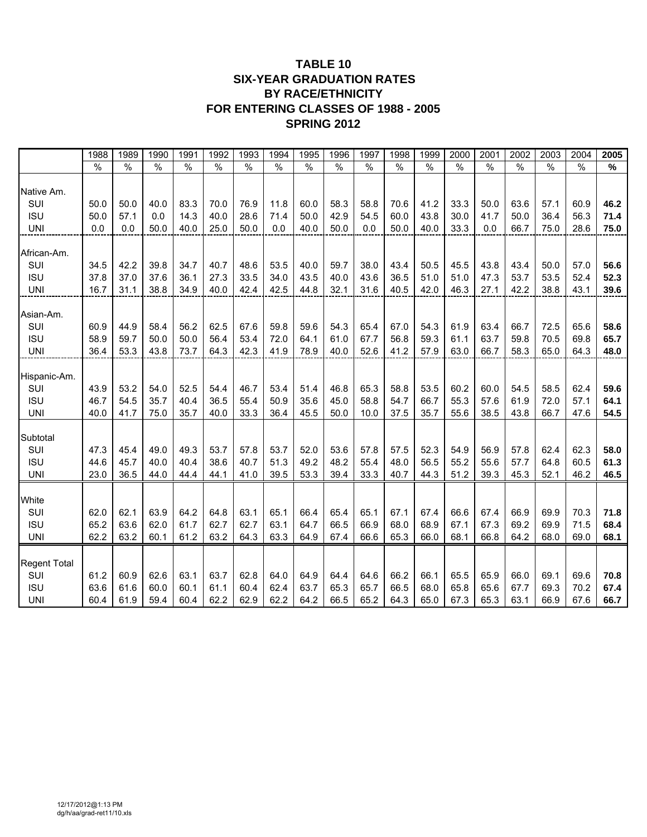#### **TABLE 10 SIX-YEAR GRADUATION RATES BY RACE/ETHNICITY FOR ENTERING CLASSES OF 1988 - 2005 SPRING 2012**

|                     | 1988          | 1989 | 1990 | 1991 | 1992 | 1993         | 1994          | 1995 | 1996 | 1997 | 1998 | 1999 | 2000          | 2001          | 2002          | 2003 | 2004          | 2005 |
|---------------------|---------------|------|------|------|------|--------------|---------------|------|------|------|------|------|---------------|---------------|---------------|------|---------------|------|
|                     | $\frac{1}{2}$ | $\%$ | $\%$ | $\%$ | $\%$ | $\%$         | $\frac{0}{0}$ | $\%$ | $\%$ | $\%$ | $\%$ | $\%$ | $\frac{1}{2}$ | $\frac{0}{0}$ | $\frac{0}{0}$ | $\%$ | $\frac{0}{0}$ | $\%$ |
|                     |               |      |      |      |      |              |               |      |      |      |      |      |               |               |               |      |               |      |
| Native Am.<br>SUI   | 50.0          | 50.0 | 40.0 | 83.3 | 70.0 | 76.9         | 11.8          | 60.0 | 58.3 | 58.8 | 70.6 | 41.2 | 33.3          | 50.0          | 63.6          | 57.1 | 60.9          | 46.2 |
| <b>ISU</b>          | 50.0          | 57.1 | 0.0  | 14.3 | 40.0 |              | 71.4          | 50.0 | 42.9 | 54.5 | 60.0 | 43.8 | 30.0          | 41.7          | 50.0          | 36.4 | 56.3          | 71.4 |
| <b>UNI</b>          | 0.0           | 0.0  | 50.0 | 40.0 | 25.0 | 28.6<br>50.0 | 0.0           | 40.0 | 50.0 | 0.0  | 50.0 | 40.0 | 33.3          | 0.0           | 66.7          | 75.0 | 28.6          | 75.0 |
|                     |               |      |      |      |      |              |               |      |      |      |      |      |               |               |               |      |               |      |
| African-Am.         |               |      |      |      |      |              |               |      |      |      |      |      |               |               |               |      |               |      |
| SUI                 | 34.5          | 42.2 | 39.8 | 34.7 | 40.7 | 48.6         | 53.5          | 40.0 | 59.7 | 38.0 | 43.4 | 50.5 | 45.5          | 43.8          | 43.4          | 50.0 | 57.0          | 56.6 |
| <b>ISU</b>          | 37.8          | 37.0 | 37.6 | 36.1 | 27.3 | 33.5         | 34.0          | 43.5 | 40.0 | 43.6 | 36.5 | 51.0 | 51.0          | 47.3          | 53.7          | 53.5 | 52.4          | 52.3 |
| <b>UNI</b>          | 16.7          | 31.1 | 38.8 | 34.9 | 40.0 | 42.4         | 42.5          | 44.8 | 32.1 | 31.6 | 40.5 | 42.0 | 46.3          | 27.1          | 42.2          | 38.8 | 43.1          | 39.6 |
|                     |               |      |      |      |      |              |               |      |      |      |      |      |               |               |               |      |               |      |
| Asian-Am.           |               |      |      |      |      |              |               |      |      |      |      |      |               |               |               |      |               |      |
| SUI                 | 60.9          | 44.9 | 58.4 | 56.2 | 62.5 | 67.6         | 59.8          | 59.6 | 54.3 | 65.4 | 67.0 | 54.3 | 61.9          | 63.4          | 66.7          | 72.5 | 65.6          | 58.6 |
| <b>ISU</b>          | 58.9          | 59.7 | 50.0 | 50.0 | 56.4 | 53.4         | 72.0          | 64.1 | 61.0 | 67.7 | 56.8 | 59.3 | 61.1          | 63.7          | 59.8          | 70.5 | 69.8          | 65.7 |
| <b>UNI</b>          | 36.4          | 53.3 | 43.8 | 73.7 | 64.3 | 42.3         | 41.9          | 78.9 | 40.0 | 52.6 | 41.2 | 57.9 | 63.0          | 66.7          | 58.3          | 65.0 | 64.3          | 48.0 |
| Hispanic-Am.        |               |      |      |      |      |              |               |      |      |      |      |      |               |               |               |      |               |      |
| SUI                 | 43.9          | 53.2 | 54.0 | 52.5 | 54.4 | 46.7         | 53.4          | 51.4 | 46.8 | 65.3 | 58.8 | 53.5 | 60.2          | 60.0          | 54.5          | 58.5 | 62.4          | 59.6 |
| <b>ISU</b>          | 46.7          | 54.5 | 35.7 | 40.4 | 36.5 | 55.4         | 50.9          | 35.6 | 45.0 | 58.8 | 54.7 | 66.7 | 55.3          | 57.6          | 61.9          | 72.0 | 57.1          | 64.1 |
| <b>UNI</b>          | 40.0          | 41.7 | 75.0 | 35.7 | 40.0 | 33.3         | 36.4          | 45.5 | 50.0 | 10.0 | 37.5 | 35.7 | 55.6          | 38.5          | 43.8          | 66.7 | 47.6          | 54.5 |
|                     |               |      |      |      |      |              |               |      |      |      |      |      |               |               |               |      |               |      |
| Subtotal            |               |      |      |      |      |              |               |      |      |      |      |      |               |               |               |      |               |      |
| SUI                 | 47.3          | 45.4 | 49.0 | 49.3 | 53.7 | 57.8         | 53.7          | 52.0 | 53.6 | 57.8 | 57.5 | 52.3 | 54.9          | 56.9          | 57.8          | 62.4 | 62.3          | 58.0 |
| <b>ISU</b>          | 44.6          | 45.7 | 40.0 | 40.4 | 38.6 | 40.7         | 51.3          | 49.2 | 48.2 | 55.4 | 48.0 | 56.5 | 55.2          | 55.6          | 57.7          | 64.8 | 60.5          | 61.3 |
| <b>UNI</b>          | 23.0          | 36.5 | 44.0 | 44.4 | 44.1 | 41.0         | 39.5          | 53.3 | 39.4 | 33.3 | 40.7 | 44.3 | 51.2          | 39.3          | 45.3          | 52.1 | 46.2          | 46.5 |
|                     |               |      |      |      |      |              |               |      |      |      |      |      |               |               |               |      |               |      |
| White               |               |      |      |      |      |              |               |      |      |      |      |      |               |               |               |      |               |      |
| SUI                 | 62.0          | 62.1 | 63.9 | 64.2 | 64.8 | 63.1         | 65.1          | 66.4 | 65.4 | 65.1 | 67.1 | 67.4 | 66.6          | 67.4          | 66.9          | 69.9 | 70.3          | 71.8 |
| <b>ISU</b>          | 65.2          | 63.6 | 62.0 | 61.7 | 62.7 | 62.7         | 63.1          | 64.7 | 66.5 | 66.9 | 68.0 | 68.9 | 67.1          | 67.3          | 69.2          | 69.9 | 71.5          | 68.4 |
| <b>UNI</b>          | 62.2          | 63.2 | 60.1 | 61.2 | 63.2 | 64.3         | 63.3          | 64.9 | 67.4 | 66.6 | 65.3 | 66.0 | 68.1          | 66.8          | 64.2          | 68.0 | 69.0          | 68.1 |
|                     |               |      |      |      |      |              |               |      |      |      |      |      |               |               |               |      |               |      |
| <b>Regent Total</b> |               |      |      |      |      |              |               |      |      |      |      |      |               |               |               |      |               |      |
| SUI                 | 61.2          | 60.9 | 62.6 | 63.1 | 63.7 | 62.8         | 64.0          | 64.9 | 64.4 | 64.6 | 66.2 | 66.1 | 65.5          | 65.9          | 66.0          | 69.1 | 69.6          | 70.8 |
| <b>ISU</b>          | 63.6          | 61.6 | 60.0 | 60.1 | 61.1 | 60.4         | 62.4          | 63.7 | 65.3 | 65.7 | 66.5 | 68.0 | 65.8          | 65.6          | 67.7          | 69.3 | 70.2          | 67.4 |
| <b>UNI</b>          | 60.4          | 61.9 | 59.4 | 60.4 | 62.2 | 62.9         | 62.2          | 64.2 | 66.5 | 65.2 | 64.3 | 65.0 | 67.3          | 65.3          | 63.1          | 66.9 | 67.6          | 66.7 |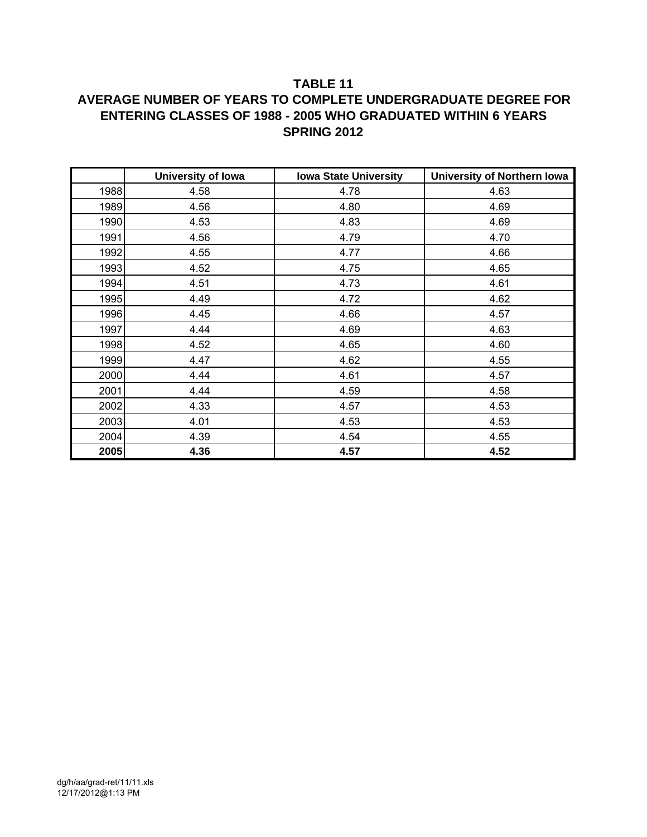### **TABLE 11**

## **AVERAGE NUMBER OF YEARS TO COMPLETE UNDERGRADUATE DEGREE FOR ENTERING CLASSES OF 1988 - 2005 WHO GRADUATED WITHIN 6 YEARS SPRING 2012**

|      | <b>University of Iowa</b> | <b>Iowa State University</b> | University of Northern Iowa |
|------|---------------------------|------------------------------|-----------------------------|
| 1988 | 4.58                      | 4.78                         | 4.63                        |
| 1989 | 4.56                      | 4.80                         | 4.69                        |
| 1990 | 4.53                      | 4.83                         | 4.69                        |
| 1991 | 4.56                      | 4.79                         | 4.70                        |
| 1992 | 4.55                      | 4.77                         | 4.66                        |
| 1993 | 4.52                      | 4.75                         | 4.65                        |
| 1994 | 4.51                      | 4.73                         | 4.61                        |
| 1995 | 4.49                      | 4.72                         | 4.62                        |
| 1996 | 4.45                      | 4.66                         | 4.57                        |
| 1997 | 4.44                      | 4.69                         | 4.63                        |
| 1998 | 4.52                      | 4.65                         | 4.60                        |
| 1999 | 4.47                      | 4.62                         | 4.55                        |
| 2000 | 4.44                      | 4.61                         | 4.57                        |
| 2001 | 4.44                      | 4.59                         | 4.58                        |
| 2002 | 4.33                      | 4.57                         | 4.53                        |
| 2003 | 4.01                      | 4.53                         | 4.53                        |
| 2004 | 4.39                      | 4.54                         | 4.55                        |
| 2005 | 4.36                      | 4.57                         | 4.52                        |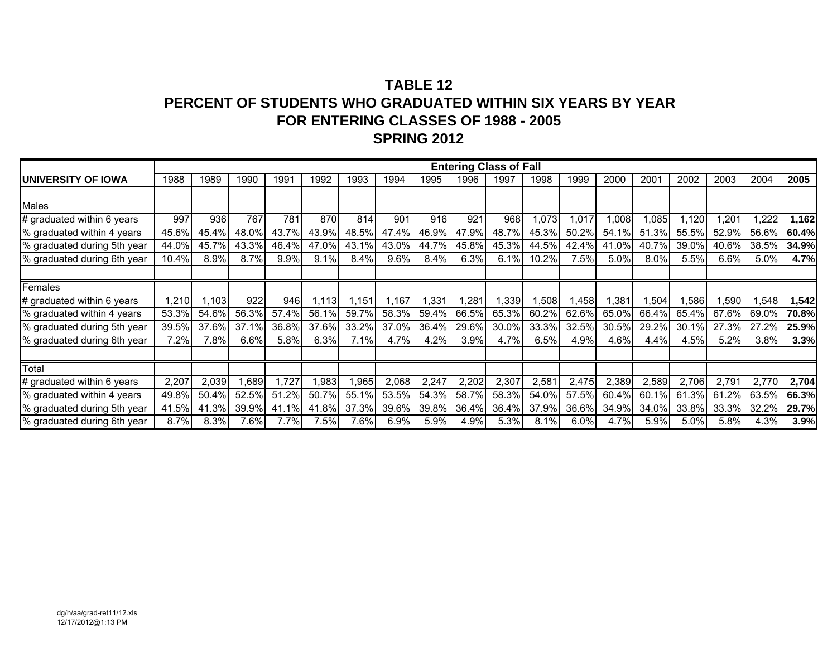|                              |       |       |       |       |        |       |       |       |               | <b>Entering Class of Fall</b> |       |       |       |       |       |       |       |       |
|------------------------------|-------|-------|-------|-------|--------|-------|-------|-------|---------------|-------------------------------|-------|-------|-------|-------|-------|-------|-------|-------|
| <b>IUNIVERSITY OF IOWA</b>   | 1988  | 1989  | 1990  | 1991  | 1992   | 1993  | 1994  | 1995  | 1996          | 1997                          | 1998  | 1999  | 2000  | 2001  | 2002  | 2003  | 2004  | 2005  |
|                              |       |       |       |       |        |       |       |       |               |                               |       |       |       |       |       |       |       |       |
| <b>Males</b>                 |       |       |       |       |        |       |       |       |               |                               |       |       |       |       |       |       |       |       |
| # graduated within 6 years   | 997   | 936   | 767   | 781   | 870    | 814   | 901   | 916   | 921           | 968                           | .073  | ,017  | 1,008 | 1,085 | ,120  | 201,  | ,222  | 1,162 |
| % graduated within 4 years   | 45.6% | 45.4% | 48.0% | 43.7% | 43.9%  | 48.5% | 47.4% | 46.9% | 47.9%         | 48.7%                         | 45.3% | 50.2% | 54.1% | 51.3% | 55.5% | 52.9% | 56.6% | 60.4% |
| % graduated during 5th year  | 44.0% | 45.7% | 43.3% | 46.4% | 47.0%  | 43.1% | 43.0% | 44.7% | 45.8%         | 45.3%                         | 44.5% | 42.4% | 41.0% | 40.7% | 39.0% | 40.6% | 38.5% | 34.9% |
| % graduated during 6th year  | 10.4% | 8.9%  | 8.7%  | 9.9%  | 9.1%   | 8.4%  | 9.6%  | 8.4%  | 6.3%          | 6.1%                          | 10.2% | 7.5%  | 5.0%  | 8.0%  | 5.5%  | 6.6%  | 5.0%  | 4.7%  |
|                              |       |       |       |       |        |       |       |       |               |                               |       |       |       |       |       |       |       |       |
| Females                      |       |       |       |       |        |       |       |       |               |                               |       |       |       |       |       |       |       |       |
| $#$ graduated within 6 years | 1,210 | 1,103 | 922   | 946   | 1.1131 | 1,151 | 167,  | 1,331 | $.28^{\circ}$ | 1,339                         | 1,508 | .458  | 1,381 | 1,504 | ,586  | 1,590 | ,548  | 1,542 |
| % graduated within 4 years   | 53.3% | 54.6% | 56.3% | 57.4% | 56.1%  | 59.7% | 58.3% | 59.4% | 66.5%         | 65.3%                         | 60.2% | 62.6% | 65.0% | 66.4% | 65.4% | 67.6% | 69.0% | 70.8% |
| % graduated during 5th year  | 39.5% | 37.6% | 37.1% | 36.8% | 37.6%  | 33.2% | 37.0% | 36.4% | 29.6%         | 30.0%                         | 33.3% | 32.5% | 30.5% | 29.2% | 30.1% | 27.3% | 27.2% | 25.9% |
| % graduated during 6th year  | 7.2%  | 7.8%  | 6.6%  | 5.8%  | 6.3%   | 7.1%  | 4.7%  | 4.2%  | 3.9%          | 4.7%                          | 6.5%  | 4.9%  | 4.6%  | 4.4%  | 4.5%  | 5.2%  | 3.8%  | 3.3%  |
|                              |       |       |       |       |        |       |       |       |               |                               |       |       |       |       |       |       |       |       |
| <b>Total</b>                 |       |       |       |       |        |       |       |       |               |                               |       |       |       |       |       |       |       |       |
| # graduated within 6 years   | 2,207 | 2,039 | l,689 | 1,727 | 1,983  | ,965  | 2,068 | 2,247 | 2,202         | 2,307                         | 2,581 | 2,475 | 2,389 | 2,589 | 2,706 | 2,791 | 2,770 | 2,704 |
| % graduated within 4 years   | 49.8% | 50.4% | 52.5% | 51.2% | 50.7%  | 55.1% | 53.5% | 54.3% | 58.7%         | 58.3%                         | 54.0% | 57.5% | 60.4% | 60.1% | 61.3% | 61.2% | 63.5% | 66.3% |
| % graduated during 5th year  | 41.5% | 41.3% | 39.9% | 41.1% | 41.8%  | 37.3% | 39.6% | 39.8% | 36.4%         | 36.4%                         | 37.9% | 36.6% | 34.9% | 34.0% | 33.8% | 33.3% | 32.2% | 29.7% |
| % graduated during 6th year  | 8.7%  | 8.3%  | 7.6%  | 7.7%  | 7.5%   | 7.6%  | 6.9%  | 5.9%  | $4.9\%$       | 5.3%                          | 8.1%  | 6.0%  | 4.7%  | 5.9%  | 5.0%  | 5.8%  | 4.3%  | 3.9%  |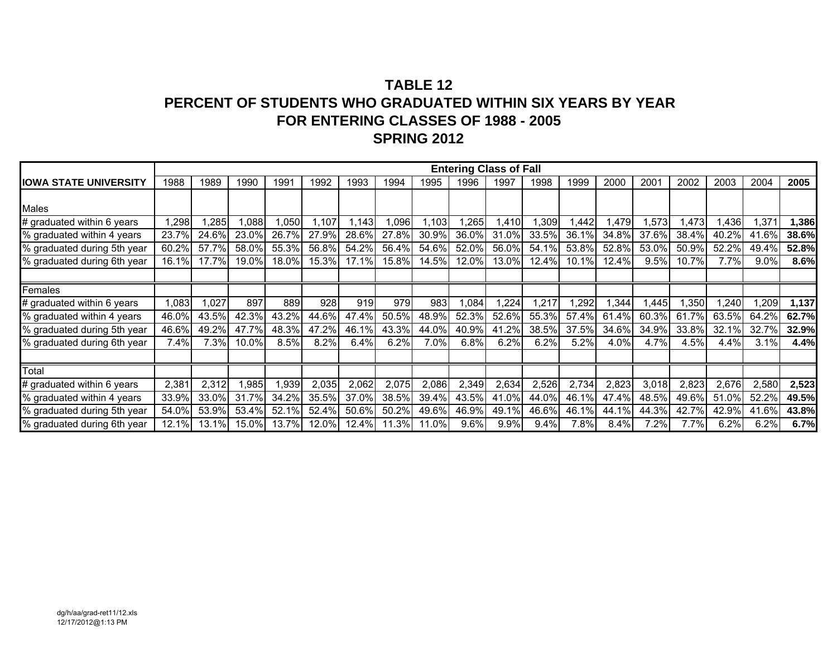|                               |       |       |       |       |       |       |        |       |       | <b>Entering Class of Fall</b> |       |       |       |       |       |       |       |       |
|-------------------------------|-------|-------|-------|-------|-------|-------|--------|-------|-------|-------------------------------|-------|-------|-------|-------|-------|-------|-------|-------|
| <b>IIOWA STATE UNIVERSITY</b> | 1988  | 1989  | 1990  | 1991  | 1992  | 1993  | 1994   | 1995  | 1996  | 1997                          | 1998  | 1999  | 2000  | 2001  | 2002  | 2003  | 2004  | 2005  |
|                               |       |       |       |       |       |       |        |       |       |                               |       |       |       |       |       |       |       |       |
| <b>Males</b>                  |       |       |       |       |       |       |        |       |       |                               |       |       |       |       |       |       |       |       |
| # graduated within 6 years    | 1,298 | ,285  | 1,088 | ,050  | 1,107 | 1,143 | ,096   | 1,103 | ,265  | .410                          | ,309  | ,442  | 1,479 | 1,573 | .473  | 1,436 | 1,371 | 1,386 |
| % graduated within 4 years    | 23.7% | 24.6% | 23.0% | 26.7% | 27.9% | 28.6% | 27.8%  | 30.9% | 36.0% | 31.0%                         | 33.5% | 36.1% | 34.8% | 37.6% | 38.4% | 40.2% | 41.6% | 38.6% |
| % graduated during 5th year   | 60.2% | 57.7% | 58.0% | 55.3% | 56.8% | 54.2% | 56.4%  | 54.6% | 52.0% | 56.0%                         | 54.1% | 53.8% | 52.8% | 53.0% | 50.9% | 52.2% | 49.4% | 52.8% |
| % graduated during 6th year   | 16.1% | 17.7% | 19.0% | 18.0% | 15.3% | 17.1% | 15.8%  | 14.5% | 12.0% | 13.0%                         | 12.4% | 10.1% | 12.4% | 9.5%  | 10.7% | 7.7%  | 9.0%  | 8.6%  |
|                               |       |       |       |       |       |       |        |       |       |                               |       |       |       |       |       |       |       |       |
| Females                       |       |       |       |       |       |       |        |       |       |                               |       |       |       |       |       |       |       |       |
| # graduated within 6 years    | ,083  | 1,027 | 897   | 889   | 928   | 919   | 979    | 983   | 1,084 | ,224                          | ,217  | ,292  | ,344  | l,445 | ,350  | ,240  | ,209  | 1,137 |
| % graduated within 4 years    | 46.0% | 43.5% | 42.3% | 43.2% | 44.6% | 47.4% | 50.5%  | 48.9% | 52.3% | 52.6%                         | 55.3% | 57.4% | 61.4% | 60.3% | 61.7% | 63.5% | 64.2% | 62.7% |
| % graduated during 5th year   | 46.6% | 49.2% | 47.7% | 48.3% | 47.2% | 46.1% | 43.3%  | 44.0% | 40.9% | 41.2%                         | 38.5% | 37.5% | 34.6% | 34.9% | 33.8% | 32.1% | 32.7% | 32.9% |
| % graduated during 6th year   | 7.4%  | 7.3%  | 10.0% | 8.5%  | 8.2%  | 6.4%  | 6.2%   | 7.0%  | 6.8%  | 6.2%                          | 6.2%  | 5.2%  | 4.0%  | 4.7%  | 4.5%  | 4.4%  | 3.1%  | 4.4%  |
|                               |       |       |       |       |       |       |        |       |       |                               |       |       |       |       |       |       |       |       |
| Total                         |       |       |       |       |       |       |        |       |       |                               |       |       |       |       |       |       |       |       |
| # graduated within 6 years    | 2,381 | 2,312 | .985  | 1,939 | 2,035 | 2,062 | 2,075  | 2,086 | 2,349 | 2,634                         | 2,526 | 2,734 | 2,823 | 3,018 | 2,823 | 2,676 | 2,580 | 2,523 |
| % graduated within 4 years    | 33.9% | 33.0% | 31.7% | 34.2% | 35.5% | 37.0% | 38.5%  | 39.4% | 43.5% | 41.0%                         | 44.0% | 46.1% | 47.4% | 48.5% | 49.6% | 51.0% | 52.2% | 49.5% |
| % graduated during 5th year   | 54.0% | 53.9% | 53.4% | 52.1% | 52.4% | 50.6% | 50.2%  | 49.6% | 46.9% | 49.1%                         | 46.6% | 46.1% | 44.1% | 44.3% | 42.7% | 42.9% | 41.6% | 43.8% |
| % graduated during 6th year   | 12.1% | 13.1% | 15.0% | 13.7% | 12.0% | 12.4% | 11.3%l | 11.0% | 9.6%  | 9.9%                          | 9.4%  | 7.8%  | 8.4%  | 7.2%  | 7.7%  | 6.2%  | 6.2%  | 6.7%  |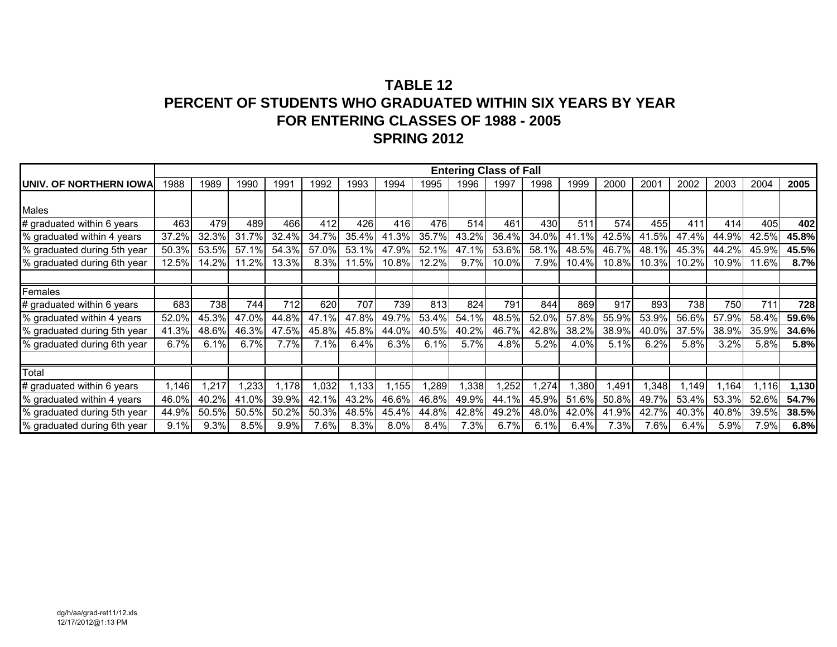|                                 |       |       |       |       |       |       |       |       | <b>Entering Class of Fall</b> |       |       |       |       |       |                      |       |       |       |
|---------------------------------|-------|-------|-------|-------|-------|-------|-------|-------|-------------------------------|-------|-------|-------|-------|-------|----------------------|-------|-------|-------|
| <b>JUNIV. OF NORTHERN IOWAL</b> | 1988  | 1989  | 1990  | 1991  | 1992  | 1993  | 1994  | 1995  | 1996                          | 1997  | 1998  | 1999  | 2000  | 2001  | 2002                 | 2003  | 2004  | 2005  |
|                                 |       |       |       |       |       |       |       |       |                               |       |       |       |       |       |                      |       |       |       |
| <b>Males</b>                    |       |       |       |       |       |       |       |       |                               |       |       |       |       |       |                      |       |       |       |
| # graduated within 6 years      | 463   | 479   | 489   | 466   | 412   | 426   | 416   | 476   | 514                           | 461   | 430   | 511   | 574   | 455   | 411                  | 414   | 405   | 402   |
| % graduated within 4 years      | 37.2% | 32.3% | 31.7% | 32.4% | 34.7% | 35.4% | 41.3% | 35.7% | 43.2%                         | 36.4% | 34.0% | 41.1% | 42.5% | 41.5% | 47.4%                | 44.9% | 42.5% | 45.8% |
| % graduated during 5th year     | 50.3% | 53.5% | 57.1% | 54.3% | 57.0% | 53.1% | 47.9% | 52.1% | 47.1%                         | 53.6% | 58.1% | 48.5% | 46.7% | 48.1% | 45.3%                | 44.2% | 45.9% | 45.5% |
| % graduated during 6th year     | 12.5% | 14.2% | 11.2% | 13.3% | 8.3%  | 11.5% | 10.8% | 12.2% | 9.7%                          | 10.0% | 7.9%  | 10.4% | 10.8% | 10.3% | 10.2%                | 10.9% | 11.6% | 8.7%  |
|                                 |       |       |       |       |       |       |       |       |                               |       |       |       |       |       |                      |       |       |       |
| Females                         |       |       |       |       |       |       |       |       |                               |       |       |       |       |       |                      |       |       |       |
| # graduated within 6 years      | 683   | 738   | 744   | 712   | 620   | 707   | 739   | 813   | 824                           | 791   | 844   | 869   | 917   | 893   | 738                  | 750I  | 711   | 728   |
| % graduated within 4 years      | 52.0% | 45.3% | 47.0% | 44.8% | 47.1% | 47.8% | 49.7% | 53.4% | 54.1%                         | 48.5% | 52.0% | 57.8% | 55.9% | 53.9% | 56.6%                | 57.9% | 58.4% | 59.6% |
| % graduated during 5th year     | 41.3% | 48.6% | 46.3% | 47.5% | 45.8% | 45.8% | 44.0% | 40.5% | 40.2%                         | 46.7% | 42.8% | 38.2% | 38.9% | 40.0% | 37.5%                | 38.9% | 35.9% | 34.6% |
| % graduated during 6th year     | 6.7%  | 6.1%  | 6.7%  | 7.7%  | 7.1%  | 6.4%  | 6.3%  | 6.1%  | 5.7%                          | 4.8%  | 5.2%  | 4.0%  | 5.1%  | 6.2%  | 5.8%                 | 3.2%  | 5.8%  | 5.8%  |
|                                 |       |       |       |       |       |       |       |       |                               |       |       |       |       |       |                      |       |       |       |
| Total                           |       |       |       |       |       |       |       |       |                               |       |       |       |       |       |                      |       |       |       |
| # graduated within 6 years      | 1,146 | 1,217 | ,233  | 1,178 | 1,032 | 1,133 | ,155  | ,289  | 1,338                         | ,252  | ,274  | ,380  | 1,491 | 1,348 | $\left  .149\right $ | 1.164 | 1.116 | 1,130 |
| % graduated within 4 years      | 46.0% | 40.2% | 41.0% | 39.9% | 42.1% | 43.2% | 46.6% | 46.8% | 49.9%                         | 44.1% | 45.9% | 51.6% | 50.8% | 49.7% | 53.4%                | 53.3% | 52.6% | 54.7% |
| % graduated during 5th year     | 44.9% | 50.5% | 50.5% | 50.2% | 50.3% | 48.5% | 45.4% | 44.8% | 42.8%                         | 49.2% | 48.0% | 42.0% | 41.9% | 42.7% | 40.3%                | 40.8% | 39.5% | 38.5% |
| % graduated during 6th year     | 9.1%  | 9.3%  | 8.5%  | 9.9%  | 7.6%  | 8.3%  | 8.0%  | 8.4%  | 7.3%                          | 6.7%  | 6.1%  | 6.4%  | 7.3%  | 7.6%  | 6.4%                 | 5.9%  | 7.9%  | 6.8%  |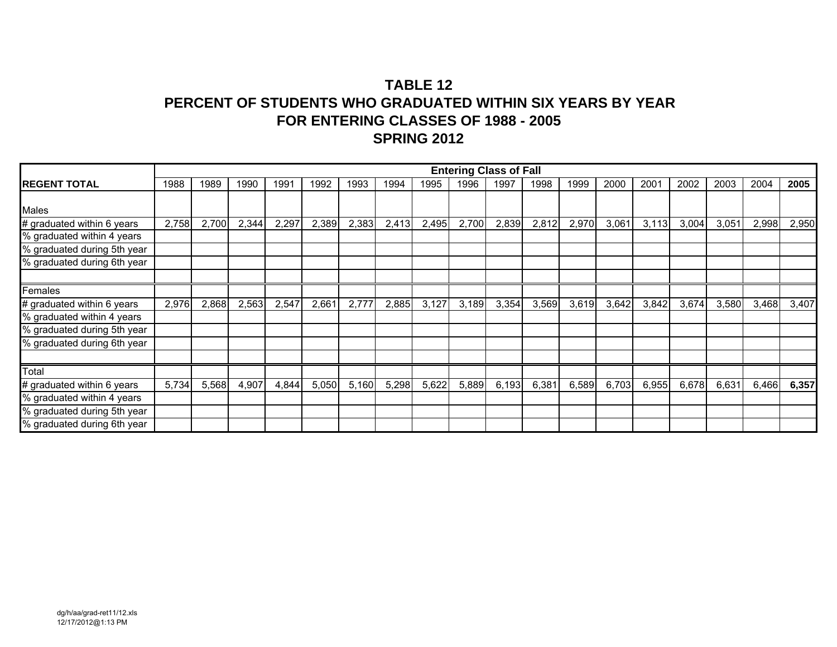|                             |       |       |       |       |       |       |       |       |       | <b>Entering Class of Fall</b> |       |       |       |       |       |       |       |       |
|-----------------------------|-------|-------|-------|-------|-------|-------|-------|-------|-------|-------------------------------|-------|-------|-------|-------|-------|-------|-------|-------|
| <b>IREGENT TOTAL</b>        | 1988  | 1989  | 1990  | 1991  | 1992  | 1993  | 1994  | 1995  | 1996  | 1997                          | 1998  | 1999  | 2000  | 2001  | 2002  | 2003  | 2004  | 2005  |
|                             |       |       |       |       |       |       |       |       |       |                               |       |       |       |       |       |       |       |       |
| <b>Males</b>                |       |       |       |       |       |       |       |       |       |                               |       |       |       |       |       |       |       |       |
| # graduated within 6 years  | 2,758 | 2,700 | 2,344 | 2,297 | 2,389 | 2,383 | 2,413 | 2,495 | 2,700 | 2,839                         | 2,812 | 2,970 | 3,061 | 3,113 | 3,004 | 3,051 | 2,998 | 2,950 |
| % graduated within 4 years  |       |       |       |       |       |       |       |       |       |                               |       |       |       |       |       |       |       |       |
| % graduated during 5th year |       |       |       |       |       |       |       |       |       |                               |       |       |       |       |       |       |       |       |
| % graduated during 6th year |       |       |       |       |       |       |       |       |       |                               |       |       |       |       |       |       |       |       |
|                             |       |       |       |       |       |       |       |       |       |                               |       |       |       |       |       |       |       |       |
| Females                     |       |       |       |       |       |       |       |       |       |                               |       |       |       |       |       |       |       |       |
| # graduated within 6 years  | 2,976 | 2,868 | 2,563 | 2,547 | 2,661 | 2,777 | 2,885 | 3,127 | 3,189 | 3,354                         | 3,569 | 3,619 | 3,642 | 3,842 | 3,674 | 3,580 | 3,468 | 3,407 |
| % graduated within 4 years  |       |       |       |       |       |       |       |       |       |                               |       |       |       |       |       |       |       |       |
| % graduated during 5th year |       |       |       |       |       |       |       |       |       |                               |       |       |       |       |       |       |       |       |
| % graduated during 6th year |       |       |       |       |       |       |       |       |       |                               |       |       |       |       |       |       |       |       |
|                             |       |       |       |       |       |       |       |       |       |                               |       |       |       |       |       |       |       |       |
| Total                       |       |       |       |       |       |       |       |       |       |                               |       |       |       |       |       |       |       |       |
| # graduated within 6 years  | 5,734 | 5,568 | 4,907 | 4,844 | 5,050 | 5,160 | 5,298 | 5,622 | 5,889 | 6,193                         | 6,381 | 6,589 | 6,703 | 6,955 | 6,678 | 6,631 | 6,466 | 6,357 |
| % graduated within 4 years  |       |       |       |       |       |       |       |       |       |                               |       |       |       |       |       |       |       |       |
| % graduated during 5th year |       |       |       |       |       |       |       |       |       |                               |       |       |       |       |       |       |       |       |
| % graduated during 6th year |       |       |       |       |       |       |       |       |       |                               |       |       |       |       |       |       |       |       |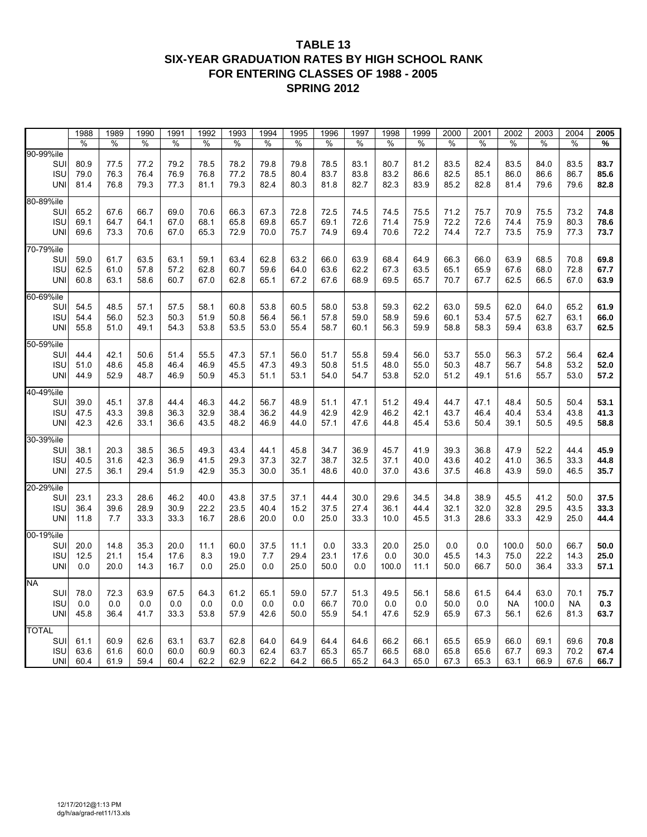#### **TABLE 13 SIX-YEAR GRADUATION RATES BY HIGH SCHOOL RANK FOR ENTERING CLASSES OF 1988 - 2005 SPRING 2012**

| %<br>%<br>%<br>%<br>80.9<br>79.8<br>79.8<br>83.1<br>80.7<br>82.4<br>83.5<br>SUI<br>77.5<br>77.2<br>79.2<br>78.5<br>78.2<br>78.5<br>81.2<br>83.5<br>83.5<br>84.0<br>83.7<br><b>ISU</b><br>78.5<br>80.4<br>82.5<br>79.0<br>76.3<br>76.4<br>76.9<br>76.8<br>77.2<br>83.7<br>83.8<br>83.2<br>86.6<br>85.1<br>86.0<br>86.6<br>86.7<br>85.6<br>79.3<br>82.4<br><b>UNI</b><br>81.4<br>76.8<br>79.3<br>77.3<br>81.1<br>80.3<br>81.8<br>82.7<br>82.3<br>83.9<br>85.2<br>82.8<br>81.4<br>79.6<br>79.6<br>82.8<br>80-89%ile<br>65.2<br>66.3<br>67.3<br>74.5<br>71.2<br>75.7<br>70.9<br>74.8<br>SUI<br>67.6<br>66.7<br>69.0<br>70.6<br>72.8<br>72.5<br>74.5<br>75.5<br>75.5<br>73.2<br><b>ISU</b><br>69.1<br>68.1<br>65.8<br>69.8<br>65.7<br>69.1<br>72.6<br>71.4<br>75.9<br>72.2<br>75.9<br>80.3<br>78.6<br>64.7<br>64.1<br>67.0<br>72.6<br>74.4<br><b>UNI</b><br>69.6<br>67.0<br>65.3<br>72.9<br>70.0<br>75.7<br>69.4<br>75.9<br>73.7<br>73.3<br>70.6<br>74.9<br>70.6<br>72.2<br>74.4<br>72.7<br>73.5<br>77.3<br>70-79%ile<br>SUI<br>59.0<br>63.5<br>63.1<br>59.1<br>63.4<br>62.8<br>63.2<br>66.0<br>63.9<br>68.4<br>64.9<br>66.3<br>66.0<br>63.9<br>68.5<br>70.8<br>69.8<br>61.7<br>62.5<br>60.7<br>59.6<br>72.8<br>67.7<br><b>ISU</b><br>57.8<br>57.2<br>62.8<br>64.0<br>63.6<br>62.2<br>67.3<br>63.5<br>65.1<br>65.9<br>67.6<br>68.0<br>61.0<br><b>UNI</b><br>60.8<br>63.1<br>58.6<br>60.7<br>67.0<br>62.8<br>65.1<br>67.2<br>69.5<br>62.5<br>67.0<br>63.9<br>67.6<br>68.9<br>65.7<br>70.7<br>67.7<br>66.5<br>60-69%ile<br>54.5<br>48.5<br>58.1<br>60.8<br>53.8<br>60.5<br>58.0<br>53.8<br>59.3<br>62.2<br>63.0<br>59.5<br>62.0<br>64.0<br>65.2<br>61.9<br>SUI<br>57.1<br>57.5<br><b>ISU</b><br>52.3<br>51.9<br>50.8<br>58.9<br>59.6<br>62.7<br>63.1<br>54.4<br>56.0<br>50.3<br>56.4<br>56.1<br>57.8<br>59.0<br>60.1<br>53.4<br>57.5<br>66.0<br>55.8<br>53.8<br>53.5<br>53.0<br>58.7<br>56.3<br>62.5<br>UNI<br>51.0<br>49.1<br>54.3<br>55.4<br>60.1<br>59.9<br>58.8<br>58.3<br>59.4<br>63.8<br>63.7<br>50-59%ile<br>SUI<br>44.4<br>42.1<br>57.1<br>56.0<br>59.4<br>56.0<br>53.7<br>55.0<br>56.3<br>62.4<br>50.6<br>51.4<br>55.5<br>47.3<br>51.7<br>55.8<br>57.2<br>56.4<br><b>ISU</b><br>51.0<br>48.6<br>45.8<br>46.4<br>46.9<br>45.5<br>47.3<br>49.3<br>50.8<br>51.5<br>48.0<br>55.0<br>50.3<br>48.7<br>56.7<br>54.8<br>53.2<br>52.0<br>57.2<br><b>UNI</b><br>44.9<br>52.9<br>48.7<br>46.9<br>50.9<br>45.3<br>51.1<br>53.1<br>54.0<br>54.7<br>53.8<br>52.0<br>51.2<br>49.1<br>51.6<br>55.7<br>53.0<br>40-49%ile<br>39.0<br>45.1<br>46.3<br>44.2<br>56.7<br>48.9<br>47.1<br>51.2<br>44.7<br>47.1<br>53.1<br><b>SUI</b><br>37.8<br>44.4<br>51.1<br>49.4<br>48.4<br>50.5<br>50.4<br><b>ISU</b><br>32.9<br>38.4<br>36.2<br>44.9<br>42.9<br>42.9<br>46.2<br>41.3<br>47.5<br>43.3<br>39.8<br>36.3<br>42.1<br>43.7<br>46.4<br>40.4<br>53.4<br>43.8<br>43.5<br>58.8<br><b>UNI</b><br>42.3<br>42.6<br>33.1<br>36.6<br>48.2<br>46.9<br>44.0<br>57.1<br>47.6<br>44.8<br>45.4<br>53.6<br>50.4<br>39.1<br>50.5<br>49.5<br>30-39%ile<br>44.1<br>45.8<br>45.9<br>SUI<br>38.1<br>20.3<br>38.5<br>36.5<br>49.3<br>43.4<br>34.7<br>36.9<br>45.7<br>41.9<br>39.3<br>36.8<br>47.9<br>52.2<br>44.4<br><b>ISU</b><br>40.5<br>29.3<br>37.3<br>32.7<br>38.7<br>32.5<br>36.5<br>44.8<br>31.6<br>42.3<br>36.9<br>41.5<br>37.1<br>40.0<br>43.6<br>40.2<br>41.0<br>33.3<br>27.5<br>29.4<br>42.9<br>35.3<br>30.0<br>35.1<br>48.6<br>37.0<br>59.0<br>35.7<br>UNI<br>36.1<br>51.9<br>40.0<br>43.6<br>37.5<br>46.8<br>43.9<br>46.5<br>20-29%ile<br>23.1<br>37.5<br>37.1<br>29.6<br>38.9<br>41.2<br>37.5<br>SUI<br>23.3<br>28.6<br>46.2<br>40.0<br>43.8<br>44.4<br>30.0<br>34.5<br>34.8<br>45.5<br>50.0<br><b>ISU</b><br>36.4<br>39.6<br>30.9<br>22.2<br>23.5<br>40.4<br>15.2<br>37.5<br>36.1<br>44.4<br>32.1<br>32.0<br>29.5<br>33.3<br>28.9<br>27.4<br>32.8<br>43.5<br>33.3<br>33.3<br>16.7<br>28.6<br>20.0<br>0.0<br>25.0<br>33.3<br>31.3<br>33.3<br>42.9<br>25.0<br>44.4<br>UNI<br>11.8<br>7.7<br>10.0<br>45.5<br>28.6<br>25.0<br>50.0<br>SUI<br>20.0<br>14.8<br>35.3<br>20.0<br>60.0<br>37.5<br>11.1<br>0.0<br>33.3<br>20.0<br>0.0<br>0.0<br>100.0<br>50.0<br>66.7<br>11.1<br>29.4<br><b>ISU</b><br>12.5<br>21.1<br>15.4<br>17.6<br>8.3<br>19.0<br>7.7<br>23.1<br>17.6<br>0.0<br>30.0<br>45.5<br>14.3<br>75.0<br>22.2<br>25.0<br>14.3<br>0.0<br>25.0<br>33.3<br>57.1<br>UNI<br>0.0<br>20.0<br>14.3<br>16.7<br>0.0<br>25.0<br>50.0<br>0.0<br>100.0<br>50.0<br>66.7<br>50.0<br>36.4<br>11.1<br><b>NA</b><br>SUI<br>78.0<br>72.3<br>65.1<br>59.0<br>49.5<br>58.6<br>63.0<br>75.7<br>63.9<br>67.5<br>64.3<br>61.2<br>57.7<br>51.3<br>56.1<br>61.5<br>64.4<br>70.1<br><b>ISU</b><br>0.0<br>0.0<br>0.0<br>0.0<br>0.0<br>0.0<br>0.0<br>66.7<br>70.0<br>0.0<br>0.3<br>0.0<br>0.0<br>50.0<br>0.0<br><b>NA</b><br>100.0<br><b>NA</b><br><b>UNI</b><br>45.8<br>36.4<br>41.7<br>33.3<br>53.8<br>57.9<br>42.6<br>50.0<br>55.9<br>56.1<br>81.3<br>63.7<br>54.1<br>47.6<br>52.9<br>65.9<br>67.3<br>62.6<br>70.8<br>SUI<br>61.1<br>60.9<br>62.6<br>63.1<br>63.7<br>62.8<br>64.0<br>64.9<br>64.4<br>64.6<br>66.2<br>66.1<br>65.5<br>65.9<br>66.0<br>69.1<br>69.6<br>67.4<br><b>ISU</b><br>63.6<br>60.0<br>60.0<br>60.9<br>60.3<br>62.4<br>63.7<br>65.3<br>65.7<br>66.5<br>68.0<br>65.8<br>67.7<br>69.3<br>70.2<br>61.6<br>65.6<br>62.2<br>62.9<br>66.7<br>60.4<br>61.9<br>59.4<br>60.4<br>64.2<br>66.5<br>65.2<br>64.3<br>65.0<br>67.3<br>65.3<br>63.1<br>66.9<br>67.6 |              | 1988 | 1989 | 1990 | 1991 | 1992 | 1993 | 1994 | 1995 | 1996 | 1997 | 1998 | 1999 | 2000 | 2001 | 2002 | 2003 | 2004 | 2005 |
|---------------------------------------------------------------------------------------------------------------------------------------------------------------------------------------------------------------------------------------------------------------------------------------------------------------------------------------------------------------------------------------------------------------------------------------------------------------------------------------------------------------------------------------------------------------------------------------------------------------------------------------------------------------------------------------------------------------------------------------------------------------------------------------------------------------------------------------------------------------------------------------------------------------------------------------------------------------------------------------------------------------------------------------------------------------------------------------------------------------------------------------------------------------------------------------------------------------------------------------------------------------------------------------------------------------------------------------------------------------------------------------------------------------------------------------------------------------------------------------------------------------------------------------------------------------------------------------------------------------------------------------------------------------------------------------------------------------------------------------------------------------------------------------------------------------------------------------------------------------------------------------------------------------------------------------------------------------------------------------------------------------------------------------------------------------------------------------------------------------------------------------------------------------------------------------------------------------------------------------------------------------------------------------------------------------------------------------------------------------------------------------------------------------------------------------------------------------------------------------------------------------------------------------------------------------------------------------------------------------------------------------------------------------------------------------------------------------------------------------------------------------------------------------------------------------------------------------------------------------------------------------------------------------------------------------------------------------------------------------------------------------------------------------------------------------------------------------------------------------------------------------------------------------------------------------------------------------------------------------------------------------------------------------------------------------------------------------------------------------------------------------------------------------------------------------------------------------------------------------------------------------------------------------------------------------------------------------------------------------------------------------------------------------------------------------------------------------------------------------------------------------------------------------------------------------------------------------------------------------------------------------------------------------------------------------------------------------------------------------------------------------------------------------------------------------------------------------------------------------------------------------------------------------------------------------------------------------------------------------------------------------------------------------------------------------------------------------------------------------------------------------------------------------------------------------------------------------------------------------------------------------------------------------------------------------------------------------------------------------------------------------------------------------------------------------------------------------------------------------------------------------------------------------------------------------------------------------------------------------------------------------------------------------------------------------------------------------------------------------------------------------------------------------------------------------------------------------------------------------------------------------------------------------------------------------------------------------------------------------------------------------------------------------------------------------------------------------------------------------------------------------------------------------------|--------------|------|------|------|------|------|------|------|------|------|------|------|------|------|------|------|------|------|------|
|                                                                                                                                                                                                                                                                                                                                                                                                                                                                                                                                                                                                                                                                                                                                                                                                                                                                                                                                                                                                                                                                                                                                                                                                                                                                                                                                                                                                                                                                                                                                                                                                                                                                                                                                                                                                                                                                                                                                                                                                                                                                                                                                                                                                                                                                                                                                                                                                                                                                                                                                                                                                                                                                                                                                                                                                                                                                                                                                                                                                                                                                                                                                                                                                                                                                                                                                                                                                                                                                                                                                                                                                                                                                                                                                                                                                                                                                                                                                                                                                                                                                                                                                                                                                                                                                                                                                                                                                                                                                                                                                                                                                                                                                                                                                                                                                                                                                                                                                                                                                                                                                                                                                                                                                                                                                                                                                                                                                                     |              | %    |      | %    |      | $\%$ | %    | %    | $\%$ | %    | $\%$ | %    | %    | %    |      | %    | %    |      | %    |
|                                                                                                                                                                                                                                                                                                                                                                                                                                                                                                                                                                                                                                                                                                                                                                                                                                                                                                                                                                                                                                                                                                                                                                                                                                                                                                                                                                                                                                                                                                                                                                                                                                                                                                                                                                                                                                                                                                                                                                                                                                                                                                                                                                                                                                                                                                                                                                                                                                                                                                                                                                                                                                                                                                                                                                                                                                                                                                                                                                                                                                                                                                                                                                                                                                                                                                                                                                                                                                                                                                                                                                                                                                                                                                                                                                                                                                                                                                                                                                                                                                                                                                                                                                                                                                                                                                                                                                                                                                                                                                                                                                                                                                                                                                                                                                                                                                                                                                                                                                                                                                                                                                                                                                                                                                                                                                                                                                                                                     | 90-99%ile    |      |      |      |      |      |      |      |      |      |      |      |      |      |      |      |      |      |      |
|                                                                                                                                                                                                                                                                                                                                                                                                                                                                                                                                                                                                                                                                                                                                                                                                                                                                                                                                                                                                                                                                                                                                                                                                                                                                                                                                                                                                                                                                                                                                                                                                                                                                                                                                                                                                                                                                                                                                                                                                                                                                                                                                                                                                                                                                                                                                                                                                                                                                                                                                                                                                                                                                                                                                                                                                                                                                                                                                                                                                                                                                                                                                                                                                                                                                                                                                                                                                                                                                                                                                                                                                                                                                                                                                                                                                                                                                                                                                                                                                                                                                                                                                                                                                                                                                                                                                                                                                                                                                                                                                                                                                                                                                                                                                                                                                                                                                                                                                                                                                                                                                                                                                                                                                                                                                                                                                                                                                                     |              |      |      |      |      |      |      |      |      |      |      |      |      |      |      |      |      |      |      |
|                                                                                                                                                                                                                                                                                                                                                                                                                                                                                                                                                                                                                                                                                                                                                                                                                                                                                                                                                                                                                                                                                                                                                                                                                                                                                                                                                                                                                                                                                                                                                                                                                                                                                                                                                                                                                                                                                                                                                                                                                                                                                                                                                                                                                                                                                                                                                                                                                                                                                                                                                                                                                                                                                                                                                                                                                                                                                                                                                                                                                                                                                                                                                                                                                                                                                                                                                                                                                                                                                                                                                                                                                                                                                                                                                                                                                                                                                                                                                                                                                                                                                                                                                                                                                                                                                                                                                                                                                                                                                                                                                                                                                                                                                                                                                                                                                                                                                                                                                                                                                                                                                                                                                                                                                                                                                                                                                                                                                     |              |      |      |      |      |      |      |      |      |      |      |      |      |      |      |      |      |      |      |
|                                                                                                                                                                                                                                                                                                                                                                                                                                                                                                                                                                                                                                                                                                                                                                                                                                                                                                                                                                                                                                                                                                                                                                                                                                                                                                                                                                                                                                                                                                                                                                                                                                                                                                                                                                                                                                                                                                                                                                                                                                                                                                                                                                                                                                                                                                                                                                                                                                                                                                                                                                                                                                                                                                                                                                                                                                                                                                                                                                                                                                                                                                                                                                                                                                                                                                                                                                                                                                                                                                                                                                                                                                                                                                                                                                                                                                                                                                                                                                                                                                                                                                                                                                                                                                                                                                                                                                                                                                                                                                                                                                                                                                                                                                                                                                                                                                                                                                                                                                                                                                                                                                                                                                                                                                                                                                                                                                                                                     |              |      |      |      |      |      |      |      |      |      |      |      |      |      |      |      |      |      |      |
|                                                                                                                                                                                                                                                                                                                                                                                                                                                                                                                                                                                                                                                                                                                                                                                                                                                                                                                                                                                                                                                                                                                                                                                                                                                                                                                                                                                                                                                                                                                                                                                                                                                                                                                                                                                                                                                                                                                                                                                                                                                                                                                                                                                                                                                                                                                                                                                                                                                                                                                                                                                                                                                                                                                                                                                                                                                                                                                                                                                                                                                                                                                                                                                                                                                                                                                                                                                                                                                                                                                                                                                                                                                                                                                                                                                                                                                                                                                                                                                                                                                                                                                                                                                                                                                                                                                                                                                                                                                                                                                                                                                                                                                                                                                                                                                                                                                                                                                                                                                                                                                                                                                                                                                                                                                                                                                                                                                                                     |              |      |      |      |      |      |      |      |      |      |      |      |      |      |      |      |      |      |      |
|                                                                                                                                                                                                                                                                                                                                                                                                                                                                                                                                                                                                                                                                                                                                                                                                                                                                                                                                                                                                                                                                                                                                                                                                                                                                                                                                                                                                                                                                                                                                                                                                                                                                                                                                                                                                                                                                                                                                                                                                                                                                                                                                                                                                                                                                                                                                                                                                                                                                                                                                                                                                                                                                                                                                                                                                                                                                                                                                                                                                                                                                                                                                                                                                                                                                                                                                                                                                                                                                                                                                                                                                                                                                                                                                                                                                                                                                                                                                                                                                                                                                                                                                                                                                                                                                                                                                                                                                                                                                                                                                                                                                                                                                                                                                                                                                                                                                                                                                                                                                                                                                                                                                                                                                                                                                                                                                                                                                                     |              |      |      |      |      |      |      |      |      |      |      |      |      |      |      |      |      |      |      |
|                                                                                                                                                                                                                                                                                                                                                                                                                                                                                                                                                                                                                                                                                                                                                                                                                                                                                                                                                                                                                                                                                                                                                                                                                                                                                                                                                                                                                                                                                                                                                                                                                                                                                                                                                                                                                                                                                                                                                                                                                                                                                                                                                                                                                                                                                                                                                                                                                                                                                                                                                                                                                                                                                                                                                                                                                                                                                                                                                                                                                                                                                                                                                                                                                                                                                                                                                                                                                                                                                                                                                                                                                                                                                                                                                                                                                                                                                                                                                                                                                                                                                                                                                                                                                                                                                                                                                                                                                                                                                                                                                                                                                                                                                                                                                                                                                                                                                                                                                                                                                                                                                                                                                                                                                                                                                                                                                                                                                     |              |      |      |      |      |      |      |      |      |      |      |      |      |      |      |      |      |      |      |
|                                                                                                                                                                                                                                                                                                                                                                                                                                                                                                                                                                                                                                                                                                                                                                                                                                                                                                                                                                                                                                                                                                                                                                                                                                                                                                                                                                                                                                                                                                                                                                                                                                                                                                                                                                                                                                                                                                                                                                                                                                                                                                                                                                                                                                                                                                                                                                                                                                                                                                                                                                                                                                                                                                                                                                                                                                                                                                                                                                                                                                                                                                                                                                                                                                                                                                                                                                                                                                                                                                                                                                                                                                                                                                                                                                                                                                                                                                                                                                                                                                                                                                                                                                                                                                                                                                                                                                                                                                                                                                                                                                                                                                                                                                                                                                                                                                                                                                                                                                                                                                                                                                                                                                                                                                                                                                                                                                                                                     |              |      |      |      |      |      |      |      |      |      |      |      |      |      |      |      |      |      |      |
|                                                                                                                                                                                                                                                                                                                                                                                                                                                                                                                                                                                                                                                                                                                                                                                                                                                                                                                                                                                                                                                                                                                                                                                                                                                                                                                                                                                                                                                                                                                                                                                                                                                                                                                                                                                                                                                                                                                                                                                                                                                                                                                                                                                                                                                                                                                                                                                                                                                                                                                                                                                                                                                                                                                                                                                                                                                                                                                                                                                                                                                                                                                                                                                                                                                                                                                                                                                                                                                                                                                                                                                                                                                                                                                                                                                                                                                                                                                                                                                                                                                                                                                                                                                                                                                                                                                                                                                                                                                                                                                                                                                                                                                                                                                                                                                                                                                                                                                                                                                                                                                                                                                                                                                                                                                                                                                                                                                                                     |              |      |      |      |      |      |      |      |      |      |      |      |      |      |      |      |      |      |      |
|                                                                                                                                                                                                                                                                                                                                                                                                                                                                                                                                                                                                                                                                                                                                                                                                                                                                                                                                                                                                                                                                                                                                                                                                                                                                                                                                                                                                                                                                                                                                                                                                                                                                                                                                                                                                                                                                                                                                                                                                                                                                                                                                                                                                                                                                                                                                                                                                                                                                                                                                                                                                                                                                                                                                                                                                                                                                                                                                                                                                                                                                                                                                                                                                                                                                                                                                                                                                                                                                                                                                                                                                                                                                                                                                                                                                                                                                                                                                                                                                                                                                                                                                                                                                                                                                                                                                                                                                                                                                                                                                                                                                                                                                                                                                                                                                                                                                                                                                                                                                                                                                                                                                                                                                                                                                                                                                                                                                                     |              |      |      |      |      |      |      |      |      |      |      |      |      |      |      |      |      |      |      |
|                                                                                                                                                                                                                                                                                                                                                                                                                                                                                                                                                                                                                                                                                                                                                                                                                                                                                                                                                                                                                                                                                                                                                                                                                                                                                                                                                                                                                                                                                                                                                                                                                                                                                                                                                                                                                                                                                                                                                                                                                                                                                                                                                                                                                                                                                                                                                                                                                                                                                                                                                                                                                                                                                                                                                                                                                                                                                                                                                                                                                                                                                                                                                                                                                                                                                                                                                                                                                                                                                                                                                                                                                                                                                                                                                                                                                                                                                                                                                                                                                                                                                                                                                                                                                                                                                                                                                                                                                                                                                                                                                                                                                                                                                                                                                                                                                                                                                                                                                                                                                                                                                                                                                                                                                                                                                                                                                                                                                     |              |      |      |      |      |      |      |      |      |      |      |      |      |      |      |      |      |      |      |
|                                                                                                                                                                                                                                                                                                                                                                                                                                                                                                                                                                                                                                                                                                                                                                                                                                                                                                                                                                                                                                                                                                                                                                                                                                                                                                                                                                                                                                                                                                                                                                                                                                                                                                                                                                                                                                                                                                                                                                                                                                                                                                                                                                                                                                                                                                                                                                                                                                                                                                                                                                                                                                                                                                                                                                                                                                                                                                                                                                                                                                                                                                                                                                                                                                                                                                                                                                                                                                                                                                                                                                                                                                                                                                                                                                                                                                                                                                                                                                                                                                                                                                                                                                                                                                                                                                                                                                                                                                                                                                                                                                                                                                                                                                                                                                                                                                                                                                                                                                                                                                                                                                                                                                                                                                                                                                                                                                                                                     |              |      |      |      |      |      |      |      |      |      |      |      |      |      |      |      |      |      |      |
|                                                                                                                                                                                                                                                                                                                                                                                                                                                                                                                                                                                                                                                                                                                                                                                                                                                                                                                                                                                                                                                                                                                                                                                                                                                                                                                                                                                                                                                                                                                                                                                                                                                                                                                                                                                                                                                                                                                                                                                                                                                                                                                                                                                                                                                                                                                                                                                                                                                                                                                                                                                                                                                                                                                                                                                                                                                                                                                                                                                                                                                                                                                                                                                                                                                                                                                                                                                                                                                                                                                                                                                                                                                                                                                                                                                                                                                                                                                                                                                                                                                                                                                                                                                                                                                                                                                                                                                                                                                                                                                                                                                                                                                                                                                                                                                                                                                                                                                                                                                                                                                                                                                                                                                                                                                                                                                                                                                                                     |              |      |      |      |      |      |      |      |      |      |      |      |      |      |      |      |      |      |      |
|                                                                                                                                                                                                                                                                                                                                                                                                                                                                                                                                                                                                                                                                                                                                                                                                                                                                                                                                                                                                                                                                                                                                                                                                                                                                                                                                                                                                                                                                                                                                                                                                                                                                                                                                                                                                                                                                                                                                                                                                                                                                                                                                                                                                                                                                                                                                                                                                                                                                                                                                                                                                                                                                                                                                                                                                                                                                                                                                                                                                                                                                                                                                                                                                                                                                                                                                                                                                                                                                                                                                                                                                                                                                                                                                                                                                                                                                                                                                                                                                                                                                                                                                                                                                                                                                                                                                                                                                                                                                                                                                                                                                                                                                                                                                                                                                                                                                                                                                                                                                                                                                                                                                                                                                                                                                                                                                                                                                                     |              |      |      |      |      |      |      |      |      |      |      |      |      |      |      |      |      |      |      |
|                                                                                                                                                                                                                                                                                                                                                                                                                                                                                                                                                                                                                                                                                                                                                                                                                                                                                                                                                                                                                                                                                                                                                                                                                                                                                                                                                                                                                                                                                                                                                                                                                                                                                                                                                                                                                                                                                                                                                                                                                                                                                                                                                                                                                                                                                                                                                                                                                                                                                                                                                                                                                                                                                                                                                                                                                                                                                                                                                                                                                                                                                                                                                                                                                                                                                                                                                                                                                                                                                                                                                                                                                                                                                                                                                                                                                                                                                                                                                                                                                                                                                                                                                                                                                                                                                                                                                                                                                                                                                                                                                                                                                                                                                                                                                                                                                                                                                                                                                                                                                                                                                                                                                                                                                                                                                                                                                                                                                     |              |      |      |      |      |      |      |      |      |      |      |      |      |      |      |      |      |      |      |
|                                                                                                                                                                                                                                                                                                                                                                                                                                                                                                                                                                                                                                                                                                                                                                                                                                                                                                                                                                                                                                                                                                                                                                                                                                                                                                                                                                                                                                                                                                                                                                                                                                                                                                                                                                                                                                                                                                                                                                                                                                                                                                                                                                                                                                                                                                                                                                                                                                                                                                                                                                                                                                                                                                                                                                                                                                                                                                                                                                                                                                                                                                                                                                                                                                                                                                                                                                                                                                                                                                                                                                                                                                                                                                                                                                                                                                                                                                                                                                                                                                                                                                                                                                                                                                                                                                                                                                                                                                                                                                                                                                                                                                                                                                                                                                                                                                                                                                                                                                                                                                                                                                                                                                                                                                                                                                                                                                                                                     |              |      |      |      |      |      |      |      |      |      |      |      |      |      |      |      |      |      |      |
|                                                                                                                                                                                                                                                                                                                                                                                                                                                                                                                                                                                                                                                                                                                                                                                                                                                                                                                                                                                                                                                                                                                                                                                                                                                                                                                                                                                                                                                                                                                                                                                                                                                                                                                                                                                                                                                                                                                                                                                                                                                                                                                                                                                                                                                                                                                                                                                                                                                                                                                                                                                                                                                                                                                                                                                                                                                                                                                                                                                                                                                                                                                                                                                                                                                                                                                                                                                                                                                                                                                                                                                                                                                                                                                                                                                                                                                                                                                                                                                                                                                                                                                                                                                                                                                                                                                                                                                                                                                                                                                                                                                                                                                                                                                                                                                                                                                                                                                                                                                                                                                                                                                                                                                                                                                                                                                                                                                                                     |              |      |      |      |      |      |      |      |      |      |      |      |      |      |      |      |      |      |      |
|                                                                                                                                                                                                                                                                                                                                                                                                                                                                                                                                                                                                                                                                                                                                                                                                                                                                                                                                                                                                                                                                                                                                                                                                                                                                                                                                                                                                                                                                                                                                                                                                                                                                                                                                                                                                                                                                                                                                                                                                                                                                                                                                                                                                                                                                                                                                                                                                                                                                                                                                                                                                                                                                                                                                                                                                                                                                                                                                                                                                                                                                                                                                                                                                                                                                                                                                                                                                                                                                                                                                                                                                                                                                                                                                                                                                                                                                                                                                                                                                                                                                                                                                                                                                                                                                                                                                                                                                                                                                                                                                                                                                                                                                                                                                                                                                                                                                                                                                                                                                                                                                                                                                                                                                                                                                                                                                                                                                                     |              |      |      |      |      |      |      |      |      |      |      |      |      |      |      |      |      |      |      |
|                                                                                                                                                                                                                                                                                                                                                                                                                                                                                                                                                                                                                                                                                                                                                                                                                                                                                                                                                                                                                                                                                                                                                                                                                                                                                                                                                                                                                                                                                                                                                                                                                                                                                                                                                                                                                                                                                                                                                                                                                                                                                                                                                                                                                                                                                                                                                                                                                                                                                                                                                                                                                                                                                                                                                                                                                                                                                                                                                                                                                                                                                                                                                                                                                                                                                                                                                                                                                                                                                                                                                                                                                                                                                                                                                                                                                                                                                                                                                                                                                                                                                                                                                                                                                                                                                                                                                                                                                                                                                                                                                                                                                                                                                                                                                                                                                                                                                                                                                                                                                                                                                                                                                                                                                                                                                                                                                                                                                     |              |      |      |      |      |      |      |      |      |      |      |      |      |      |      |      |      |      |      |
|                                                                                                                                                                                                                                                                                                                                                                                                                                                                                                                                                                                                                                                                                                                                                                                                                                                                                                                                                                                                                                                                                                                                                                                                                                                                                                                                                                                                                                                                                                                                                                                                                                                                                                                                                                                                                                                                                                                                                                                                                                                                                                                                                                                                                                                                                                                                                                                                                                                                                                                                                                                                                                                                                                                                                                                                                                                                                                                                                                                                                                                                                                                                                                                                                                                                                                                                                                                                                                                                                                                                                                                                                                                                                                                                                                                                                                                                                                                                                                                                                                                                                                                                                                                                                                                                                                                                                                                                                                                                                                                                                                                                                                                                                                                                                                                                                                                                                                                                                                                                                                                                                                                                                                                                                                                                                                                                                                                                                     |              |      |      |      |      |      |      |      |      |      |      |      |      |      |      |      |      |      |      |
|                                                                                                                                                                                                                                                                                                                                                                                                                                                                                                                                                                                                                                                                                                                                                                                                                                                                                                                                                                                                                                                                                                                                                                                                                                                                                                                                                                                                                                                                                                                                                                                                                                                                                                                                                                                                                                                                                                                                                                                                                                                                                                                                                                                                                                                                                                                                                                                                                                                                                                                                                                                                                                                                                                                                                                                                                                                                                                                                                                                                                                                                                                                                                                                                                                                                                                                                                                                                                                                                                                                                                                                                                                                                                                                                                                                                                                                                                                                                                                                                                                                                                                                                                                                                                                                                                                                                                                                                                                                                                                                                                                                                                                                                                                                                                                                                                                                                                                                                                                                                                                                                                                                                                                                                                                                                                                                                                                                                                     |              |      |      |      |      |      |      |      |      |      |      |      |      |      |      |      |      |      |      |
|                                                                                                                                                                                                                                                                                                                                                                                                                                                                                                                                                                                                                                                                                                                                                                                                                                                                                                                                                                                                                                                                                                                                                                                                                                                                                                                                                                                                                                                                                                                                                                                                                                                                                                                                                                                                                                                                                                                                                                                                                                                                                                                                                                                                                                                                                                                                                                                                                                                                                                                                                                                                                                                                                                                                                                                                                                                                                                                                                                                                                                                                                                                                                                                                                                                                                                                                                                                                                                                                                                                                                                                                                                                                                                                                                                                                                                                                                                                                                                                                                                                                                                                                                                                                                                                                                                                                                                                                                                                                                                                                                                                                                                                                                                                                                                                                                                                                                                                                                                                                                                                                                                                                                                                                                                                                                                                                                                                                                     |              |      |      |      |      |      |      |      |      |      |      |      |      |      |      |      |      |      |      |
|                                                                                                                                                                                                                                                                                                                                                                                                                                                                                                                                                                                                                                                                                                                                                                                                                                                                                                                                                                                                                                                                                                                                                                                                                                                                                                                                                                                                                                                                                                                                                                                                                                                                                                                                                                                                                                                                                                                                                                                                                                                                                                                                                                                                                                                                                                                                                                                                                                                                                                                                                                                                                                                                                                                                                                                                                                                                                                                                                                                                                                                                                                                                                                                                                                                                                                                                                                                                                                                                                                                                                                                                                                                                                                                                                                                                                                                                                                                                                                                                                                                                                                                                                                                                                                                                                                                                                                                                                                                                                                                                                                                                                                                                                                                                                                                                                                                                                                                                                                                                                                                                                                                                                                                                                                                                                                                                                                                                                     |              |      |      |      |      |      |      |      |      |      |      |      |      |      |      |      |      |      |      |
|                                                                                                                                                                                                                                                                                                                                                                                                                                                                                                                                                                                                                                                                                                                                                                                                                                                                                                                                                                                                                                                                                                                                                                                                                                                                                                                                                                                                                                                                                                                                                                                                                                                                                                                                                                                                                                                                                                                                                                                                                                                                                                                                                                                                                                                                                                                                                                                                                                                                                                                                                                                                                                                                                                                                                                                                                                                                                                                                                                                                                                                                                                                                                                                                                                                                                                                                                                                                                                                                                                                                                                                                                                                                                                                                                                                                                                                                                                                                                                                                                                                                                                                                                                                                                                                                                                                                                                                                                                                                                                                                                                                                                                                                                                                                                                                                                                                                                                                                                                                                                                                                                                                                                                                                                                                                                                                                                                                                                     |              |      |      |      |      |      |      |      |      |      |      |      |      |      |      |      |      |      |      |
|                                                                                                                                                                                                                                                                                                                                                                                                                                                                                                                                                                                                                                                                                                                                                                                                                                                                                                                                                                                                                                                                                                                                                                                                                                                                                                                                                                                                                                                                                                                                                                                                                                                                                                                                                                                                                                                                                                                                                                                                                                                                                                                                                                                                                                                                                                                                                                                                                                                                                                                                                                                                                                                                                                                                                                                                                                                                                                                                                                                                                                                                                                                                                                                                                                                                                                                                                                                                                                                                                                                                                                                                                                                                                                                                                                                                                                                                                                                                                                                                                                                                                                                                                                                                                                                                                                                                                                                                                                                                                                                                                                                                                                                                                                                                                                                                                                                                                                                                                                                                                                                                                                                                                                                                                                                                                                                                                                                                                     |              |      |      |      |      |      |      |      |      |      |      |      |      |      |      |      |      |      |      |
|                                                                                                                                                                                                                                                                                                                                                                                                                                                                                                                                                                                                                                                                                                                                                                                                                                                                                                                                                                                                                                                                                                                                                                                                                                                                                                                                                                                                                                                                                                                                                                                                                                                                                                                                                                                                                                                                                                                                                                                                                                                                                                                                                                                                                                                                                                                                                                                                                                                                                                                                                                                                                                                                                                                                                                                                                                                                                                                                                                                                                                                                                                                                                                                                                                                                                                                                                                                                                                                                                                                                                                                                                                                                                                                                                                                                                                                                                                                                                                                                                                                                                                                                                                                                                                                                                                                                                                                                                                                                                                                                                                                                                                                                                                                                                                                                                                                                                                                                                                                                                                                                                                                                                                                                                                                                                                                                                                                                                     |              |      |      |      |      |      |      |      |      |      |      |      |      |      |      |      |      |      |      |
|                                                                                                                                                                                                                                                                                                                                                                                                                                                                                                                                                                                                                                                                                                                                                                                                                                                                                                                                                                                                                                                                                                                                                                                                                                                                                                                                                                                                                                                                                                                                                                                                                                                                                                                                                                                                                                                                                                                                                                                                                                                                                                                                                                                                                                                                                                                                                                                                                                                                                                                                                                                                                                                                                                                                                                                                                                                                                                                                                                                                                                                                                                                                                                                                                                                                                                                                                                                                                                                                                                                                                                                                                                                                                                                                                                                                                                                                                                                                                                                                                                                                                                                                                                                                                                                                                                                                                                                                                                                                                                                                                                                                                                                                                                                                                                                                                                                                                                                                                                                                                                                                                                                                                                                                                                                                                                                                                                                                                     |              |      |      |      |      |      |      |      |      |      |      |      |      |      |      |      |      |      |      |
|                                                                                                                                                                                                                                                                                                                                                                                                                                                                                                                                                                                                                                                                                                                                                                                                                                                                                                                                                                                                                                                                                                                                                                                                                                                                                                                                                                                                                                                                                                                                                                                                                                                                                                                                                                                                                                                                                                                                                                                                                                                                                                                                                                                                                                                                                                                                                                                                                                                                                                                                                                                                                                                                                                                                                                                                                                                                                                                                                                                                                                                                                                                                                                                                                                                                                                                                                                                                                                                                                                                                                                                                                                                                                                                                                                                                                                                                                                                                                                                                                                                                                                                                                                                                                                                                                                                                                                                                                                                                                                                                                                                                                                                                                                                                                                                                                                                                                                                                                                                                                                                                                                                                                                                                                                                                                                                                                                                                                     |              |      |      |      |      |      |      |      |      |      |      |      |      |      |      |      |      |      |      |
|                                                                                                                                                                                                                                                                                                                                                                                                                                                                                                                                                                                                                                                                                                                                                                                                                                                                                                                                                                                                                                                                                                                                                                                                                                                                                                                                                                                                                                                                                                                                                                                                                                                                                                                                                                                                                                                                                                                                                                                                                                                                                                                                                                                                                                                                                                                                                                                                                                                                                                                                                                                                                                                                                                                                                                                                                                                                                                                                                                                                                                                                                                                                                                                                                                                                                                                                                                                                                                                                                                                                                                                                                                                                                                                                                                                                                                                                                                                                                                                                                                                                                                                                                                                                                                                                                                                                                                                                                                                                                                                                                                                                                                                                                                                                                                                                                                                                                                                                                                                                                                                                                                                                                                                                                                                                                                                                                                                                                     |              |      |      |      |      |      |      |      |      |      |      |      |      |      |      |      |      |      |      |
|                                                                                                                                                                                                                                                                                                                                                                                                                                                                                                                                                                                                                                                                                                                                                                                                                                                                                                                                                                                                                                                                                                                                                                                                                                                                                                                                                                                                                                                                                                                                                                                                                                                                                                                                                                                                                                                                                                                                                                                                                                                                                                                                                                                                                                                                                                                                                                                                                                                                                                                                                                                                                                                                                                                                                                                                                                                                                                                                                                                                                                                                                                                                                                                                                                                                                                                                                                                                                                                                                                                                                                                                                                                                                                                                                                                                                                                                                                                                                                                                                                                                                                                                                                                                                                                                                                                                                                                                                                                                                                                                                                                                                                                                                                                                                                                                                                                                                                                                                                                                                                                                                                                                                                                                                                                                                                                                                                                                                     |              |      |      |      |      |      |      |      |      |      |      |      |      |      |      |      |      |      |      |
|                                                                                                                                                                                                                                                                                                                                                                                                                                                                                                                                                                                                                                                                                                                                                                                                                                                                                                                                                                                                                                                                                                                                                                                                                                                                                                                                                                                                                                                                                                                                                                                                                                                                                                                                                                                                                                                                                                                                                                                                                                                                                                                                                                                                                                                                                                                                                                                                                                                                                                                                                                                                                                                                                                                                                                                                                                                                                                                                                                                                                                                                                                                                                                                                                                                                                                                                                                                                                                                                                                                                                                                                                                                                                                                                                                                                                                                                                                                                                                                                                                                                                                                                                                                                                                                                                                                                                                                                                                                                                                                                                                                                                                                                                                                                                                                                                                                                                                                                                                                                                                                                                                                                                                                                                                                                                                                                                                                                                     |              |      |      |      |      |      |      |      |      |      |      |      |      |      |      |      |      |      |      |
|                                                                                                                                                                                                                                                                                                                                                                                                                                                                                                                                                                                                                                                                                                                                                                                                                                                                                                                                                                                                                                                                                                                                                                                                                                                                                                                                                                                                                                                                                                                                                                                                                                                                                                                                                                                                                                                                                                                                                                                                                                                                                                                                                                                                                                                                                                                                                                                                                                                                                                                                                                                                                                                                                                                                                                                                                                                                                                                                                                                                                                                                                                                                                                                                                                                                                                                                                                                                                                                                                                                                                                                                                                                                                                                                                                                                                                                                                                                                                                                                                                                                                                                                                                                                                                                                                                                                                                                                                                                                                                                                                                                                                                                                                                                                                                                                                                                                                                                                                                                                                                                                                                                                                                                                                                                                                                                                                                                                                     |              |      |      |      |      |      |      |      |      |      |      |      |      |      |      |      |      |      |      |
|                                                                                                                                                                                                                                                                                                                                                                                                                                                                                                                                                                                                                                                                                                                                                                                                                                                                                                                                                                                                                                                                                                                                                                                                                                                                                                                                                                                                                                                                                                                                                                                                                                                                                                                                                                                                                                                                                                                                                                                                                                                                                                                                                                                                                                                                                                                                                                                                                                                                                                                                                                                                                                                                                                                                                                                                                                                                                                                                                                                                                                                                                                                                                                                                                                                                                                                                                                                                                                                                                                                                                                                                                                                                                                                                                                                                                                                                                                                                                                                                                                                                                                                                                                                                                                                                                                                                                                                                                                                                                                                                                                                                                                                                                                                                                                                                                                                                                                                                                                                                                                                                                                                                                                                                                                                                                                                                                                                                                     |              |      |      |      |      |      |      |      |      |      |      |      |      |      |      |      |      |      |      |
|                                                                                                                                                                                                                                                                                                                                                                                                                                                                                                                                                                                                                                                                                                                                                                                                                                                                                                                                                                                                                                                                                                                                                                                                                                                                                                                                                                                                                                                                                                                                                                                                                                                                                                                                                                                                                                                                                                                                                                                                                                                                                                                                                                                                                                                                                                                                                                                                                                                                                                                                                                                                                                                                                                                                                                                                                                                                                                                                                                                                                                                                                                                                                                                                                                                                                                                                                                                                                                                                                                                                                                                                                                                                                                                                                                                                                                                                                                                                                                                                                                                                                                                                                                                                                                                                                                                                                                                                                                                                                                                                                                                                                                                                                                                                                                                                                                                                                                                                                                                                                                                                                                                                                                                                                                                                                                                                                                                                                     |              |      |      |      |      |      |      |      |      |      |      |      |      |      |      |      |      |      |      |
|                                                                                                                                                                                                                                                                                                                                                                                                                                                                                                                                                                                                                                                                                                                                                                                                                                                                                                                                                                                                                                                                                                                                                                                                                                                                                                                                                                                                                                                                                                                                                                                                                                                                                                                                                                                                                                                                                                                                                                                                                                                                                                                                                                                                                                                                                                                                                                                                                                                                                                                                                                                                                                                                                                                                                                                                                                                                                                                                                                                                                                                                                                                                                                                                                                                                                                                                                                                                                                                                                                                                                                                                                                                                                                                                                                                                                                                                                                                                                                                                                                                                                                                                                                                                                                                                                                                                                                                                                                                                                                                                                                                                                                                                                                                                                                                                                                                                                                                                                                                                                                                                                                                                                                                                                                                                                                                                                                                                                     |              |      |      |      |      |      |      |      |      |      |      |      |      |      |      |      |      |      |      |
|                                                                                                                                                                                                                                                                                                                                                                                                                                                                                                                                                                                                                                                                                                                                                                                                                                                                                                                                                                                                                                                                                                                                                                                                                                                                                                                                                                                                                                                                                                                                                                                                                                                                                                                                                                                                                                                                                                                                                                                                                                                                                                                                                                                                                                                                                                                                                                                                                                                                                                                                                                                                                                                                                                                                                                                                                                                                                                                                                                                                                                                                                                                                                                                                                                                                                                                                                                                                                                                                                                                                                                                                                                                                                                                                                                                                                                                                                                                                                                                                                                                                                                                                                                                                                                                                                                                                                                                                                                                                                                                                                                                                                                                                                                                                                                                                                                                                                                                                                                                                                                                                                                                                                                                                                                                                                                                                                                                                                     |              |      |      |      |      |      |      |      |      |      |      |      |      |      |      |      |      |      |      |
|                                                                                                                                                                                                                                                                                                                                                                                                                                                                                                                                                                                                                                                                                                                                                                                                                                                                                                                                                                                                                                                                                                                                                                                                                                                                                                                                                                                                                                                                                                                                                                                                                                                                                                                                                                                                                                                                                                                                                                                                                                                                                                                                                                                                                                                                                                                                                                                                                                                                                                                                                                                                                                                                                                                                                                                                                                                                                                                                                                                                                                                                                                                                                                                                                                                                                                                                                                                                                                                                                                                                                                                                                                                                                                                                                                                                                                                                                                                                                                                                                                                                                                                                                                                                                                                                                                                                                                                                                                                                                                                                                                                                                                                                                                                                                                                                                                                                                                                                                                                                                                                                                                                                                                                                                                                                                                                                                                                                                     |              |      |      |      |      |      |      |      |      |      |      |      |      |      |      |      |      |      |      |
|                                                                                                                                                                                                                                                                                                                                                                                                                                                                                                                                                                                                                                                                                                                                                                                                                                                                                                                                                                                                                                                                                                                                                                                                                                                                                                                                                                                                                                                                                                                                                                                                                                                                                                                                                                                                                                                                                                                                                                                                                                                                                                                                                                                                                                                                                                                                                                                                                                                                                                                                                                                                                                                                                                                                                                                                                                                                                                                                                                                                                                                                                                                                                                                                                                                                                                                                                                                                                                                                                                                                                                                                                                                                                                                                                                                                                                                                                                                                                                                                                                                                                                                                                                                                                                                                                                                                                                                                                                                                                                                                                                                                                                                                                                                                                                                                                                                                                                                                                                                                                                                                                                                                                                                                                                                                                                                                                                                                                     | 00-19%ile    |      |      |      |      |      |      |      |      |      |      |      |      |      |      |      |      |      |      |
|                                                                                                                                                                                                                                                                                                                                                                                                                                                                                                                                                                                                                                                                                                                                                                                                                                                                                                                                                                                                                                                                                                                                                                                                                                                                                                                                                                                                                                                                                                                                                                                                                                                                                                                                                                                                                                                                                                                                                                                                                                                                                                                                                                                                                                                                                                                                                                                                                                                                                                                                                                                                                                                                                                                                                                                                                                                                                                                                                                                                                                                                                                                                                                                                                                                                                                                                                                                                                                                                                                                                                                                                                                                                                                                                                                                                                                                                                                                                                                                                                                                                                                                                                                                                                                                                                                                                                                                                                                                                                                                                                                                                                                                                                                                                                                                                                                                                                                                                                                                                                                                                                                                                                                                                                                                                                                                                                                                                                     |              |      |      |      |      |      |      |      |      |      |      |      |      |      |      |      |      |      |      |
|                                                                                                                                                                                                                                                                                                                                                                                                                                                                                                                                                                                                                                                                                                                                                                                                                                                                                                                                                                                                                                                                                                                                                                                                                                                                                                                                                                                                                                                                                                                                                                                                                                                                                                                                                                                                                                                                                                                                                                                                                                                                                                                                                                                                                                                                                                                                                                                                                                                                                                                                                                                                                                                                                                                                                                                                                                                                                                                                                                                                                                                                                                                                                                                                                                                                                                                                                                                                                                                                                                                                                                                                                                                                                                                                                                                                                                                                                                                                                                                                                                                                                                                                                                                                                                                                                                                                                                                                                                                                                                                                                                                                                                                                                                                                                                                                                                                                                                                                                                                                                                                                                                                                                                                                                                                                                                                                                                                                                     |              |      |      |      |      |      |      |      |      |      |      |      |      |      |      |      |      |      |      |
|                                                                                                                                                                                                                                                                                                                                                                                                                                                                                                                                                                                                                                                                                                                                                                                                                                                                                                                                                                                                                                                                                                                                                                                                                                                                                                                                                                                                                                                                                                                                                                                                                                                                                                                                                                                                                                                                                                                                                                                                                                                                                                                                                                                                                                                                                                                                                                                                                                                                                                                                                                                                                                                                                                                                                                                                                                                                                                                                                                                                                                                                                                                                                                                                                                                                                                                                                                                                                                                                                                                                                                                                                                                                                                                                                                                                                                                                                                                                                                                                                                                                                                                                                                                                                                                                                                                                                                                                                                                                                                                                                                                                                                                                                                                                                                                                                                                                                                                                                                                                                                                                                                                                                                                                                                                                                                                                                                                                                     |              |      |      |      |      |      |      |      |      |      |      |      |      |      |      |      |      |      |      |
|                                                                                                                                                                                                                                                                                                                                                                                                                                                                                                                                                                                                                                                                                                                                                                                                                                                                                                                                                                                                                                                                                                                                                                                                                                                                                                                                                                                                                                                                                                                                                                                                                                                                                                                                                                                                                                                                                                                                                                                                                                                                                                                                                                                                                                                                                                                                                                                                                                                                                                                                                                                                                                                                                                                                                                                                                                                                                                                                                                                                                                                                                                                                                                                                                                                                                                                                                                                                                                                                                                                                                                                                                                                                                                                                                                                                                                                                                                                                                                                                                                                                                                                                                                                                                                                                                                                                                                                                                                                                                                                                                                                                                                                                                                                                                                                                                                                                                                                                                                                                                                                                                                                                                                                                                                                                                                                                                                                                                     |              |      |      |      |      |      |      |      |      |      |      |      |      |      |      |      |      |      |      |
|                                                                                                                                                                                                                                                                                                                                                                                                                                                                                                                                                                                                                                                                                                                                                                                                                                                                                                                                                                                                                                                                                                                                                                                                                                                                                                                                                                                                                                                                                                                                                                                                                                                                                                                                                                                                                                                                                                                                                                                                                                                                                                                                                                                                                                                                                                                                                                                                                                                                                                                                                                                                                                                                                                                                                                                                                                                                                                                                                                                                                                                                                                                                                                                                                                                                                                                                                                                                                                                                                                                                                                                                                                                                                                                                                                                                                                                                                                                                                                                                                                                                                                                                                                                                                                                                                                                                                                                                                                                                                                                                                                                                                                                                                                                                                                                                                                                                                                                                                                                                                                                                                                                                                                                                                                                                                                                                                                                                                     |              |      |      |      |      |      |      |      |      |      |      |      |      |      |      |      |      |      |      |
|                                                                                                                                                                                                                                                                                                                                                                                                                                                                                                                                                                                                                                                                                                                                                                                                                                                                                                                                                                                                                                                                                                                                                                                                                                                                                                                                                                                                                                                                                                                                                                                                                                                                                                                                                                                                                                                                                                                                                                                                                                                                                                                                                                                                                                                                                                                                                                                                                                                                                                                                                                                                                                                                                                                                                                                                                                                                                                                                                                                                                                                                                                                                                                                                                                                                                                                                                                                                                                                                                                                                                                                                                                                                                                                                                                                                                                                                                                                                                                                                                                                                                                                                                                                                                                                                                                                                                                                                                                                                                                                                                                                                                                                                                                                                                                                                                                                                                                                                                                                                                                                                                                                                                                                                                                                                                                                                                                                                                     |              |      |      |      |      |      |      |      |      |      |      |      |      |      |      |      |      |      |      |
|                                                                                                                                                                                                                                                                                                                                                                                                                                                                                                                                                                                                                                                                                                                                                                                                                                                                                                                                                                                                                                                                                                                                                                                                                                                                                                                                                                                                                                                                                                                                                                                                                                                                                                                                                                                                                                                                                                                                                                                                                                                                                                                                                                                                                                                                                                                                                                                                                                                                                                                                                                                                                                                                                                                                                                                                                                                                                                                                                                                                                                                                                                                                                                                                                                                                                                                                                                                                                                                                                                                                                                                                                                                                                                                                                                                                                                                                                                                                                                                                                                                                                                                                                                                                                                                                                                                                                                                                                                                                                                                                                                                                                                                                                                                                                                                                                                                                                                                                                                                                                                                                                                                                                                                                                                                                                                                                                                                                                     |              |      |      |      |      |      |      |      |      |      |      |      |      |      |      |      |      |      |      |
|                                                                                                                                                                                                                                                                                                                                                                                                                                                                                                                                                                                                                                                                                                                                                                                                                                                                                                                                                                                                                                                                                                                                                                                                                                                                                                                                                                                                                                                                                                                                                                                                                                                                                                                                                                                                                                                                                                                                                                                                                                                                                                                                                                                                                                                                                                                                                                                                                                                                                                                                                                                                                                                                                                                                                                                                                                                                                                                                                                                                                                                                                                                                                                                                                                                                                                                                                                                                                                                                                                                                                                                                                                                                                                                                                                                                                                                                                                                                                                                                                                                                                                                                                                                                                                                                                                                                                                                                                                                                                                                                                                                                                                                                                                                                                                                                                                                                                                                                                                                                                                                                                                                                                                                                                                                                                                                                                                                                                     |              |      |      |      |      |      |      |      |      |      |      |      |      |      |      |      |      |      |      |
|                                                                                                                                                                                                                                                                                                                                                                                                                                                                                                                                                                                                                                                                                                                                                                                                                                                                                                                                                                                                                                                                                                                                                                                                                                                                                                                                                                                                                                                                                                                                                                                                                                                                                                                                                                                                                                                                                                                                                                                                                                                                                                                                                                                                                                                                                                                                                                                                                                                                                                                                                                                                                                                                                                                                                                                                                                                                                                                                                                                                                                                                                                                                                                                                                                                                                                                                                                                                                                                                                                                                                                                                                                                                                                                                                                                                                                                                                                                                                                                                                                                                                                                                                                                                                                                                                                                                                                                                                                                                                                                                                                                                                                                                                                                                                                                                                                                                                                                                                                                                                                                                                                                                                                                                                                                                                                                                                                                                                     | <b>TOTAL</b> |      |      |      |      |      |      |      |      |      |      |      |      |      |      |      |      |      |      |
|                                                                                                                                                                                                                                                                                                                                                                                                                                                                                                                                                                                                                                                                                                                                                                                                                                                                                                                                                                                                                                                                                                                                                                                                                                                                                                                                                                                                                                                                                                                                                                                                                                                                                                                                                                                                                                                                                                                                                                                                                                                                                                                                                                                                                                                                                                                                                                                                                                                                                                                                                                                                                                                                                                                                                                                                                                                                                                                                                                                                                                                                                                                                                                                                                                                                                                                                                                                                                                                                                                                                                                                                                                                                                                                                                                                                                                                                                                                                                                                                                                                                                                                                                                                                                                                                                                                                                                                                                                                                                                                                                                                                                                                                                                                                                                                                                                                                                                                                                                                                                                                                                                                                                                                                                                                                                                                                                                                                                     |              |      |      |      |      |      |      |      |      |      |      |      |      |      |      |      |      |      |      |
|                                                                                                                                                                                                                                                                                                                                                                                                                                                                                                                                                                                                                                                                                                                                                                                                                                                                                                                                                                                                                                                                                                                                                                                                                                                                                                                                                                                                                                                                                                                                                                                                                                                                                                                                                                                                                                                                                                                                                                                                                                                                                                                                                                                                                                                                                                                                                                                                                                                                                                                                                                                                                                                                                                                                                                                                                                                                                                                                                                                                                                                                                                                                                                                                                                                                                                                                                                                                                                                                                                                                                                                                                                                                                                                                                                                                                                                                                                                                                                                                                                                                                                                                                                                                                                                                                                                                                                                                                                                                                                                                                                                                                                                                                                                                                                                                                                                                                                                                                                                                                                                                                                                                                                                                                                                                                                                                                                                                                     |              |      |      |      |      |      |      |      |      |      |      |      |      |      |      |      |      |      |      |
|                                                                                                                                                                                                                                                                                                                                                                                                                                                                                                                                                                                                                                                                                                                                                                                                                                                                                                                                                                                                                                                                                                                                                                                                                                                                                                                                                                                                                                                                                                                                                                                                                                                                                                                                                                                                                                                                                                                                                                                                                                                                                                                                                                                                                                                                                                                                                                                                                                                                                                                                                                                                                                                                                                                                                                                                                                                                                                                                                                                                                                                                                                                                                                                                                                                                                                                                                                                                                                                                                                                                                                                                                                                                                                                                                                                                                                                                                                                                                                                                                                                                                                                                                                                                                                                                                                                                                                                                                                                                                                                                                                                                                                                                                                                                                                                                                                                                                                                                                                                                                                                                                                                                                                                                                                                                                                                                                                                                                     | <b>UNI</b>   |      |      |      |      |      |      | 62.2 |      |      |      |      |      |      |      |      |      |      |      |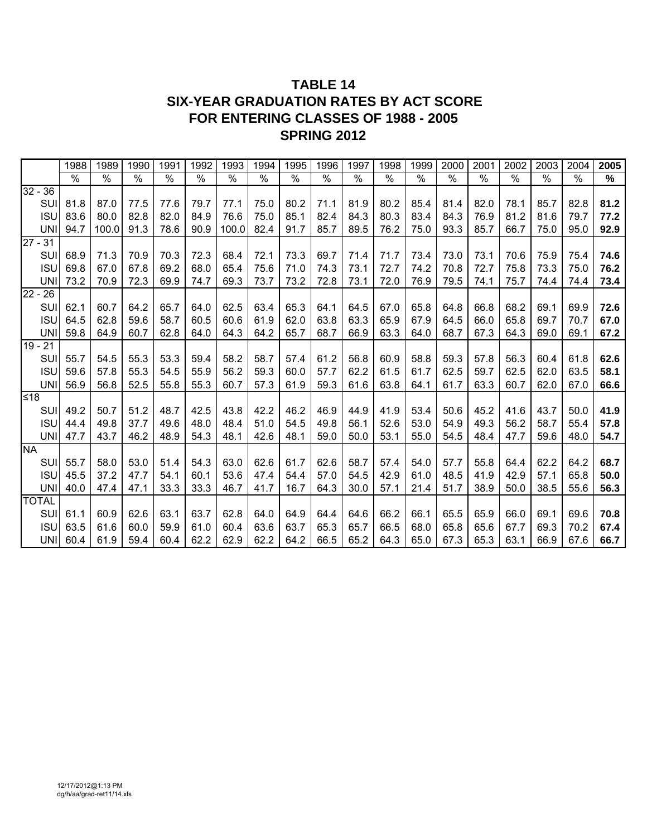## **TABLE 14 SIX-YEAR GRADUATION RATES BY ACT SCORE FOR ENTERING CLASSES OF 1988 - 2005 SPRING 2012**

|              | 1988          | 1989  | 1990 | 1991 | 1992 | 1993  | 1994 | 1995 | 1996 | 1997 | 1998          | 1999          | 2000          | 2001          | 2002          | 2003          | 2004                     | 2005 |
|--------------|---------------|-------|------|------|------|-------|------|------|------|------|---------------|---------------|---------------|---------------|---------------|---------------|--------------------------|------|
|              | $\frac{0}{0}$ | $\%$  | $\%$ | $\%$ | $\%$ | $\%$  | $\%$ | $\%$ | $\%$ | $\%$ | $\frac{1}{2}$ | $\frac{1}{2}$ | $\frac{1}{2}$ | $\frac{1}{2}$ | $\frac{1}{2}$ | $\frac{1}{2}$ | $\overline{\frac{9}{6}}$ | $\%$ |
| $32 - 36$    |               |       |      |      |      |       |      |      |      |      |               |               |               |               |               |               |                          |      |
| SUI          | 81.8          | 87.0  | 77.5 | 77.6 | 79.7 | 77.1  | 75.0 | 80.2 | 71.1 | 81.9 | 80.2          | 85.4          | 81.4          | 82.0          | 78.1          | 85.7          | 82.8                     | 81.2 |
| <b>ISU</b>   | 83.6          | 80.0  | 82.8 | 82.0 | 84.9 | 76.6  | 75.0 | 85.1 | 82.4 | 84.3 | 80.3          | 83.4          | 84.3          | 76.9          | 81.2          | 81.6          | 79.7                     | 77.2 |
| <b>UNI</b>   | 94.7          | 100.0 | 91.3 | 78.6 | 90.9 | 100.0 | 82.4 | 91.7 | 85.7 | 89.5 | 76.2          | 75.0          | 93.3          | 85.7          | 66.7          | 75.0          | 95.0                     | 92.9 |
| $27 - 31$    |               |       |      |      |      |       |      |      |      |      |               |               |               |               |               |               |                          |      |
| SUI          | 68.9          | 71.3  | 70.9 | 70.3 | 72.3 | 68.4  | 72.1 | 73.3 | 69.7 | 71.4 | 71.7          | 73.4          | 73.0          | 73.1          | 70.6          | 75.9          | 75.4                     | 74.6 |
| <b>ISU</b>   | 69.8          | 67.0  | 67.8 | 69.2 | 68.0 | 65.4  | 75.6 | 71.0 | 74.3 | 73.1 | 72.7          | 74.2          | 70.8          | 72.7          | 75.8          | 73.3          | 75.0                     | 76.2 |
| <b>UNI</b>   | 73.2          | 70.9  | 72.3 | 69.9 | 74.7 | 69.3  | 73.7 | 73.2 | 72.8 | 73.1 | 72.0          | 76.9          | 79.5          | 74.1          | 75.7          | 74.4          | 74.4                     | 73.4 |
| $22 - 26$    |               |       |      |      |      |       |      |      |      |      |               |               |               |               |               |               |                          |      |
| SUI          | 62.1          | 60.7  | 64.2 | 65.7 | 64.0 | 62.5  | 63.4 | 65.3 | 64.1 | 64.5 | 67.0          | 65.8          | 64.8          | 66.8          | 68.2          | 69.1          | 69.9                     | 72.6 |
| <b>ISU</b>   | 64.5          | 62.8  | 59.6 | 58.7 | 60.5 | 60.6  | 61.9 | 62.0 | 63.8 | 63.3 | 65.9          | 67.9          | 64.5          | 66.0          | 65.8          | 69.7          | 70.7                     | 67.0 |
| <b>UNI</b>   | 59.8          | 64.9  | 60.7 | 62.8 | 64.0 | 64.3  | 64.2 | 65.7 | 68.7 | 66.9 | 63.3          | 64.0          | 68.7          | 67.3          | 64.3          | 69.0          | 69.1                     | 67.2 |
| $19 - 21$    |               |       |      |      |      |       |      |      |      |      |               |               |               |               |               |               |                          |      |
| SUI          | 55.7          | 54.5  | 55.3 | 53.3 | 59.4 | 58.2  | 58.7 | 57.4 | 61.2 | 56.8 | 60.9          | 58.8          | 59.3          | 57.8          | 56.3          | 60.4          | 61.8                     | 62.6 |
| <b>ISU</b>   | 59.6          | 57.8  | 55.3 | 54.5 | 55.9 | 56.2  | 59.3 | 60.0 | 57.7 | 62.2 | 61.5          | 61.7          | 62.5          | 59.7          | 62.5          | 62.0          | 63.5                     | 58.1 |
| <b>UNI</b>   | 56.9          | 56.8  | 52.5 | 55.8 | 55.3 | 60.7  | 57.3 | 61.9 | 59.3 | 61.6 | 63.8          | 64.1          | 61.7          | 63.3          | 60.7          | 62.0          | 67.0                     | 66.6 |
| ≤18          |               |       |      |      |      |       |      |      |      |      |               |               |               |               |               |               |                          |      |
| SUI          | 49.2          | 50.7  | 51.2 | 48.7 | 42.5 | 43.8  | 42.2 | 46.2 | 46.9 | 44.9 | 41.9          | 53.4          | 50.6          | 45.2          | 41.6          | 43.7          | 50.0                     | 41.9 |
| <b>ISU</b>   | 44.4          | 49.8  | 37.7 | 49.6 | 48.0 | 48.4  | 51.0 | 54.5 | 49.8 | 56.1 | 52.6          | 53.0          | 54.9          | 49.3          | 56.2          | 58.7          | 55.4                     | 57.8 |
| <b>UNI</b>   | 47.7          | 43.7  | 46.2 | 48.9 | 54.3 | 48.1  | 42.6 | 48.1 | 59.0 | 50.0 | 53.1          | 55.0          | 54.5          | 48.4          | 47.7          | 59.6          | 48.0                     | 54.7 |
| <b>NA</b>    |               |       |      |      |      |       |      |      |      |      |               |               |               |               |               |               |                          |      |
| SUI          | 55.7          | 58.0  | 53.0 | 51.4 | 54.3 | 63.0  | 62.6 | 61.7 | 62.6 | 58.7 | 57.4          | 54.0          | 57.7          | 55.8          | 64.4          | 62.2          | 64.2                     | 68.7 |
| <b>ISU</b>   | 45.5          | 37.2  | 47.7 | 54.1 | 60.1 | 53.6  | 47.4 | 54.4 | 57.0 | 54.5 | 42.9          | 61.0          | 48.5          | 41.9          | 42.9          | 57.1          | 65.8                     | 50.0 |
| <b>UNI</b>   | 40.0          | 47.4  | 47.1 | 33.3 | 33.3 | 46.7  | 41.7 | 16.7 | 64.3 | 30.0 | 57.1          | 21.4          | 51.7          | 38.9          | 50.0          | 38.5          | 55.6                     | 56.3 |
| <b>TOTAL</b> |               |       |      |      |      |       |      |      |      |      |               |               |               |               |               |               |                          |      |
| <b>SUI</b>   | 61.1          | 60.9  | 62.6 | 63.1 | 63.7 | 62.8  | 64.0 | 64.9 | 64.4 | 64.6 | 66.2          | 66.1          | 65.5          | 65.9          | 66.0          | 69.1          | 69.6                     | 70.8 |
| <b>ISU</b>   | 63.5          | 61.6  | 60.0 | 59.9 | 61.0 | 60.4  | 63.6 | 63.7 | 65.3 | 65.7 | 66.5          | 68.0          | 65.8          | 65.6          | 67.7          | 69.3          | 70.2                     | 67.4 |
| UNI          | 60.4          | 61.9  | 59.4 | 60.4 | 62.2 | 62.9  | 62.2 | 64.2 | 66.5 | 65.2 | 64.3          | 65.0          | 67.3          | 65.3          | 63.1          | 66.9          | 67.6                     | 66.7 |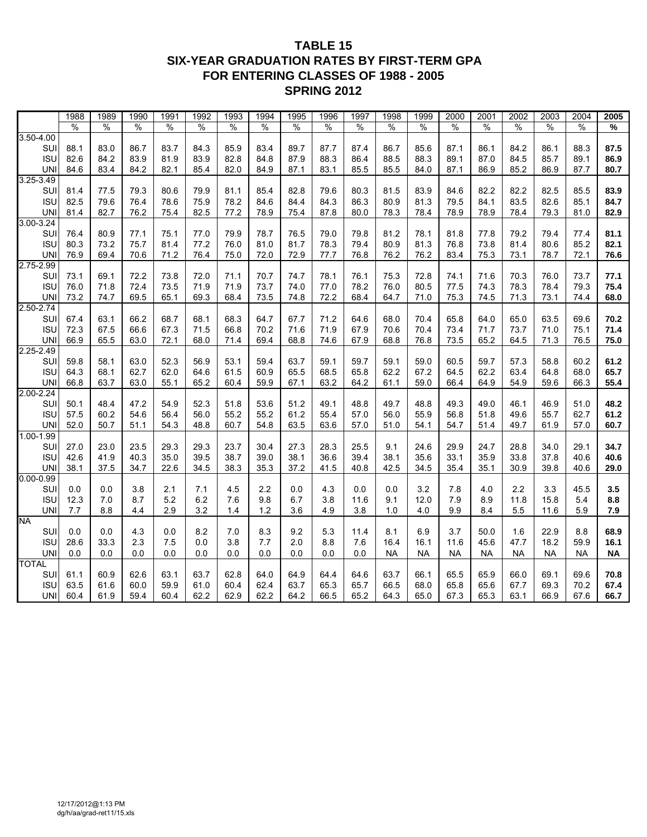### **TABLE 15 SIX-YEAR GRADUATION RATES BY FIRST-TERM GPA FOR ENTERING CLASSES OF 1988 - 2005 SPRING 2012**

|                         | 1988          | 1989          | 1990          | 1991          | 1992         | 1993          | 1994          | 1995          | 1996          | 1997          | 1998          | 1999         | 2000          | 2001         | 2002          | 2003          | 2004          | 2005         |
|-------------------------|---------------|---------------|---------------|---------------|--------------|---------------|---------------|---------------|---------------|---------------|---------------|--------------|---------------|--------------|---------------|---------------|---------------|--------------|
|                         | $\frac{9}{6}$ | $\frac{9}{6}$ | $\frac{9}{6}$ | $\frac{0}{0}$ | %            | $\frac{0}{0}$ | $\frac{9}{6}$ | $\frac{9}{6}$ | $\frac{9}{6}$ | $\frac{9}{6}$ | $\frac{9}{6}$ | %            | $\frac{9}{6}$ | %            | $\frac{1}{2}$ | $\frac{9}{6}$ | $\frac{9}{6}$ | %            |
| $3.50 - 4.00$           |               |               |               |               |              |               |               |               |               |               |               |              |               |              |               |               |               |              |
| SUI                     | 88.1          | 83.0          | 86.7          | 83.7          | 84.3         | 85.9          | 83.4          | 89.7          | 87.7          | 87.4          | 86.7          | 85.6         | 87.1          | 86.1         | 84.2          | 86.1          | 88.3          | 87.5         |
| <b>ISU</b>              | 82.6          | 84.2          | 83.9          | 81.9          | 83.9         | 82.8          | 84.8          | 87.9          | 88.3          | 86.4          | 88.5          | 88.3         | 89.1          | 87.0         | 84.5          | 85.7          | 89.1          | 86.9         |
| <b>UNI</b>              | 84.6          | 83.4          | 84.2          | 82.1          | 85.4         | 82.0          | 84.9          | 87.1          | 83.1          | 85.5          | 85.5          | 84.0         | 87.1          | 86.9         | 85.2          | 86.9          | 87.7          | 80.7         |
| 3.25-3.49               |               |               |               |               |              |               |               |               |               |               |               |              |               |              |               |               |               |              |
| SUI                     | 81.4          | 77.5          | 79.3          | 80.6          | 79.9         | 81.1          | 85.4          | 82.8          | 79.6          | 80.3          | 81.5          | 83.9         | 84.6          | 82.2         | 82.2          | 82.5          | 85.5          | 83.9         |
| <b>ISU</b>              | 82.5          | 79.6          | 76.4          | 78.6          | 75.9         | 78.2          | 84.6          | 84.4          | 84.3          | 86.3          | 80.9          | 81.3         | 79.5          | 84.1         | 83.5          | 82.6          | 85.1          | 84.7         |
| <b>UNI</b>              | 81.4          | 82.7          | 76.2          | 75.4          | 82.5         | 77.2          | 78.9          | 75.4          | 87.8          | 80.0          | 78.3          | 78.4         | 78.9          | 78.9         | 78.4          | 79.3          | 81.0          | 82.9         |
| $3.00 - 3.24$           |               |               |               |               |              |               |               |               |               |               |               |              |               |              |               |               |               |              |
| SUI<br><b>ISU</b>       | 76.4<br>80.3  | 80.9<br>73.2  | 77.1<br>75.7  | 75.1<br>81.4  | 77.0<br>77.2 | 79.9<br>76.0  | 78.7<br>81.0  | 76.5<br>81.7  | 79.0<br>78.3  | 79.8<br>79.4  | 81.2<br>80.9  | 78.1<br>81.3 | 81.8<br>76.8  | 77.8<br>73.8 | 79.2<br>81.4  | 79.4<br>80.6  | 77.4<br>85.2  | 81.1<br>82.1 |
| <b>UNI</b>              | 76.9          | 69.4          | 70.6          | 71.2          | 76.4         | 75.0          | 72.0          | 72.9          | 77.7          | 76.8          | 76.2          | 76.2         | 83.4          | 75.3         | 73.1          | 78.7          | 72.1          | 76.6         |
| 2.75-2.99               |               |               |               |               |              |               |               |               |               |               |               |              |               |              |               |               |               |              |
| SUI                     | 73.1          | 69.1          | 72.2          | 73.8          | 72.0         | 71.1          | 70.7          | 74.7          | 78.1          | 76.1          | 75.3          | 72.8         | 74.1          | 71.6         | 70.3          | 76.0          | 73.7          | 77.1         |
| <b>ISU</b>              | 76.0          | 71.8          | 72.4          | 73.5          | 71.9         | 71.9          | 73.7          | 74.0          | 77.0          | 78.2          | 76.0          | 80.5         | 77.5          | 74.3         | 78.3          | 78.4          | 79.3          | 75.4         |
| <b>UNI</b>              | 73.2          | 74.7          | 69.5          | 65.1          | 69.3         | 68.4          | 73.5          | 74.8          | 72.2          | 68.4          | 64.7          | 71.0         | 75.3          | 74.5         | 71.3          | 73.1          | 74.4          | 68.0         |
| 2.50-2.74               |               |               |               |               |              |               |               |               |               |               |               |              |               |              |               |               |               |              |
| SUI                     | 67.4          | 63.1          | 66.2          | 68.7          | 68.1         | 68.3          | 64.7          | 67.7          | 71.2          | 64.6          | 68.0          | 70.4         | 65.8          | 64.0         | 65.0          | 63.5          | 69.6          | 70.2         |
| <b>ISU</b>              | 72.3          | 67.5          | 66.6          | 67.3          | 71.5         | 66.8          | 70.2          | 71.6          | 71.9          | 67.9          | 70.6          | 70.4         | 73.4          | 71.7         | 73.7          | 71.0          | 75.1          | 71.4         |
| <b>UNI</b>              | 66.9          | 65.5          | 63.0          | 72.1          | 68.0         | 71.4          | 69.4          | 68.8          | 74.6          | 67.9          | 68.8          | 76.8         | 73.5          | 65.2         | 64.5          | 71.3          | 76.5          | 75.0         |
| $2.25 - 2.49$           |               |               |               |               |              |               |               |               |               |               |               |              |               |              |               |               |               |              |
| SUI                     | 59.8          | 58.1          | 63.0          | 52.3          | 56.9         | 53.1          | 59.4          | 63.7          | 59.1          | 59.7          | 59.1          | 59.0         | 60.5          | 59.7         | 57.3          | 58.8          | 60.2          | 61.2         |
| <b>ISU</b>              | 64.3          | 68.1          | 62.7          | 62.0          | 64.6         | 61.5          | 60.9          | 65.5          | 68.5          | 65.8          | 62.2          | 67.2         | 64.5          | 62.2         | 63.4          | 64.8          | 68.0          | 65.7         |
| <b>UNI</b>              | 66.8          | 63.7          | 63.0          | 55.1          | 65.2         | 60.4          | 59.9          | 67.1          | 63.2          | 64.2          | 61.1          | 59.0         | 66.4          | 64.9         | 54.9          | 59.6          | 66.3          | 55.4         |
| 2.00-2.24               |               |               |               |               |              |               |               |               |               |               |               |              |               |              |               |               |               |              |
| SUI                     | 50.1          | 48.4          | 47.2          | 54.9          | 52.3         | 51.8          | 53.6          | 51.2          | 49.1          | 48.8          | 49.7          | 48.8         | 49.3          | 49.0         | 46.1          | 46.9          | 51.0          | 48.2         |
| <b>ISU</b>              | 57.5          | 60.2<br>50.7  | 54.6          | 56.4          | 56.0         | 55.2          | 55.2          | 61.2          | 55.4          | 57.0          | 56.0          | 55.9         | 56.8          | 51.8         | 49.6          | 55.7          | 62.7          | 61.2         |
| <b>UNI</b><br>1.00-1.99 | 52.0          |               | 51.1          | 54.3          | 48.8         | 60.7          | 54.8          | 63.5          | 63.6          | 57.0          | 51.0          | 54.1         | 54.7          | 51.4         | 49.7          | 61.9          | 57.0          | 60.7         |
| SUI                     | 27.0          | 23.0          | 23.5          | 29.3          | 29.3         | 23.7          | 30.4          | 27.3          | 28.3          | 25.5          | 9.1           | 24.6         | 29.9          | 24.7         | 28.8          | 34.0          | 29.1          | 34.7         |
| <b>ISU</b>              | 42.6          | 41.9          | 40.3          | 35.0          | 39.5         | 38.7          | 39.0          | 38.1          | 36.6          | 39.4          | 38.1          | 35.6         | 33.1          | 35.9         | 33.8          | 37.8          | 40.6          | 40.6         |
| <b>UNI</b>              | 38.1          | 37.5          | 34.7          | 22.6          | 34.5         | 38.3          | 35.3          | 37.2          | 41.5          | 40.8          | 42.5          | 34.5         | 35.4          | 35.1         | 30.9          | 39.8          | 40.6          | 29.0         |
| $0.00 - 0.99$           |               |               |               |               |              |               |               |               |               |               |               |              |               |              |               |               |               |              |
| SUI                     | 0.0           | 0.0           | 3.8           | 2.1           | 7.1          | 4.5           | 2.2           | 0.0           | 4.3           | 0.0           | 0.0           | 3.2          | 7.8           | 4.0          | 2.2           | 3.3           | 45.5          | 3.5          |
| <b>ISU</b>              | 12.3          | 7.0           | 8.7           | 5.2           | 6.2          | 7.6           | 9.8           | 6.7           | 3.8           | 11.6          | 9.1           | 12.0         | 7.9           | 8.9          | 11.8          | 15.8          | 5.4           | 8.8          |
| <b>UNI</b>              | 7.7           | 8.8           | 4.4           | 2.9           | 3.2          | 1.4           | 1.2           | 3.6           | 4.9           | 3.8           | 1.0           | 4.0          | 9.9           | 8.4          | 5.5           | 11.6          | 5.9           | 7.9          |
| <b>NA</b>               |               |               |               |               |              |               |               |               |               |               |               |              |               |              |               |               |               |              |
| SUI                     | 0.0           | 0.0           | 4.3           | 0.0           | 8.2          | 7.0           | 8.3           | 9.2           | 5.3           | 11.4          | 8.1           | 6.9          | 3.7           | 50.0         | 1.6           | 22.9          | 8.8           | 68.9         |
| <b>ISU</b>              | 28.6          | 33.3          | 2.3           | 7.5           | 0.0          | 3.8           | 7.7           | 2.0           | 8.8           | 7.6           | 16.4          | 16.1         | 11.6          | 45.6         | 47.7          | 18.2          | 59.9          | 16.1         |
| <b>UNI</b>              | 0.0           | 0.0           | 0.0           | 0.0           | 0.0          | 0.0           | 0.0           | 0.0           | 0.0           | 0.0           | NA            | <b>NA</b>    | NA            | NA           | <b>NA</b>     | <b>NA</b>     | <b>NA</b>     | <b>NA</b>    |
| <b>TOTAL</b>            |               |               |               |               |              |               |               |               |               |               |               |              |               |              |               |               |               |              |
| SUI                     | 61.1          | 60.9          | 62.6          | 63.1          | 63.7         | 62.8          | 64.0          | 64.9          | 64.4          | 64.6          | 63.7          | 66.1         | 65.5          | 65.9         | 66.0          | 69.1          | 69.6          | 70.8         |
| <b>ISU</b>              | 63.5          | 61.6          | 60.0          | 59.9          | 61.0         | 60.4          | 62.4          | 63.7          | 65.3          | 65.7          | 66.5          | 68.0         | 65.8          | 65.6         | 67.7          | 69.3          | 70.2          | 67.4         |
| UNI                     | 60.4          | 61.9          | 59.4          | 60.4          | 62.2         | 62.9          | 62.2          | 64.2          | 66.5          | 65.2          | 64.3          | 65.0         | 67.3          | 65.3         | 63.1          | 66.9          | 67.6          | 66.7         |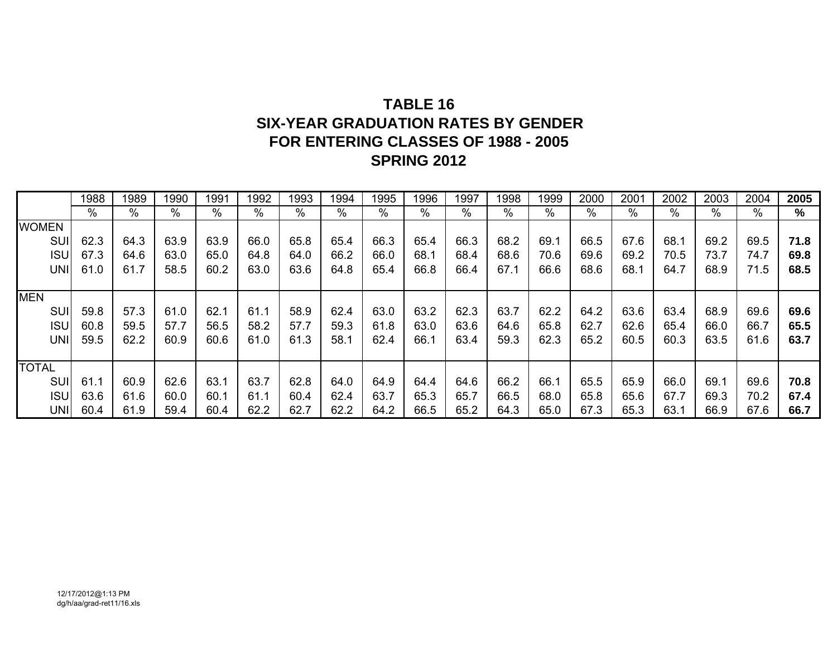# **TABLE 16SIX-YEAR GRADUATION RATES BY GENDERFOR ENTERING CLASSES OF 1988 - 2005 SPRING 2012**

|              | 1988 | 1989 | 1990          | 1991 | 1992 | 1993 | 1994 | 1995 | 1996 | 1997          | 1998 | 1999 | 2000 | 2001          | 2002 | 2003 | 2004 | 2005 |
|--------------|------|------|---------------|------|------|------|------|------|------|---------------|------|------|------|---------------|------|------|------|------|
|              | $\%$ | %    | $\frac{0}{0}$ | %    | %    | %    | $\%$ | %    | $\%$ | $\frac{0}{0}$ | $\%$ | $\%$ | $\%$ | $\frac{0}{0}$ | $\%$ | $\%$ | $\%$ | %    |
| <b>WOMEN</b> |      |      |               |      |      |      |      |      |      |               |      |      |      |               |      |      |      |      |
| SUI          | 62.3 | 64.3 | 63.9          | 63.9 | 66.0 | 65.8 | 65.4 | 66.3 | 65.4 | 66.3          | 68.2 | 69.1 | 66.5 | 67.6          | 68.1 | 69.2 | 69.5 | 71.8 |
| <b>ISU</b>   | 67.3 | 64.6 | 63.0          | 65.0 | 64.8 | 64.0 | 66.2 | 66.0 | 68.1 | 68.4          | 68.6 | 70.6 | 69.6 | 69.2          | 70.5 | 73.7 | 74.7 | 69.8 |
| UNI          | 61.0 | 61.7 | 58.5          | 60.2 | 63.0 | 63.6 | 64.8 | 65.4 | 66.8 | 66.4          | 67.1 | 66.6 | 68.6 | 68.1          | 64.7 | 68.9 | 71.5 | 68.5 |
|              |      |      |               |      |      |      |      |      |      |               |      |      |      |               |      |      |      |      |
| <b>MEN</b>   |      |      |               |      |      |      |      |      |      |               |      |      |      |               |      |      |      |      |
| SUI          | 59.8 | 57.3 | 61.0          | 62.1 | 61.1 | 58.9 | 62.4 | 63.0 | 63.2 | 62.3          | 63.7 | 62.2 | 64.2 | 63.6          | 63.4 | 68.9 | 69.6 | 69.6 |
| <b>ISU</b>   | 60.8 | 59.5 | 57.7          | 56.5 | 58.2 | 57.7 | 59.3 | 61.8 | 63.0 | 63.6          | 64.6 | 65.8 | 62.7 | 62.6          | 65.4 | 66.0 | 66.7 | 65.5 |
| <b>UNI</b>   | 59.5 | 62.2 | 60.9          | 60.6 | 61.0 | 61.3 | 58.1 | 62.4 | 66.1 | 63.4          | 59.3 | 62.3 | 65.2 | 60.5          | 60.3 | 63.5 | 61.6 | 63.7 |
|              |      |      |               |      |      |      |      |      |      |               |      |      |      |               |      |      |      |      |
| <b>TOTAL</b> |      |      |               |      |      |      |      |      |      |               |      |      |      |               |      |      |      |      |
| <b>SUI</b>   | 61.1 | 60.9 | 62.6          | 63.1 | 63.7 | 62.8 | 64.0 | 64.9 | 64.4 | 64.6          | 66.2 | 66.1 | 65.5 | 65.9          | 66.0 | 69.1 | 69.6 | 70.8 |
| <b>ISU</b>   | 63.6 | 61.6 | 60.0          | 60.1 | 61.1 | 60.4 | 62.4 | 63.7 | 65.3 | 65.7          | 66.5 | 68.0 | 65.8 | 65.6          | 67.7 | 69.3 | 70.2 | 67.4 |
| UNII         | 60.4 | 61.9 | 59.4          | 60.4 | 62.2 | 62.7 | 62.2 | 64.2 | 66.5 | 65.2          | 64.3 | 65.0 | 67.3 | 65.3          | 63.1 | 66.9 | 67.6 | 66.7 |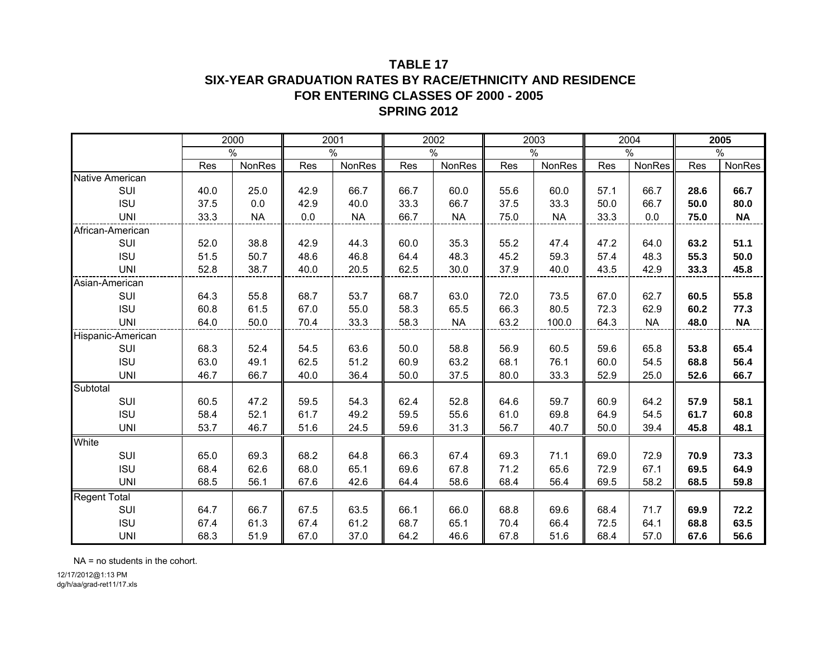#### **TABLE 17SIX-YEAR GRADUATION RATES BY RACE/ETHNICITY AND RESIDENCE FOR ENTERING CLASSES OF 2000 - 2005SPRING 2012**

|                     |      | 2000      |      | 2001      |      | 2002      |      | 2003      |      | 2004      |      | 2005      |
|---------------------|------|-----------|------|-----------|------|-----------|------|-----------|------|-----------|------|-----------|
|                     |      | $\%$      |      | $\%$      |      | $\%$      |      | %         |      | %         |      | $\%$      |
|                     | Res  | NonRes    | Res  | NonRes    | Res  | NonRes    | Res  | NonRes    | Res  | NonRes    | Res  | NonRes    |
| Native American     |      |           |      |           |      |           |      |           |      |           |      |           |
| SUI                 | 40.0 | 25.0      | 42.9 | 66.7      | 66.7 | 60.0      | 55.6 | 60.0      | 57.1 | 66.7      | 28.6 | 66.7      |
| <b>ISU</b>          | 37.5 | 0.0       | 42.9 | 40.0      | 33.3 | 66.7      | 37.5 | 33.3      | 50.0 | 66.7      | 50.0 | 80.0      |
| <b>UNI</b>          | 33.3 | <b>NA</b> | 0.0  | <b>NA</b> | 66.7 | <b>NA</b> | 75.0 | <b>NA</b> | 33.3 | 0.0       | 75.0 | <b>NA</b> |
| African-American    |      |           |      |           |      |           |      |           |      |           |      |           |
| SUI                 | 52.0 | 38.8      | 42.9 | 44.3      | 60.0 | 35.3      | 55.2 | 47.4      | 47.2 | 64.0      | 63.2 | 51.1      |
| <b>ISU</b>          | 51.5 | 50.7      | 48.6 | 46.8      | 64.4 | 48.3      | 45.2 | 59.3      | 57.4 | 48.3      | 55.3 | 50.0      |
| <b>UNI</b>          | 52.8 | 38.7      | 40.0 | 20.5      | 62.5 | 30.0      | 37.9 | 40.0      | 43.5 | 42.9      | 33.3 | 45.8      |
| Asian-American      |      |           |      |           |      |           |      |           |      |           |      |           |
| SUI                 | 64.3 | 55.8      | 68.7 | 53.7      | 68.7 | 63.0      | 72.0 | 73.5      | 67.0 | 62.7      | 60.5 | 55.8      |
| <b>ISU</b>          | 60.8 | 61.5      | 67.0 | 55.0      | 58.3 | 65.5      | 66.3 | 80.5      | 72.3 | 62.9      | 60.2 | 77.3      |
| <b>UNI</b>          | 64.0 | 50.0      | 70.4 | 33.3      | 58.3 | <b>NA</b> | 63.2 | 100.0     | 64.3 | <b>NA</b> | 48.0 | <b>NA</b> |
| Hispanic-American   |      |           |      |           |      |           |      |           |      |           |      |           |
| SUI                 | 68.3 | 52.4      | 54.5 | 63.6      | 50.0 | 58.8      | 56.9 | 60.5      | 59.6 | 65.8      | 53.8 | 65.4      |
| <b>ISU</b>          | 63.0 | 49.1      | 62.5 | 51.2      | 60.9 | 63.2      | 68.1 | 76.1      | 60.0 | 54.5      | 68.8 | 56.4      |
| <b>UNI</b>          | 46.7 | 66.7      | 40.0 | 36.4      | 50.0 | 37.5      | 80.0 | 33.3      | 52.9 | 25.0      | 52.6 | 66.7      |
| Subtotal            |      |           |      |           |      |           |      |           |      |           |      |           |
| SUI                 | 60.5 | 47.2      | 59.5 | 54.3      | 62.4 | 52.8      | 64.6 | 59.7      | 60.9 | 64.2      | 57.9 | 58.1      |
| <b>ISU</b>          | 58.4 | 52.1      | 61.7 | 49.2      | 59.5 | 55.6      | 61.0 | 69.8      | 64.9 | 54.5      | 61.7 | 60.8      |
| <b>UNI</b>          | 53.7 | 46.7      | 51.6 | 24.5      | 59.6 | 31.3      | 56.7 | 40.7      | 50.0 | 39.4      | 45.8 | 48.1      |
| White               |      |           |      |           |      |           |      |           |      |           |      |           |
| <b>SUI</b>          | 65.0 | 69.3      | 68.2 | 64.8      | 66.3 | 67.4      | 69.3 | 71.1      | 69.0 | 72.9      | 70.9 | 73.3      |
| <b>ISU</b>          | 68.4 | 62.6      | 68.0 | 65.1      | 69.6 | 67.8      | 71.2 | 65.6      | 72.9 | 67.1      | 69.5 | 64.9      |
| <b>UNI</b>          | 68.5 | 56.1      | 67.6 | 42.6      | 64.4 | 58.6      | 68.4 | 56.4      | 69.5 | 58.2      | 68.5 | 59.8      |
| <b>Regent Total</b> |      |           |      |           |      |           |      |           |      |           |      |           |
| SUI                 | 64.7 | 66.7      | 67.5 | 63.5      | 66.1 | 66.0      | 68.8 | 69.6      | 68.4 | 71.7      | 69.9 | 72.2      |
| <b>ISU</b>          | 67.4 | 61.3      | 67.4 | 61.2      | 68.7 | 65.1      | 70.4 | 66.4      | 72.5 | 64.1      | 68.8 | 63.5      |
| <b>UNI</b>          | 68.3 | 51.9      | 67.0 | 37.0      | 64.2 | 46.6      | 67.8 | 51.6      | 68.4 | 57.0      | 67.6 | 56.6      |

NA = no students in the cohort.

12/17/2012@1:13 PM dg/h/aa/grad-ret11/17.xls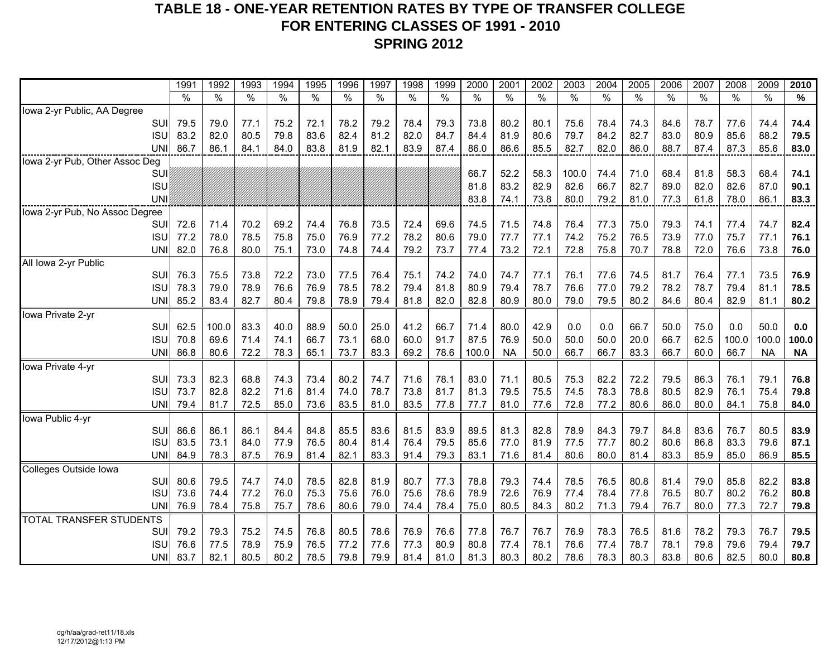## **TABLE 18 - ONE-YEAR RETENTION RATES BY TYPE OF TRANSFER COLLEGE FOR ENTERING CLASSES OF 1991 - 2010SPRING 2012**

|                                | 1991 | 1992  | 1993 | 1994 | 1995 | 1996 | 1997 | 1998 | 1999 | 2000  | 2001      | 2002 | 2003  | 2004 | 2005 | 2006 | 2007 | 2008  | 2009      | 2010      |
|--------------------------------|------|-------|------|------|------|------|------|------|------|-------|-----------|------|-------|------|------|------|------|-------|-----------|-----------|
|                                | $\%$ | $\%$  | $\%$ | $\%$ | %    | %    | $\%$ | $\%$ | $\%$ | $\%$  | $\%$      | $\%$ | $\%$  | $\%$ | $\%$ | $\%$ | $\%$ | $\%$  | $\%$      | $\%$      |
| Iowa 2-yr Public, AA Degree    |      |       |      |      |      |      |      |      |      |       |           |      |       |      |      |      |      |       |           |           |
| <b>SUI</b>                     | 79.5 | 79.0  | 77.1 | 75.2 | 72.1 | 78.2 | 79.2 | 78.4 | 79.3 | 73.8  | 80.2      | 80.1 | 75.6  | 78.4 | 74.3 | 84.6 | 78.7 | 77.6  | 74.4      | 74.4      |
| <b>ISU</b>                     | 83.2 | 82.0  | 80.5 | 79.8 | 83.6 | 82.4 | 81.2 | 82.0 | 84.7 | 84.4  | 81.9      | 80.6 | 79.7  | 84.2 | 82.7 | 83.0 | 80.9 | 85.6  | 88.2      | 79.5      |
| UNI                            | 86.7 | 86.1  | 84.1 | 84.0 | 83.8 | 81.9 | 82.1 | 83.9 | 87.4 | 86.0  | 86.6      | 85.5 | 82.7  | 82.0 | 86.0 | 88.7 | 87.4 | 87.3  | 85.6      | 83.0      |
| Iowa 2-yr Pub, Other Assoc Deg |      |       |      |      |      |      |      |      |      |       |           |      |       |      |      |      |      |       |           |           |
| SUI                            |      |       |      |      |      |      |      |      |      | 66.7  | 52.2      | 58.3 | 100.0 | 74.4 | 71.0 | 68.4 | 81.8 | 58.3  | 68.4      | 74.1      |
| <b>ISU</b>                     |      |       |      |      |      |      |      |      |      | 81.8  | 83.2      | 82.9 | 82.6  | 66.7 | 82.7 | 89.0 | 82.0 | 82.6  | 87.0      | 90.1      |
| <b>UNI</b>                     |      |       |      |      |      |      |      |      |      | 83.8  | 74.1      | 73.8 | 80.0  | 79.2 | 81.0 | 77.3 | 61.8 | 78.0  | 86.1      | 83.3      |
| lowa 2-yr Pub, No Assoc Degree |      |       |      |      |      |      |      |      |      |       |           |      |       |      |      |      |      |       |           |           |
| SUI                            | 72.6 | 71.4  | 70.2 | 69.2 | 74.4 | 76.8 | 73.5 | 72.4 | 69.6 | 74.5  | 71.5      | 74.8 | 76.4  | 77.3 | 75.0 | 79.3 | 74.1 | 77.4  | 74.7      | 82.4      |
| <b>ISU</b>                     | 77.2 | 78.0  | 78.5 | 75.8 | 75.0 | 76.9 | 77.2 | 78.2 | 80.6 | 79.0  | 77.7      | 77.1 | 74.2  | 75.2 | 76.5 | 73.9 | 77.0 | 75.7  | 77.1      | 76.1      |
| <b>UNI</b>                     | 82.0 | 76.8  | 80.0 | 75.1 | 73.0 | 74.8 | 74.4 | 79.2 | 73.7 | 77.4  | 73.2      | 72.1 | 72.8  | 75.8 | 70.7 | 78.8 | 72.0 | 76.6  | 73.8      | 76.0      |
| All Iowa 2-yr Public           |      |       |      |      |      |      |      |      |      |       |           |      |       |      |      |      |      |       |           |           |
| <b>SUI</b>                     | 76.3 | 75.5  | 73.8 | 72.2 | 73.0 | 77.5 | 76.4 | 75.1 | 74.2 | 74.0  | 74.7      | 77.1 | 76.1  | 77.6 | 74.5 | 81.7 | 76.4 | 77.1  | 73.5      | 76.9      |
| <b>ISU</b>                     | 78.3 | 79.0  | 78.9 | 76.6 | 76.9 | 78.5 | 78.2 | 79.4 | 81.8 | 80.9  | 79.4      | 78.7 | 76.6  | 77.0 | 79.2 | 78.2 | 78.7 | 79.4  | 81.1      | 78.5      |
| <b>UNI</b>                     | 85.2 | 83.4  | 82.7 | 80.4 | 79.8 | 78.9 | 79.4 | 81.8 | 82.0 | 82.8  | 80.9      | 80.0 | 79.0  | 79.5 | 80.2 | 84.6 | 80.4 | 82.9  | 81.1      | 80.2      |
| Iowa Private 2-yr              |      |       |      |      |      |      |      |      |      |       |           |      |       |      |      |      |      |       |           |           |
| SUI                            | 62.5 | 100.0 | 83.3 | 40.0 | 88.9 | 50.0 | 25.0 | 41.2 | 66.7 | 71.4  | 80.0      | 42.9 | 0.0   | 0.0  | 66.7 | 50.0 | 75.0 | 0.0   | 50.0      | 0.0       |
| <b>ISU</b>                     | 70.8 | 69.6  | 71.4 | 74.1 | 66.7 | 73.1 | 68.0 | 60.0 | 91.7 | 87.5  | 76.9      | 50.0 | 50.0  | 50.0 | 20.0 | 66.7 | 62.5 | 100.0 | 100.0     | 100.0     |
| <b>UNI</b>                     | 86.8 | 80.6  | 72.2 | 78.3 | 65.1 | 73.7 | 83.3 | 69.2 | 78.6 | 100.0 | <b>NA</b> | 50.0 | 66.7  | 66.7 | 83.3 | 66.7 | 60.0 | 66.7  | <b>NA</b> | <b>NA</b> |
| Iowa Private 4-yr              |      |       |      |      |      |      |      |      |      |       |           |      |       |      |      |      |      |       |           |           |
| <b>SUI</b>                     | 73.3 | 82.3  | 68.8 | 74.3 | 73.4 | 80.2 | 74.7 | 71.6 | 78.1 | 83.0  | 71.1      | 80.5 | 75.3  | 82.2 | 72.2 | 79.5 | 86.3 | 76.1  | 79.1      | 76.8      |
| <b>ISU</b>                     | 73.7 | 82.8  | 82.2 | 71.6 | 81.4 | 74.0 | 78.7 | 73.8 | 81.7 | 81.3  | 79.5      | 75.5 | 74.5  | 78.3 | 78.8 | 80.5 | 82.9 | 76.1  | 75.4      | 79.8      |
| <b>UNI</b>                     | 79.4 | 81.7  | 72.5 | 85.0 | 73.6 | 83.5 | 81.0 | 83.5 | 77.8 | 77.7  | 81.0      | 77.6 | 72.8  | 77.2 | 80.6 | 86.0 | 80.0 | 84.1  | 75.8      | 84.0      |
| Iowa Public 4-yr               |      |       |      |      |      |      |      |      |      |       |           |      |       |      |      |      |      |       |           |           |
| <b>SUI</b>                     | 86.6 | 86.1  | 86.1 | 84.4 | 84.8 | 85.5 | 83.6 | 81.5 | 83.9 | 89.5  | 81.3      | 82.8 | 78.9  | 84.3 | 79.7 | 84.8 | 83.6 | 76.7  | 80.5      | 83.9      |
| <b>ISU</b>                     | 83.5 | 73.1  | 84.0 | 77.9 | 76.5 | 80.4 | 81.4 | 76.4 | 79.5 | 85.6  | 77.0      | 81.9 | 77.5  | 77.7 | 80.2 | 80.6 | 86.8 | 83.3  | 79.6      | 87.1      |
| <b>UNI</b>                     | 84.9 | 78.3  | 87.5 | 76.9 | 81.4 | 82.1 | 83.3 | 91.4 | 79.3 | 83.1  | 71.6      | 81.4 | 80.6  | 80.0 | 81.4 | 83.3 | 85.9 | 85.0  | 86.9      | 85.5      |
| Colleges Outside Iowa          |      |       |      |      |      |      |      |      |      |       |           |      |       |      |      |      |      |       |           |           |
| SUI                            | 80.6 | 79.5  | 74.7 | 74.0 | 78.5 | 82.8 | 81.9 | 80.7 | 77.3 | 78.8  | 79.3      | 74.4 | 78.5  | 76.5 | 80.8 | 81.4 | 79.0 | 85.8  | 82.2      | 83.8      |
| <b>ISU</b>                     | 73.6 | 74.4  | 77.2 | 76.0 | 75.3 | 75.6 | 76.0 | 75.6 | 78.6 | 78.9  | 72.6      | 76.9 | 77.4  | 78.4 | 77.8 | 76.5 | 80.7 | 80.2  | 76.2      | 80.8      |
| <b>UNI</b>                     | 76.9 | 78.4  | 75.8 | 75.7 | 78.6 | 80.6 | 79.0 | 74.4 | 78.4 | 75.0  | 80.5      | 84.3 | 80.2  | 71.3 | 79.4 | 76.7 | 80.0 | 77.3  | 72.7      | 79.8      |
| TOTAL TRANSFER STUDENTS        |      |       |      |      |      |      |      |      |      |       |           |      |       |      |      |      |      |       |           |           |
| <b>SUI</b>                     | 79.2 | 79.3  | 75.2 | 74.5 | 76.8 | 80.5 | 78.6 | 76.9 | 76.6 | 77.8  | 76.7      | 76.7 | 76.9  | 78.3 | 76.5 | 81.6 | 78.2 | 79.3  | 76.7      | 79.5      |
| <b>ISU</b>                     | 76.6 | 77.5  | 78.9 | 75.9 | 76.5 | 77.2 | 77.6 | 77.3 | 80.9 | 80.8  | 77.4      | 78.1 | 76.6  | 77.4 | 78.7 | 78.1 | 79.8 | 79.6  | 79.4      | 79.7      |
| <b>UNI</b>                     | 83.7 | 82.1  | 80.5 | 80.2 | 78.5 | 79.8 | 79.9 | 81.4 | 81.0 | 81.3  | 80.3      | 80.2 | 78.6  | 78.3 | 80.3 | 83.8 | 80.6 | 82.5  | 80.0      | 80.8      |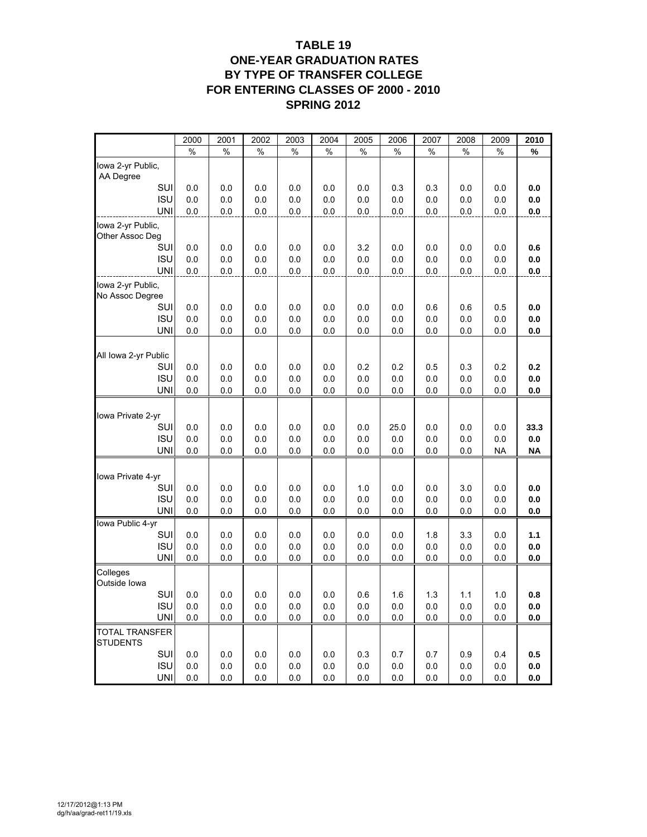#### **TABLE 19 ONE-YEAR GRADUATION RATES BY TYPE OF TRANSFER COLLEGE FOR ENTERING CLASSES OF 2000 - 2010 SPRING 2012**

|                                          | 2000       | 2001       | 2002       | 2003       | 2004       | 2005       | 2006       | 2007       | 2008       | 2009       | 2010       |
|------------------------------------------|------------|------------|------------|------------|------------|------------|------------|------------|------------|------------|------------|
|                                          | %          | %          | %          | %          | %          | %          | %          | %          | %          | %          | %          |
| Iowa 2-yr Public,<br>AA Degree           |            |            |            |            |            |            |            |            |            |            |            |
| SUI                                      | 0.0        | 0.0        | 0.0        | 0.0        | 0.0        | 0.0        | 0.3        | 0.3        | 0.0        | 0.0        | 0.0        |
| <b>ISU</b>                               | 0.0        | 0.0        | 0.0        | 0.0        | 0.0        | 0.0        | 0.0        | 0.0        | 0.0        | 0.0        | 0.0        |
| <b>UNI</b>                               | 0.0        | 0.0        | 0.0        | 0.0        | 0.0        | 0.0        | 0.0        | 0.0        | 0.0        | 0.0        | 0.0        |
| Iowa 2-yr Public,<br>Other Assoc Deg     |            |            |            |            |            |            |            |            |            |            |            |
| SUI                                      | 0.0        | 0.0        | 0.0        | 0.0        | 0.0        | 3.2        | 0.0        | 0.0        | 0.0        | 0.0        | 0.6        |
| <b>ISU</b>                               | 0.0        | 0.0        | 0.0        | 0.0        | 0.0        | 0.0        | 0.0        | 0.0        | 0.0        | 0.0        | 0.0        |
| <b>UNI</b>                               | 0.0        | 0.0        | 0.0        | 0.0        | 0.0        | 0.0        | 0.0        | 0.0        | 0.0        | 0.0        | 0.0        |
| Iowa 2-yr Public,<br>No Assoc Degree     |            |            |            |            |            |            |            |            |            |            |            |
| SUI                                      | 0.0        | 0.0        | 0.0        | 0.0        | 0.0        | 0.0        | 0.0        | 0.6        | 0.6        | 0.5        | 0.0        |
| <b>ISU</b>                               | 0.0        | 0.0        | 0.0        | 0.0        | 0.0        | 0.0        | 0.0        | 0.0        | 0.0        | 0.0        | 0.0        |
| <b>UNI</b>                               | 0.0        | 0.0        | 0.0        | 0.0        | 0.0        | 0.0        | 0.0        | 0.0        | 0.0        | 0.0        | 0.0        |
| All Iowa 2-yr Public                     |            |            |            |            |            |            |            |            |            |            |            |
| SUI                                      | 0.0        | 0.0        | 0.0        | 0.0        | 0.0        | 0.2        | 0.2        | 0.5        | 0.3        | 0.2        | 0.2        |
| <b>ISU</b>                               | 0.0        | 0.0        | 0.0        | 0.0        | 0.0        | 0.0        | 0.0        | 0.0        | 0.0        | 0.0        | 0.0        |
| <b>UNI</b>                               | 0.0        | 0.0        | 0.0        | 0.0        | 0.0        | 0.0        | 0.0        | 0.0        | 0.0        | 0.0        | 0.0        |
| Iowa Private 2-yr                        |            |            |            |            |            |            |            |            |            |            |            |
| SUI                                      | 0.0        | 0.0        | 0.0        | 0.0        | 0.0        | 0.0        | 25.0       | 0.0        | 0.0        | 0.0        | 33.3       |
| <b>ISU</b>                               | 0.0        | 0.0        | 0.0        | 0.0        | 0.0        | 0.0        | 0.0        | 0.0        | 0.0        | 0.0        | 0.0        |
| <b>UNI</b>                               | 0.0        | 0.0        | 0.0        | 0.0        | 0.0        | 0.0        | 0.0        | 0.0        | 0.0        | <b>NA</b>  | <b>NA</b>  |
| Iowa Private 4-yr                        |            |            |            |            |            |            |            |            |            |            |            |
| SUI                                      | 0.0        | 0.0        | 0.0        | 0.0        | 0.0        | 1.0        | 0.0        | 0.0        | 3.0        | 0.0        | 0.0        |
| <b>ISU</b>                               | 0.0        | 0.0        | 0.0        | 0.0        | 0.0        | 0.0        | 0.0        | 0.0        | 0.0        | 0.0        | 0.0        |
| <b>UNI</b>                               | 0.0        | 0.0        | 0.0        | 0.0        | 0.0        | 0.0        | 0.0        | 0.0        | 0.0        | 0.0        | 0.0        |
| Iowa Public 4-yr                         |            |            |            |            |            |            |            |            |            |            |            |
| SUI                                      | 0.0        | 0.0        | $0.0\,$    | 0.0        | 0.0        | 0.0        | 0.0        | 1.8        | 3.3        | 0.0        | 1.1        |
| <b>ISU</b><br><b>UNI</b>                 | 0.0<br>0.0 | 0.0<br>0.0 | 0.0<br>0.0 | 0.0<br>0.0 | 0.0<br>0.0 | 0.0<br>0.0 | 0.0<br>0.0 | 0.0<br>0.0 | 0.0<br>0.0 | 0.0<br>0.0 | 0.0<br>0.0 |
| Colleges<br>Outside lowa                 |            |            |            |            |            |            |            |            |            |            |            |
| SUI                                      | 0.0        | $0.0\,$    | 0.0        | 0.0        | 0.0        | 0.6        | 1.6        | $1.3$      | 1.1        | 1.0        | 0.8        |
| <b>ISU</b>                               | 0.0        | 0.0        | 0.0        | 0.0        | 0.0        | 0.0        | 0.0        | 0.0        | 0.0        | 0.0        | 0.0        |
| <b>UNI</b>                               | 0.0        | 0.0        | 0.0        | 0.0        | 0.0        | 0.0        | 0.0        | 0.0        | 0.0        | 0.0        | 0.0        |
| <b>TOTAL TRANSFER</b><br><b>STUDENTS</b> |            |            |            |            |            |            |            |            |            |            |            |
| SUI                                      | 0.0        | 0.0        | $0.0\,$    | 0.0        | 0.0        | 0.3        | 0.7        | 0.7        | 0.9        | 0.4        | 0.5        |
| <b>ISU</b>                               | 0.0        | 0.0        | 0.0        | 0.0        | 0.0        | 0.0        | 0.0        | 0.0        | 0.0        | 0.0        | 0.0        |
| <b>UNI</b>                               | 0.0        | 0.0        | 0.0        | 0.0        | 0.0        | 0.0        | 0.0        | 0.0        | 0.0        | 0.0        | 0.0        |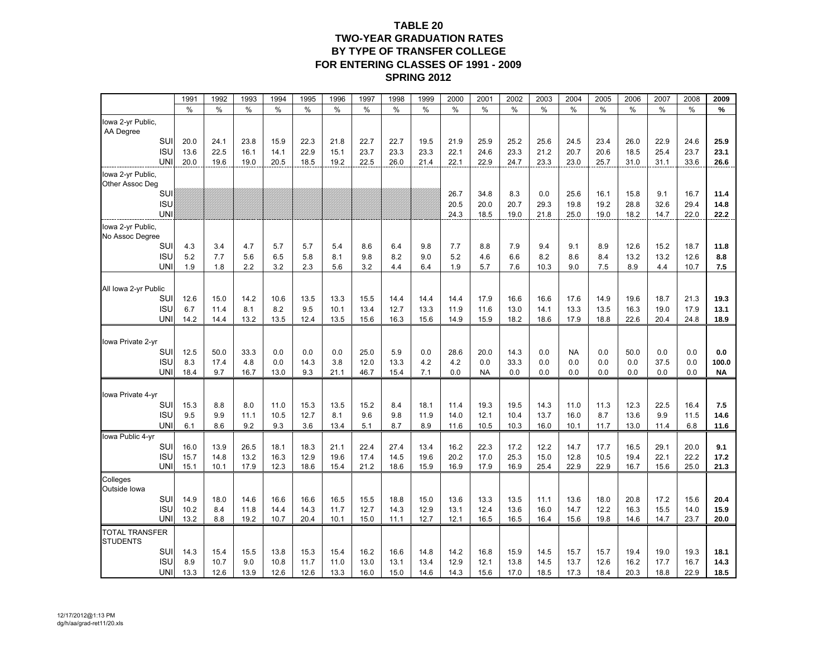#### **TABLE 20 TWO-YEAR GRADUATION RATES BY TYPE OF TRANSFER COLLEGE FOR ENTERING CLASSES OF 1991 - 2009 SPRING 2012**

|                                          | 1991         | 1992         | 1993         | 1994         | 1995         | 1996         | 1997         | 1998         | 1999         | 2000         | 2001         | 2002         | 2003         | 2004         | 2005         | 2006         | 2007         | 2008         | 2009         |
|------------------------------------------|--------------|--------------|--------------|--------------|--------------|--------------|--------------|--------------|--------------|--------------|--------------|--------------|--------------|--------------|--------------|--------------|--------------|--------------|--------------|
|                                          | $\%$         | $\%$         | $\%$         | $\%$         | $\%$         | $\%$         | $\%$         | %            | $\%$         | $\%$         | $\%$         | $\%$         | $\%$         | $\%$         | $\%$         | %            | $\%$         | %            | %            |
| Iowa 2-yr Public,<br>AA Degree           |              |              |              |              |              |              |              |              |              |              |              |              |              |              |              |              |              |              |              |
| SUI                                      | 20.0         | 24.1         | 23.8         | 15.9         | 22.3         | 21.8         | 22.7         | 22.7         | 19.5         | 21.9         | 25.9         | 25.2         | 25.6         | 24.5         | 23.4         | 26.0         | 22.9         | 24.6         | 25.9         |
| <b>ISU</b>                               | 13.6         | 22.5         | 16.1         | 14.1         | 22.9         | 15.1         | 23.7         | 23.3         | 23.3         | 22.1         | 24.6         | 23.3         | 21.2         | 20.7         | 20.6         | 18.5         | 25.4         | 23.7         | 23.1         |
| <b>UNI</b>                               | 20.0         | 19.6         | 19.0         | 20.5         | 18.5         | 19.2         | 22.5         | 26.0         | 21.4         | 22.1         | 22.9         | 24.7         | 23.3         | 23.0         | 25.7         | 31.0         | 31.1         | 33.6         | 26.6         |
| Iowa 2-yr Public,<br>Other Assoc Deg     |              |              |              |              |              |              |              |              |              |              |              |              |              |              |              |              |              |              |              |
| SUI                                      |              |              |              |              |              |              |              |              |              | 26.7         | 34.8         | 8.3          | 0.0          | 25.6         | 16.1         | 15.8         | 9.1          | 16.7         | 11.4         |
| <b>ISU</b><br><b>UNI</b>                 |              |              |              |              |              |              |              |              |              | 20.5         | 20.0         | 20.7         | 29.3         | 19.8         | 19.2         | 28.8         | 32.6         | 29.4         | 14.8         |
|                                          |              |              |              |              |              |              |              |              |              | 24.3         | 18.5         | 19.0         | 21.8         | 25.0         | 19.0         | 18.2         | 14.7         | 22.0         | 22.2         |
| lowa 2-yr Public,<br>No Assoc Degree     |              |              |              |              |              |              |              |              |              |              |              |              |              |              |              |              |              |              |              |
| SUI                                      | 4.3          | 3.4          | 4.7          | 5.7          | 5.7          | 5.4          | 8.6          | 6.4          | 9.8          | 7.7          | 8.8          | 7.9          | 9.4          | 9.1          | 8.9          | 12.6         | 15.2         | 18.7         | 11.8         |
| <b>ISU</b><br><b>UNI</b>                 | 5.2<br>1.9   | 7.7<br>1.8   | 5.6<br>2.2   | 6.5<br>3.2   | 5.8<br>2.3   | 8.1<br>5.6   | 9.8<br>3.2   | 8.2<br>4.4   | 9.0<br>6.4   | 5.2<br>1.9   | 4.6<br>5.7   | 6.6<br>7.6   | 8.2<br>10.3  | 8.6<br>9.0   | 8.4<br>7.5   | 13.2<br>8.9  | 13.2<br>4.4  | 12.6<br>10.7 | 8.8<br>7.5   |
|                                          |              |              |              |              |              |              |              |              |              |              |              |              |              |              |              |              |              |              |              |
| All lowa 2-yr Public                     |              |              |              |              |              |              |              |              |              |              |              |              |              |              |              |              |              |              |              |
| SUI                                      | 12.6         | 15.0         | 14.2         | 10.6         | 13.5         | 13.3         | 15.5         | 14.4         | 14.4         | 14.4         | 17.9         | 16.6         | 16.6         | 17.6         | 14.9         | 19.6         | 18.7         | 21.3         | 19.3         |
| <b>ISU</b><br><b>UNI</b>                 | 6.7<br>14.2  | 11.4<br>14.4 | 8.1<br>13.2  | 8.2<br>13.5  | 9.5<br>12.4  | 10.1<br>13.5 | 13.4<br>15.6 | 12.7<br>16.3 | 13.3<br>15.6 | 11.9<br>14.9 | 11.6<br>15.9 | 13.0<br>18.2 | 14.1<br>18.6 | 13.3<br>17.9 | 13.5<br>18.8 | 16.3<br>22.6 | 19.0<br>20.4 | 17.9<br>24.8 | 13.1<br>18.9 |
|                                          |              |              |              |              |              |              |              |              |              |              |              |              |              |              |              |              |              |              |              |
| Iowa Private 2-yr                        |              |              |              |              |              |              |              |              |              |              |              |              |              |              |              |              |              |              |              |
| SUI                                      | 12.5         | 50.0         | 33.3         | 0.0          | 0.0          | 0.0          | 25.0         | 5.9          | 0.0          | 28.6         | 20.0         | 14.3         | 0.0          | <b>NA</b>    | 0.0          | 50.0         | 0.0          | 0.0          | 0.0          |
| <b>ISU</b>                               | 8.3          | 17.4         | 4.8          | 0.0          | 14.3         | 3.8          | 12.0         | 13.3         | 4.2          | 4.2          | 0.0          | 33.3         | 0.0          | 0.0          | 0.0          | 0.0          | 37.5         | 0.0          | 100.0        |
| <b>UNI</b>                               | 18.4         | 9.7          | 16.7         | 13.0         | 9.3          | 21.1         | 46.7         | 15.4         | 7.1          | 0.0          | <b>NA</b>    | 0.0          | 0.0          | 0.0          | 0.0          | 0.0          | 0.0          | 0.0          | <b>NA</b>    |
| Iowa Private 4-yr                        |              |              |              |              |              |              |              |              |              |              |              |              |              |              |              |              |              |              |              |
| SUI                                      | 15.3         | 8.8          | 8.0          | 11.0         | 15.3         | 13.5         | 15.2         | 8.4          | 18.1         | 11.4         | 19.3         | 19.5         | 14.3         | 11.0         | 11.3         | 12.3         | 22.5         | 16.4         | 7.5          |
| <b>ISU</b>                               | 9.5          | 9.9          | 11.1         | 10.5         | 12.7         | 8.1          | 9.6          | 9.8          | 11.9         | 14.0         | 12.1         | 10.4         | 13.7         | 16.0         | 8.7          | 13.6         | 9.9          | 11.5         | 14.6         |
| <b>UNI</b>                               | 6.1          | 8.6          | 9.2          | 9.3          | 3.6          | 13.4         | 5.1          | 8.7          | 8.9          | 11.6         | 10.5         | 10.3         | 16.0         | 10.1         | 11.7         | 13.0         | 11.4         | 6.8          | 11.6         |
| Iowa Public 4-yr                         |              |              |              |              |              |              |              |              |              |              |              |              |              |              |              |              |              |              |              |
| SUI                                      | 16.0         | 13.9         | 26.5         | 18.1         | 18.3         | 21.1         | 22.4         | 27.4         | 13.4         | 16.2         | 22.3         | 17.2         | 12.2         | 14.7         | 17.7         | 16.5         | 29.1         | 20.0         | 9.1          |
| <b>ISU</b><br><b>UNI</b>                 | 15.7<br>15.1 | 14.8<br>10.1 | 13.2<br>17.9 | 16.3<br>12.3 | 12.9<br>18.6 | 19.6<br>15.4 | 17.4<br>21.2 | 14.5<br>18.6 | 19.6<br>15.9 | 20.2<br>16.9 | 17.0<br>17.9 | 25.3<br>16.9 | 15.0<br>25.4 | 12.8<br>22.9 | 10.5<br>22.9 | 19.4<br>16.7 | 22.1<br>15.6 | 22.2<br>25.0 | 17.2<br>21.3 |
| Colleges<br>Outside lowa                 |              |              |              |              |              |              |              |              |              |              |              |              |              |              |              |              |              |              |              |
| SUI                                      | 14.9         | 18.0         | 14.6         | 16.6         | 16.6         | 16.5         | 15.5         | 18.8         | 15.0         | 13.6         | 13.3         | 13.5         | 11.1         | 13.6         | 18.0         | 20.8         | 17.2         | 15.6         | 20.4         |
| <b>ISU</b>                               | 10.2         | 8.4          | 11.8         | 14.4         | 14.3         | 11.7         | 12.7         | 14.3         | 12.9         | 13.1         | 12.4         | 13.6         | 16.0         | 14.7         | 12.2         | 16.3         | 15.5         | 14.0         | 15.9         |
| <b>UNI</b>                               | 13.2         | 8.8          | 19.2         | 10.7         | 20.4         | 10.1         | 15.0         | 11.1         | 12.7         | 12.1         | 16.5         | 16.5         | 16.4         | 15.6         | 19.8         | 14.6         | 14.7         | 23.7         | 20.0         |
| <b>TOTAL TRANSFER</b><br><b>STUDENTS</b> |              |              |              |              |              |              |              |              |              |              |              |              |              |              |              |              |              |              |              |
| SUI                                      | 14.3         | 15.4         | 15.5         | 13.8         | 15.3         | 15.4         | 16.2         | 16.6         | 14.8         | 14.2         | 16.8         | 15.9         | 14.5         | 15.7         | 15.7         | 19.4         | 19.0         | 19.3         | 18.1         |
| <b>ISU</b>                               | 8.9          | 10.7         | 9.0          | 10.8         | 11.7         | 11.0         | 13.0         | 13.1         | 13.4         | 12.9         | 12.1         | 13.8         | 14.5         | 13.7         | 12.6         | 16.2         | 17.7         | 16.7         | 14.3         |
| <b>UNI</b>                               | 13.3         | 12.6         | 13.9         | 12.6         | 12.6         | 13.3         | 16.0         | 15.0         | 14.6         | 14.3         | 15.6         | 17.0         | 18.5         | 17.3         | 18.4         | 20.3         | 18.8         | 22.9         | 18.5         |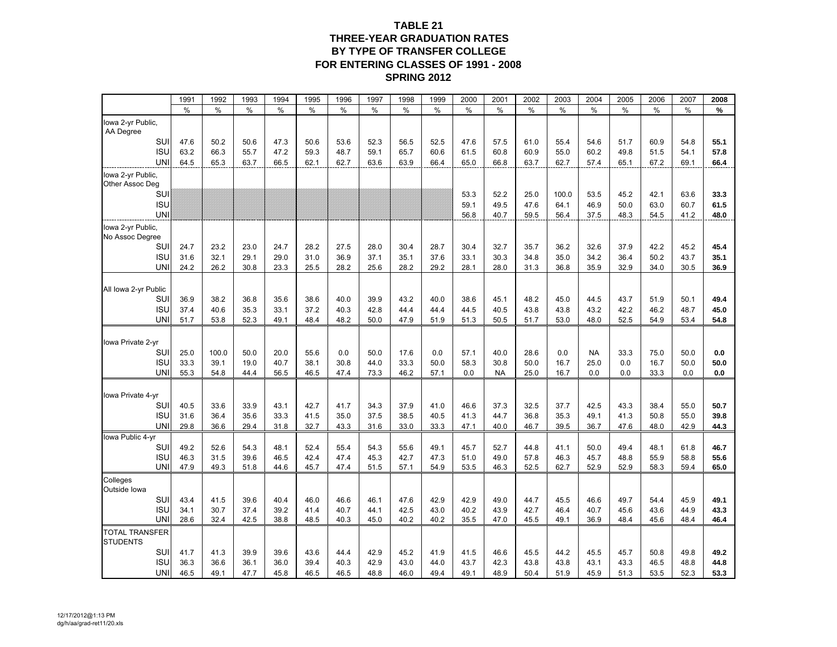#### **TABLE 21 THREE-YEAR GRADUATION RATES BY TYPE OF TRANSFER COLLEGE FOR ENTERING CLASSES OF 1991 - 2008 SPRING 2012**

|                                          | 1991         | 1992         | 1993         | 1994         | 1995         | 1996         | 1997         | 1998         | 1999         | 2000        | 2001              | 2002         | 2003         | 2004        | 2005       | 2006         | 2007        | 2008        |
|------------------------------------------|--------------|--------------|--------------|--------------|--------------|--------------|--------------|--------------|--------------|-------------|-------------------|--------------|--------------|-------------|------------|--------------|-------------|-------------|
|                                          | $\%$         | %            | $\%$         | $\%$         | $\%$         | $\%$         | $\%$         | $\%$         | $\%$         | $\%$        | $\%$              | $\%$         | $\%$         | $\%$        | $\%$       | $\%$         | $\%$        | $\%$        |
| lowa 2-yr Public,<br>AA Degree           |              |              |              |              |              |              |              |              |              |             |                   |              |              |             |            |              |             |             |
| SUI                                      | 47.6         | 50.2         | 50.6         | 47.3         | 50.6         | 53.6         | 52.3         | 56.5         | 52.5         | 47.6        | 57.5              | 61.0         | 55.4         | 54.6        | 51.7       | 60.9         | 54.8        | 55.1        |
| <b>ISU</b>                               | 63.2         | 66.3         | 55.7         | 47.2         | 59.3         | 48.7         | 59.1         | 65.7         | 60.6         | 61.5        | 60.8              | 60.9         | 55.0         | 60.2        | 49.8       | 51.5         | 54.1        | 57.8        |
| UNI                                      | 64.5         | 65.3         | 63.7         | 66.5         | 62.1         | 62.7         | 63.6         | 63.9         | 66.4         | 65.0        | 66.8              | 63.7         | 62.7         | 57.4        | 65.1       | 67.2         | 69.1        | 66.4        |
| lowa 2-yr Public,<br>Other Assoc Deg     |              |              |              |              |              |              |              |              |              |             |                   |              |              |             |            |              |             |             |
| SUI                                      |              |              |              |              |              |              |              |              |              | 53.3        | 52.2              | 25.0         | 100.0        | 53.5        | 45.2       | 42.1         | 63.6        | 33.3        |
| <b>ISU</b>                               |              |              |              |              |              |              |              |              |              | 59.1        | 49.5              | 47.6         | 64.1         | 46.9        | 50.0       | 63.0         | 60.7        | 61.5        |
| <b>UNI</b>                               |              |              |              |              |              |              |              |              |              | 56.8        | 40.7              | 59.5         | 56.4         | 37.5        | 48.3       | 54.5         | 41.2        | 48.0        |
| lowa 2-yr Public,                        |              |              |              |              |              |              |              |              |              |             |                   |              |              |             |            |              |             |             |
| No Assoc Degree<br>SUI                   | 24.7         | 23.2         | 23.0         | 24.7         | 28.2         | 27.5         | 28.0         | 30.4         | 28.7         | 30.4        | 32.7              | 35.7         | 36.2         | 32.6        | 37.9       | 42.2         | 45.2        | 45.4        |
| <b>ISU</b>                               | 31.6         | 32.1         | 29.1         | 29.0         | 31.0         | 36.9         | 37.1         | 35.1         | 37.6         | 33.1        | 30.3              | 34.8         | 35.0         | 34.2        | 36.4       | 50.2         | 43.7        | 35.1        |
| UNI                                      | 24.2         | 26.2         | 30.8         | 23.3         | 25.5         | 28.2         | 25.6         | 28.2         | 29.2         | 28.1        | 28.0              | 31.3         | 36.8         | 35.9        | 32.9       | 34.0         | 30.5        | 36.9        |
|                                          |              |              |              |              |              |              |              |              |              |             |                   |              |              |             |            |              |             |             |
| All Iowa 2-yr Public                     |              |              |              |              |              |              |              |              |              |             |                   |              |              |             |            |              |             |             |
| SUI                                      | 36.9         | 38.2         | 36.8         | 35.6         | 38.6         | 40.0         | 39.9         | 43.2         | 40.0         | 38.6        | 45.1              | 48.2         | 45.0         | 44.5        | 43.7       | 51.9         | 50.1        | 49.4        |
| <b>ISU</b>                               | 37.4         | 40.6         | 35.3         | 33.1         | 37.2         | 40.3         | 42.8         | 44.4         | 44.4         | 44.5        | 40.5              | 43.8         | 43.8         | 43.2        | 42.2       | 46.2         | 48.7        | 45.0        |
| <b>UNI</b>                               | 51.7         | 53.8         | 52.3         | 49.1         | 48.4         | 48.2         | 50.0         | 47.9         | 51.9         | 51.3        | 50.5              | 51.7         | 53.0         | 48.0        | 52.5       | 54.9         | 53.4        | 54.8        |
|                                          |              |              |              |              |              |              |              |              |              |             |                   |              |              |             |            |              |             |             |
| Iowa Private 2-yr                        |              |              |              |              |              |              |              |              |              |             |                   |              |              |             |            |              |             |             |
| SUI                                      | 25.0         | 100.0        | 50.0         | 20.0         | 55.6         | 0.0          | 50.0         | 17.6         | 0.0          | 57.1        | 40.0              | 28.6         | 0.0          | <b>NA</b>   | 33.3       | 75.0         | 50.0        | 0.0         |
| <b>ISU</b><br><b>UNI</b>                 | 33.3<br>55.3 | 39.1<br>54.8 | 19.0<br>44.4 | 40.7<br>56.5 | 38.1<br>46.5 | 30.8<br>47.4 | 44.0<br>73.3 | 33.3<br>46.2 | 50.0<br>57.1 | 58.3<br>0.0 | 30.8<br><b>NA</b> | 50.0<br>25.0 | 16.7<br>16.7 | 25.0<br>0.0 | 0.0<br>0.0 | 16.7<br>33.3 | 50.0<br>0.0 | 50.0<br>0.0 |
|                                          |              |              |              |              |              |              |              |              |              |             |                   |              |              |             |            |              |             |             |
| Iowa Private 4-yr                        |              |              |              |              |              |              |              |              |              |             |                   |              |              |             |            |              |             |             |
| SUI                                      | 40.5         | 33.6         | 33.9         | 43.1         | 42.7         | 41.7         | 34.3         | 37.9         | 41.0         | 46.6        | 37.3              | 32.5         | 37.7         | 42.5        | 43.3       | 38.4         | 55.0        | 50.7        |
| <b>ISU</b>                               | 31.6         | 36.4         | 35.6         | 33.3         | 41.5         | 35.0         | 37.5         | 38.5         | 40.5         | 41.3        | 44.7              | 36.8         | 35.3         | 49.1        | 41.3       | 50.8         | 55.0        | 39.8        |
| UNI                                      | 29.8         | 36.6         | 29.4         | 31.8         | 32.7         | 43.3         | 31.6         | 33.0         | 33.3         | 47.1        | 40.0              | 46.7         | 39.5         | 36.7        | 47.6       | 48.0         | 42.9        | 44.3        |
| Iowa Public 4-yr                         |              |              |              |              |              |              |              |              |              |             |                   |              |              |             |            |              |             |             |
| SUI                                      | 49.2         | 52.6         | 54.3         | 48.1         | 52.4         | 55.4         | 54.3         | 55.6         | 49.1         | 45.7        | 52.7              | 44.8         | 41.1         | 50.0        | 49.4       | 48.1         | 61.8        | 46.7        |
| <b>ISU</b>                               | 46.3         | 31.5         | 39.6         | 46.5         | 42.4         | 47.4         | 45.3         | 42.7         | 47.3         | 51.0        | 49.0              | 57.8         | 46.3         | 45.7        | 48.8       | 55.9         | 58.8        | 55.6        |
| <b>UNI</b>                               | 47.9         | 49.3         | 51.8         | 44.6         | 45.7         | 47.4         | 51.5         | 57.1         | 54.9         | 53.5        | 46.3              | 52.5         | 62.7         | 52.9        | 52.9       | 58.3         | 59.4        | 65.0        |
| Colleges<br>Outside lowa                 |              |              |              |              |              |              |              |              |              |             |                   |              |              |             |            |              |             |             |
| SUI                                      | 43.4         | 41.5         | 39.6         | 40.4         | 46.0         | 46.6         | 46.1         | 47.6         | 42.9         | 42.9        | 49.0              | 44.7         | 45.5         | 46.6        | 49.7       | 54.4         | 45.9        | 49.1        |
| <b>ISU</b>                               | 34.1         | 30.7         | 37.4         | 39.2         | 41.4         | 40.7         | 44.1         | 42.5         | 43.0         | 40.2        | 43.9              | 42.7         | 46.4         | 40.7        | 45.6       | 43.6         | 44.9        | 43.3        |
| UNI                                      | 28.6         | 32.4         | 42.5         | 38.8         | 48.5         | 40.3         | 45.0         | 40.2         | 40.2         | 35.5        | 47.0              | 45.5         | 49.1         | 36.9        | 48.4       | 45.6         | 48.4        | 46.4        |
| <b>TOTAL TRANSFER</b><br><b>STUDENTS</b> |              |              |              |              |              |              |              |              |              |             |                   |              |              |             |            |              |             |             |
| <b>SUI</b>                               | 41.7         | 41.3         | 39.9         | 39.6         | 43.6         | 44.4         | 42.9         | 45.2         | 41.9         | 41.5        | 46.6              | 45.5         | 44.2         | 45.5        | 45.7       | 50.8         | 49.8        | 49.2        |
| <b>ISU</b>                               | 36.3         | 36.6         | 36.1         | 36.0         | 39.4         | 40.3         | 42.9         | 43.0         | 44.0         | 43.7        | 42.3              | 43.8         | 43.8         | 43.1        | 43.3       | 46.5         | 48.8        | 44.8        |
| <b>UNI</b>                               | 46.5         | 49.1         | 47.7         | 45.8         | 46.5         | 46.5         | 48.8         | 46.0         | 49.4         | 49.1        | 48.9              | 50.4         | 51.9         | 45.9        | 51.3       | 53.5         | 52.3        | 53.3        |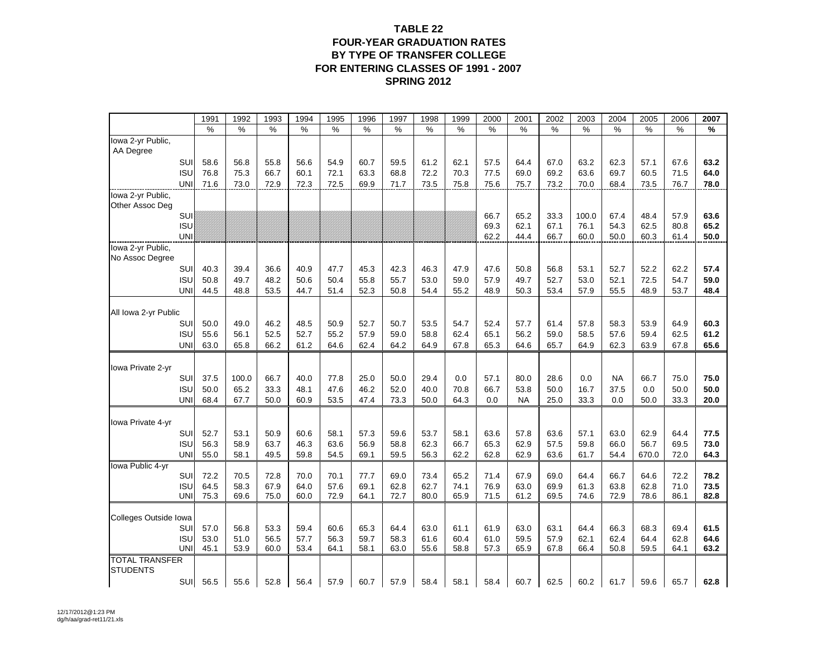#### **TABLE 22FOUR-YEAR GRADUATION RATES BY TYPE OF TRANSFER COLLEGEFOR ENTERING CLASSES OF 1991 - 2007 SPRING 2012**

|                                      | 1991         | 1992         | 1993         | 1994         | 1995         | 1996         | 1997         | 1998         | 1999         | 2000         | 2001         | 2002          | 2003         | 2004         | 2005         | 2006         | 2007         |
|--------------------------------------|--------------|--------------|--------------|--------------|--------------|--------------|--------------|--------------|--------------|--------------|--------------|---------------|--------------|--------------|--------------|--------------|--------------|
|                                      | $\%$         | $\%$         | $\%$         | $\%$         | $\%$         | $\%$         | $\%$         | %            | $\%$         | $\%$         | %            | $\frac{0}{0}$ | %            | $\%$         | $\%$         | $\%$         | %            |
| lowa 2-yr Public,                    |              |              |              |              |              |              |              |              |              |              |              |               |              |              |              |              |              |
| AA Degree                            |              |              |              |              |              |              |              |              |              |              |              |               |              |              |              |              |              |
| SUI                                  | 58.6         | 56.8         | 55.8         | 56.6         | 54.9         | 60.7         | 59.5         | 61.2         | 62.1         | 57.5         | 64.4         | 67.0          | 63.2         | 62.3         | 57.1         | 67.6         | 63.2         |
| <b>ISU</b>                           | 76.8         | 75.3         | 66.7         | 60.1         | 72.1         | 63.3         | 68.8         | 72.2         | 70.3         | 77.5         | 69.0         | 69.2          | 63.6         | 69.7         | 60.5         | 71.5         | 64.0         |
| UNI                                  | 71.6         | 73.0         | 72.9         | 72.3         | 72.5         | 69.9         | 71.7         | 73.5         | 75.8         | 75.6         | 75.7         | 73.2          | 70.0         | 68.4         | 73.5         | 76.7         | 78.0         |
| lowa 2-yr Public.<br>Other Assoc Deg |              |              |              |              |              |              |              |              |              |              |              |               |              |              |              |              |              |
| SUI                                  |              |              |              |              |              |              |              |              |              | 66.7         | 65.2         | 33.3          | 100.0        | 67.4         | 48.4         | 57.9         | 63.6         |
| <b>ISU</b>                           |              |              |              |              |              |              |              |              |              | 69.3         | 62.1         | 67.1          | 76.1         | 54.3         | 62.5         | 80.8         | 65.2         |
| <b>UNI</b>                           |              |              |              |              |              |              |              |              |              | 62.2         | 44.4         | 66.7          | 60.0         | 50.0         | 60.3         | 61.4         | 50.0         |
| lowa 2-yr Public,                    |              |              |              |              |              |              |              |              |              |              |              |               |              |              |              |              |              |
| No Assoc Degree                      |              |              |              |              |              |              |              |              |              |              |              |               |              |              |              |              |              |
| SUI                                  | 40.3         | 39.4         | 36.6         | 40.9         | 47.7         | 45.3         | 42.3         | 46.3         | 47.9         | 47.6         | 50.8         | 56.8          | 53.1         | 52.7         | 52.2         | 62.2         | 57.4         |
| <b>ISU</b>                           | 50.8         | 49.7         | 48.2         | 50.6         | 50.4         | 55.8         | 55.7         | 53.0         | 59.0         | 57.9         | 49.7         | 52.7          | 53.0         | 52.1         | 72.5         | 54.7         | 59.0         |
| <b>UNI</b>                           | 44.5         | 48.8         | 53.5         | 44.7         | 51.4         | 52.3         | 50.8         | 54.4         | 55.2         | 48.9         | 50.3         | 53.4          | 57.9         | 55.5         | 48.9         | 53.7         | 48.4         |
|                                      |              |              |              |              |              |              |              |              |              |              |              |               |              |              |              |              |              |
| All Iowa 2-yr Public                 |              |              |              |              |              |              |              |              |              |              |              |               |              |              |              |              |              |
| SUI                                  | 50.0         | 49.0         | 46.2         | 48.5         | 50.9         | 52.7         | 50.7         | 53.5         | 54.7         | 52.4         | 57.7         | 61.4          | 57.8         | 58.3         | 53.9         | 64.9         | 60.3         |
| <b>ISU</b><br><b>UNI</b>             | 55.6<br>63.0 | 56.1<br>65.8 | 52.5<br>66.2 | 52.7<br>61.2 | 55.2         | 57.9<br>62.4 | 59.0         | 58.8<br>64.9 | 62.4<br>67.8 | 65.1<br>65.3 | 56.2<br>64.6 | 59.0          | 58.5         | 57.6<br>62.3 | 59.4<br>63.9 | 62.5         | 61.2<br>65.6 |
|                                      |              |              |              |              | 64.6         |              | 64.2         |              |              |              |              | 65.7          | 64.9         |              |              | 67.8         |              |
| Iowa Private 2-yr                    |              |              |              |              |              |              |              |              |              |              |              |               |              |              |              |              |              |
| SUI                                  | 37.5         | 100.0        | 66.7         | 40.0         | 77.8         | 25.0         | 50.0         | 29.4         | 0.0          | 57.1         | 80.0         | 28.6          | 0.0          | <b>NA</b>    | 66.7         | 75.0         | 75.0         |
| <b>ISU</b>                           | 50.0         | 65.2         | 33.3         | 48.1         | 47.6         | 46.2         | 52.0         | 40.0         | 70.8         | 66.7         | 53.8         | 50.0          | 16.7         | 37.5         | 0.0          | 50.0         | 50.0         |
| <b>UNI</b>                           | 68.4         | 67.7         | 50.0         | 60.9         | 53.5         | 47.4         | 73.3         | 50.0         | 64.3         | 0.0          | <b>NA</b>    | 25.0          | 33.3         | 0.0          | 50.0         | 33.3         | 20.0         |
|                                      |              |              |              |              |              |              |              |              |              |              |              |               |              |              |              |              |              |
| Iowa Private 4-yr                    |              |              |              |              |              |              |              |              |              |              |              |               |              |              |              |              |              |
| SUI                                  | 52.7         | 53.1         | 50.9         | 60.6         | 58.1         | 57.3         | 59.6         | 53.7         | 58.1         | 63.6         | 57.8         | 63.6          | 57.1         | 63.0         | 62.9         | 64.4         | 77.5         |
| <b>ISU</b>                           | 56.3         | 58.9         | 63.7         | 46.3         | 63.6         | 56.9         | 58.8         | 62.3         | 66.7         | 65.3         | 62.9         | 57.5          | 59.8         | 66.0         | 56.7         | 69.5         | 73.0         |
| <b>UNI</b>                           | 55.0         | 58.1         | 49.5         | 59.8         | 54.5         | 69.1         | 59.5         | 56.3         | 62.2         | 62.8         | 62.9         | 63.6          | 61.7         | 54.4         | 670.0        | 72.0         | 64.3         |
| Iowa Public 4-yr                     |              |              |              |              |              |              |              |              |              |              |              |               |              |              |              |              |              |
| SUI                                  | 72.2         | 70.5         | 72.8         | 70.0         | 70.1         | 77.7         | 69.0         | 73.4         | 65.2         | 71.4         | 67.9         | 69.0          | 64.4         | 66.7         | 64.6         | 72.2         | 78.2         |
| <b>ISU</b><br>UNI                    | 64.5<br>75.3 | 58.3<br>69.6 | 67.9<br>75.0 | 64.0<br>60.0 | 57.6<br>72.9 | 69.1<br>64.1 | 62.8<br>72.7 | 62.7<br>80.0 | 74.1<br>65.9 | 76.9<br>71.5 | 63.0<br>61.2 | 69.9<br>69.5  | 61.3<br>74.6 | 63.8<br>72.9 | 62.8<br>78.6 | 71.0<br>86.1 | 73.5<br>82.8 |
|                                      |              |              |              |              |              |              |              |              |              |              |              |               |              |              |              |              |              |
| Colleges Outside Iowa                |              |              |              |              |              |              |              |              |              |              |              |               |              |              |              |              |              |
| SUI                                  | 57.0         | 56.8         | 53.3         | 59.4         | 60.6         | 65.3         | 64.4         | 63.0         | 61.1         | 61.9         | 63.0         | 63.1          | 64.4         | 66.3         | 68.3         | 69.4         | 61.5         |
| <b>ISU</b>                           | 53.0         | 51.0         | 56.5         | 57.7         | 56.3         | 59.7         | 58.3         | 61.6         | 60.4         | 61.0         | 59.5         | 57.9          | 62.1         | 62.4         | 64.4         | 62.8         | 64.6         |
| UNI                                  | 45.1         | 53.9         | 60.0         | 53.4         | 64.1         | 58.1         | 63.0         | 55.6         | 58.8         | 57.3         | 65.9         | 67.8          | 66.4         | 50.8         | 59.5         | 64.1         | 63.2         |
| <b>TOTAL TRANSFER</b>                |              |              |              |              |              |              |              |              |              |              |              |               |              |              |              |              |              |
| <b>STUDENTS</b>                      |              |              |              |              |              |              |              |              |              |              |              |               |              |              |              |              |              |
| SUI                                  | 56.5         | 55.6         | 52.8         | 56.4         | 57.9         | 60.7         | 57.9         | 58.4         | 58.1         | 58.4         | 60.7         | 62.5          | 60.2         | 61.7         | 59.6         | 65.7         | 62.8         |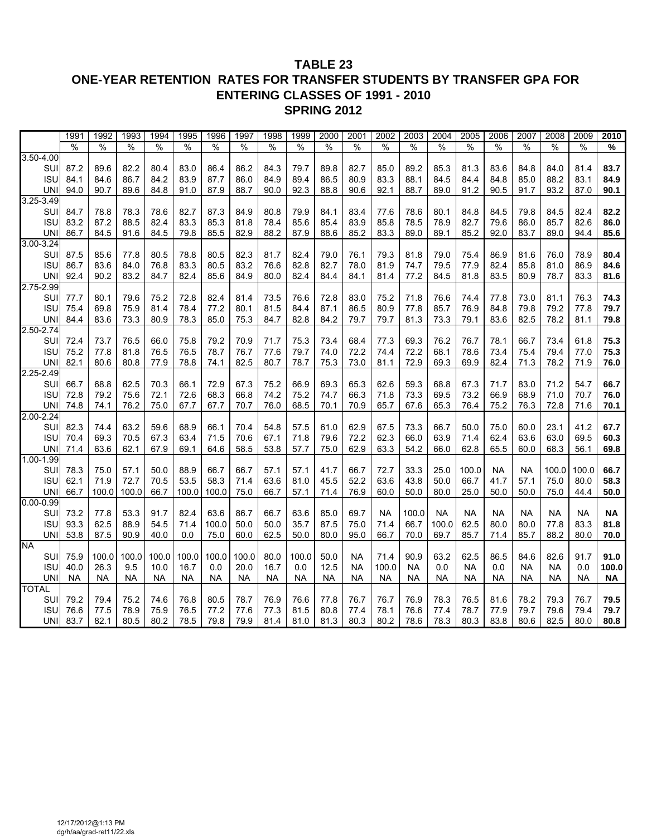#### **TABLE 23 ONE-YEAR RETENTION RATES FOR TRANSFER STUDENTS BY TRANSFER GPA FOR ENTERING CLASSES OF 1991 - 2010 SPRING 2012**

|                  | 1991      | 1992         | 1993          | 1994          | 1995      | 1996      | 1997      | 1998          | 1999      | 2000         | 2001      | 2002      | 2003         | 2004      | 2005      | 2006      | 2007         | 2008         | 2009      | 2010      |
|------------------|-----------|--------------|---------------|---------------|-----------|-----------|-----------|---------------|-----------|--------------|-----------|-----------|--------------|-----------|-----------|-----------|--------------|--------------|-----------|-----------|
|                  | %         | %            | $\frac{0}{0}$ | $\frac{1}{2}$ | $\%$      | $\%$      | $\%$      | $\frac{1}{2}$ | %         | $\%$         | %         | %         | $\%$         | $\%$      | $\%$      | $\%$      | $\%$         | %            | $\%$      | %         |
| $3.50 - 4.00$    |           |              |               |               |           |           |           |               |           |              |           |           |              |           |           |           |              |              |           |           |
| SUI              | 87.2      | 89.6         | 82.2          | 80.4          | 83.0      | 86.4      | 86.2      | 84.3          | 79.7      | 89.8         | 82.7      | 85.0      | 89.2         | 85.3      | 81.3      | 83.6      | 84.8         | 84.0         | 81.4      | 83.7      |
| <b>ISU</b>       | 84.1      | 84.6         | 86.7          | 84.2          | 83.9      | 87.7      | 86.0      | 84.9          | 89.4      | 86.5         | 80.9      | 83.3      | 88.1         | 84.5      | 84.4      | 84.8      | 85.0         | 88.2         | 83.1      | 84.9      |
| <b>UNI</b>       | 94.0      | 90.7         | 89.6          | 84.8          | 91.0      | 87.9      | 88.7      | 90.0          | 92.3      | 88.8         | 90.6      | 92.1      | 88.7         | 89.0      | 91.2      | 90.5      | 91.7         | 93.2         | 87.0      | 90.1      |
| $3.25 - 3.49$    |           |              |               |               |           |           |           |               |           |              |           |           |              |           |           |           |              |              |           |           |
| SUI              | 84.7      | 78.8         | 78.3          | 78.6          | 82.7      | 87.3      | 84.9      | 80.8          | 79.9      | 84.1         | 83.4      | 77.6      | 78.6         | 80.1      | 84.8      | 84.5      | 79.8         | 84.5         | 82.4      | 82.2      |
| <b>ISU</b>       | 83.2      | 87.2         | 88.5          | 82.4          | 83.3      | 85.3      | 81.8      | 78.4          | 85.6      | 85.4         | 83.9      | 85.8      | 78.5         | 78.9      | 82.7      | 79.6      | 86.0         | 85.7         | 82.6      | 86.0      |
| <b>UNI</b>       | 86.7      | 84.5         | 91.6          | 84.5          | 79.8      | 85.5      | 82.9      | 88.2          | 87.9      | 88.6         | 85.2      | 83.3      | 89.0         | 89.1      | 85.2      | 92.0      | 83.7         | 89.0         | 94.4      | 85.6      |
| $3.00 - 3.24$    |           |              |               |               |           |           |           |               |           |              |           |           |              |           |           |           |              |              |           |           |
| SUI              | 87.5      | 85.6         | 77.8          | 80.5          | 78.8      | 80.5      | 82.3      | 81.7          | 82.4      | 79.0         | 76.1      | 79.3      | 81.8         | 79.0      | 75.4      | 86.9      | 81.6         | 76.0         | 78.9      | 80.4      |
| <b>ISU</b>       | 86.7      | 83.6         | 84.0          | 76.8          | 83.3      | 80.5      | 83.2      | 76.6          | 82.8      | 82.7         | 78.0      | 81.9      | 74.7         | 79.5      | 77.9      | 82.4      | 85.8         | 81.0         | 86.9      | 84.6      |
| <b>UNI</b>       | 92.4      | 90.2         | 83.2          | 84.7          | 82.4      | 85.6      | 84.9      | 80.0          | 82.4      | 84.4         | 84.1      | 81.4      | 77.2         | 84.5      | 81.8      | 83.5      | 80.9         | 78.7         | 83.3      | 81.6      |
| 2.75-2.99        |           |              |               |               |           |           |           |               |           |              |           |           |              |           |           |           |              |              |           |           |
| SUI              | 77.7      |              |               | 75.2          | 72.8      | 82.4      | 81.4      | 73.5          | 76.6      |              | 83.0      | 75.2      |              | 76.6      | 74.4      | 77.8      |              |              | 76.3      | 74.3      |
| <b>ISU</b>       | 75.4      | 80.1<br>69.8 | 79.6<br>75.9  | 81.4          | 78.4      | 77.2      | 80.1      | 81.5          | 84.4      | 72.8<br>87.1 | 86.5      | 80.9      | 71.8<br>77.8 | 85.7      | 76.9      | 84.8      | 73.0<br>79.8 | 81.1<br>79.2 | 77.8      | 79.7      |
|                  |           |              |               |               |           |           |           |               |           |              |           |           |              |           |           |           |              |              |           |           |
| UNI<br>2.50-2.74 | 84.4      | 83.6         | 73.3          | 80.9          | 78.3      | 85.0      | 75.3      | 84.7          | 82.8      | 84.2         | 79.7      | 79.7      | 81.3         | 73.3      | 79.1      | 83.6      | 82.5         | 78.2         | 81.1      | 79.8      |
|                  |           |              |               |               |           |           |           |               |           |              |           |           |              |           |           |           |              |              |           |           |
| SUI              | 72.4      | 73.7         | 76.5          | 66.0          | 75.8      | 79.2      | 70.9      | 71.7          | 75.3      | 73.4         | 68.4      | 77.3      | 69.3         | 76.2      | 76.7      | 78.1      | 66.7         | 73.4         | 61.8      | 75.3      |
| <b>ISU</b>       | 75.2      | 77.8         | 81.8          | 76.5          | 76.5      | 78.7      | 76.7      | 77.6          | 79.7      | 74.0         | 72.2      | 74.4      | 72.2         | 68.1      | 78.6      | 73.4      | 75.4         | 79.4         | 77.0      | 75.3      |
| <b>UNI</b>       | 82.1      | 80.6         | 80.8          | 77.9          | 78.8      | 74.1      | 82.5      | 80.7          | 78.7      | 75.3         | 73.0      | 81.1      | 72.9         | 69.3      | 69.9      | 82.4      | 71.3         | 78.2         | 71.9      | 76.0      |
| $2.25 - 2.49$    |           |              |               |               |           |           |           |               |           |              |           |           |              |           |           |           |              |              |           |           |
| SUI              | 66.7      | 68.8         | 62.5          | 70.3          | 66.1      | 72.9      | 67.3      | 75.2          | 66.9      | 69.3         | 65.3      | 62.6      | 59.3         | 68.8      | 67.3      | 71.7      | 83.0         | 71.2         | 54.7      | 66.7      |
| <b>ISU</b>       | 72.8      | 79.2         | 75.6          | 72.1          | 72.6      | 68.3      | 66.8      | 74.2          | 75.2      | 74.7         | 66.3      | 71.8      | 73.3         | 69.5      | 73.2      | 66.9      | 68.9         | 71.0         | 70.7      | 76.0      |
| <b>UNI</b>       | 74.8      | 74.1         | 76.2          | 75.0          | 67.7      | 67.7      | 70.7      | 76.0          | 68.5      | 70.1         | 70.9      | 65.7      | 67.6         | 65.3      | 76.4      | 75.2      | 76.3         | 72.8         | 71.6      | 70.1      |
| $2.00 - 2.24$    |           |              |               |               |           |           |           |               |           |              |           |           |              |           |           |           |              |              |           |           |
| SUI              | 82.3      | 74.4         | 63.2          | 59.6          | 68.9      | 66.1      | 70.4      | 54.8          | 57.5      | 61.0         | 62.9      | 67.5      | 73.3         | 66.7      | 50.0      | 75.0      | 60.0         | 23.1         | 41.2      | 67.7      |
| <b>ISU</b>       | 70.4      | 69.3         | 70.5          | 67.3          | 63.4      | 71.5      | 70.6      | 67.1          | 71.8      | 79.6         | 72.2      | 62.3      | 66.0         | 63.9      | 71.4      | 62.4      | 63.6         | 63.0         | 69.5      | 60.3      |
| <b>UNI</b>       | 71.4      | 63.6         | 62.1          | 67.9          | 69.1      | 64.6      | 58.5      | 53.8          | 57.7      | 75.0         | 62.9      | 63.3      | 54.2         | 66.0      | 62.8      | 65.5      | 60.0         | 68.3         | 56.1      | 69.8      |
| $1.00 - 1.99$    |           |              |               |               |           |           |           |               |           |              |           |           |              |           |           |           |              |              |           |           |
| SUI              | 78.3      | 75.0         | 57.1          | 50.0          | 88.9      | 66.7      | 66.7      | 57.1          | 57.1      | 41.7         | 66.7      | 72.7      | 33.3         | 25.0      | 100.0     | <b>NA</b> | <b>NA</b>    | 100.0        | 100.0     | 66.7      |
| <b>ISU</b>       | 62.1      | 71.9         | 72.7          | 70.5          | 53.5      | 58.3      | 71.4      | 63.6          | 81.0      | 45.5         | 52.2      | 63.6      | 43.8         | 50.0      | 66.7      | 41.7      | 57.1         | 75.0         | 80.0      | 58.3      |
| <b>UNI</b>       | 66.7      | 100.0        | 100.0         | 66.7          | 100.0     | 100.0     | 75.0      | 66.7          | 57.1      | 71.4         | 76.9      | 60.0      | 50.0         | 80.0      | 25.0      | 50.0      | 50.0         | 75.0         | 44.4      | 50.0      |
| $0.00 - 0.99$    |           |              |               |               |           |           |           |               |           |              |           |           |              |           |           |           |              |              |           |           |
| SUI              | 73.2      | 77.8         | 53.3          | 91.7          | 82.4      | 63.6      | 86.7      | 66.7          | 63.6      | 85.0         | 69.7      | <b>NA</b> | 100.0        | <b>NA</b> | NA        | <b>NA</b> | <b>NA</b>    | <b>NA</b>    | <b>NA</b> | <b>NA</b> |
| <b>ISU</b>       | 93.3      | 62.5         | 88.9          | 54.5          | 71.4      | 100.0     | 50.0      | 50.0          | 35.7      | 87.5         | 75.0      | 71.4      | 66.7         | 100.0     | 62.5      | 80.0      | 80.0         | 77.8         | 83.3      | 81.8      |
| <b>UNI</b>       | 53.8      | 87.5         | 90.9          | 40.0          | 0.0       | 75.0      | 60.0      | 62.5          | 50.0      | 80.0         | 95.0      | 66.7      | 70.0         | 69.7      | 85.7      | 71.4      | 85.7         | 88.2         | 80.0      | 70.0      |
| <b>NA</b>        |           |              |               |               |           |           |           |               |           |              |           |           |              |           |           |           |              |              |           |           |
| SUI              | 75.9      | 100.0        | 100.0         | 100.0         | 100.0     | 100.0     | 100.0     | 80.0          | 100.0     | 50.0         | <b>NA</b> | 71.4      | 90.9         | 63.2      | 62.5      | 86.5      | 84.6         | 82.6         | 91.7      | 91.0      |
| <b>ISU</b>       | 40.0      | 26.3         | 9.5           | 10.0          | 16.7      | 0.0       | 20.0      | 16.7          | 0.0       | 12.5         | <b>NA</b> | 100.0     | <b>NA</b>    | 0.0       | <b>NA</b> | 0.0       | <b>NA</b>    | <b>NA</b>    | 0.0       | 100.0     |
| <b>UNI</b>       | <b>NA</b> | <b>NA</b>    | <b>NA</b>     | <b>NA</b>     | <b>NA</b> | <b>NA</b> | <b>NA</b> | <b>NA</b>     | <b>NA</b> | <b>NA</b>    | <b>NA</b> | <b>NA</b> | <b>NA</b>    | <b>NA</b> | <b>NA</b> | <b>NA</b> | <b>NA</b>    | <b>NA</b>    | <b>NA</b> | <b>NA</b> |
| <b>TOTAL</b>     |           |              |               |               |           |           |           |               |           |              |           |           |              |           |           |           |              |              |           |           |
| SUI              | 79.2      | 79.4         | 75.2          | 74.6          | 76.8      | 80.5      | 78.7      | 76.9          | 76.6      | 77.8         | 76.7      | 76.7      | 76.9         | 78.3      | 76.5      | 81.6      | 78.2         | 79.3         | 76.7      | 79.5      |
| <b>ISU</b>       | 76.6      | 77.5         | 78.9          | 75.9          | 76.5      | 77.2      | 77.6      | 77.3          | 81.5      | 80.8         | 77.4      | 78.1      | 76.6         | 77.4      | 78.7      | 77.9      | 79.7         | 79.6         | 79.4      | 79.7      |
| <b>UNI</b>       | 83.7      | 82.1         | 80.5          | 80.2          | 78.5      | 79.8      | 79.9      | 81.4          | 81.0      | 81.3         | 80.3      | 80.2      | 78.6         | 78.3      | 80.3      | 83.8      | 80.6         | 82.5         | 80.0      | 80.8      |
|                  |           |              |               |               |           |           |           |               |           |              |           |           |              |           |           |           |              |              |           |           |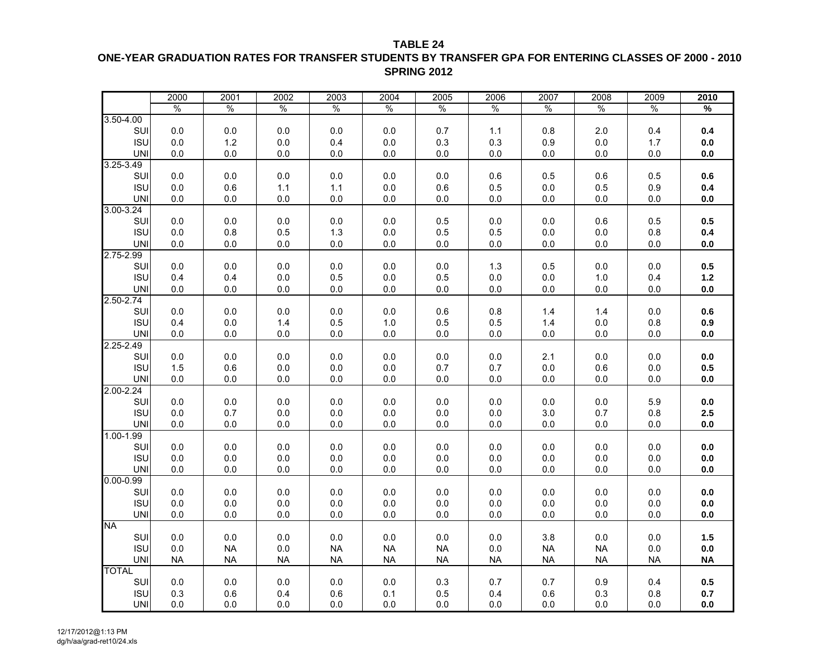**TABLE 24**

#### **ONE-YEAR GRADUATION RATES FOR TRANSFER STUDENTS BY TRANSFER GPA FOR ENTERING CLASSES OF 2000 - 2010 SPRING 2012**

|                             | 2000          | 2001           | 2002          | 2003           | 2004           | 2005           | 2006          | 2007          | 2008           | 2009          | 2010           |
|-----------------------------|---------------|----------------|---------------|----------------|----------------|----------------|---------------|---------------|----------------|---------------|----------------|
|                             | $\frac{0}{0}$ | $\frac{0}{0}$  | $\frac{0}{0}$ | $\frac{0}{0}$  | $\frac{0}{0}$  | $\frac{0}{0}$  | $\frac{0}{0}$ | $\frac{0}{0}$ | $\%$           | $\frac{0}{0}$ | %              |
| $3.50 - 4.00$               |               |                |               |                |                |                |               |               |                |               |                |
| SUI                         | $0.0\,$       | 0.0            | 0.0           | 0.0            | 0.0            | 0.7            | 1.1           | 0.8           | 2.0            | 0.4           | 0.4            |
| <b>ISU</b>                  | 0.0           | 1.2            | 0.0           | 0.4            | 0.0            | 0.3            | 0.3           | 0.9           | 0.0            | 1.7           | 0.0            |
| <b>UNI</b>                  | 0.0           | 0.0            | 0.0           | 0.0            | 0.0            | 0.0            | 0.0           | 0.0           | 0.0            | 0.0           | 0.0            |
| $3.25 - 3.49$               |               |                |               |                |                |                |               |               |                |               |                |
| SUI                         | 0.0           | 0.0            | 0.0           | 0.0            | 0.0            | 0.0            | 0.6           | 0.5           | 0.6            | 0.5           | 0.6            |
| <b>ISU</b>                  | 0.0           | 0.6            | 1.1           | 1.1            | 0.0            | 0.6            | 0.5           | 0.0           | 0.5            | 0.9           | 0.4            |
| <b>UNI</b>                  | 0.0           | 0.0            | 0.0           | 0.0            | $0.0\,$        | 0.0            | 0.0           | 0.0           | 0.0            | 0.0           | $0.0\,$        |
| $3.00 - 3.24$               |               |                |               |                |                |                |               |               |                |               |                |
| SUI                         | 0.0           | 0.0            | 0.0           | 0.0            | 0.0            | 0.5            | 0.0           | 0.0           | 0.6            | 0.5           | 0.5            |
| <b>ISU</b>                  | 0.0           | 0.8            | 0.5           | 1.3            | $0.0\,$        | 0.5            | 0.5           | 0.0           | 0.0            | 0.8           | 0.4            |
| <b>UNI</b>                  | 0.0           | 0.0            | 0.0           | 0.0            | 0.0            | 0.0            | 0.0           | 0.0           | 0.0            | 0.0           | 0.0            |
| 2.75-2.99                   |               |                |               |                |                |                |               |               |                |               |                |
| SUI                         | 0.0           | 0.0            | 0.0           | 0.0            | 0.0            | 0.0            | 1.3           | 0.5           | 0.0            | 0.0           | 0.5            |
| <b>ISU</b>                  | 0.4           | 0.4            | 0.0           | 0.5            | $0.0\,$        | 0.5            | 0.0           | 0.0           | 1.0            | 0.4           | $1.2$          |
| <b>UNI</b>                  | 0.0           | 0.0            | 0.0           | 0.0            | 0.0            | 0.0            | 0.0           | 0.0           | 0.0            | 0.0           | 0.0            |
| $2.50 - 2.74$               |               |                |               |                |                |                |               |               |                |               |                |
| SUI                         | 0.0           | 0.0            | 0.0           | 0.0            | $0.0\,$        | 0.6            | 0.8           | 1.4           | 1.4            | 0.0           | 0.6            |
| <b>ISU</b>                  | 0.4           | $0.0\,$        | 1.4           | 0.5            | 1.0            | 0.5            | 0.5           | 1.4           | 0.0            | 0.8           | 0.9            |
| <b>UNI</b>                  | 0.0           | 0.0            | 0.0           | 0.0            | 0.0            | $0.0\,$        | 0.0           | 0.0           | 0.0            | 0.0           | 0.0            |
| $2.25 - 2.49$               |               |                |               |                |                |                |               |               |                |               |                |
| SUI                         | 0.0           | 0.0            | 0.0           | 0.0            | 0.0            | 0.0            | 0.0           | 2.1           | 0.0            | 0.0           | 0.0            |
| <b>ISU</b>                  | 1.5           | 0.6            | 0.0           | 0.0            | 0.0            | 0.7            | 0.7           | 0.0           | 0.6            | 0.0           | 0.5            |
| <b>UNI</b>                  | 0.0           | 0.0            | 0.0           | $0.0\,$        | $0.0\,$        | $0.0\,$        | 0.0           | 0.0           | 0.0            | 0.0           | $0.0\,$        |
| $2.00 - 2.24$               |               |                |               |                |                |                |               |               |                |               |                |
| SUI                         | 0.0           | 0.0            | 0.0           | 0.0            | 0.0            | 0.0            | 0.0           | 0.0           | 0.0            | 5.9           | 0.0            |
| <b>ISU</b>                  | 0.0           | 0.7            | 0.0           | 0.0            | $0.0\,$        | 0.0            | 0.0           | 3.0           | 0.7            | 0.8           | 2.5            |
| <b>UNI</b>                  | 0.0           | 0.0            | 0.0           | 0.0            | 0.0            | 0.0            | 0.0           | 0.0           | 0.0            | 0.0           | 0.0            |
| $1.00 - 1.99$               |               |                |               |                |                |                |               |               |                |               |                |
| SUI<br><b>ISU</b>           | 0.0           | $0.0\,$        | 0.0           | $0.0\,$        | 0.0            | 0.0            | 0.0           | 0.0           | 0.0            | 0.0           | $0.0\,$<br>0.0 |
|                             | 0.0           | 0.0            | 0.0           | 0.0            | 0.0            | 0.0            | 0.0           | 0.0           | 0.0            | 0.0           |                |
| <b>UNI</b><br>$0.00 - 0.99$ | 0.0           | 0.0            | 0.0           | 0.0            | 0.0            | 0.0            | 0.0           | 0.0           | 0.0            | 0.0           | 0.0            |
| SUI                         |               |                |               |                |                |                |               |               |                |               |                |
| <b>ISU</b>                  | 0.0<br>0.0    | 0.0<br>$0.0\,$ | 0.0<br>0.0    | 0.0<br>$0.0\,$ | 0.0<br>$0.0\,$ | 0.0<br>$0.0\,$ | 0.0<br>0.0    | 0.0<br>0.0    | 0.0<br>$0.0\,$ | 0.0<br>0.0    | $0.0\,$<br>0.0 |
| <b>UNI</b>                  |               |                |               |                |                |                |               |               |                |               |                |
| <b>NA</b>                   | 0.0           | 0.0            | 0.0           | 0.0            | 0.0            | $0.0\,$        | 0.0           | 0.0           | 0.0            | 0.0           | 0.0            |
| SUI                         | 0.0           | 0.0            | 0.0           | 0.0            | 0.0            | 0.0            | 0.0           | 3.8           | 0.0            | 0.0           | 1.5            |
| <b>ISU</b>                  | 0.0           | <b>NA</b>      | 0.0           | <b>NA</b>      | <b>NA</b>      | <b>NA</b>      | 0.0           | <b>NA</b>     | <b>NA</b>      | 0.0           | $0.0\,$        |
| <b>UNI</b>                  | <b>NA</b>     | <b>NA</b>      | <b>NA</b>     | NA             | ΝA             | <b>NA</b>      | <b>NA</b>     | NA.           | NA             | <b>NA</b>     | <b>NA</b>      |
| <b>TOTAL</b>                |               |                |               |                |                |                |               |               |                |               |                |
| SUI                         | 0.0           | 0.0            | 0.0           | 0.0            | 0.0            | 0.3            | 0.7           | 0.7           | 0.9            | 0.4           | 0.5            |
| <b>ISU</b>                  | 0.3           | 0.6            | 0.4           | 0.6            | 0.1            | 0.5            | 0.4           | 0.6           | 0.3            | 0.8           | 0.7            |
| <b>UNI</b>                  | 0.0           | $0.0\,$        | 0.0           | $0.0\,$        | $0.0\,$        | 0.0            | 0.0           | 0.0           | 0.0            | 0.0           | 0.0            |
|                             |               |                |               |                |                |                |               |               |                |               |                |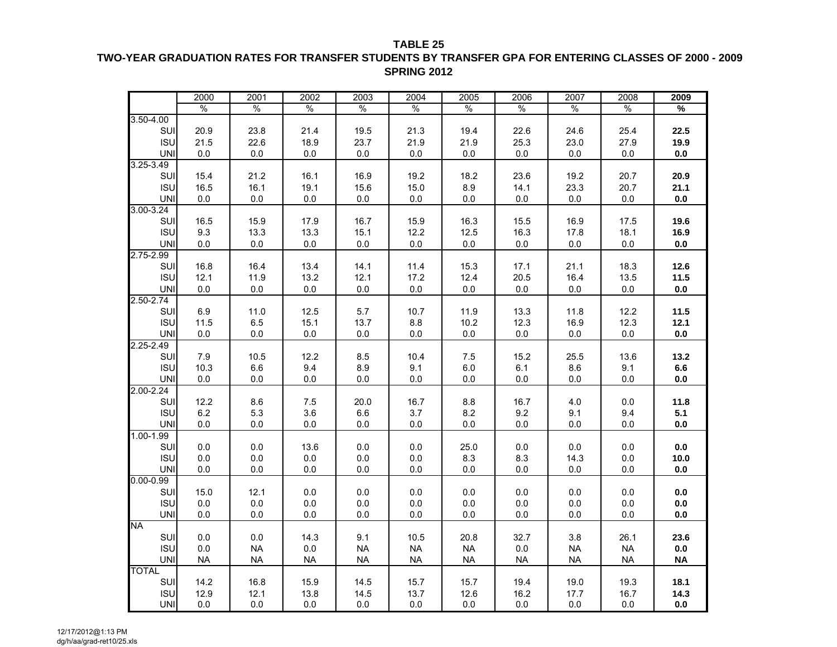**TABLE 25**

#### **TWO-YEAR GRADUATION RATES FOR TRANSFER STUDENTS BY TRANSFER GPA FOR ENTERING CLASSES OF 2000 - 2009 SPRING 2012**

|               | 2000      | 2001          | 2002          | 2003          | 2004          | 2005          | 2006          | 2007          | 2008          | 2009          |
|---------------|-----------|---------------|---------------|---------------|---------------|---------------|---------------|---------------|---------------|---------------|
|               | $\%$      | $\frac{0}{0}$ | $\frac{0}{0}$ | $\frac{0}{0}$ | $\frac{0}{6}$ | $\frac{0}{0}$ | $\frac{0}{0}$ | $\frac{0}{6}$ | $\frac{0}{0}$ | $\frac{9}{6}$ |
| $3.50 - 4.00$ |           |               |               |               |               |               |               |               |               |               |
| SUI           | 20.9      | 23.8          | 21.4          | 19.5          | 21.3          | 19.4          | 22.6          | 24.6          | 25.4          | 22.5          |
| <b>ISU</b>    | 21.5      | 22.6          | 18.9          | 23.7          | 21.9          | 21.9          | 25.3          | 23.0          | 27.9          | 19.9          |
| <b>UNI</b>    | 0.0       | $0.0\,$       | 0.0           | $0.0\,$       | 0.0           | 0.0           | 0.0           | $0.0\,$       | 0.0           | 0.0           |
| 3.25-3.49     |           |               |               |               |               |               |               |               |               |               |
| SUI           | 15.4      | 21.2          | 16.1          | 16.9          | 19.2          | 18.2          | 23.6          | 19.2          | 20.7          | 20.9          |
| <b>ISU</b>    | 16.5      | 16.1          | 19.1          | 15.6          | 15.0          | 8.9           | 14.1          | 23.3          | 20.7          | 21.1          |
| <b>UNI</b>    | 0.0       | $0.0\,$       | $0.0\,$       | $0.0\,$       | 0.0           | $0.0\,$       | 0.0           | 0.0           | $0.0\,$       | $0.0\,$       |
| 3.00-3.24     |           |               |               |               |               |               |               |               |               |               |
| SUI           | 16.5      | 15.9          | 17.9          | 16.7          | 15.9          | 16.3          | 15.5          | 16.9          | 17.5          | 19.6          |
| <b>ISU</b>    | 9.3       | 13.3          | 13.3          | 15.1          | 12.2          | 12.5          | 16.3          | 17.8          | 18.1          | 16.9          |
| <b>UNI</b>    | 0.0       | $0.0\,$       | 0.0           | $0.0\,$       | 0.0           | $0.0\,$       | 0.0           | 0.0           | $0.0\,$       | $0.0\,$       |
| 2.75-2.99     |           |               |               |               |               |               |               |               |               |               |
| <b>SUI</b>    | 16.8      | 16.4          | 13.4          | 14.1          | 11.4          | 15.3          | 17.1          | 21.1          | 18.3          | 12.6          |
| <b>ISU</b>    | 12.1      | 11.9          | 13.2          | 12.1          | 17.2          | 12.4          | 20.5          | 16.4          | 13.5          | 11.5          |
| UNI           | 0.0       | $0.0\,$       | 0.0           | $0.0\,$       | 0.0           | $0.0\,$       | 0.0           | 0.0           | $0.0\,$       | $0.0\,$       |
| $2.50 - 2.74$ |           |               |               |               |               |               |               |               |               |               |
| SUI           | 6.9       | 11.0          | 12.5          | 5.7           | 10.7          | 11.9          | 13.3          | 11.8          | 12.2          | 11.5          |
| <b>ISU</b>    | 11.5      | 6.5           | 15.1          | 13.7          | $8.8\,$       | 10.2          | 12.3          | 16.9          | 12.3          | 12.1          |
| <b>UNI</b>    | 0.0       | 0.0           | 0.0           | 0.0           | 0.0           | 0.0           | 0.0           | 0.0           | 0.0           | 0.0           |
| $2.25 - 2.49$ |           |               |               |               |               |               |               |               |               |               |
| SUI           | 7.9       | 10.5          | 12.2          | 8.5           | 10.4          | 7.5           | 15.2          | 25.5          | 13.6          | 13.2          |
| <b>ISU</b>    | 10.3      | 6.6           | 9.4           | 8.9           | 9.1           | $6.0\,$       | 6.1           | 8.6           | 9.1           | $6.6\,$       |
| <b>UNI</b>    | 0.0       | 0.0           | 0.0           | $0.0\,$       | 0.0           | $0.0\,$       | 0.0           | 0.0           | $0.0\,$       | 0.0           |
| $2.00 - 2.24$ |           |               |               |               |               |               |               |               |               |               |
| SUI           | 12.2      | 8.6           | 7.5           | 20.0          | 16.7          | 8.8           | 16.7          | 4.0           | 0.0           | 11.8          |
| <b>ISU</b>    | $6.2\,$   | 5.3           | 3.6           | $6.6\,$       | 3.7           | 8.2           | 9.2           | 9.1           | 9.4           | 5.1           |
| <b>UNI</b>    | 0.0       | $0.0\,$       | 0.0           | 0.0           | 0.0           | $0.0\,$       | 0.0           | 0.0           | 0.0           | $0.0\,$       |
| $1.00 - 1.99$ |           |               |               |               |               |               |               |               |               |               |
| SUI           | 0.0       | 0.0           | 13.6          | 0.0           | 0.0           | 25.0          | 0.0           | 0.0           | 0.0           | 0.0           |
| <b>ISU</b>    | $0.0\,$   | $0.0\,$       | $0.0\,$       | 0.0           | 0.0           | 8.3           | 8.3           | 14.3          | 0.0           | 10.0          |
| <b>UNI</b>    | 0.0       | 0.0           | $0.0\,$       | $0.0\,$       | 0.0           | $0.0\,$       | 0.0           | 0.0           | $0.0\,$       | $0.0\,$       |
| $0.00 - 0.99$ |           |               |               |               |               |               |               |               |               |               |
| SUI           | 15.0      | 12.1          | 0.0           | 0.0           | 0.0           | 0.0           | 0.0           | 0.0           | 0.0           | 0.0           |
| <b>ISU</b>    | $0.0\,$   | $0.0\,$       | $0.0\,$       | $0.0\,$       | 0.0           | $0.0\,$       | $0.0\,$       | $0.0\,$       | $0.0\,$       | $0.0\,$       |
| <b>UNI</b>    | $0.0\,$   | $0.0\,$       | 0.0           | 0.0           | 0.0           | $0.0\,$       | 0.0           | 0.0           | $0.0\,$       | $0.0\,$       |
| <b>NA</b>     |           |               |               |               |               |               |               |               |               |               |
| SUI           | 0.0       | 0.0           | 14.3          | 9.1           | 10.5          | 20.8          | 32.7          | 3.8           | 26.1          | 23.6          |
| <b>ISU</b>    | 0.0       | <b>NA</b>     | 0.0           | <b>NA</b>     | <b>NA</b>     | <b>NA</b>     | 0.0           | <b>NA</b>     | <b>NA</b>     | $0.0\,$       |
| <b>UNI</b>    | <b>NA</b> | <b>NA</b>     | <b>NA</b>     | <b>NA</b>     | <b>NA</b>     | <b>NA</b>     | <b>NA</b>     | <b>NA</b>     | <b>NA</b>     | <b>NA</b>     |
| <b>TOTAL</b>  |           |               |               |               |               |               |               |               |               |               |
| SUI           | 14.2      | 16.8          | 15.9          | 14.5          | 15.7          | 15.7          | 19.4          | 19.0          | 19.3          | 18.1          |
| <b>ISU</b>    | 12.9      | 12.1          | 13.8          | 14.5          | 13.7          | 12.6          | 16.2          | 17.7          | 16.7          | 14.3          |
| <b>UNI</b>    | $0.0\,$   | $0.0\,$       | $0.0\,$       | $0.0\,$       | $0.0\,$       | $0.0\,$       | $0.0\,$       | $0.0\,$       | $0.0\,$       | $0.0\,$       |
|               |           |               |               |               |               |               |               |               |               |               |

12/17/2012@1:13 PM dg/h/aa/grad-ret10/25.xls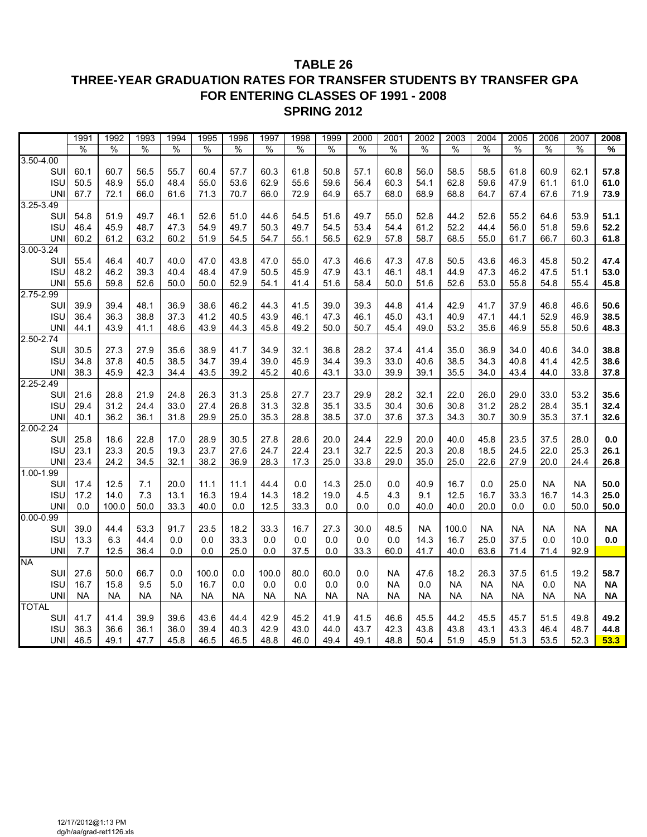#### **TABLE 26 THREE-YEAR GRADUATION RATES FOR TRANSFER STUDENTS BY TRANSFER GPA FOR ENTERING CLASSES OF 1991 - 2008 SPRING 2012**

|               | 1991          | 1992      | 1993      | 1994          | 1995      | 1996      | 1997      | 1998          | 1999          | 2000      | 2001      | 2002          | 2003          | 2004      | 2005      | 2006      | 2007          | 2008      |
|---------------|---------------|-----------|-----------|---------------|-----------|-----------|-----------|---------------|---------------|-----------|-----------|---------------|---------------|-----------|-----------|-----------|---------------|-----------|
|               | $\frac{0}{0}$ | $\%$      | %         | $\frac{0}{0}$ | %         | $\%$      | %         | $\frac{0}{0}$ | $\frac{0}{6}$ | $\%$      | %         | $\frac{0}{0}$ | $\frac{0}{0}$ | $\%$      | %         | %         | $\frac{0}{6}$ | %         |
| 3.50-4.00     |               |           |           |               |           |           |           |               |               |           |           |               |               |           |           |           |               |           |
| SUI           | 60.1          | 60.7      | 56.5      | 55.7          | 60.4      | 57.7      | 60.3      | 61.8          | 50.8          | 57.1      | 60.8      | 56.0          | 58.5          | 58.5      | 61.8      | 60.9      | 62.1          | 57.8      |
| <b>ISU</b>    | 50.5          | 48.9      | 55.0      | 48.4          | 55.0      | 53.6      | 62.9      | 55.6          | 59.6          | 56.4      | 60.3      | 54.1          | 62.8          | 59.6      | 47.9      | 61.1      | 61.0          | 61.0      |
| <b>UNI</b>    | 67.7          | 72.1      | 66.0      | 61.6          | 71.3      | 70.7      | 66.0      | 72.9          | 64.9          | 65.7      | 68.0      | 68.9          | 68.8          | 64.7      | 67.4      | 67.6      | 71.9          | 73.9      |
| $3.25 - 3.49$ |               |           |           |               |           |           |           |               |               |           |           |               |               |           |           |           |               |           |
| SUI           | 54.8          | 51.9      | 49.7      | 46.1          | 52.6      | 51.0      | 44.6      | 54.5          | 51.6          | 49.7      | 55.0      | 52.8          | 44.2          | 52.6      | 55.2      | 64.6      | 53.9          | 51.1      |
| <b>ISU</b>    | 46.4          | 45.9      | 48.7      | 47.3          | 54.9      | 49.7      | 50.3      | 49.7          | 54.5          | 53.4      | 54.4      | 61.2          | 52.2          | 44.4      | 56.0      | 51.8      | 59.6          | 52.2      |
| <b>UN</b>     | 60.2          | 61.2      | 63.2      | 60.2          | 51.9      | 54.5      | 54.7      | 55.1          | 56.5          | 62.9      | 57.8      | 58.7          | 68.5          | 55.0      | 61.7      | 66.7      | 60.3          | 61.8      |
| 3.00-3.24     |               |           |           |               |           |           |           |               |               |           |           |               |               |           |           |           |               |           |
| SUI           | 55.4          | 46.4      | 40.7      | 40.0          | 47.0      | 43.8      | 47.0      | 55.0          | 47.3          | 46.6      | 47.3      | 47.8          | 50.5          | 43.6      | 46.3      | 45.8      | 50.2          | 47.4      |
| <b>ISU</b>    | 48.2          | 46.2      | 39.3      | 40.4          | 48.4      | 47.9      | 50.5      | 45.9          | 47.9          | 43.1      | 46.1      | 48.1          | 44.9          | 47.3      | 46.2      | 47.5      | 51.1          | 53.0      |
| <b>UN</b>     | 55.6          | 59.8      | 52.6      | 50.0          | 50.0      | 52.9      | 54.1      | 41.4          | 51.6          | 58.4      | 50.0      | 51.6          | 52.6          | 53.0      | 55.8      | 54.8      | 55.4          | 45.8      |
| 2.75-2.99     |               |           |           |               |           |           |           |               |               |           |           |               |               |           |           |           |               |           |
| SUI           | 39.9          | 39.4      | 48.1      | 36.9          | 38.6      | 46.2      | 44.3      | 41.5          | 39.0          | 39.3      | 44.8      | 41.4          | 42.9          | 41.7      | 37.9      | 46.8      | 46.6          | 50.6      |
| <b>ISU</b>    | 36.4          | 36.3      | 38.8      | 37.3          | 41.2      | 40.5      | 43.9      | 46.1          | 47.3          | 46.1      | 45.0      | 43.1          | 40.9          | 47.1      | 44.1      | 52.9      | 46.9          | 38.5      |
| <b>UNI</b>    | 44.1          | 43.9      | 41.1      | 48.6          | 43.9      | 44.3      | 45.8      | 49.2          | 50.0          | 50.7      | 45.4      | 49.0          | 53.2          | 35.6      | 46.9      | 55.8      | 50.6          | 48.3      |
| 2.50-2.74     |               |           |           |               |           |           |           |               |               |           |           |               |               |           |           |           |               |           |
| SUI           | 30.5          | 27.3      | 27.9      | 35.6          | 38.9      | 41.7      | 34.9      | 32.1          | 36.8          | 28.2      | 37.4      | 41.4          | 35.0          | 36.9      | 34.0      | 40.6      | 34.0          | 38.8      |
| <b>ISU</b>    | 34.8          | 37.8      | 40.5      | 38.5          | 34.7      | 39.4      | 39.0      | 45.9          | 34.4          | 39.3      | 33.0      | 40.6          | 38.5          | 34.3      | 40.8      | 41.4      | 42.5          | 38.6      |
| <b>UNI</b>    | 38.3          | 45.9      | 42.3      | 34.4          | 43.5      | 39.2      | 45.2      | 40.6          | 43.1          | 33.0      | 39.9      | 39.1          | 35.5          | 34.0      | 43.4      | 44.0      | 33.8          | 37.8      |
| 2.25-2.49     |               |           |           |               |           |           |           |               |               |           |           |               |               |           |           |           |               |           |
| SUI           | 21.6          | 28.8      | 21.9      | 24.8          | 26.3      | 31.3      | 25.8      | 27.7          | 23.7          | 29.9      | 28.2      | 32.1          | 22.0          | 26.0      | 29.0      | 33.0      | 53.2          | 35.6      |
| <b>ISU</b>    | 29.4          | 31.2      | 24.4      | 33.0          | 27.4      | 26.8      | 31.3      | 32.8          | 35.1          | 33.5      | 30.4      | 30.6          | 30.8          | 31.2      | 28.2      | 28.4      | 35.1          | 32.4      |
| <b>UNI</b>    | 40.1          | 36.2      | 36.1      | 31.8          | 29.9      | 25.0      | 35.3      | 28.8          | 38.5          | 37.0      | 37.6      | 37.3          | 34.3          | 30.7      | 30.9      | 35.3      | 37.1          | 32.6      |
| 2.00-2.24     |               |           |           |               |           |           |           |               |               |           |           |               |               |           |           |           |               |           |
| SUI           | 25.8          | 18.6      | 22.8      | 17.0          | 28.9      | 30.5      | 27.8      | 28.6          | 20.0          | 24.4      | 22.9      | 20.0          | 40.0          | 45.8      | 23.5      | 37.5      | 28.0          | 0.0       |
| <b>ISU</b>    | 23.1          | 23.3      | 20.5      | 19.3          | 23.7      | 27.6      | 24.7      | 22.4          | 23.1          | 32.7      | 22.5      | 20.3          | 20.8          | 18.5      | 24.5      | 22.0      | 25.3          | 26.1      |
| <b>UNI</b>    | 23.4          | 24.2      | 34.5      | 32.1          | 38.2      | 36.9      | 28.3      | 17.3          | 25.0          | 33.8      | 29.0      | 35.0          | 25.0          | 22.6      | 27.9      | 20.0      | 24.4          | 26.8      |
| $1.00 - 1.99$ |               |           |           |               |           |           |           |               |               |           |           |               |               |           |           |           |               |           |
| SUI           | 17.4          | 12.5      | 7.1       | 20.0          | 11.1      | 11.1      | 44.4      | 0.0           | 14.3          | 25.0      | 0.0       | 40.9          | 16.7          | 0.0       | 25.0      | <b>NA</b> | <b>NA</b>     | 50.0      |
| <b>ISU</b>    | 17.2          | 14.0      | 7.3       | 13.1          | 16.3      | 19.4      | 14.3      | 18.2          | 19.0          | 4.5       | 4.3       | 9.1           | 12.5          | 16.7      | 33.3      | 16.7      | 14.3          | 25.0      |
| <b>UN</b>     | 0.0           | 100.0     | 50.0      | 33.3          | 40.0      | 0.0       | 12.5      | 33.3          | $0.0\,$       | 0.0       | 0.0       | 40.0          | 40.0          | 20.0      | 0.0       | 0.0       | 50.0          | 50.0      |
| $0.00 - 0.99$ |               |           |           |               |           |           |           |               |               |           |           |               |               |           |           |           |               |           |
| SUI           | 39.0          | 44.4      | 53.3      | 91.7          | 23.5      | 18.2      | 33.3      | 16.7          | 27.3          | 30.0      | 48.5      | <b>NA</b>     | 100.0         | <b>NA</b> | <b>NA</b> | <b>NA</b> | <b>NA</b>     | <b>NA</b> |
| <b>ISU</b>    | 13.3          | 6.3       | 44.4      | 0.0           | 0.0       | 33.3      | 0.0       | 0.0           | 0.0           | 0.0       | 0.0       | 14.3          | 16.7          | 25.0      | 37.5      | 0.0       | 10.0          | 0.0       |
| <b>UNI</b>    | 7.7           | 12.5      | 36.4      | 0.0           | 0.0       | 25.0      | 0.0       | 37.5          | 0.0           | 33.3      | 60.0      | 41.7          | 40.0          | 63.6      | 71.4      | 71.4      | 92.9          |           |
| <b>NA</b>     |               |           |           |               |           |           |           |               |               |           |           |               |               |           |           |           |               |           |
| SUI           | 27.6          | 50.0      | 66.7      | 0.0           | 100.0     | 0.0       | 100.0     | 80.0          | 60.0          | 0.0       | <b>NA</b> | 47.6          | 18.2          | 26.3      | 37.5      | 61.5      | 19.2          | 58.7      |
| <b>ISU</b>    | 16.7          | 15.8      | 9.5       | 5.0           | 16.7      | 0.0       | 0.0       | 0.0           | 0.0           | 0.0       | <b>NA</b> | 0.0           | <b>NA</b>     | <b>NA</b> | <b>NA</b> | 0.0       | <b>NA</b>     | <b>NA</b> |
| <b>UNI</b>    | <b>NA</b>     | <b>NA</b> | <b>NA</b> | NA            | <b>NA</b> | <b>NA</b> | <b>NA</b> | <b>NA</b>     | <b>NA</b>     | <b>NA</b> | NA        | <b>NA</b>     | <b>NA</b>     | <b>NA</b> | <b>NA</b> | NA        | <b>NA</b>     | <b>NA</b> |
| <b>TOTAL</b>  |               |           |           |               |           |           |           |               |               |           |           |               |               |           |           |           |               |           |
| SUI           | 41.7          | 41.4      | 39.9      | 39.6          | 43.6      | 44.4      | 42.9      | 45.2          | 41.9          | 41.5      | 46.6      | 45.5          | 44.2          | 45.5      | 45.7      | 51.5      | 49.8          | 49.2      |
| <b>ISU</b>    | 36.3          | 36.6      | 36.1      | 36.0          | 39.4      | 40.3      | 42.9      | 43.0          | 44.0          | 43.7      | 42.3      | 43.8          | 43.8          | 43.1      | 43.3      | 46.4      | 48.7          | 44.8      |
| <b>UNI</b>    | 46.5          | 49.1      | 47.7      | 45.8          | 46.5      | 46.5      | 48.8      | 46.0          | 49.4          | 49.1      | 48.8      | 50.4          | 51.9          | 45.9      | 51.3      | 53.5      | 52.3          | 53.3      |
|               |               |           |           |               |           |           |           |               |               |           |           |               |               |           |           |           |               |           |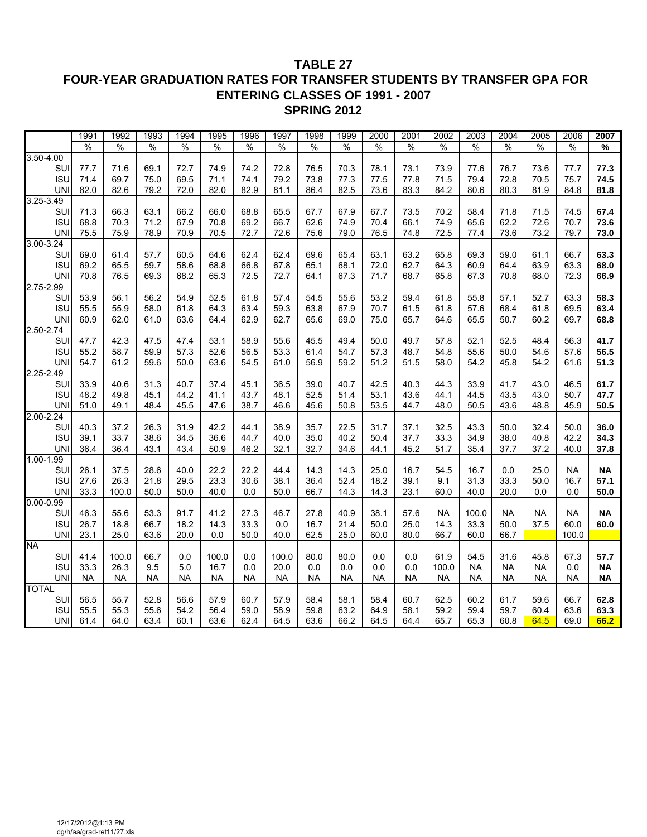#### **TABLE 27 FOUR-YEAR GRADUATION RATES FOR TRANSFER STUDENTS BY TRANSFER GPA FOR ENTERING CLASSES OF 1991 - 2007 SPRING 2012**

|               | 1991          | 1992          | 1993      | 1994      | 1995          | 1996          | 1997          | 1998          | 1999          | 2000          | 2001          | 2002      | 2003          | 2004          | 2005          | 2006          | 2007          |
|---------------|---------------|---------------|-----------|-----------|---------------|---------------|---------------|---------------|---------------|---------------|---------------|-----------|---------------|---------------|---------------|---------------|---------------|
|               | $\frac{0}{0}$ | $\frac{0}{0}$ | $\%$      | $\%$      | $\frac{0}{0}$ | $\frac{0}{0}$ | $\frac{0}{0}$ | $\frac{0}{0}$ | $\frac{0}{0}$ | $\frac{0}{0}$ | $\frac{0}{0}$ | %         | $\frac{0}{0}$ | $\frac{0}{0}$ | $\frac{0}{0}$ | $\frac{0}{0}$ | $\frac{9}{6}$ |
| $3.50 - 4.00$ |               |               |           |           |               |               |               |               |               |               |               |           |               |               |               |               |               |
| SUI           | 77.7          | 71.6          | 69.1      | 72.7      | 74.9          | 74.2          | 72.8          | 76.5          | 70.3          | 78.1          | 73.1          | 73.9      | 77.6          | 76.7          | 73.6          | 77.7          | 77.3          |
| <b>ISU</b>    | 71.4          | 69.7          | 75.0      | 69.5      | 71.1          | 74.1          | 79.2          | 73.8          | 77.3          | 77.5          | 77.8          | 71.5      | 79.4          | 72.8          | 70.5          | 75.7          | 74.5          |
| <b>UNI</b>    | 82.0          | 82.6          | 79.2      | 72.0      | 82.0          | 82.9          | 81.1          | 86.4          | 82.5          | 73.6          | 83.3          | 84.2      | 80.6          | 80.3          | 81.9          | 84.8          | 81.8          |
| $3.25 - 3.49$ |               |               |           |           |               |               |               |               |               |               |               |           |               |               |               |               |               |
| SUI           | 71.3          | 66.3          | 63.1      | 66.2      | 66.0          | 68.8          | 65.5          | 67.7          | 67.9          | 67.7          | 73.5          | 70.2      | 58.4          | 71.8          | 71.5          | 74.5          | 67.4          |
| <b>ISU</b>    | 68.8          | 70.3          | 71.2      | 67.9      | 70.8          | 69.2          | 66.7          | 62.6          | 74.9          | 70.4          | 66.1          | 74.9      | 65.6          | 62.2          | 72.6          | 70.7          | 73.6          |
| <b>UNI</b>    | 75.5          | 75.9          | 78.9      | 70.9      | 70.5          | 72.7          | 72.6          | 75.6          | 79.0          | 76.5          | 74.8          | 72.5      | 77.4          | 73.6          | 73.2          | 79.7          | 73.0          |
| $3.00 - 3.24$ |               |               |           |           |               |               |               |               |               |               |               |           |               |               |               |               |               |
| SUI           | 69.0          | 61.4          | 57.7      | 60.5      | 64.6          | 62.4          | 62.4          | 69.6          | 65.4          | 63.1          | 63.2          | 65.8      | 69.3          | 59.0          | 61.1          | 66.7          | 63.3          |
| <b>ISU</b>    | 69.2          | 65.5          | 59.7      | 58.6      | 68.8          | 66.8          | 67.8          | 65.1          | 68.1          | 72.0          | 62.7          | 64.3      | 60.9          | 64.4          | 63.9          | 63.3          | 68.0          |
| <b>UNI</b>    | 70.8          | 76.5          | 69.3      | 68.2      | 65.3          | 72.5          | 72.7          | 64.1          | 67.3          | 71.7          | 68.7          | 65.8      | 67.3          | 70.8          | 68.0          | 72.3          | 66.9          |
| 2.75-2.99     |               |               |           |           |               |               |               |               |               |               |               |           |               |               |               |               |               |
| SUI           | 53.9          | 56.1          | 56.2      | 54.9      | 52.5          | 61.8          | 57.4          | 54.5          | 55.6          | 53.2          | 59.4          | 61.8      | 55.8          | 57.1          | 52.7          | 63.3          | 58.3          |
| <b>ISU</b>    | 55.5          | 55.9          | 58.0      | 61.8      | 64.3          | 63.4          | 59.3          | 63.8          | 67.9          | 70.7          | 61.5          | 61.8      | 57.6          | 68.4          | 61.8          | 69.5          | 63.4          |
| <b>UNI</b>    | 60.9          | 62.0          | 61.0      | 63.6      | 64.4          | 62.9          | 62.7          | 65.6          | 69.0          | 75.0          | 65.7          | 64.6      | 65.5          | 50.7          | 60.2          | 69.7          | 68.8          |
| $2.50 - 2.74$ |               |               |           |           |               |               |               |               |               |               |               |           |               |               |               |               |               |
| SUI           | 47.7          | 42.3          | 47.5      | 47.4      | 53.1          | 58.9          | 55.6          | 45.5          | 49.4          | 50.0          | 49.7          | 57.8      | 52.1          | 52.5          | 48.4          | 56.3          | 41.7          |
| <b>ISU</b>    | 55.2          | 58.7          | 59.9      | 57.3      | 52.6          | 56.5          | 53.3          | 61.4          | 54.7          | 57.3          | 48.7          | 54.8      | 55.6          | 50.0          | 54.6          | 57.6          | 56.5          |
| <b>UNI</b>    | 54.7          | 61.2          | 59.6      | 50.0      | 63.6          | 54.5          | 61.0          | 56.9          | 59.2          | 51.2          | 51.5          | 58.0      | 54.2          | 45.8          | 54.2          | 61.6          | 51.3          |
| $2.25 - 2.49$ |               |               |           |           |               |               |               |               |               |               |               |           |               |               |               |               |               |
| SUI           | 33.9          | 40.6          | 31.3      | 40.7      | 37.4          | 45.1          | 36.5          | 39.0          | 40.7          | 42.5          | 40.3          | 44.3      | 33.9          | 41.7          | 43.0          | 46.5          | 61.7          |
| <b>ISU</b>    | 48.2          | 49.8          | 45.1      | 44.2      | 41.1          | 43.7          | 48.1          | 52.5          | 51.4          | 53.1          | 43.6          | 44.1      | 44.5          | 43.5          | 43.0          | 50.7          | 47.7          |
| <b>UNI</b>    | 51.0          | 49.1          | 48.4      | 45.5      | 47.6          | 38.7          | 46.6          | 45.6          | 50.8          | 53.5          | 44.7          | 48.0      | 50.5          | 43.6          | 48.8          | 45.9          | 50.5          |
| $2.00 - 2.24$ |               |               |           |           |               |               |               |               |               |               |               |           |               |               |               |               |               |
| SUI           | 40.3          | 37.2          | 26.3      | 31.9      | 42.2          | 44.1          | 38.9          | 35.7          | 22.5          | 31.7          | 37.1          | 32.5      | 43.3          | 50.0          | 32.4          | 50.0          | 36.0          |
| <b>ISU</b>    | 39.1          | 33.7          | 38.6      | 34.5      | 36.6          | 44.7          | 40.0          | 35.0          | 40.2          | 50.4          | 37.7          | 33.3      | 34.9          | 38.0          | 40.8          | 42.2          | 34.3          |
| <b>UNI</b>    | 36.4          | 36.4          | 43.1      | 43.4      | 50.9          | 46.2          | 32.1          | 32.7          | 34.6          | 44.1          | 45.2          | 51.7      | 35.4          | 37.7          | 37.2          | 40.0          | 37.8          |
| $1.00 - 1.99$ |               |               |           |           |               |               |               |               |               |               |               |           |               |               |               |               |               |
| SUI           | 26.1          | 37.5          | 28.6      | 40.0      | 22.2          | 22.2          | 44.4          | 14.3          | 14.3          | 25.0          | 16.7          | 54.5      | 16.7          | 0.0           | 25.0          | <b>NA</b>     | <b>NA</b>     |
| <b>ISU</b>    | 27.6          | 26.3          | 21.8      | 29.5      | 23.3          | 30.6          | 38.1          | 36.4          | 52.4          | 18.2          | 39.1          | 9.1       | 31.3          | 33.3          | 50.0          | 16.7          | 57.1          |
| <b>UNI</b>    | 33.3          | 100.0         | 50.0      | 50.0      | 40.0          | 0.0           | 50.0          | 66.7          | 14.3          | 14.3          | 23.1          | 60.0      | 40.0          | 20.0          | 0.0           | 0.0           | 50.0          |
| $0.00 - 0.99$ |               |               |           |           |               |               |               |               |               |               |               |           |               |               |               |               |               |
| SUI           | 46.3          | 55.6          | 53.3      | 91.7      | 41.2          | 27.3          | 46.7          | 27.8          | 40.9          | 38.1          | 57.6          | <b>NA</b> | 100.0         | NA.           | <b>NA</b>     | <b>NA</b>     | <b>NA</b>     |
| <b>ISU</b>    | 26.7          | 18.8          | 66.7      | 18.2      | 14.3          | 33.3          | 0.0           | 16.7          | 21.4          | 50.0          | 25.0          | 14.3      | 33.3          | 50.0          | 37.5          | 60.0          | 60.0          |
| <b>UNI</b>    | 23.1          | 25.0          | 63.6      | 20.0      | 0.0           | 50.0          | 40.0          | 62.5          | 25.0          | 60.0          | 80.0          | 66.7      | 60.0          | 66.7          |               | 100.0         |               |
| <b>NA</b>     |               |               |           |           |               |               |               |               |               |               |               |           |               |               |               |               |               |
| SUI           | 41.4          | 100.0         | 66.7      | 0.0       | 100.0         | 0.0           | 100.0         | 80.0          | 80.0          | 0.0           | 0.0           | 61.9      | 54.5          | 31.6          | 45.8          | 67.3          | 57.7          |
| <b>ISU</b>    | 33.3          | 26.3          | 9.5       | $5.0\,$   | 16.7          | 0.0           | 20.0          | 0.0           | 0.0           | 0.0           | 0.0           | 100.0     | <b>NA</b>     | <b>NA</b>     | <b>NA</b>     | 0.0           | <b>NA</b>     |
| <b>UNI</b>    | <b>NA</b>     | <b>NA</b>     | <b>NA</b> | <b>NA</b> | <b>NA</b>     | <b>NA</b>     | <b>NA</b>     | <b>NA</b>     | <b>NA</b>     | <b>NA</b>     | <b>NA</b>     | <b>NA</b> | <b>NA</b>     | <b>NA</b>     | NA            | <b>NA</b>     | <b>NA</b>     |
| <b>TOTAL</b>  |               |               |           |           |               |               |               |               |               |               |               |           |               |               |               |               |               |
| SUI           | 56.5          | 55.7          | 52.8      | 56.6      | 57.9          | 60.7          | 57.9          | 58.4          | 58.1          | 58.4          | 60.7          | 62.5      | 60.2          | 61.7          | 59.6          | 66.7          | 62.8          |
| <b>ISU</b>    | 55.5          | 55.3          | 55.6      | 54.2      | 56.4          | 59.0          | 58.9          | 59.8          | 63.2          | 64.9          | 58.1          | 59.2      | 59.4          | 59.7          | 60.4          | 63.6          | 63.3          |
| <b>UNI</b>    | 61.4          | 64.0          | 63.4      | 60.1      | 63.6          | 62.4          | 64.5          | 63.6          | 66.2          | 64.5          | 64.4          | 65.7      | 65.3          | 60.8          | 64.5          | 69.0          | 66.2          |
|               |               |               |           |           |               |               |               |               |               |               |               |           |               |               |               |               |               |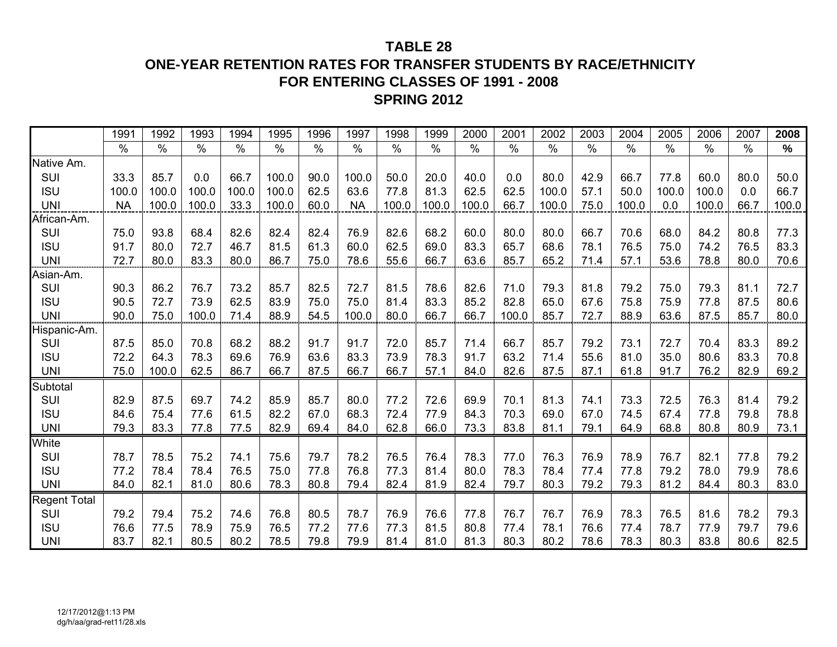### **TABLE 28**

### **ONE-YEAR RETENTION RATES FOR TRANSFER STUDENTS BY RACE/ETHNICITY FOR ENTERING CLASSES OF 1991 - 2008SPRING 2012**

|                     | 1991          | 1992  | 1993  | 1994  | 1995          | 1996 | 1997          | 1998  | 1999          | 2000          | 2001  | 2002  | 2003 | 2004  | 2005  | 2006          | 2007 | 2008  |
|---------------------|---------------|-------|-------|-------|---------------|------|---------------|-------|---------------|---------------|-------|-------|------|-------|-------|---------------|------|-------|
|                     | $\frac{0}{0}$ | $\%$  | $\%$  | $\%$  | $\frac{0}{0}$ | $\%$ | $\frac{0}{0}$ | $\%$  | $\frac{0}{0}$ | $\frac{0}{0}$ | $\%$  | $\%$  | $\%$ | $\%$  | $\%$  | $\frac{0}{0}$ | $\%$ | %     |
| Native Am.          |               |       |       |       |               |      |               |       |               |               |       |       |      |       |       |               |      |       |
| SUI                 | 33.3          | 85.7  | 0.0   | 66.7  | 100.0         | 90.0 | 100.0         | 50.0  | 20.0          | 40.0          | 0.0   | 80.0  | 42.9 | 66.7  | 77.8  | 60.0          | 80.0 | 50.0  |
| <b>ISU</b>          | 100.0         | 100.0 | 100.0 | 100.0 | 100.0         | 62.5 | 63.6          | 77.8  | 81.3          | 62.5          | 62.5  | 100.0 | 57.1 | 50.0  | 100.0 | 100.0         | 0.0  | 66.7  |
| <b>UNI</b>          | <b>NA</b>     | 100.0 | 100.0 | 33.3  | 100.0         | 60.0 | <b>NA</b>     | 100.0 | 100.0         | 100.0         | 66.7  | 100.0 | 75.0 | 100.0 | 0.0   | 100.0         | 66.7 | 100.0 |
| African-Am.         |               |       |       |       |               |      |               |       |               |               |       |       |      |       |       |               |      |       |
| SUI                 | 75.0          | 93.8  | 68.4  | 82.6  | 82.4          | 82.4 | 76.9          | 82.6  | 68.2          | 60.0          | 80.0  | 80.0  | 66.7 | 70.6  | 68.0  | 84.2          | 80.8 | 77.3  |
| <b>ISU</b>          | 91.7          | 80.0  | 72.7  | 46.7  | 81.5          | 61.3 | 60.0          | 62.5  | 69.0          | 83.3          | 65.7  | 68.6  | 78.1 | 76.5  | 75.0  | 74.2          | 76.5 | 83.3  |
| <b>UNI</b>          | 72.7          | 80.0  | 83.3  | 80.0  | 86.7          | 75.0 | 78.6          | 55.6  | 66.7          | 63.6          | 85.7  | 65.2  | 71.4 | 57.1  | 53.6  | 78.8          | 80.0 | 70.6  |
| Asian-Am.           |               |       |       |       |               |      |               |       |               |               |       |       |      |       |       |               |      |       |
| SUI                 | 90.3          | 86.2  | 76.7  | 73.2  | 85.7          | 82.5 | 72.7          | 81.5  | 78.6          | 82.6          | 71.0  | 79.3  | 81.8 | 79.2  | 75.0  | 79.3          | 81.1 | 72.7  |
| <b>ISU</b>          | 90.5          | 72.7  | 73.9  | 62.5  | 83.9          | 75.0 | 75.0          | 81.4  | 83.3          | 85.2          | 82.8  | 65.0  | 67.6 | 75.8  | 75.9  | 77.8          | 87.5 | 80.6  |
| <b>UNI</b>          | 90.0          | 75.0  | 100.0 | 71.4  | 88.9          | 54.5 | 100.0         | 80.0  | 66.7          | 66.7          | 100.0 | 85.7  | 72.7 | 88.9  | 63.6  | 87.5          | 85.7 | 80.0  |
| Hispanic-Am.        |               |       |       |       |               |      |               |       |               |               |       |       |      |       |       |               |      |       |
| SUI                 | 87.5          | 85.0  | 70.8  | 68.2  | 88.2          | 91.7 | 91.7          | 72.0  | 85.7          | 71.4          | 66.7  | 85.7  | 79.2 | 73.1  | 72.7  | 70.4          | 83.3 | 89.2  |
| <b>ISU</b>          | 72.2          | 64.3  | 78.3  | 69.6  | 76.9          | 63.6 | 83.3          | 73.9  | 78.3          | 91.7          | 63.2  | 71.4  | 55.6 | 81.0  | 35.0  | 80.6          | 83.3 | 70.8  |
| <b>UNI</b>          | 75.0          | 100.0 | 62.5  | 86.7  | 66.7          | 87.5 | 66.7          | 66.7  | 57.1          | 84.0          | 82.6  | 87.5  | 87.1 | 61.8  | 91.7  | 76.2          | 82.9 | 69.2  |
| Subtotal            |               |       |       |       |               |      |               |       |               |               |       |       |      |       |       |               |      |       |
| SUI                 | 82.9          | 87.5  | 69.7  | 74.2  | 85.9          | 85.7 | 80.0          | 77.2  | 72.6          | 69.9          | 70.1  | 81.3  | 74.1 | 73.3  | 72.5  | 76.3          | 81.4 | 79.2  |
| <b>ISU</b>          | 84.6          | 75.4  | 77.6  | 61.5  | 82.2          | 67.0 | 68.3          | 72.4  | 77.9          | 84.3          | 70.3  | 69.0  | 67.0 | 74.5  | 67.4  | 77.8          | 79.8 | 78.8  |
| <b>UNI</b>          | 79.3          | 83.3  | 77.8  | 77.5  | 82.9          | 69.4 | 84.0          | 62.8  | 66.0          | 73.3          | 83.8  | 81.1  | 79.1 | 64.9  | 68.8  | 80.8          | 80.9 | 73.1  |
| White               |               |       |       |       |               |      |               |       |               |               |       |       |      |       |       |               |      |       |
| SUI                 | 78.7          | 78.5  | 75.2  | 74.1  | 75.6          | 79.7 | 78.2          | 76.5  | 76.4          | 78.3          | 77.0  | 76.3  | 76.9 | 78.9  | 76.7  | 82.1          | 77.8 | 79.2  |
| <b>ISU</b>          | 77.2          | 78.4  | 78.4  | 76.5  | 75.0          | 77.8 | 76.8          | 77.3  | 81.4          | 80.0          | 78.3  | 78.4  | 77.4 | 77.8  | 79.2  | 78.0          | 79.9 | 78.6  |
| <b>UNI</b>          | 84.0          | 82.1  | 81.0  | 80.6  | 78.3          | 80.8 | 79.4          | 82.4  | 81.9          | 82.4          | 79.7  | 80.3  | 79.2 | 79.3  | 81.2  | 84.4          | 80.3 | 83.0  |
| <b>Regent Total</b> |               |       |       |       |               |      |               |       |               |               |       |       |      |       |       |               |      |       |
| SUI                 | 79.2          | 79.4  | 75.2  | 74.6  | 76.8          | 80.5 | 78.7          | 76.9  | 76.6          | 77.8          | 76.7  | 76.7  | 76.9 | 78.3  | 76.5  | 81.6          | 78.2 | 79.3  |
| <b>ISU</b>          | 76.6          | 77.5  | 78.9  | 75.9  | 76.5          | 77.2 | 77.6          | 77.3  | 81.5          | 80.8          | 77.4  | 78.1  | 76.6 | 77.4  | 78.7  | 77.9          | 79.7 | 79.6  |
| <b>UNI</b>          | 83.7          | 82.1  | 80.5  | 80.2  | 78.5          | 79.8 | 79.9          | 81.4  | 81.0          | 81.3          | 80.3  | 80.2  | 78.6 | 78.3  | 80.3  | 83.8          | 80.6 | 82.5  |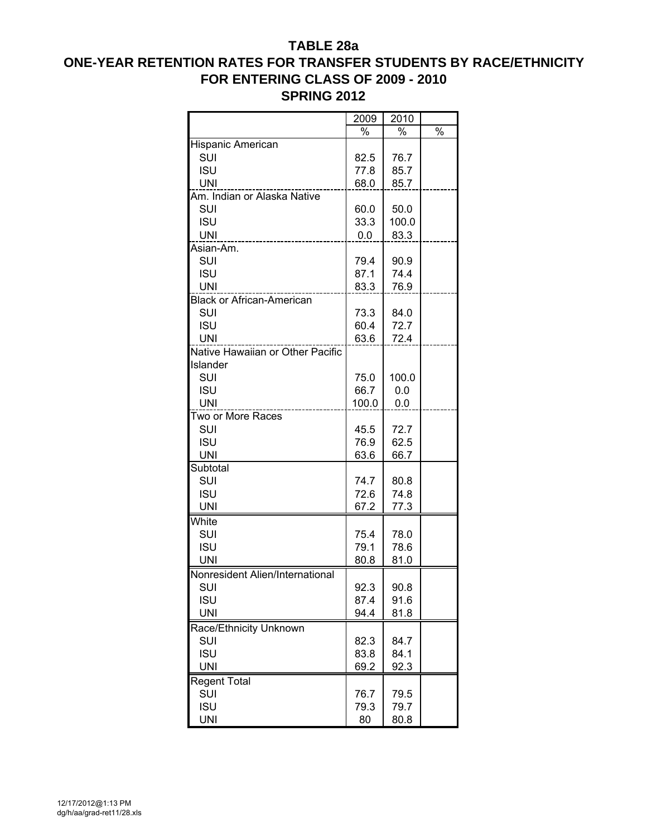### **TABLE 28a ONE-YEAR RETENTION RATES FOR TRANSFER STUDENTS BY RACE/ETHNICITY FOR ENTERING CLASS OF 2009 - 2010 SPRING 2012**

|                                  | 2009  | 2010  |               |
|----------------------------------|-------|-------|---------------|
|                                  | %     | %     | $\frac{1}{2}$ |
| Hispanic American                |       |       |               |
| SUI                              | 82.5  | 76.7  |               |
| <b>ISU</b>                       | 77.8  | 85.7  |               |
| UNI                              | 68.0  | 85.7  |               |
| Am. Indian or Alaska Native      |       |       |               |
| SUI                              | 60.0  | 50.0  |               |
| <b>ISU</b>                       | 33.3  | 100.0 |               |
| <b>UNI</b>                       | 0.0   | 83.3  |               |
| Asian-Am.                        |       |       |               |
| SUI                              | 79.4  | 90.9  |               |
| <b>ISU</b>                       | 87.1  | 74.4  |               |
| <b>UNI</b>                       | 83.3  | 76.9  |               |
| <b>Black or African-American</b> |       |       |               |
| SUI                              | 73.3  | 84.0  |               |
| <b>ISU</b>                       | 60.4  | 72.7  |               |
| <b>UNI</b>                       | 63.6  | 72.4  |               |
| Native Hawaiian or Other Pacific |       |       |               |
| Islander                         |       |       |               |
| SUI                              | 75.0  | 100.0 |               |
| <b>ISU</b>                       | 66.7  | 0.0   |               |
| <b>UNI</b>                       | 100.0 | 0.0   |               |
| Two or More Races                |       |       |               |
| SUI                              | 45.5  | 72.7  |               |
| <b>ISU</b>                       | 76.9  | 62.5  |               |
| UNI                              | 63.6  | 66.7  |               |
| Subtotal                         |       |       |               |
| SUI                              | 74.7  | 80.8  |               |
| <b>ISU</b>                       | 72.6  | 74.8  |               |
| <b>UNI</b>                       | 67.2  | 77.3  |               |
| White                            |       |       |               |
| SUI                              | 75.4  | 78.0  |               |
| <b>ISU</b>                       | 79.1  | 78.6  |               |
| <b>UNI</b>                       | 80.8  | 81.0  |               |
| Nonresident Alien/International  |       |       |               |
| <b>SUI</b>                       | 92.3  | 90.8  |               |
| <b>ISU</b>                       | 87.4  | 91.6  |               |
| <b>UNI</b>                       | 94.4  | 81.8  |               |
| Race/Ethnicity Unknown           |       |       |               |
| SUI                              | 82.3  | 84.7  |               |
| <b>ISU</b>                       | 83.8  | 84.1  |               |
| <b>UNI</b>                       | 69.2  | 92.3  |               |
| <b>Regent Total</b>              |       |       |               |
| SUI                              | 76.7  | 79.5  |               |
| <b>ISU</b>                       | 79.3  | 79.7  |               |
| <b>UNI</b>                       | 80    | 80.8  |               |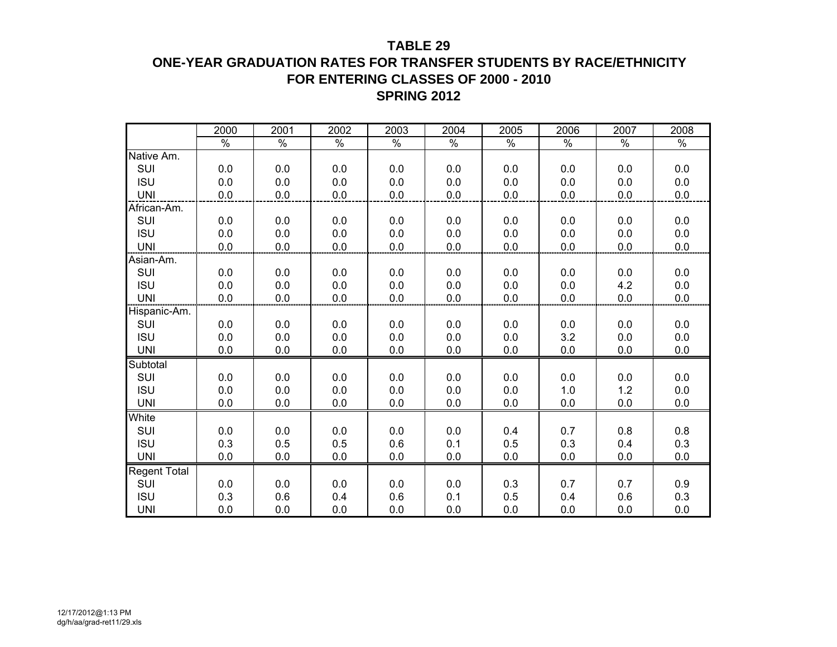#### **TABLE 29**

### **ONE-YEAR GRADUATION RATES FOR TRANSFER STUDENTS BY RACE/ETHNICITY FOR ENTERING CLASSES OF 2000 - 2010 SPRING 2012**

|                     | 2000          | 2001          | 2002          | 2003 | 2004          | 2005          | 2006          | 2007          | 2008          |
|---------------------|---------------|---------------|---------------|------|---------------|---------------|---------------|---------------|---------------|
|                     | $\frac{8}{6}$ | $\frac{1}{2}$ | $\frac{8}{6}$ | $\%$ | $\frac{1}{2}$ | $\frac{1}{2}$ | $\frac{1}{2}$ | $\frac{8}{6}$ | $\frac{1}{2}$ |
| Native Am.          |               |               |               |      |               |               |               |               |               |
| SUI                 | 0.0           | 0.0           | 0.0           | 0.0  | 0.0           | 0.0           | 0.0           | 0.0           | 0.0           |
| <b>ISU</b>          | 0.0           | 0.0           | 0.0           | 0.0  | 0.0           | 0.0           | 0.0           | 0.0           | 0.0           |
| <b>UNI</b>          | 0.0           | 0.0           | 0.0           | 0.0  | 0.0           | $0.0\,$       | 0.0           | 0.0           | 0.0           |
| African-Am.         |               |               |               |      |               |               |               |               |               |
| SUI                 | 0.0           | 0.0           | 0.0           | 0.0  | 0.0           | 0.0           | 0.0           | 0.0           | 0.0           |
| <b>ISU</b>          | 0.0           | 0.0           | 0.0           | 0.0  | 0.0           | 0.0           | 0.0           | 0.0           | 0.0           |
| <b>UNI</b>          | 0.0           | 0.0           | 0.0           | 0.0  | 0.0           | 0.0           | 0.0           | 0.0           | 0.0           |
| Asian-Am.           |               |               |               |      |               |               |               |               |               |
| SUI                 | 0.0           | 0.0           | 0.0           | 0.0  | 0.0           | 0.0           | 0.0           | 0.0           | 0.0           |
| <b>ISU</b>          | 0.0           | 0.0           | 0.0           | 0.0  | 0.0           | 0.0           | 0.0           | 4.2           | 0.0           |
| <b>UNI</b>          | 0.0           | 0.0           | 0.0           | 0.0  | 0.0           | 0.0           | 0.0           | 0.0           | 0.0           |
| Hispanic-Am.        |               |               |               |      |               |               |               |               |               |
| SUI                 | 0.0           | 0.0           | 0.0           | 0.0  | 0.0           | 0.0           | 0.0           | 0.0           | 0.0           |
| <b>ISU</b>          | 0.0           | 0.0           | 0.0           | 0.0  | 0.0           | 0.0           | 3.2           | 0.0           | 0.0           |
| <b>UNI</b>          | 0.0           | 0.0           | 0.0           | 0.0  | 0.0           | 0.0           | 0.0           | 0.0           | 0.0           |
| Subtotal            |               |               |               |      |               |               |               |               |               |
| SUI                 | 0.0           | 0.0           | 0.0           | 0.0  | 0.0           | 0.0           | 0.0           | 0.0           | 0.0           |
| <b>ISU</b>          | 0.0           | 0.0           | 0.0           | 0.0  | 0.0           | 0.0           | 1.0           | 1.2           | 0.0           |
| <b>UNI</b>          | 0.0           | 0.0           | 0.0           | 0.0  | 0.0           | 0.0           | 0.0           | 0.0           | 0.0           |
| White               |               |               |               |      |               |               |               |               |               |
| SUI                 | 0.0           | 0.0           | 0.0           | 0.0  | 0.0           | 0.4           | 0.7           | 0.8           | 0.8           |
| <b>ISU</b>          | 0.3           | 0.5           | 0.5           | 0.6  | 0.1           | 0.5           | 0.3           | 0.4           | 0.3           |
| <b>UNI</b>          | 0.0           | 0.0           | 0.0           | 0.0  | 0.0           | 0.0           | 0.0           | 0.0           | 0.0           |
| <b>Regent Total</b> |               |               |               |      |               |               |               |               |               |
| SUI                 | 0.0           | 0.0           | 0.0           | 0.0  | 0.0           | 0.3           | 0.7           | 0.7           | 0.9           |
| <b>ISU</b>          | 0.3           | 0.6           | 0.4           | 0.6  | 0.1           | 0.5           | 0.4           | 0.6           | 0.3           |
| <b>UNI</b>          | 0.0           | 0.0           | 0.0           | 0.0  | 0.0           | 0.0           | 0.0           | 0.0           | 0.0           |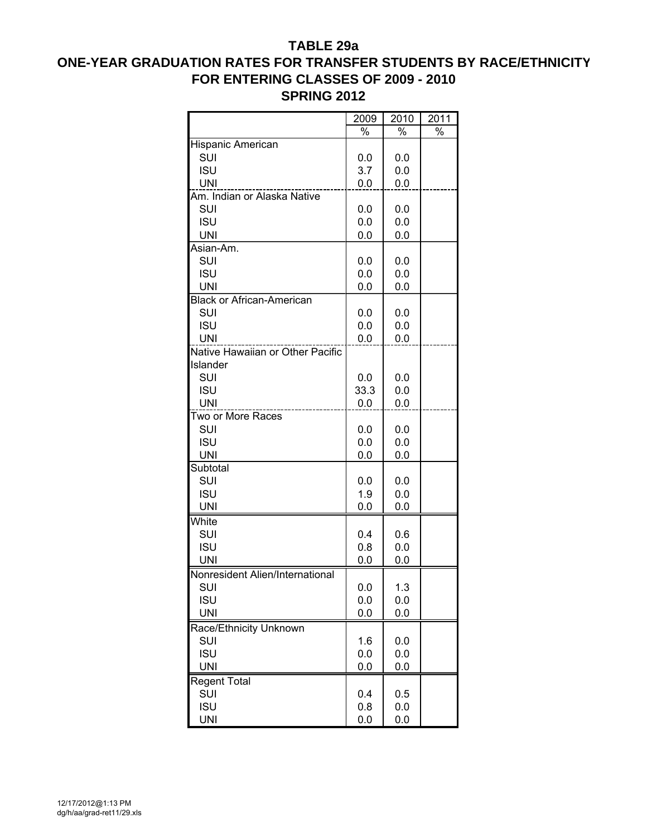#### **TABLE 29a**

## **ONE-YEAR GRADUATION RATES FOR TRANSFER STUDENTS BY RACE/ETHNICITY FOR ENTERING CLASSES OF 2009 - 2010 SPRING 2012**

|                                  | 2009 | 2010 | 2011 |
|----------------------------------|------|------|------|
|                                  | $\%$ | $\%$ | $\%$ |
| Hispanic American                |      |      |      |
| SUI                              | 0.0  | 0.0  |      |
| <b>ISU</b>                       | 3.7  | 0.0  |      |
| <b>UNI</b>                       | 0.0  | 0.0  |      |
| Am. Indian or Alaska Native      |      |      |      |
| SUI                              | 0.0  | 0.0  |      |
| <b>ISU</b>                       | 0.0  | 0.0  |      |
| <b>UNI</b>                       | 0.0  | 0.0  |      |
| Asian-Am.                        |      |      |      |
| SUI                              | 0.0  | 0.0  |      |
| <b>ISU</b>                       | 0.0  | 0.0  |      |
| <b>UNI</b>                       | 0.0  | 0.0  |      |
| <b>Black or African-American</b> |      |      |      |
| SUI                              | 0.0  | 0.0  |      |
| <b>ISU</b>                       | 0.0  | 0.0  |      |
| <b>UNI</b>                       | 0.0  | 0.0  |      |
| Native Hawaiian or Other Pacific |      |      |      |
| Islander                         |      |      |      |
| SUI                              | 0.0  | 0.0  |      |
| <b>ISU</b>                       | 33.3 | 0.0  |      |
| <b>UNI</b>                       | 0.0  | 0.0  |      |
| Two or More Races                |      |      |      |
| SUI                              | 0.0  | 0.0  |      |
| <b>ISU</b>                       | 0.0  | 0.0  |      |
| <b>UNI</b>                       | 0.0  | 0.0  |      |
| Subtotal                         |      |      |      |
| SUI                              | 0.0  | 0.0  |      |
| <b>ISU</b>                       | 1.9  | 0.0  |      |
| <b>UNI</b>                       | 0.0  | 0.0  |      |
|                                  |      |      |      |
| White                            |      |      |      |
| SUI                              | 0.4  | 0.6  |      |
| <b>ISU</b>                       | 0.8  | 0.0  |      |
| <b>UNI</b>                       | 0.0  | 0.0  |      |
| Nonresident Alien/International  |      |      |      |
| <b>SUI</b>                       | 0.0  | 1.3  |      |
| <b>ISU</b>                       | 0.0  | 0.0  |      |
| <b>UNI</b>                       | 0.0  | 0.0  |      |
| Race/Ethnicity Unknown           |      |      |      |
| SUI                              | 1.6  | 0.0  |      |
| <b>ISU</b>                       | 0.0  | 0.0  |      |
| <b>UNI</b>                       | 0.0  | 0.0  |      |
| <b>Regent Total</b>              |      |      |      |
| SUI                              | 0.4  | 0.5  |      |
| <b>ISU</b>                       | 0.8  | 0.0  |      |
| <b>UNI</b>                       | 0.0  | 0.0  |      |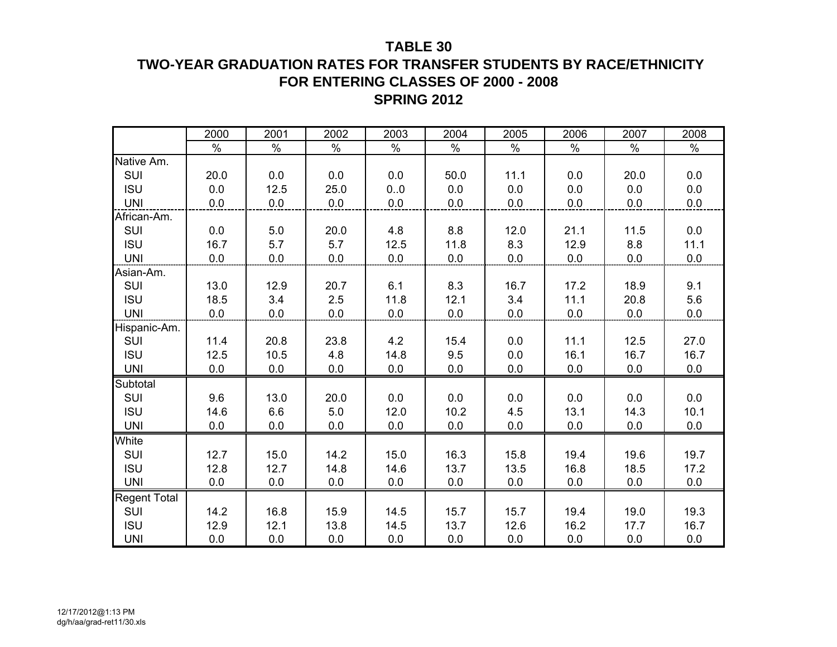### **TABLE 30**

## **TWO-YEAR GRADUATION RATES FOR TRANSFER STUDENTS BY RACE/ETHNICITY FOR ENTERING CLASSES OF 2000 - 2008SPRING 2012**

|                     | 2000 | 2001 | 2002 | 2003 | 2004 | 2005 | 2006 | 2007 | 2008 |
|---------------------|------|------|------|------|------|------|------|------|------|
|                     | %    | $\%$ | $\%$ | $\%$ | $\%$ | $\%$ | $\%$ | %    | $\%$ |
| Native Am.          |      |      |      |      |      |      |      |      |      |
| SUI                 | 20.0 | 0.0  | 0.0  | 0.0  | 50.0 | 11.1 | 0.0  | 20.0 | 0.0  |
| <b>ISU</b>          | 0.0  | 12.5 | 25.0 | 0.0  | 0.0  | 0.0  | 0.0  | 0.0  | 0.0  |
| <b>UNI</b>          | 0.0  | 0.0  | 0.0  | 0.0  | 0.0  | 0.0  | 0.0  | 0.0  | 0.0  |
| African-Am.         |      |      |      |      |      |      |      |      |      |
| SUI                 | 0.0  | 5.0  | 20.0 | 4.8  | 8.8  | 12.0 | 21.1 | 11.5 | 0.0  |
| <b>ISU</b>          | 16.7 | 5.7  | 5.7  | 12.5 | 11.8 | 8.3  | 12.9 | 8.8  | 11.1 |
| <b>UNI</b>          | 0.0  | 0.0  | 0.0  | 0.0  | 0.0  | 0.0  | 0.0  | 0.0  | 0.0  |
| Asian-Am.           |      |      |      |      |      |      |      |      |      |
| SUI                 | 13.0 | 12.9 | 20.7 | 6.1  | 8.3  | 16.7 | 17.2 | 18.9 | 9.1  |
| <b>ISU</b>          | 18.5 | 3.4  | 2.5  | 11.8 | 12.1 | 3.4  | 11.1 | 20.8 | 5.6  |
| <b>UNI</b>          | 0.0  | 0.0  | 0.0  | 0.0  | 0.0  | 0.0  | 0.0  | 0.0  | 0.0  |
| Hispanic-Am.        |      |      |      |      |      |      |      |      |      |
| SUI                 | 11.4 | 20.8 | 23.8 | 4.2  | 15.4 | 0.0  | 11.1 | 12.5 | 27.0 |
| <b>ISU</b>          | 12.5 | 10.5 | 4.8  | 14.8 | 9.5  | 0.0  | 16.1 | 16.7 | 16.7 |
| <b>UNI</b>          | 0.0  | 0.0  | 0.0  | 0.0  | 0.0  | 0.0  | 0.0  | 0.0  | 0.0  |
| Subtotal            |      |      |      |      |      |      |      |      |      |
| SUI                 | 9.6  | 13.0 | 20.0 | 0.0  | 0.0  | 0.0  | 0.0  | 0.0  | 0.0  |
| <b>ISU</b>          | 14.6 | 6.6  | 5.0  | 12.0 | 10.2 | 4.5  | 13.1 | 14.3 | 10.1 |
| <b>UNI</b>          | 0.0  | 0.0  | 0.0  | 0.0  | 0.0  | 0.0  | 0.0  | 0.0  | 0.0  |
| White               |      |      |      |      |      |      |      |      |      |
| SUI                 | 12.7 | 15.0 | 14.2 | 15.0 | 16.3 | 15.8 | 19.4 | 19.6 | 19.7 |
| <b>ISU</b>          | 12.8 | 12.7 | 14.8 | 14.6 | 13.7 | 13.5 | 16.8 | 18.5 | 17.2 |
| <b>UNI</b>          | 0.0  | 0.0  | 0.0  | 0.0  | 0.0  | 0.0  | 0.0  | 0.0  | 0.0  |
| <b>Regent Total</b> |      |      |      |      |      |      |      |      |      |
| SUI                 | 14.2 | 16.8 | 15.9 | 14.5 | 15.7 | 15.7 | 19.4 | 19.0 | 19.3 |
| <b>ISU</b>          | 12.9 | 12.1 | 13.8 | 14.5 | 13.7 | 12.6 | 16.2 | 17.7 | 16.7 |
| <b>UNI</b>          | 0.0  | 0.0  | 0.0  | 0.0  | 0.0  | 0.0  | 0.0  | 0.0  | 0.0  |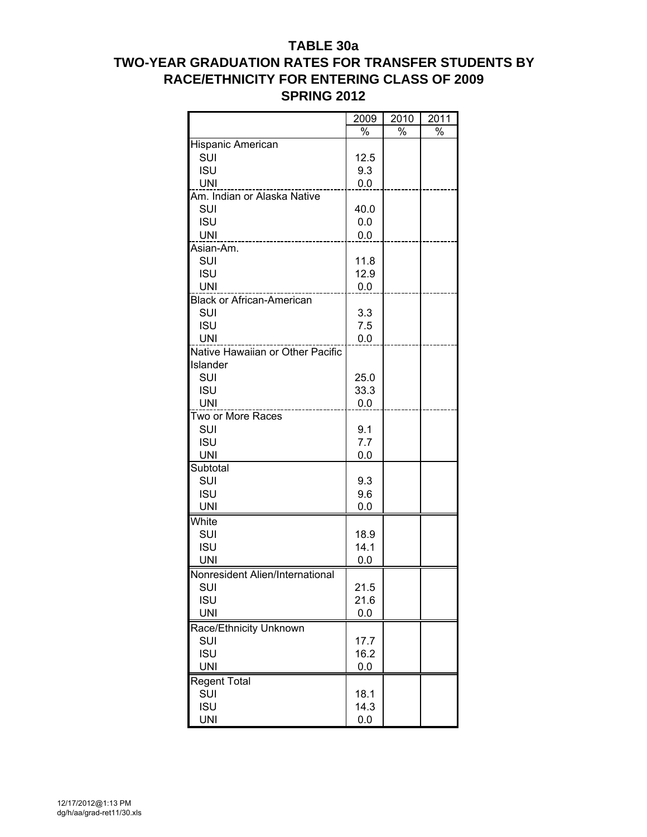### **TABLE 30a TWO-YEAR GRADUATION RATES FOR TRANSFER STUDENTS BY RACE/ETHNICITY FOR ENTERING CLASS OF 2009 SPRING 2012**

|                                  | 2009 | 2010          | 2011          |
|----------------------------------|------|---------------|---------------|
|                                  | $\%$ | $\frac{1}{2}$ | $\frac{1}{2}$ |
| Hispanic American                |      |               |               |
| SUI                              | 12.5 |               |               |
| <b>ISU</b>                       | 9.3  |               |               |
| <b>UNI</b>                       | 0.0  |               |               |
| Am. Indian or Alaska Native      |      |               |               |
| SUI                              | 40.0 |               |               |
| <b>ISU</b>                       | 0.0  |               |               |
| <b>UNI</b>                       | 0.0  |               |               |
| Asian-Am.                        |      |               |               |
| SUI                              | 11.8 |               |               |
| <b>ISU</b>                       | 12.9 |               |               |
| <b>UNI</b>                       | 0.0  |               |               |
| <b>Black or African-American</b> |      |               |               |
| SUI                              | 3.3  |               |               |
| <b>ISU</b>                       | 7.5  |               |               |
| <b>UNI</b>                       | 0.0  |               |               |
| Native Hawaiian or Other Pacific |      |               |               |
| Islander                         |      |               |               |
| SUI                              | 25.0 |               |               |
| <b>ISU</b>                       | 33.3 |               |               |
| <b>UNI</b>                       | 0.0  |               |               |
| Two or More Races                |      |               |               |
| SUI                              | 9.1  |               |               |
| <b>ISU</b>                       | 7.7  |               |               |
| <b>UNI</b>                       | 0.0  |               |               |
| Subtotal                         |      |               |               |
| SUI                              | 9.3  |               |               |
| <b>ISU</b>                       | 9.6  |               |               |
| <b>UNI</b>                       | 0.0  |               |               |
| White                            |      |               |               |
| SUI                              | 18.9 |               |               |
| <b>ISU</b>                       | 14.1 |               |               |
| <b>UNI</b>                       | 0.0  |               |               |
| Nonresident Alien/International  |      |               |               |
| SUI                              | 21.5 |               |               |
| <b>ISU</b>                       | 21.6 |               |               |
| <b>UNI</b>                       | 0.0  |               |               |
| Race/Ethnicity Unknown           |      |               |               |
| SUI                              | 17.7 |               |               |
| <b>ISU</b>                       | 16.2 |               |               |
| <b>UNI</b>                       | 0.0  |               |               |
|                                  |      |               |               |
| <b>Regent Total</b>              |      |               |               |
| SUI                              | 18.1 |               |               |
| <b>ISU</b>                       | 14.3 |               |               |
| <b>UNI</b>                       | 0.0  |               |               |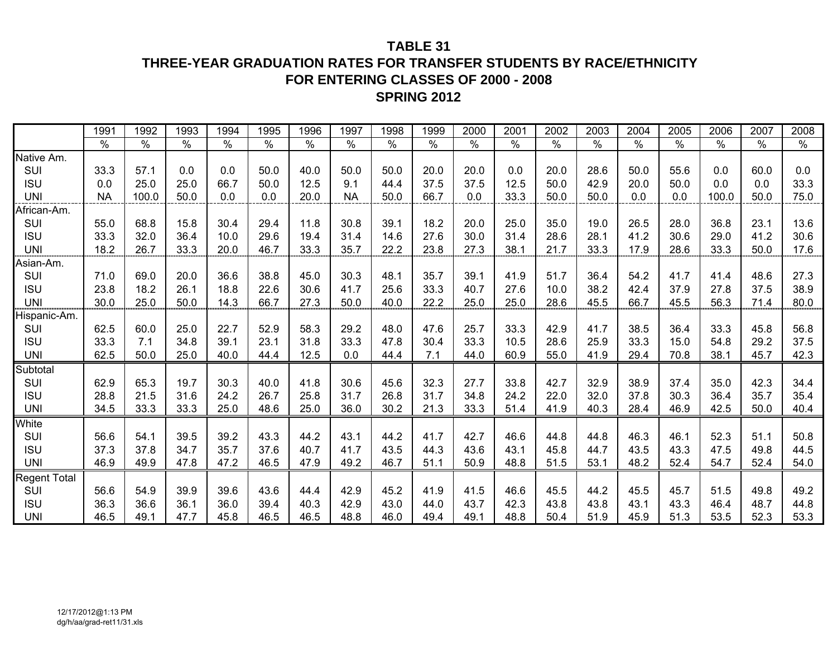### **TABLE 31**

### **THREE-YEAR GRADUATION RATES FOR TRANSFER STUDENTS BY RACE/ETHNICITY FOR ENTERING CLASSES OF 2000 - 2008 SPRING 2012**

|                     | 1991      | 1992  | 1993 | 1994 | 1995 | 1996          | 1997      | 1998 | 1999 | 2000 | 2001 | 2002 | 2003 | 2004 | 2005 | 2006  | 2007 | 2008 |
|---------------------|-----------|-------|------|------|------|---------------|-----------|------|------|------|------|------|------|------|------|-------|------|------|
|                     | $\%$      | $\%$  | %    | $\%$ | $\%$ | $\frac{0}{0}$ | $\%$      | %    | $\%$ | $\%$ | $\%$ | $\%$ | $\%$ | $\%$ | $\%$ | $\%$  | $\%$ | $\%$ |
| Native Am.          |           |       |      |      |      |               |           |      |      |      |      |      |      |      |      |       |      |      |
| SUI                 | 33.3      | 57.1  | 0.0  | 0.0  | 50.0 | 40.0          | 50.0      | 50.0 | 20.0 | 20.0 | 0.0  | 20.0 | 28.6 | 50.0 | 55.6 | 0.0   | 60.0 | 0.0  |
| <b>ISU</b>          | 0.0       | 25.0  | 25.0 | 66.7 | 50.0 | 12.5          | 9.1       | 44.4 | 37.5 | 37.5 | 12.5 | 50.0 | 42.9 | 20.0 | 50.0 | 0.0   | 0.0  | 33.3 |
| <b>UNI</b>          | <b>NA</b> | 100.0 | 50.0 | 0.0  | 0.0  | 20.0          | <b>NA</b> | 50.0 | 66.7 | 0.0  | 33.3 | 50.0 | 50.0 | 0.0  | 0.0  | 100.0 | 50.0 | 75.0 |
| African-Am.         |           |       |      |      |      |               |           |      |      |      |      |      |      |      |      |       |      |      |
| SUI                 | 55.0      | 68.8  | 15.8 | 30.4 | 29.4 | 11.8          | 30.8      | 39.1 | 18.2 | 20.0 | 25.0 | 35.0 | 19.0 | 26.5 | 28.0 | 36.8  | 23.1 | 13.6 |
| <b>ISU</b>          | 33.3      | 32.0  | 36.4 | 10.0 | 29.6 | 19.4          | 31.4      | 14.6 | 27.6 | 30.0 | 31.4 | 28.6 | 28.1 | 41.2 | 30.6 | 29.0  | 41.2 | 30.6 |
| <b>UNI</b>          | 18.2      | 26.7  | 33.3 | 20.0 | 46.7 | 33.3          | 35.7      | 22.2 | 23.8 | 27.3 | 38.1 | 21.7 | 33.3 | 17.9 | 28.6 | 33.3  | 50.0 | 17.6 |
| Asian-Am.           |           |       |      |      |      |               |           |      |      |      |      |      |      |      |      |       |      |      |
| SUI                 | 71.0      | 69.0  | 20.0 | 36.6 | 38.8 | 45.0          | 30.3      | 48.1 | 35.7 | 39.1 | 41.9 | 51.7 | 36.4 | 54.2 | 41.7 | 41.4  | 48.6 | 27.3 |
| <b>ISU</b>          | 23.8      | 18.2  | 26.1 | 18.8 | 22.6 | 30.6          | 41.7      | 25.6 | 33.3 | 40.7 | 27.6 | 10.0 | 38.2 | 42.4 | 37.9 | 27.8  | 37.5 | 38.9 |
| <b>UNI</b>          | 30.0      | 25.0  | 50.0 | 14.3 | 66.7 | 27.3          | 50.0      | 40.0 | 22.2 | 25.0 | 25.0 | 28.6 | 45.5 | 66.7 | 45.5 | 56.3  | 71.4 | 80.0 |
| Hispanic-Am.        |           |       |      |      |      |               |           |      |      |      |      |      |      |      |      |       |      |      |
| SUI                 | 62.5      | 60.0  | 25.0 | 22.7 | 52.9 | 58.3          | 29.2      | 48.0 | 47.6 | 25.7 | 33.3 | 42.9 | 41.7 | 38.5 | 36.4 | 33.3  | 45.8 | 56.8 |
| <b>ISU</b>          | 33.3      | 7.1   | 34.8 | 39.1 | 23.1 | 31.8          | 33.3      | 47.8 | 30.4 | 33.3 | 10.5 | 28.6 | 25.9 | 33.3 | 15.0 | 54.8  | 29.2 | 37.5 |
| <b>UNI</b>          | 62.5      | 50.0  | 25.0 | 40.0 | 44.4 | 12.5          | 0.0       | 44.4 | 7.1  | 44.0 | 60.9 | 55.0 | 41.9 | 29.4 | 70.8 | 38.1  | 45.7 | 42.3 |
| Subtotal            |           |       |      |      |      |               |           |      |      |      |      |      |      |      |      |       |      |      |
| SUI                 | 62.9      | 65.3  | 19.7 | 30.3 | 40.0 | 41.8          | 30.6      | 45.6 | 32.3 | 27.7 | 33.8 | 42.7 | 32.9 | 38.9 | 37.4 | 35.0  | 42.3 | 34.4 |
| <b>ISU</b>          | 28.8      | 21.5  | 31.6 | 24.2 | 26.7 | 25.8          | 31.7      | 26.8 | 31.7 | 34.8 | 24.2 | 22.0 | 32.0 | 37.8 | 30.3 | 36.4  | 35.7 | 35.4 |
| <b>UNI</b>          | 34.5      | 33.3  | 33.3 | 25.0 | 48.6 | 25.0          | 36.0      | 30.2 | 21.3 | 33.3 | 51.4 | 41.9 | 40.3 | 28.4 | 46.9 | 42.5  | 50.0 | 40.4 |
| White               |           |       |      |      |      |               |           |      |      |      |      |      |      |      |      |       |      |      |
| SUI                 | 56.6      | 54.1  | 39.5 | 39.2 | 43.3 | 44.2          | 43.1      | 44.2 | 41.7 | 42.7 | 46.6 | 44.8 | 44.8 | 46.3 | 46.1 | 52.3  | 51.1 | 50.8 |
| <b>ISU</b>          | 37.3      | 37.8  | 34.7 | 35.7 | 37.6 | 40.7          | 41.7      | 43.5 | 44.3 | 43.6 | 43.1 | 45.8 | 44.7 | 43.5 | 43.3 | 47.5  | 49.8 | 44.5 |
| <b>UNI</b>          | 46.9      | 49.9  | 47.8 | 47.2 | 46.5 | 47.9          | 49.2      | 46.7 | 51.1 | 50.9 | 48.8 | 51.5 | 53.1 | 48.2 | 52.4 | 54.7  | 52.4 | 54.0 |
| <b>Regent Total</b> |           |       |      |      |      |               |           |      |      |      |      |      |      |      |      |       |      |      |
| SUI                 | 56.6      | 54.9  | 39.9 | 39.6 | 43.6 | 44.4          | 42.9      | 45.2 | 41.9 | 41.5 | 46.6 | 45.5 | 44.2 | 45.5 | 45.7 | 51.5  | 49.8 | 49.2 |
| <b>ISU</b>          | 36.3      | 36.6  | 36.1 | 36.0 | 39.4 | 40.3          | 42.9      | 43.0 | 44.0 | 43.7 | 42.3 | 43.8 | 43.8 | 43.1 | 43.3 | 46.4  | 48.7 | 44.8 |
| <b>UNI</b>          | 46.5      | 49.1  | 47.7 | 45.8 | 46.5 | 46.5          | 48.8      | 46.0 | 49.4 | 49.1 | 48.8 | 50.4 | 51.9 | 45.9 | 51.3 | 53.5  | 52.3 | 53.3 |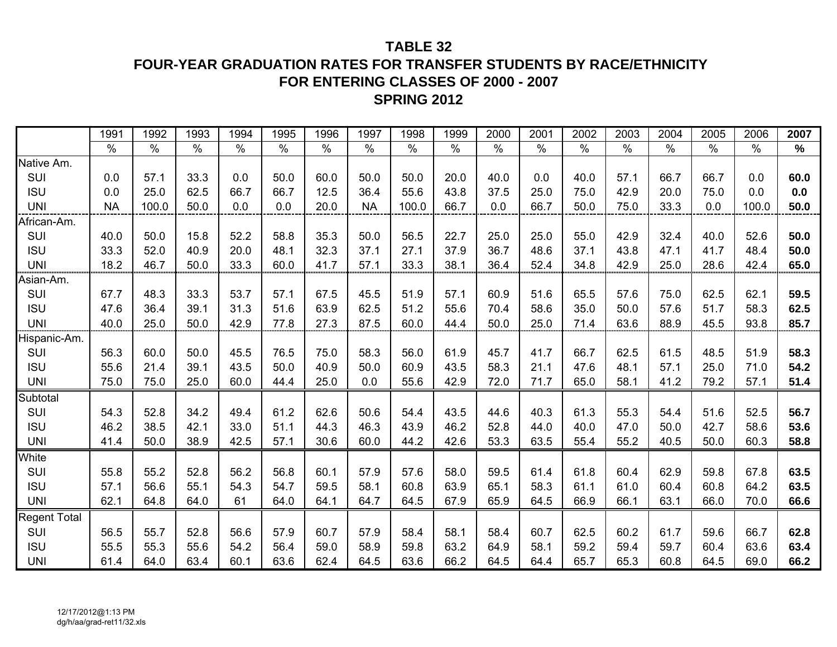### **TABLE 32**

**FOUR-YEAR GRADUATION RATES FOR TRANSFER STUDENTS BY RACE/ETHNICITY FOR ENTERING CLASSES OF 2000 - 2007**

# **SPRING 2012**

|                     | 1991      | 1992  | 1993 | 1994 | 1995 | 1996 | 1997      | 1998  | 1999 | 2000 | 2001 | 2002 | 2003 | 2004 | 2005          | 2006  | 2007 |
|---------------------|-----------|-------|------|------|------|------|-----------|-------|------|------|------|------|------|------|---------------|-------|------|
|                     | $\%$      | $\%$  | $\%$ | $\%$ | $\%$ | $\%$ | $\%$      | $\%$  | $\%$ | $\%$ | $\%$ | $\%$ | $\%$ | $\%$ | $\frac{0}{0}$ | $\%$  | $\%$ |
| Native Am.          |           |       |      |      |      |      |           |       |      |      |      |      |      |      |               |       |      |
| SUI                 | 0.0       | 57.1  | 33.3 | 0.0  | 50.0 | 60.0 | 50.0      | 50.0  | 20.0 | 40.0 | 0.0  | 40.0 | 57.1 | 66.7 | 66.7          | 0.0   | 60.0 |
| <b>ISU</b>          | 0.0       | 25.0  | 62.5 | 66.7 | 66.7 | 12.5 | 36.4      | 55.6  | 43.8 | 37.5 | 25.0 | 75.0 | 42.9 | 20.0 | 75.0          | 0.0   | 0.0  |
| <b>UNI</b>          | <b>NA</b> | 100.0 | 50.0 | 0.0  | 0.0  | 20.0 | <b>NA</b> | 100.0 | 66.7 | 0.0  | 66.7 | 50.0 | 75.0 | 33.3 | 0.0           | 100.0 | 50.0 |
| African-Am.         |           |       |      |      |      |      |           |       |      |      |      |      |      |      |               |       |      |
| SUI                 | 40.0      | 50.0  | 15.8 | 52.2 | 58.8 | 35.3 | 50.0      | 56.5  | 22.7 | 25.0 | 25.0 | 55.0 | 42.9 | 32.4 | 40.0          | 52.6  | 50.0 |
| <b>ISU</b>          | 33.3      | 52.0  | 40.9 | 20.0 | 48.1 | 32.3 | 37.1      | 27.1  | 37.9 | 36.7 | 48.6 | 37.1 | 43.8 | 47.1 | 41.7          | 48.4  | 50.0 |
| <b>UNI</b>          | 18.2      | 46.7  | 50.0 | 33.3 | 60.0 | 41.7 | 57.1      | 33.3  | 38.1 | 36.4 | 52.4 | 34.8 | 42.9 | 25.0 | 28.6          | 42.4  | 65.0 |
| Asian-Am.           |           |       |      |      |      |      |           |       |      |      |      |      |      |      |               |       |      |
| SUI                 | 67.7      | 48.3  | 33.3 | 53.7 | 57.1 | 67.5 | 45.5      | 51.9  | 57.1 | 60.9 | 51.6 | 65.5 | 57.6 | 75.0 | 62.5          | 62.1  | 59.5 |
| <b>ISU</b>          | 47.6      | 36.4  | 39.1 | 31.3 | 51.6 | 63.9 | 62.5      | 51.2  | 55.6 | 70.4 | 58.6 | 35.0 | 50.0 | 57.6 | 51.7          | 58.3  | 62.5 |
| <b>UNI</b>          | 40.0      | 25.0  | 50.0 | 42.9 | 77.8 | 27.3 | 87.5      | 60.0  | 44.4 | 50.0 | 25.0 | 71.4 | 63.6 | 88.9 | 45.5          | 93.8  | 85.7 |
| Hispanic-Am.        |           |       |      |      |      |      |           |       |      |      |      |      |      |      |               |       |      |
| SUI                 | 56.3      | 60.0  | 50.0 | 45.5 | 76.5 | 75.0 | 58.3      | 56.0  | 61.9 | 45.7 | 41.7 | 66.7 | 62.5 | 61.5 | 48.5          | 51.9  | 58.3 |
| <b>ISU</b>          | 55.6      | 21.4  | 39.1 | 43.5 | 50.0 | 40.9 | 50.0      | 60.9  | 43.5 | 58.3 | 21.1 | 47.6 | 48.1 | 57.1 | 25.0          | 71.0  | 54.2 |
| <b>UNI</b>          | 75.0      | 75.0  | 25.0 | 60.0 | 44.4 | 25.0 | 0.0       | 55.6  | 42.9 | 72.0 | 71.7 | 65.0 | 58.1 | 41.2 | 79.2          | 57.1  | 51.4 |
| Subtotal            |           |       |      |      |      |      |           |       |      |      |      |      |      |      |               |       |      |
| SUI                 | 54.3      | 52.8  | 34.2 | 49.4 | 61.2 | 62.6 | 50.6      | 54.4  | 43.5 | 44.6 | 40.3 | 61.3 | 55.3 | 54.4 | 51.6          | 52.5  | 56.7 |
| <b>ISU</b>          | 46.2      | 38.5  | 42.1 | 33.0 | 51.1 | 44.3 | 46.3      | 43.9  | 46.2 | 52.8 | 44.0 | 40.0 | 47.0 | 50.0 | 42.7          | 58.6  | 53.6 |
| <b>UNI</b>          | 41.4      | 50.0  | 38.9 | 42.5 | 57.1 | 30.6 | 60.0      | 44.2  | 42.6 | 53.3 | 63.5 | 55.4 | 55.2 | 40.5 | 50.0          | 60.3  | 58.8 |
| White               |           |       |      |      |      |      |           |       |      |      |      |      |      |      |               |       |      |
| SUI                 | 55.8      | 55.2  | 52.8 | 56.2 | 56.8 | 60.1 | 57.9      | 57.6  | 58.0 | 59.5 | 61.4 | 61.8 | 60.4 | 62.9 | 59.8          | 67.8  | 63.5 |
| <b>ISU</b>          | 57.1      | 56.6  | 55.1 | 54.3 | 54.7 | 59.5 | 58.1      | 60.8  | 63.9 | 65.1 | 58.3 | 61.1 | 61.0 | 60.4 | 60.8          | 64.2  | 63.5 |
| <b>UNI</b>          | 62.1      | 64.8  | 64.0 | 61   | 64.0 | 64.1 | 64.7      | 64.5  | 67.9 | 65.9 | 64.5 | 66.9 | 66.1 | 63.1 | 66.0          | 70.0  | 66.6 |
| <b>Regent Total</b> |           |       |      |      |      |      |           |       |      |      |      |      |      |      |               |       |      |
| SUI                 | 56.5      | 55.7  | 52.8 | 56.6 | 57.9 | 60.7 | 57.9      | 58.4  | 58.1 | 58.4 | 60.7 | 62.5 | 60.2 | 61.7 | 59.6          | 66.7  | 62.8 |
| <b>ISU</b>          | 55.5      | 55.3  | 55.6 | 54.2 | 56.4 | 59.0 | 58.9      | 59.8  | 63.2 | 64.9 | 58.1 | 59.2 | 59.4 | 59.7 | 60.4          | 63.6  | 63.4 |
| <b>UNI</b>          | 61.4      | 64.0  | 63.4 | 60.1 | 63.6 | 62.4 | 64.5      | 63.6  | 66.2 | 64.5 | 64.4 | 65.7 | 65.3 | 60.8 | 64.5          | 69.0  | 66.2 |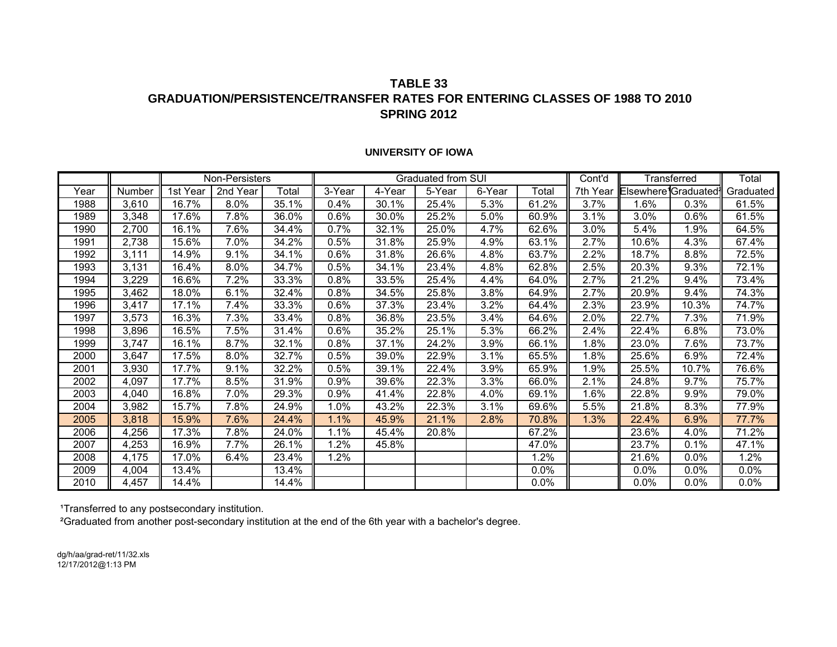#### **TABLE 33GRADUATION/PERSISTENCE/TRANSFER RATES FOR ENTERING CLASSES OF 1988 TO 2010SPRING 2012**

#### **UNIVERSITY OF IOWA**

|      |        |          | Non-Persisters |       |        |        | Graduated from SUI |        |       | Cont'd   |                                               | Transferred | Total     |
|------|--------|----------|----------------|-------|--------|--------|--------------------|--------|-------|----------|-----------------------------------------------|-------------|-----------|
| Year | Number | 1st Year | 2nd Year       | Total | 3-Year | 4-Year | 5-Year             | 6-Year | Total | 7th Year | Elsewhere <sup>1</sup> Graduated <sup>1</sup> |             | Graduated |
| 1988 | 3,610  | 16.7%    | 8.0%           | 35.1% | 0.4%   | 30.1%  | 25.4%              | 5.3%   | 61.2% | 3.7%     | 1.6%                                          | 0.3%        | 61.5%     |
| 1989 | 3,348  | 17.6%    | 7.8%           | 36.0% | 0.6%   | 30.0%  | 25.2%              | 5.0%   | 60.9% | 3.1%     | 3.0%                                          | 0.6%        | 61.5%     |
| 1990 | 2,700  | 16.1%    | 7.6%           | 34.4% | 0.7%   | 32.1%  | 25.0%              | 4.7%   | 62.6% | 3.0%     | 5.4%                                          | 1.9%        | 64.5%     |
| 1991 | 2,738  | 15.6%    | 7.0%           | 34.2% | 0.5%   | 31.8%  | 25.9%              | 4.9%   | 63.1% | 2.7%     | 10.6%                                         | 4.3%        | 67.4%     |
| 1992 | 3,111  | 14.9%    | 9.1%           | 34.1% | 0.6%   | 31.8%  | 26.6%              | 4.8%   | 63.7% | 2.2%     | 18.7%                                         | 8.8%        | 72.5%     |
| 1993 | 3,131  | 16.4%    | 8.0%           | 34.7% | 0.5%   | 34.1%  | 23.4%              | 4.8%   | 62.8% | 2.5%     | 20.3%                                         | 9.3%        | 72.1%     |
| 1994 | 3,229  | 16.6%    | 7.2%           | 33.3% | 0.8%   | 33.5%  | 25.4%              | 4.4%   | 64.0% | 2.7%     | 21.2%                                         | 9.4%        | 73.4%     |
| 1995 | 3,462  | 18.0%    | 6.1%           | 32.4% | 0.8%   | 34.5%  | 25.8%              | 3.8%   | 64.9% | 2.7%     | 20.9%                                         | 9.4%        | 74.3%     |
| 1996 | 3,417  | 17.1%    | 7.4%           | 33.3% | 0.6%   | 37.3%  | 23.4%              | 3.2%   | 64.4% | 2.3%     | 23.9%                                         | 10.3%       | 74.7%     |
| 1997 | 3,573  | 16.3%    | 7.3%           | 33.4% | 0.8%   | 36.8%  | 23.5%              | 3.4%   | 64.6% | 2.0%     | 22.7%                                         | 7.3%        | 71.9%     |
| 1998 | 3,896  | 16.5%    | 7.5%           | 31.4% | 0.6%   | 35.2%  | 25.1%              | 5.3%   | 66.2% | 2.4%     | 22.4%                                         | 6.8%        | 73.0%     |
| 1999 | 3,747  | 16.1%    | 8.7%           | 32.1% | 0.8%   | 37.1%  | 24.2%              | 3.9%   | 66.1% | 1.8%     | 23.0%                                         | 7.6%        | 73.7%     |
| 2000 | 3,647  | 17.5%    | 8.0%           | 32.7% | 0.5%   | 39.0%  | 22.9%              | 3.1%   | 65.5% | 1.8%     | 25.6%                                         | 6.9%        | 72.4%     |
| 2001 | 3,930  | 17.7%    | 9.1%           | 32.2% | 0.5%   | 39.1%  | 22.4%              | 3.9%   | 65.9% | .9%      | 25.5%                                         | 10.7%       | 76.6%     |
| 2002 | 4,097  | 17.7%    | 8.5%           | 31.9% | 0.9%   | 39.6%  | 22.3%              | 3.3%   | 66.0% | 2.1%     | 24.8%                                         | 9.7%        | 75.7%     |
| 2003 | 4,040  | 16.8%    | 7.0%           | 29.3% | 0.9%   | 41.4%  | 22.8%              | 4.0%   | 69.1% | 1.6%     | 22.8%                                         | 9.9%        | 79.0%     |
| 2004 | 3,982  | 15.7%    | 7.8%           | 24.9% | 1.0%   | 43.2%  | 22.3%              | 3.1%   | 69.6% | 5.5%     | 21.8%                                         | 8.3%        | 77.9%     |
| 2005 | 3,818  | 15.9%    | 7.6%           | 24.4% | 1.1%   | 45.9%  | 21.1%              | 2.8%   | 70.8% | 1.3%     | 22.4%                                         | 6.9%        | 77.7%     |
| 2006 | 4,256  | 17.3%    | 7.8%           | 24.0% | 1.1%   | 45.4%  | 20.8%              |        | 67.2% |          | 23.6%                                         | 4.0%        | 71.2%     |
| 2007 | 4,253  | 16.9%    | 7.7%           | 26.1% | 1.2%   | 45.8%  |                    |        | 47.0% |          | 23.7%                                         | 0.1%        | 47.1%     |
| 2008 | 4,175  | 17.0%    | 6.4%           | 23.4% | 1.2%   |        |                    |        | 1.2%  |          | 21.6%                                         | 0.0%        | 1.2%      |
| 2009 | 4,004  | 13.4%    |                | 13.4% |        |        |                    |        | 0.0%  |          | 0.0%                                          | 0.0%        | 0.0%      |
| 2010 | 4,457  | 14.4%    |                | 14.4% |        |        |                    |        | 0.0%  |          | 0.0%                                          | 0.0%        | 0.0%      |

1Transferred to any postsecondary institution.

²Graduated from another post-secondary institution at the end of the 6th year with a bachelor's degree.

dg/h/aa/grad-ret/11/32.xls 12/17/2012@1:13 PM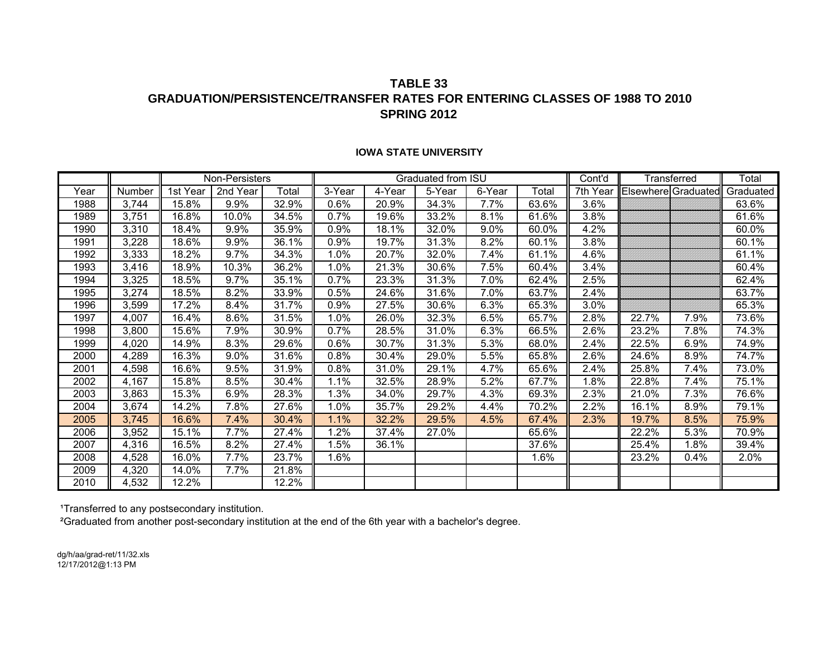#### **TABLE 33 GRADUATION/PERSISTENCE/TRANSFER RATES FOR ENTERING CLASSES OF 1988 TO 2010SPRING 2012**

|      |        |          | Non-Persisters |       |         |        | Graduated from ISU |        |       | Cont'd   |                            | Transferred | Total     |
|------|--------|----------|----------------|-------|---------|--------|--------------------|--------|-------|----------|----------------------------|-------------|-----------|
| Year | Number | 1st Year | 2nd Year       | Total | 3-Year  | 4-Year | 5-Year             | 6-Year | Total | 7th Year | <b>Elsewhere</b> Graduated |             | Graduated |
| 1988 | 3,744  | 15.8%    | 9.9%           | 32.9% | 0.6%    | 20.9%  | 34.3%              | 7.7%   | 63.6% | 3.6%     |                            |             | 63.6%     |
| 1989 | 3,751  | 16.8%    | 10.0%          | 34.5% | 0.7%    | 19.6%  | 33.2%              | 8.1%   | 61.6% | 3.8%     |                            |             | 61.6%     |
| 1990 | 3,310  | 18.4%    | 9.9%           | 35.9% | 0.9%    | 18.1%  | 32.0%              | 9.0%   | 60.0% | 4.2%     |                            |             | 60.0%     |
| 1991 | 3,228  | 18.6%    | 9.9%           | 36.1% | 0.9%    | 19.7%  | 31.3%              | 8.2%   | 60.1% | 3.8%     |                            |             | 60.1%     |
| 1992 | 3,333  | 18.2%    | 9.7%           | 34.3% | 1.0%    | 20.7%  | 32.0%              | 7.4%   | 61.1% | 4.6%     |                            |             | 61.1%     |
| 1993 | 3,416  | 18.9%    | 10.3%          | 36.2% | 1.0%    | 21.3%  | 30.6%              | 7.5%   | 60.4% | 3.4%     |                            |             | 60.4%     |
| 1994 | 3,325  | 18.5%    | 9.7%           | 35.1% | 0.7%    | 23.3%  | 31.3%              | 7.0%   | 62.4% | 2.5%     |                            |             | 62.4%     |
| 1995 | 3,274  | 18.5%    | 8.2%           | 33.9% | 0.5%    | 24.6%  | 31.6%              | 7.0%   | 63.7% | 2.4%     |                            |             | 63.7%     |
| 1996 | 3,599  | 17.2%    | 8.4%           | 31.7% | $0.9\%$ | 27.5%  | 30.6%              | 6.3%   | 65.3% | 3.0%     |                            |             | 65.3%     |
| 1997 | 4,007  | 16.4%    | 8.6%           | 31.5% | $1.0\%$ | 26.0%  | 32.3%              | 6.5%   | 65.7% | 2.8%     | 22.7%                      | 7.9%        | 73.6%     |
| 1998 | 3,800  | 15.6%    | 7.9%           | 30.9% | $0.7\%$ | 28.5%  | 31.0%              | 6.3%   | 66.5% | 2.6%     | 23.2%                      | 7.8%        | 74.3%     |
| 1999 | 4,020  | 14.9%    | 8.3%           | 29.6% | $0.6\%$ | 30.7%  | 31.3%              | 5.3%   | 68.0% | 2.4%     | 22.5%                      | 6.9%        | 74.9%     |
| 2000 | 4,289  | 16.3%    | 9.0%           | 31.6% | $0.8\%$ | 30.4%  | 29.0%              | 5.5%   | 65.8% | 2.6%     | 24.6%                      | 8.9%        | 74.7%     |
| 2001 | 4,598  | 16.6%    | 9.5%           | 31.9% | $0.8\%$ | 31.0%  | 29.1%              | 4.7%   | 65.6% | 2.4%     | 25.8%                      | 7.4%        | 73.0%     |
| 2002 | 4,167  | 15.8%    | 8.5%           | 30.4% | 1.1%    | 32.5%  | 28.9%              | 5.2%   | 67.7% | 1.8%     | 22.8%                      | 7.4%        | 75.1%     |
| 2003 | 3,863  | 15.3%    | 6.9%           | 28.3% | 1.3%    | 34.0%  | 29.7%              | 4.3%   | 69.3% | 2.3%     | 21.0%                      | 7.3%        | 76.6%     |
| 2004 | 3,674  | 14.2%    | 7.8%           | 27.6% | 1.0%    | 35.7%  | 29.2%              | 4.4%   | 70.2% | 2.2%     | 16.1%                      | 8.9%        | 79.1%     |
| 2005 | 3,745  | 16.6%    | 7.4%           | 30.4% | 1.1%    | 32.2%  | 29.5%              | 4.5%   | 67.4% | 2.3%     | 19.7%                      | 8.5%        | 75.9%     |
| 2006 | 3,952  | 15.1%    | 7.7%           | 27.4% | 1.2%    | 37.4%  | 27.0%              |        | 65.6% |          | 22.2%                      | 5.3%        | 70.9%     |
| 2007 | 4,316  | 16.5%    | 8.2%           | 27.4% | 1.5%    | 36.1%  |                    |        | 37.6% |          | 25.4%                      | 1.8%        | 39.4%     |
| 2008 | 4,528  | 16.0%    | 7.7%           | 23.7% | 1.6%    |        |                    |        | 1.6%  |          | 23.2%                      | 0.4%        | 2.0%      |
| 2009 | 4,320  | 14.0%    | 7.7%           | 21.8% |         |        |                    |        |       |          |                            |             |           |
| 2010 | 4,532  | 12.2%    |                | 12.2% |         |        |                    |        |       |          |                            |             |           |

#### **IOWA STATE UNIVERSITY**

<sup>1</sup>Transferred to any postsecondary institution.

²Graduated from another post-secondary institution at the end of the 6th year with a bachelor's degree.

dg/h/aa/grad-ret/11/32.xls 12/17/2012@1:13 PM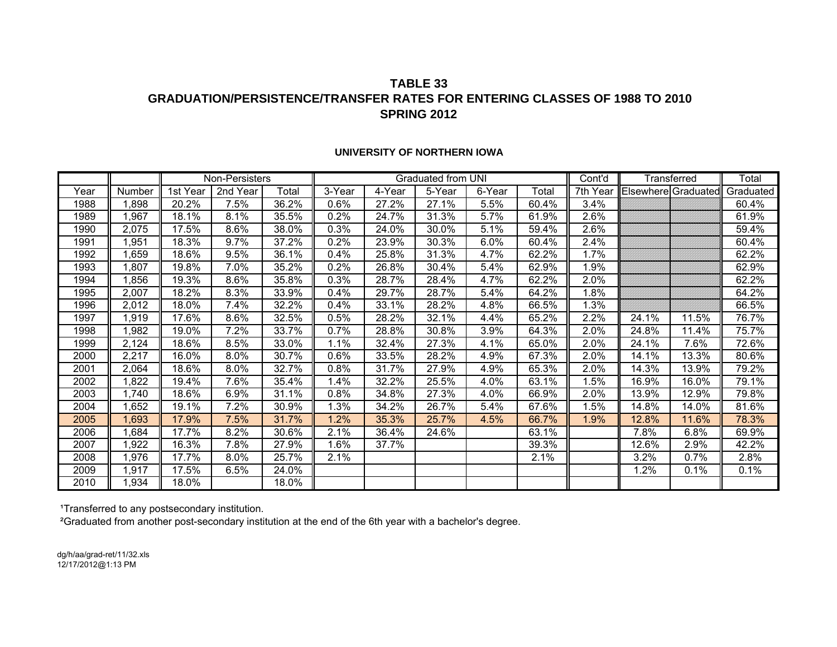#### **TABLE 33GRADUATION/PERSISTENCE/TRANSFER RATES FOR ENTERING CLASSES OF 1988 TO 2010SPRING 2012**

|      |        |          | Non-Persisters |       |        |        | Graduated from UNI |        |       | Cont'd   |                     | Transferred | Total     |
|------|--------|----------|----------------|-------|--------|--------|--------------------|--------|-------|----------|---------------------|-------------|-----------|
| Year | Number | 1st Year | 2nd Year       | Total | 3-Year | 4-Year | 5-Year             | 6-Year | Total | 7th Year | Elsewhere Graduated |             | Graduated |
| 1988 | ,898   | 20.2%    | 7.5%           | 36.2% | 0.6%   | 27.2%  | 27.1%              | 5.5%   | 60.4% | 3.4%     |                     |             | 60.4%     |
| 1989 | ,967   | 18.1%    | 8.1%           | 35.5% | 0.2%   | 24.7%  | 31.3%              | 5.7%   | 61.9% | 2.6%     |                     |             | 61.9%     |
| 1990 | 2,075  | 17.5%    | 8.6%           | 38.0% | 0.3%   | 24.0%  | 30.0%              | 5.1%   | 59.4% | 2.6%     |                     |             | 59.4%     |
| 1991 | ,951   | 18.3%    | 9.7%           | 37.2% | 0.2%   | 23.9%  | 30.3%              | 6.0%   | 60.4% | 2.4%     |                     |             | 60.4%     |
| 1992 | ,659   | 18.6%    | 9.5%           | 36.1% | 0.4%   | 25.8%  | 31.3%              | 4.7%   | 62.2% | 1.7%     |                     |             | 62.2%     |
| 1993 | 1,807  | 19.8%    | 7.0%           | 35.2% | 0.2%   | 26.8%  | 30.4%              | 5.4%   | 62.9% | 1.9%     |                     |             | 62.9%     |
| 1994 | ,856   | 19.3%    | 8.6%           | 35.8% | 0.3%   | 28.7%  | 28.4%              | 4.7%   | 62.2% | 2.0%     |                     |             | 62.2%     |
| 1995 | 2,007  | 18.2%    | 8.3%           | 33.9% | 0.4%   | 29.7%  | 28.7%              | 5.4%   | 64.2% | 1.8%     |                     |             | 64.2%     |
| 1996 | 2,012  | 18.0%    | 7.4%           | 32.2% | 0.4%   | 33.1%  | 28.2%              | 4.8%   | 66.5% | 1.3%     |                     |             | 66.5%     |
| 1997 | 1,919  | 17.6%    | 8.6%           | 32.5% | 0.5%   | 28.2%  | 32.1%              | 4.4%   | 65.2% | 2.2%     | 24.1%               | 11.5%       | 76.7%     |
| 1998 | 982,۱  | 19.0%    | 7.2%           | 33.7% | 0.7%   | 28.8%  | 30.8%              | 3.9%   | 64.3% | 2.0%     | 24.8%               | 11.4%       | 75.7%     |
| 1999 | 2,124  | 18.6%    | 8.5%           | 33.0% | 1.1%   | 32.4%  | 27.3%              | 4.1%   | 65.0% | 2.0%     | 24.1%               | 7.6%        | 72.6%     |
| 2000 | 2,217  | 16.0%    | $8.0\%$        | 30.7% | 0.6%   | 33.5%  | 28.2%              | 4.9%   | 67.3% | 2.0%     | 14.1%               | 13.3%       | 80.6%     |
| 2001 | 2,064  | 18.6%    | 8.0%           | 32.7% | 0.8%   | 31.7%  | 27.9%              | 4.9%   | 65.3% | 2.0%     | 14.3%               | 13.9%       | 79.2%     |
| 2002 | ,822   | 19.4%    | 7.6%           | 35.4% | 1.4%   | 32.2%  | 25.5%              | 4.0%   | 63.1% | 1.5%     | 16.9%               | 16.0%       | 79.1%     |
| 2003 | 1,740  | 18.6%    | 6.9%           | 31.1% | 0.8%   | 34.8%  | 27.3%              | 4.0%   | 66.9% | 2.0%     | 13.9%               | 12.9%       | 79.8%     |
| 2004 | ,652   | 19.1%    | 7.2%           | 30.9% | 1.3%   | 34.2%  | 26.7%              | 5.4%   | 67.6% | 1.5%     | 14.8%               | 14.0%       | 81.6%     |
| 2005 | 1,693  | 17.9%    | 7.5%           | 31.7% | 1.2%   | 35.3%  | 25.7%              | 4.5%   | 66.7% | 1.9%     | 12.8%               | 11.6%       | 78.3%     |
| 2006 | ,684   | 17.7%    | 8.2%           | 30.6% | 2.1%   | 36.4%  | 24.6%              |        | 63.1% |          | 7.8%                | 6.8%        | 69.9%     |
| 2007 | 1,922  | 16.3%    | 7.8%           | 27.9% | 1.6%   | 37.7%  |                    |        | 39.3% |          | 12.6%               | 2.9%        | 42.2%     |
| 2008 | ,976   | 17.7%    | 8.0%           | 25.7% | 2.1%   |        |                    |        | 2.1%  |          | 3.2%                | 0.7%        | 2.8%      |
| 2009 | 1,917  | 17.5%    | 6.5%           | 24.0% |        |        |                    |        |       |          | 1.2%                | 0.1%        | 0.1%      |
| 2010 | 1,934  | 18.0%    |                | 18.0% |        |        |                    |        |       |          |                     |             |           |

#### **UNIVERSITY OF NORTHERN IOWA**

<sup>1</sup>Transferred to any postsecondary institution.

²Graduated from another post-secondary institution at the end of the 6th year with a bachelor's degree.

dg/h/aa/grad-ret/11/32.xls 12/17/2012@1:13 PM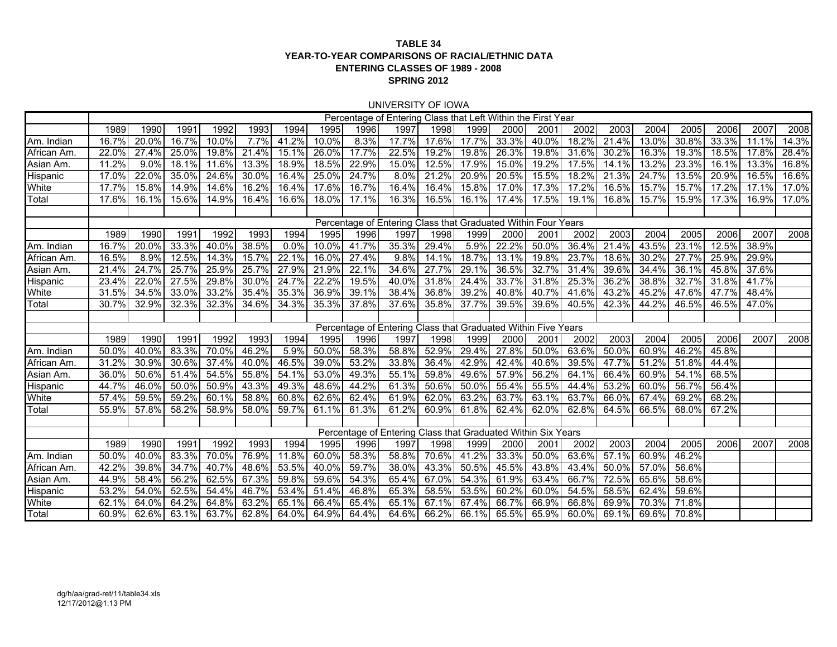#### **TABLE 34 YEAR-TO-YEAR COMPARISONS OF RACIAL/ETHNIC DATAENTERING CLASSES OF 1989 - 2008 SPRING 2012**

#### UNIVERSITY OF IOWA

|                 |       |       |          |             |       |             |          |       | Percentage of Entering Class that Left Within the First Year  |          |             |       |             |       |       |          |       |       |       |       |
|-----------------|-------|-------|----------|-------------|-------|-------------|----------|-------|---------------------------------------------------------------|----------|-------------|-------|-------------|-------|-------|----------|-------|-------|-------|-------|
|                 | 1989  | 1990  | 1991     | 1992        | 1993  | 1994        | 1995     | 1996  | 1997                                                          | 1998     | 1999        | 2000  | 2001        | 2002  | 2003  | 2004     | 2005  | 2006  | 2007  | 2008  |
| Am. Indian      | 16.7% | 20.0% | 16.7%    | 10.0%       | 7.7%  | 41.2%       | 10.0%    | 8.3%  | 17.7%                                                         | 17.6%    | 17.7%       | 33.3% | 40.0%       | 18.2% | 21.4% | 13.0%    | 30.8% | 33.3% | 11.1% | 14.3% |
| African Am      | 22.0% | 27.4% | 25.0%    | 19.8%       | 21.4% | 15.1%       | 26.0%    | 17.7% | 22.5%                                                         | $19.2\%$ | 19.8%       | 26.3% | 19.8%       | 31.6% | 30.2% | 16.3%    | 19.3% | 18.5% | 17.8% | 28.4% |
| Asian Am.       | 11.2% | 9.0%  | 18.1%    | 11.6%       | 13.3% | 18.9%       | 18.5%    | 22.9% | 15.0%                                                         | 12.5%    | 17.9%       | 15.0% | 19.2%       | 17.5% | 14.1% | $13.2\%$ | 23.3% | 16.1% | 13.3% | 16.8% |
| <b>Hispanic</b> | 17.0% | 22.0% | 35.0%    | 24.6%       | 30.0% | 16.4%       | 25.0%    | 24.7% | 8.0%                                                          | 21.2%    | 20.9%       | 20.5% | 15.5%       | 18.2% | 21.3% | 24.7%    | 13.5% | 20.9% | 16.5% | 16.6% |
| White           | 17.7% | 15.8% | 14.9%    | 14.6%       | 16.2% | 16.4%       | 17.6%    | 16.7% | 16.4%                                                         | 16.4%    | 15.8%       | 17.0% | 17.3%       | 17.2% | 16.5% | 15.7%    | 15.7% | 17.2% | 17.1% | 17.0% |
| Total           | 17.6% | 16.1% | 15.6%    | 14.9%       | 16.4% | 16.6%       | 18.0%    | 17.1% | 16.3%                                                         | 16.5%    | 16.1%       | 17.4% | 17.5%       | 19.1% | 16.8% | 15.7%    | 15.9% | 17.3% | 16.9% | 17.0% |
|                 |       |       |          |             |       |             |          |       |                                                               |          |             |       |             |       |       |          |       |       |       |       |
|                 |       |       |          |             |       |             |          |       | Percentage of Entering Class that Graduated Within Four Years |          |             |       |             |       |       |          |       |       |       |       |
|                 | 1989  | 1990  | 1991     | 1992        | 1993  | 1994        | 1995     | 1996  | 1997                                                          | 1998     | 1999        | 2000  | 2001        | 2002  | 2003  | 2004     | 2005  | 2006  | 2007  | 2008  |
| Am. Indian      | 16.7% | 20.0% | 33.3%    | 40.0%       | 38.5% | $0.0\%$     | $10.0\%$ | 41.7% | 35.3%                                                         | 29.4%    | 5.9%        | 22.2% | 50.0%       | 36.4% | 21.4% | 43.5%    | 23.1% | 12.5% | 38.9% |       |
| African Am      | 16.5% | 8.9%  | 12.5%    | 14.3%       | 15.7% | 22.1%       | 16.0%    | 27.4% | 9.8%                                                          | 14.1%    | 18.7%       | 13.1% | 19.8%       | 23.7% | 18.6% | 30.2%    | 27.7% | 25.9% | 29.9% |       |
| Asian Am.       | 21.4% | 24.7% | 25.7%    | 25.9%       | 25.7% | 27.9%       | 21.9%    | 22.1% | 34.6%                                                         | 27.7%    | 29.1%       | 36.5% | 32.7%       | 31.4% | 39.6% | 34.4%    | 36.1% | 45.8% | 37.6% |       |
| <b>Hispanic</b> | 23.4% | 22.0% | 27.5%    | 29.8%       | 30.0% | 24.7%       | 22.2%    | 19.5% | 40.0%                                                         | 31.8%    | 24.4%       | 33.7% | 31.8%       | 25.3% | 36.2% | 38.8%    | 32.7% | 31.8% | 41.7% |       |
| White           | 31.5% | 34.5% | 33.0%    | 33.2%       | 35.4% | 35.3%       | 36.9%    | 39.1% | 38.4%                                                         | 36.8%    | 39.2%       | 40.8% | 40.7%       | 41.6% | 43.2% | 45.2%    | 47.6% | 47.7% | 48.4% |       |
| Total           | 30.7% | 32.9% | 32.3%    | 32.3%       | 34.6% | 34.3%       | 35.3%    | 37.8% | 37.6%                                                         | 35.8%    | 37.7%       | 39.5% | 39.6%       | 40.5% | 42.3% | 44.2%    | 46.5% | 46.5% | 47.0% |       |
|                 |       |       |          |             |       |             |          |       |                                                               |          |             |       |             |       |       |          |       |       |       |       |
|                 |       |       |          |             |       |             |          |       | Percentage of Entering Class that Graduated Within Five Years |          |             |       |             |       |       |          |       |       |       |       |
|                 | 1989  | 1990  | 1991     | 1992        | 1993  | 1994        | 1995     | 1996  | 1997                                                          | 1998     | 1999        | 2000  | 2001        | 2002  | 2003  | 2004     | 2005  | 2006  | 2007  | 2008  |
| Am. Indian      | 50.0% | 40.0% | 83.3%    | 70.0%       | 46.2% | 5.9%        | 50.0%    | 58.3% | 58.8%                                                         | 52.9%    | $29.4\%$    | 27.8% | 50.0%       | 63.6% | 50.0% | $60.9\%$ | 46.2% | 45.8% |       |       |
| African Am      | 31.2% | 30.9% | $30.6\%$ | 37.4%       | 40.0% | 46.5%       | 39.0%    | 53.2% | 33.8%                                                         | 36.4%    | 42.9%       | 42.4% | 40.6%       | 39.5% | 47.7% | 51.2%    | 51.8% | 44.4% |       |       |
| Asian Am.       | 36.0% | 50.6% | 51.4%    | 54.5%       | 55.8% | 54.1%       | 53.0%    | 49.3% | 55.1%                                                         | 59.8%    | 49.6%       | 57.9% | 56.2%       | 64.1% | 66.4% | 60.9%    | 54.1% | 68.5% |       |       |
| <b>Hispanic</b> | 44.7% | 46.0% | 50.0%    | 50.9%       | 43.3% | 49.3%       | 48.6%    | 44.2% | 61.3%                                                         | 50.6%    | 50.0%       | 55.4% | 55.5%       | 44.4% | 53.2% | 60.0%    | 56.7% | 56.4% |       |       |
| White           | 57.4% | 59.5% | 59.2%    | 60.1%       | 58.8% | 60.8%       | 62.6%    | 62.4% | 61.9%                                                         | 62.0%    | 63.2%       | 63.7% | 63.1%       | 63.7% | 66.0% | 67.4%    | 69.2% | 68.2% |       |       |
| Total           | 55.9% | 57.8% | 58.2%    | 58.9%       | 58.0% | 59.7%       | 61.1%    | 61.3% | 61.2%                                                         | 60.9%    | 61.8%       | 62.4% | 62.0%       | 62.8% | 64.5% | 66.5%    | 68.0% | 67.2% |       |       |
|                 |       |       |          |             |       |             |          |       |                                                               |          |             |       |             |       |       |          |       |       |       |       |
|                 |       |       |          |             |       |             |          |       | Percentage of Entering Class that Graduated Within Six Years  |          |             |       |             |       |       |          |       |       |       |       |
|                 | 1989  | 1990  | 1991     | 1992        | 1993  | 1994        | 1995     | 1996  | 1997                                                          | 1998     | 1999        | 2000  | 2001        | 2002  | 2003  | 2004     | 2005  | 2006  | 2007  | 2008  |
| Am. Indian      | 50.0% | 40.0% | 83.3%    | 70.0%       | 76.9% | 11.8%       | 60.0%    | 58.3% | 58.8%                                                         | 70.6%    | 41.2%       | 33.3% | 50.0%       | 63.6% | 57.1% | 60.9%    | 46.2% |       |       |       |
| African Am      | 42.2% | 39.8% | 34.7%    | 40.7%       | 48.6% | 53.5%       | 40.0%    | 59.7% | 38.0%                                                         | 43.3%    | 50.5%       | 45.5% | 43.8%       | 43.4% | 50.0% | 57.0%    | 56.6% |       |       |       |
| Asian Am.       | 44.9% | 58.4% | 56.2%    | 62.5%       | 67.3% | 59.8%       | 59.6%    | 54.3% | 65.4%                                                         | 67.0%    | 54.3%       | 61.9% | 63.4%       | 66.7% | 72.5% | 65.6%    | 58.6% |       |       |       |
| Hispanic        | 53.2% | 54.0% | 52.5%    | 54.4%       | 46.7% | 53.4%       | 51.4%    | 46.8% | 65.3%                                                         | 58.5%    | 53.5%       | 60.2% | 60.0%       | 54.5% | 58.5% | 62.4%    | 59.6% |       |       |       |
| White           | 62.1% | 64.0% | 64.2%    | 64.8%       | 63.2% | 65.1%       | 66.4%    | 65.4% | 65.1%                                                         | 67.1%    | 67.4%       | 66.7% | 66.9%       | 66.8% | 69.9% | 70.3%    | 71.8% |       |       |       |
| Total           | 60.9% | 62.6% |          | 63.1% 63.7% | 62.8% | 64.0% 64.9% |          | 64.4% | 64.6%                                                         |          | 66.2% 66.1% |       | 65.5% 65.9% | 60.0% | 69.1% | 69.6%l   | 70.8% |       |       |       |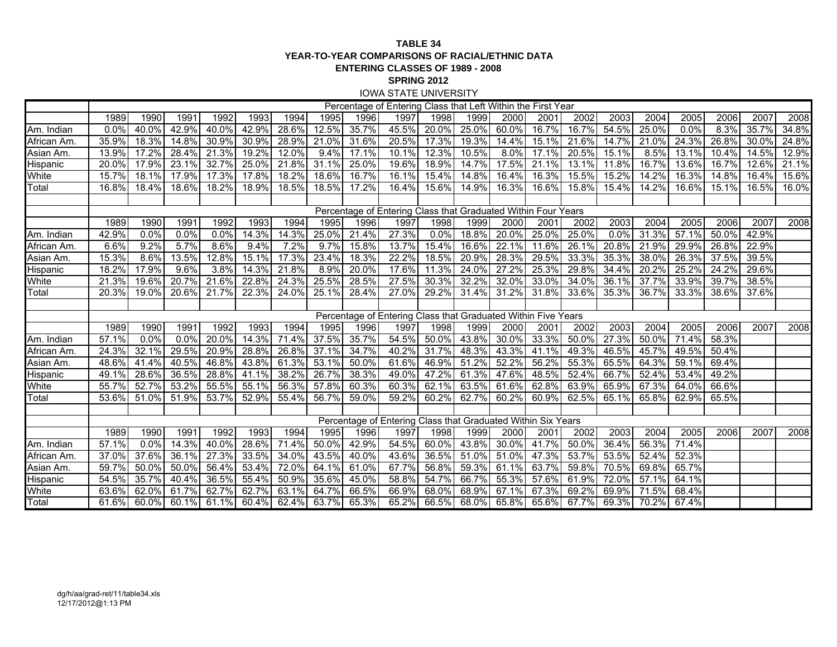#### **TABLE 34 YEAR-TO-YEAR COMPARISONS OF RACIAL/ETHNIC DATAENTERING CLASSES OF 1989 - 2008 SPRING 2012** IOWA STATE UNIVERSITY

| Percentage of Entering Class that Left Within the First Year<br>2003<br>1989<br>1990<br>1991<br>1992<br>1993<br>1994<br>1996<br>1997<br>1998<br>2002<br>2004<br>2006<br>2007<br>1995<br>1999<br>2000<br>2001<br>2005<br>2008<br>35.7%<br>40.0%<br>42.9%<br>40.0%<br>42.9%<br>28.6%<br>12.5%<br>45.5%<br>20.0%<br>25.0%<br>60.0%<br>16.7%<br>16.7%<br>54.5%<br>25.0%<br>0.0%<br>8.3%<br>35.7%<br>34.8%<br>0.0%<br>17.3%<br>19.3%<br>$15.1\%$<br>24.3%<br>24.8%<br>35.9%<br>18.3%<br>14.8%<br>30.9%<br>30.9%<br>28.9%<br>21.0%<br>31.6%<br>20.5%<br>14.4%<br>21.6%<br>14.7%<br>21.0%<br>26.8%<br>30.0%<br>14.5%<br>17.2%<br>21.3%<br>12.0%<br>9.4%<br>17.1%<br>10.1%<br>12.3%<br>10.5%<br>17.1%<br>20.5%<br>15.1%<br>8.5%<br>13.1%<br>$10.\overline{4\%}$<br>12.9%<br>13.9%<br>28.4%<br>19.2%<br>8.0%<br>32.7%<br>25.0%<br>$21.8\%$<br>31.1%<br>$18.9\%$<br>14.7%<br>17.5%<br>21.1%<br>13.1%<br>16.7%<br>13.6%<br>21.1%<br>20.0%<br>17.9%<br>23.1%<br>25.0%<br>19.6%<br>11.8%<br>16.7%<br>12.6%<br>Hispanic<br>17.9%<br>17.3%<br>17.8%<br>18.2%<br>18.6%<br>16.7%<br>16.1%<br>14.8%<br>16.4%<br>16.3%<br>15.5%<br>15.2%<br>14.2%<br>16.3%<br>14.8%<br>16.4%<br>15.7%<br>18.1%<br>15.4%<br>15.6%<br>Total<br>18.5%<br>16.5%<br>18.4%<br>18.6%<br>18.2%<br>18.9%<br>18.5%<br>17.2%<br>16.4%<br>15.6%<br>14.9%<br>16.3%<br>16.6%<br>15.8%<br>15.4%<br>14.2%<br>16.6%<br>15.1%<br>16.0%<br>16.8%<br>Percentage of Entering Class that Graduated Within Four Years<br>1994<br>2003<br>1989<br>1990<br>1991<br>1992<br>1993<br>1995<br>1996<br>1997<br>1998<br>1999<br>2000<br>2001<br>2002<br>2004<br>2005<br>2006<br>2007<br>2008<br>42.9%<br>0.0%<br>0.0%<br>14.3%<br>25.0%<br>21.4%<br>27.3%<br>0.0%<br>$18.8\%$<br>20.0%<br>25.0%<br>25.0%<br>0.0%<br>31.3%<br>57.1%<br>50.0%<br>42.9%<br>0.0%<br>14.3%<br>5.7%<br>7.2%<br>9.7%<br>13.7%<br>11.6%<br>6.6%<br>9.2%<br>8.6%<br>9.4%<br>15.8%<br>15.4%<br>16.6%<br>22.1%<br>26.1%<br>20.8%<br>21.9%<br>29.9%<br>26.8%<br>22.9%<br>17.3%<br>22.2%<br>15.3%<br>23.4%<br>18.3%<br>18.5%<br>20.9%<br>29.5%<br>33.3%<br>35.3%<br>38.0%<br>26.3%<br>37.5%<br>39.5%<br>8.6%<br>13.5%<br>12.8%<br>15.1%<br>28.3%<br>9.6%<br>14.3%<br>21.8%<br>8.9%<br>20.0%<br>11.3%<br>24.0%<br>27.2%<br>25.3%<br>29.8%<br>34.4%<br>20.2%<br>25.2%<br>24.2%<br>29.6%<br>Hispanic<br>18.2%<br>17.9%<br>3.8%<br>17.6%<br>White<br>20.7%<br>21.6%<br>22.8%<br>24.3%<br>25.5%<br>28.5%<br>27.5%<br>30.3%<br>32.2%<br>32.0%<br>33.0%<br>34.0%<br>36.1%<br>37.7%<br>33.9%<br>39.7%<br>38.5%<br>21.3%<br>19.6%<br>24.0%<br>29.2%<br>33.3%<br>Total<br>20.3%<br>19.0%<br>20.6%<br>21.7%<br>22.3%<br>25.1%<br>28.4%<br>27.0%<br>31.4%<br>31.2%<br>31.8%<br>33.6%<br>35.3%<br>36.7%<br>38.6%<br>37.6%<br>Percentage of Entering Class that Graduated Within Five Years<br>2003<br>1989<br>1991<br>1992<br>1993<br>1994<br>1996<br>1998<br>2000<br>2004<br>2005<br>2006<br>2007<br>1990<br>1995<br>1997<br>1999<br>2001<br>2002<br>2008<br>37.5%<br>35.7%<br>54.5%<br>50.0%<br>33.3%<br>50.0%<br>57.1%<br>0.0%<br>0.0%<br>20.0%<br>14.3%<br>71.4%<br>43.8%<br>30.0%<br>27.3%<br>50.0%<br>71.4%<br>58.3%<br>37.1%<br>31.7%<br>48.3%<br>32.1%<br>29.5%<br>20.9%<br>26.8%<br>34.7%<br>40.2%<br>43.3%<br>41.1%<br>49.3%<br>$46.5\%$<br>45.7%<br>49.5%<br>50.4%<br>African Am<br>24.3%<br>28.8%<br>61.3%<br>53.1%<br>52.2%<br>56.2%<br>55.3%<br>65.5%<br>64.3%<br>59.1%<br>69.4%<br>$48.6\%$<br>40.5%<br>46.8%<br>43.8%<br>50.0%<br>61.6%<br>46.9%<br>51.2%<br>41.4%<br>38.2%<br>$26.7\%$<br>52.4%<br>66.7%<br>52.4%<br>53.4%<br>49.2%<br>Hispanic<br>28.6%<br>36.5%<br>28.8%<br>41.1%<br>38.3%<br>49.0%<br>47.2%<br>61.3%<br>47.6%<br>48.5%<br>49.1%<br>56.3%<br>White<br>52.7%<br>53.2%<br>55.5%<br>55.1%<br>57.8%<br>60.3%<br>60.3%<br>62.1%<br>63.5%<br>61.6%<br>62.8%<br>63.9%<br>65.9%<br>67.3%<br>64.0%<br>66.6%<br>55.7%<br>Total<br>53.7%<br>52.9%<br>55.4%<br>56.7%<br>59.0%<br>59.2%<br>60.2%<br>62.7%<br>60.2%<br>60.9%<br>$62.5\%$<br>65.8%<br>62.9%<br>65.5%<br>53.6%<br>51.0%<br>51.9%<br>65.1%<br>Percentage of Entering Class that Graduated Within Six Years<br>2003<br>1989<br>1990<br>1991<br>1992<br>1993<br>1994<br>1995<br>1996<br>1998<br>2004<br>2005<br>2006<br>2007<br>1997<br>1999<br>2000<br>2001<br>2002<br>2008<br>42.9%<br>41.7%<br>14.3%<br>71.4%<br>50.0%<br>54.5%<br>60.0%<br>43.8%<br>30.0%<br>50.0%<br>36.4%<br>56.3%<br>71.4%<br>57.1%<br>0.0%<br>40.0%<br>28.6%<br>Am. Indian<br>37.6%<br>27.3%<br>33.5%<br>34.0%<br>43.5%<br>40.0%<br>36.5%<br>51.0%<br>51.0%<br>47.3%<br>53.7%<br>53.5%<br>52.4%<br>52.3%<br>African Am.<br>37.0%<br>36.1%<br>43.6%<br>65.7%<br>53.4%<br>72.0%<br>64.1%<br>67.7%<br>56.8%<br>59.3%<br>63.7%<br>59.8%<br>70.5%<br>69.8%<br>59.7%<br>50.0%<br>50.0%<br>56.4%<br>61.0%<br>61.1%<br>64.1%<br>35.7%<br>55.4%<br>50.9%<br>35.6%<br>58.8%<br>54.7%<br>66.7%<br>55.3%<br>57.6%<br>61.9%<br>72.0%<br>57.1%<br>Hispanic<br>54.5%<br>40.4%<br>36.5%<br>45.0%<br>62.7%<br>63.1%<br>64.7%<br>66.5%<br>66.9%<br>68.0%<br>67.1%<br>71.5%<br>68.4%<br>White<br>63.6%<br>62.0%<br>61.7%<br>62.7%<br>68.9%<br>67.3%<br>69.2%<br>69.9%<br>65.2%<br>60.0%<br>60.4%<br>62.4%<br>63.7%<br>65.3%<br>66.5%<br>68.0%<br>65.8%<br>65.6% 67.7%<br>70.2%<br>Total<br>61.6%<br>60.1%<br>61.1%<br>69.3%<br>67.4% |             |  |  |  |  |  |  |  |  |  |  |
|----------------------------------------------------------------------------------------------------------------------------------------------------------------------------------------------------------------------------------------------------------------------------------------------------------------------------------------------------------------------------------------------------------------------------------------------------------------------------------------------------------------------------------------------------------------------------------------------------------------------------------------------------------------------------------------------------------------------------------------------------------------------------------------------------------------------------------------------------------------------------------------------------------------------------------------------------------------------------------------------------------------------------------------------------------------------------------------------------------------------------------------------------------------------------------------------------------------------------------------------------------------------------------------------------------------------------------------------------------------------------------------------------------------------------------------------------------------------------------------------------------------------------------------------------------------------------------------------------------------------------------------------------------------------------------------------------------------------------------------------------------------------------------------------------------------------------------------------------------------------------------------------------------------------------------------------------------------------------------------------------------------------------------------------------------------------------------------------------------------------------------------------------------------------------------------------------------------------------------------------------------------------------------------------------------------------------------------------------------------------------------------------------------------------------------------------------------------------------------------------------------------------------------------------------------------------------------------------------------------------------------------------------------------------------------------------------------------------------------------------------------------------------------------------------------------------------------------------------------------------------------------------------------------------------------------------------------------------------------------------------------------------------------------------------------------------------------------------------------------------------------------------------------------------------------------------------------------------------------------------------------------------------------------------------------------------------------------------------------------------------------------------------------------------------------------------------------------------------------------------------------------------------------------------------------------------------------------------------------------------------------------------------------------------------------------------------------------------------------------------------------------------------------------------------------------------------------------------------------------------------------------------------------------------------------------------------------------------------------------------------------------------------------------------------------------------------------------------------------------------------------------------------------------------------------------------------------------------------------------------------------------------------------------------------------------------------------------------------------------------------------------------------------------------------------------------------------------------------------------------------------------------------------------------------------------------------------------------------------------------------------------------------------------------------------------------------------------------------------------------------------------------------------------------------------------------------------------------------------------------------------------------------------------------------------------------------------------------------------------------------------------------------------------------------------------------------------------------------------------------------------------------------------------------------------------------------------------------------------------------------------------|-------------|--|--|--|--|--|--|--|--|--|--|
|                                                                                                                                                                                                                                                                                                                                                                                                                                                                                                                                                                                                                                                                                                                                                                                                                                                                                                                                                                                                                                                                                                                                                                                                                                                                                                                                                                                                                                                                                                                                                                                                                                                                                                                                                                                                                                                                                                                                                                                                                                                                                                                                                                                                                                                                                                                                                                                                                                                                                                                                                                                                                                                                                                                                                                                                                                                                                                                                                                                                                                                                                                                                                                                                                                                                                                                                                                                                                                                                                                                                                                                                                                                                                                                                                                                                                                                                                                                                                                                                                                                                                                                                                                                                                                                                                                                                                                                                                                                                                                                                                                                                                                                                                                                                                                                                                                                                                                                                                                                                                                                                                                                                                                                                                                                                |             |  |  |  |  |  |  |  |  |  |  |
|                                                                                                                                                                                                                                                                                                                                                                                                                                                                                                                                                                                                                                                                                                                                                                                                                                                                                                                                                                                                                                                                                                                                                                                                                                                                                                                                                                                                                                                                                                                                                                                                                                                                                                                                                                                                                                                                                                                                                                                                                                                                                                                                                                                                                                                                                                                                                                                                                                                                                                                                                                                                                                                                                                                                                                                                                                                                                                                                                                                                                                                                                                                                                                                                                                                                                                                                                                                                                                                                                                                                                                                                                                                                                                                                                                                                                                                                                                                                                                                                                                                                                                                                                                                                                                                                                                                                                                                                                                                                                                                                                                                                                                                                                                                                                                                                                                                                                                                                                                                                                                                                                                                                                                                                                                                                |             |  |  |  |  |  |  |  |  |  |  |
|                                                                                                                                                                                                                                                                                                                                                                                                                                                                                                                                                                                                                                                                                                                                                                                                                                                                                                                                                                                                                                                                                                                                                                                                                                                                                                                                                                                                                                                                                                                                                                                                                                                                                                                                                                                                                                                                                                                                                                                                                                                                                                                                                                                                                                                                                                                                                                                                                                                                                                                                                                                                                                                                                                                                                                                                                                                                                                                                                                                                                                                                                                                                                                                                                                                                                                                                                                                                                                                                                                                                                                                                                                                                                                                                                                                                                                                                                                                                                                                                                                                                                                                                                                                                                                                                                                                                                                                                                                                                                                                                                                                                                                                                                                                                                                                                                                                                                                                                                                                                                                                                                                                                                                                                                                                                | Am. Indian  |  |  |  |  |  |  |  |  |  |  |
|                                                                                                                                                                                                                                                                                                                                                                                                                                                                                                                                                                                                                                                                                                                                                                                                                                                                                                                                                                                                                                                                                                                                                                                                                                                                                                                                                                                                                                                                                                                                                                                                                                                                                                                                                                                                                                                                                                                                                                                                                                                                                                                                                                                                                                                                                                                                                                                                                                                                                                                                                                                                                                                                                                                                                                                                                                                                                                                                                                                                                                                                                                                                                                                                                                                                                                                                                                                                                                                                                                                                                                                                                                                                                                                                                                                                                                                                                                                                                                                                                                                                                                                                                                                                                                                                                                                                                                                                                                                                                                                                                                                                                                                                                                                                                                                                                                                                                                                                                                                                                                                                                                                                                                                                                                                                | African Am. |  |  |  |  |  |  |  |  |  |  |
|                                                                                                                                                                                                                                                                                                                                                                                                                                                                                                                                                                                                                                                                                                                                                                                                                                                                                                                                                                                                                                                                                                                                                                                                                                                                                                                                                                                                                                                                                                                                                                                                                                                                                                                                                                                                                                                                                                                                                                                                                                                                                                                                                                                                                                                                                                                                                                                                                                                                                                                                                                                                                                                                                                                                                                                                                                                                                                                                                                                                                                                                                                                                                                                                                                                                                                                                                                                                                                                                                                                                                                                                                                                                                                                                                                                                                                                                                                                                                                                                                                                                                                                                                                                                                                                                                                                                                                                                                                                                                                                                                                                                                                                                                                                                                                                                                                                                                                                                                                                                                                                                                                                                                                                                                                                                | Asian Am.   |  |  |  |  |  |  |  |  |  |  |
|                                                                                                                                                                                                                                                                                                                                                                                                                                                                                                                                                                                                                                                                                                                                                                                                                                                                                                                                                                                                                                                                                                                                                                                                                                                                                                                                                                                                                                                                                                                                                                                                                                                                                                                                                                                                                                                                                                                                                                                                                                                                                                                                                                                                                                                                                                                                                                                                                                                                                                                                                                                                                                                                                                                                                                                                                                                                                                                                                                                                                                                                                                                                                                                                                                                                                                                                                                                                                                                                                                                                                                                                                                                                                                                                                                                                                                                                                                                                                                                                                                                                                                                                                                                                                                                                                                                                                                                                                                                                                                                                                                                                                                                                                                                                                                                                                                                                                                                                                                                                                                                                                                                                                                                                                                                                |             |  |  |  |  |  |  |  |  |  |  |
|                                                                                                                                                                                                                                                                                                                                                                                                                                                                                                                                                                                                                                                                                                                                                                                                                                                                                                                                                                                                                                                                                                                                                                                                                                                                                                                                                                                                                                                                                                                                                                                                                                                                                                                                                                                                                                                                                                                                                                                                                                                                                                                                                                                                                                                                                                                                                                                                                                                                                                                                                                                                                                                                                                                                                                                                                                                                                                                                                                                                                                                                                                                                                                                                                                                                                                                                                                                                                                                                                                                                                                                                                                                                                                                                                                                                                                                                                                                                                                                                                                                                                                                                                                                                                                                                                                                                                                                                                                                                                                                                                                                                                                                                                                                                                                                                                                                                                                                                                                                                                                                                                                                                                                                                                                                                | White       |  |  |  |  |  |  |  |  |  |  |
|                                                                                                                                                                                                                                                                                                                                                                                                                                                                                                                                                                                                                                                                                                                                                                                                                                                                                                                                                                                                                                                                                                                                                                                                                                                                                                                                                                                                                                                                                                                                                                                                                                                                                                                                                                                                                                                                                                                                                                                                                                                                                                                                                                                                                                                                                                                                                                                                                                                                                                                                                                                                                                                                                                                                                                                                                                                                                                                                                                                                                                                                                                                                                                                                                                                                                                                                                                                                                                                                                                                                                                                                                                                                                                                                                                                                                                                                                                                                                                                                                                                                                                                                                                                                                                                                                                                                                                                                                                                                                                                                                                                                                                                                                                                                                                                                                                                                                                                                                                                                                                                                                                                                                                                                                                                                |             |  |  |  |  |  |  |  |  |  |  |
|                                                                                                                                                                                                                                                                                                                                                                                                                                                                                                                                                                                                                                                                                                                                                                                                                                                                                                                                                                                                                                                                                                                                                                                                                                                                                                                                                                                                                                                                                                                                                                                                                                                                                                                                                                                                                                                                                                                                                                                                                                                                                                                                                                                                                                                                                                                                                                                                                                                                                                                                                                                                                                                                                                                                                                                                                                                                                                                                                                                                                                                                                                                                                                                                                                                                                                                                                                                                                                                                                                                                                                                                                                                                                                                                                                                                                                                                                                                                                                                                                                                                                                                                                                                                                                                                                                                                                                                                                                                                                                                                                                                                                                                                                                                                                                                                                                                                                                                                                                                                                                                                                                                                                                                                                                                                |             |  |  |  |  |  |  |  |  |  |  |
|                                                                                                                                                                                                                                                                                                                                                                                                                                                                                                                                                                                                                                                                                                                                                                                                                                                                                                                                                                                                                                                                                                                                                                                                                                                                                                                                                                                                                                                                                                                                                                                                                                                                                                                                                                                                                                                                                                                                                                                                                                                                                                                                                                                                                                                                                                                                                                                                                                                                                                                                                                                                                                                                                                                                                                                                                                                                                                                                                                                                                                                                                                                                                                                                                                                                                                                                                                                                                                                                                                                                                                                                                                                                                                                                                                                                                                                                                                                                                                                                                                                                                                                                                                                                                                                                                                                                                                                                                                                                                                                                                                                                                                                                                                                                                                                                                                                                                                                                                                                                                                                                                                                                                                                                                                                                |             |  |  |  |  |  |  |  |  |  |  |
|                                                                                                                                                                                                                                                                                                                                                                                                                                                                                                                                                                                                                                                                                                                                                                                                                                                                                                                                                                                                                                                                                                                                                                                                                                                                                                                                                                                                                                                                                                                                                                                                                                                                                                                                                                                                                                                                                                                                                                                                                                                                                                                                                                                                                                                                                                                                                                                                                                                                                                                                                                                                                                                                                                                                                                                                                                                                                                                                                                                                                                                                                                                                                                                                                                                                                                                                                                                                                                                                                                                                                                                                                                                                                                                                                                                                                                                                                                                                                                                                                                                                                                                                                                                                                                                                                                                                                                                                                                                                                                                                                                                                                                                                                                                                                                                                                                                                                                                                                                                                                                                                                                                                                                                                                                                                |             |  |  |  |  |  |  |  |  |  |  |
|                                                                                                                                                                                                                                                                                                                                                                                                                                                                                                                                                                                                                                                                                                                                                                                                                                                                                                                                                                                                                                                                                                                                                                                                                                                                                                                                                                                                                                                                                                                                                                                                                                                                                                                                                                                                                                                                                                                                                                                                                                                                                                                                                                                                                                                                                                                                                                                                                                                                                                                                                                                                                                                                                                                                                                                                                                                                                                                                                                                                                                                                                                                                                                                                                                                                                                                                                                                                                                                                                                                                                                                                                                                                                                                                                                                                                                                                                                                                                                                                                                                                                                                                                                                                                                                                                                                                                                                                                                                                                                                                                                                                                                                                                                                                                                                                                                                                                                                                                                                                                                                                                                                                                                                                                                                                | Am. Indian  |  |  |  |  |  |  |  |  |  |  |
|                                                                                                                                                                                                                                                                                                                                                                                                                                                                                                                                                                                                                                                                                                                                                                                                                                                                                                                                                                                                                                                                                                                                                                                                                                                                                                                                                                                                                                                                                                                                                                                                                                                                                                                                                                                                                                                                                                                                                                                                                                                                                                                                                                                                                                                                                                                                                                                                                                                                                                                                                                                                                                                                                                                                                                                                                                                                                                                                                                                                                                                                                                                                                                                                                                                                                                                                                                                                                                                                                                                                                                                                                                                                                                                                                                                                                                                                                                                                                                                                                                                                                                                                                                                                                                                                                                                                                                                                                                                                                                                                                                                                                                                                                                                                                                                                                                                                                                                                                                                                                                                                                                                                                                                                                                                                | African Am. |  |  |  |  |  |  |  |  |  |  |
|                                                                                                                                                                                                                                                                                                                                                                                                                                                                                                                                                                                                                                                                                                                                                                                                                                                                                                                                                                                                                                                                                                                                                                                                                                                                                                                                                                                                                                                                                                                                                                                                                                                                                                                                                                                                                                                                                                                                                                                                                                                                                                                                                                                                                                                                                                                                                                                                                                                                                                                                                                                                                                                                                                                                                                                                                                                                                                                                                                                                                                                                                                                                                                                                                                                                                                                                                                                                                                                                                                                                                                                                                                                                                                                                                                                                                                                                                                                                                                                                                                                                                                                                                                                                                                                                                                                                                                                                                                                                                                                                                                                                                                                                                                                                                                                                                                                                                                                                                                                                                                                                                                                                                                                                                                                                | Asian Am.   |  |  |  |  |  |  |  |  |  |  |
|                                                                                                                                                                                                                                                                                                                                                                                                                                                                                                                                                                                                                                                                                                                                                                                                                                                                                                                                                                                                                                                                                                                                                                                                                                                                                                                                                                                                                                                                                                                                                                                                                                                                                                                                                                                                                                                                                                                                                                                                                                                                                                                                                                                                                                                                                                                                                                                                                                                                                                                                                                                                                                                                                                                                                                                                                                                                                                                                                                                                                                                                                                                                                                                                                                                                                                                                                                                                                                                                                                                                                                                                                                                                                                                                                                                                                                                                                                                                                                                                                                                                                                                                                                                                                                                                                                                                                                                                                                                                                                                                                                                                                                                                                                                                                                                                                                                                                                                                                                                                                                                                                                                                                                                                                                                                |             |  |  |  |  |  |  |  |  |  |  |
|                                                                                                                                                                                                                                                                                                                                                                                                                                                                                                                                                                                                                                                                                                                                                                                                                                                                                                                                                                                                                                                                                                                                                                                                                                                                                                                                                                                                                                                                                                                                                                                                                                                                                                                                                                                                                                                                                                                                                                                                                                                                                                                                                                                                                                                                                                                                                                                                                                                                                                                                                                                                                                                                                                                                                                                                                                                                                                                                                                                                                                                                                                                                                                                                                                                                                                                                                                                                                                                                                                                                                                                                                                                                                                                                                                                                                                                                                                                                                                                                                                                                                                                                                                                                                                                                                                                                                                                                                                                                                                                                                                                                                                                                                                                                                                                                                                                                                                                                                                                                                                                                                                                                                                                                                                                                |             |  |  |  |  |  |  |  |  |  |  |
|                                                                                                                                                                                                                                                                                                                                                                                                                                                                                                                                                                                                                                                                                                                                                                                                                                                                                                                                                                                                                                                                                                                                                                                                                                                                                                                                                                                                                                                                                                                                                                                                                                                                                                                                                                                                                                                                                                                                                                                                                                                                                                                                                                                                                                                                                                                                                                                                                                                                                                                                                                                                                                                                                                                                                                                                                                                                                                                                                                                                                                                                                                                                                                                                                                                                                                                                                                                                                                                                                                                                                                                                                                                                                                                                                                                                                                                                                                                                                                                                                                                                                                                                                                                                                                                                                                                                                                                                                                                                                                                                                                                                                                                                                                                                                                                                                                                                                                                                                                                                                                                                                                                                                                                                                                                                |             |  |  |  |  |  |  |  |  |  |  |
|                                                                                                                                                                                                                                                                                                                                                                                                                                                                                                                                                                                                                                                                                                                                                                                                                                                                                                                                                                                                                                                                                                                                                                                                                                                                                                                                                                                                                                                                                                                                                                                                                                                                                                                                                                                                                                                                                                                                                                                                                                                                                                                                                                                                                                                                                                                                                                                                                                                                                                                                                                                                                                                                                                                                                                                                                                                                                                                                                                                                                                                                                                                                                                                                                                                                                                                                                                                                                                                                                                                                                                                                                                                                                                                                                                                                                                                                                                                                                                                                                                                                                                                                                                                                                                                                                                                                                                                                                                                                                                                                                                                                                                                                                                                                                                                                                                                                                                                                                                                                                                                                                                                                                                                                                                                                |             |  |  |  |  |  |  |  |  |  |  |
|                                                                                                                                                                                                                                                                                                                                                                                                                                                                                                                                                                                                                                                                                                                                                                                                                                                                                                                                                                                                                                                                                                                                                                                                                                                                                                                                                                                                                                                                                                                                                                                                                                                                                                                                                                                                                                                                                                                                                                                                                                                                                                                                                                                                                                                                                                                                                                                                                                                                                                                                                                                                                                                                                                                                                                                                                                                                                                                                                                                                                                                                                                                                                                                                                                                                                                                                                                                                                                                                                                                                                                                                                                                                                                                                                                                                                                                                                                                                                                                                                                                                                                                                                                                                                                                                                                                                                                                                                                                                                                                                                                                                                                                                                                                                                                                                                                                                                                                                                                                                                                                                                                                                                                                                                                                                |             |  |  |  |  |  |  |  |  |  |  |
|                                                                                                                                                                                                                                                                                                                                                                                                                                                                                                                                                                                                                                                                                                                                                                                                                                                                                                                                                                                                                                                                                                                                                                                                                                                                                                                                                                                                                                                                                                                                                                                                                                                                                                                                                                                                                                                                                                                                                                                                                                                                                                                                                                                                                                                                                                                                                                                                                                                                                                                                                                                                                                                                                                                                                                                                                                                                                                                                                                                                                                                                                                                                                                                                                                                                                                                                                                                                                                                                                                                                                                                                                                                                                                                                                                                                                                                                                                                                                                                                                                                                                                                                                                                                                                                                                                                                                                                                                                                                                                                                                                                                                                                                                                                                                                                                                                                                                                                                                                                                                                                                                                                                                                                                                                                                |             |  |  |  |  |  |  |  |  |  |  |
|                                                                                                                                                                                                                                                                                                                                                                                                                                                                                                                                                                                                                                                                                                                                                                                                                                                                                                                                                                                                                                                                                                                                                                                                                                                                                                                                                                                                                                                                                                                                                                                                                                                                                                                                                                                                                                                                                                                                                                                                                                                                                                                                                                                                                                                                                                                                                                                                                                                                                                                                                                                                                                                                                                                                                                                                                                                                                                                                                                                                                                                                                                                                                                                                                                                                                                                                                                                                                                                                                                                                                                                                                                                                                                                                                                                                                                                                                                                                                                                                                                                                                                                                                                                                                                                                                                                                                                                                                                                                                                                                                                                                                                                                                                                                                                                                                                                                                                                                                                                                                                                                                                                                                                                                                                                                | Am. Indian  |  |  |  |  |  |  |  |  |  |  |
|                                                                                                                                                                                                                                                                                                                                                                                                                                                                                                                                                                                                                                                                                                                                                                                                                                                                                                                                                                                                                                                                                                                                                                                                                                                                                                                                                                                                                                                                                                                                                                                                                                                                                                                                                                                                                                                                                                                                                                                                                                                                                                                                                                                                                                                                                                                                                                                                                                                                                                                                                                                                                                                                                                                                                                                                                                                                                                                                                                                                                                                                                                                                                                                                                                                                                                                                                                                                                                                                                                                                                                                                                                                                                                                                                                                                                                                                                                                                                                                                                                                                                                                                                                                                                                                                                                                                                                                                                                                                                                                                                                                                                                                                                                                                                                                                                                                                                                                                                                                                                                                                                                                                                                                                                                                                |             |  |  |  |  |  |  |  |  |  |  |
|                                                                                                                                                                                                                                                                                                                                                                                                                                                                                                                                                                                                                                                                                                                                                                                                                                                                                                                                                                                                                                                                                                                                                                                                                                                                                                                                                                                                                                                                                                                                                                                                                                                                                                                                                                                                                                                                                                                                                                                                                                                                                                                                                                                                                                                                                                                                                                                                                                                                                                                                                                                                                                                                                                                                                                                                                                                                                                                                                                                                                                                                                                                                                                                                                                                                                                                                                                                                                                                                                                                                                                                                                                                                                                                                                                                                                                                                                                                                                                                                                                                                                                                                                                                                                                                                                                                                                                                                                                                                                                                                                                                                                                                                                                                                                                                                                                                                                                                                                                                                                                                                                                                                                                                                                                                                | Asian Am.   |  |  |  |  |  |  |  |  |  |  |
|                                                                                                                                                                                                                                                                                                                                                                                                                                                                                                                                                                                                                                                                                                                                                                                                                                                                                                                                                                                                                                                                                                                                                                                                                                                                                                                                                                                                                                                                                                                                                                                                                                                                                                                                                                                                                                                                                                                                                                                                                                                                                                                                                                                                                                                                                                                                                                                                                                                                                                                                                                                                                                                                                                                                                                                                                                                                                                                                                                                                                                                                                                                                                                                                                                                                                                                                                                                                                                                                                                                                                                                                                                                                                                                                                                                                                                                                                                                                                                                                                                                                                                                                                                                                                                                                                                                                                                                                                                                                                                                                                                                                                                                                                                                                                                                                                                                                                                                                                                                                                                                                                                                                                                                                                                                                |             |  |  |  |  |  |  |  |  |  |  |
|                                                                                                                                                                                                                                                                                                                                                                                                                                                                                                                                                                                                                                                                                                                                                                                                                                                                                                                                                                                                                                                                                                                                                                                                                                                                                                                                                                                                                                                                                                                                                                                                                                                                                                                                                                                                                                                                                                                                                                                                                                                                                                                                                                                                                                                                                                                                                                                                                                                                                                                                                                                                                                                                                                                                                                                                                                                                                                                                                                                                                                                                                                                                                                                                                                                                                                                                                                                                                                                                                                                                                                                                                                                                                                                                                                                                                                                                                                                                                                                                                                                                                                                                                                                                                                                                                                                                                                                                                                                                                                                                                                                                                                                                                                                                                                                                                                                                                                                                                                                                                                                                                                                                                                                                                                                                |             |  |  |  |  |  |  |  |  |  |  |
|                                                                                                                                                                                                                                                                                                                                                                                                                                                                                                                                                                                                                                                                                                                                                                                                                                                                                                                                                                                                                                                                                                                                                                                                                                                                                                                                                                                                                                                                                                                                                                                                                                                                                                                                                                                                                                                                                                                                                                                                                                                                                                                                                                                                                                                                                                                                                                                                                                                                                                                                                                                                                                                                                                                                                                                                                                                                                                                                                                                                                                                                                                                                                                                                                                                                                                                                                                                                                                                                                                                                                                                                                                                                                                                                                                                                                                                                                                                                                                                                                                                                                                                                                                                                                                                                                                                                                                                                                                                                                                                                                                                                                                                                                                                                                                                                                                                                                                                                                                                                                                                                                                                                                                                                                                                                |             |  |  |  |  |  |  |  |  |  |  |
|                                                                                                                                                                                                                                                                                                                                                                                                                                                                                                                                                                                                                                                                                                                                                                                                                                                                                                                                                                                                                                                                                                                                                                                                                                                                                                                                                                                                                                                                                                                                                                                                                                                                                                                                                                                                                                                                                                                                                                                                                                                                                                                                                                                                                                                                                                                                                                                                                                                                                                                                                                                                                                                                                                                                                                                                                                                                                                                                                                                                                                                                                                                                                                                                                                                                                                                                                                                                                                                                                                                                                                                                                                                                                                                                                                                                                                                                                                                                                                                                                                                                                                                                                                                                                                                                                                                                                                                                                                                                                                                                                                                                                                                                                                                                                                                                                                                                                                                                                                                                                                                                                                                                                                                                                                                                |             |  |  |  |  |  |  |  |  |  |  |
|                                                                                                                                                                                                                                                                                                                                                                                                                                                                                                                                                                                                                                                                                                                                                                                                                                                                                                                                                                                                                                                                                                                                                                                                                                                                                                                                                                                                                                                                                                                                                                                                                                                                                                                                                                                                                                                                                                                                                                                                                                                                                                                                                                                                                                                                                                                                                                                                                                                                                                                                                                                                                                                                                                                                                                                                                                                                                                                                                                                                                                                                                                                                                                                                                                                                                                                                                                                                                                                                                                                                                                                                                                                                                                                                                                                                                                                                                                                                                                                                                                                                                                                                                                                                                                                                                                                                                                                                                                                                                                                                                                                                                                                                                                                                                                                                                                                                                                                                                                                                                                                                                                                                                                                                                                                                |             |  |  |  |  |  |  |  |  |  |  |
|                                                                                                                                                                                                                                                                                                                                                                                                                                                                                                                                                                                                                                                                                                                                                                                                                                                                                                                                                                                                                                                                                                                                                                                                                                                                                                                                                                                                                                                                                                                                                                                                                                                                                                                                                                                                                                                                                                                                                                                                                                                                                                                                                                                                                                                                                                                                                                                                                                                                                                                                                                                                                                                                                                                                                                                                                                                                                                                                                                                                                                                                                                                                                                                                                                                                                                                                                                                                                                                                                                                                                                                                                                                                                                                                                                                                                                                                                                                                                                                                                                                                                                                                                                                                                                                                                                                                                                                                                                                                                                                                                                                                                                                                                                                                                                                                                                                                                                                                                                                                                                                                                                                                                                                                                                                                |             |  |  |  |  |  |  |  |  |  |  |
|                                                                                                                                                                                                                                                                                                                                                                                                                                                                                                                                                                                                                                                                                                                                                                                                                                                                                                                                                                                                                                                                                                                                                                                                                                                                                                                                                                                                                                                                                                                                                                                                                                                                                                                                                                                                                                                                                                                                                                                                                                                                                                                                                                                                                                                                                                                                                                                                                                                                                                                                                                                                                                                                                                                                                                                                                                                                                                                                                                                                                                                                                                                                                                                                                                                                                                                                                                                                                                                                                                                                                                                                                                                                                                                                                                                                                                                                                                                                                                                                                                                                                                                                                                                                                                                                                                                                                                                                                                                                                                                                                                                                                                                                                                                                                                                                                                                                                                                                                                                                                                                                                                                                                                                                                                                                |             |  |  |  |  |  |  |  |  |  |  |
|                                                                                                                                                                                                                                                                                                                                                                                                                                                                                                                                                                                                                                                                                                                                                                                                                                                                                                                                                                                                                                                                                                                                                                                                                                                                                                                                                                                                                                                                                                                                                                                                                                                                                                                                                                                                                                                                                                                                                                                                                                                                                                                                                                                                                                                                                                                                                                                                                                                                                                                                                                                                                                                                                                                                                                                                                                                                                                                                                                                                                                                                                                                                                                                                                                                                                                                                                                                                                                                                                                                                                                                                                                                                                                                                                                                                                                                                                                                                                                                                                                                                                                                                                                                                                                                                                                                                                                                                                                                                                                                                                                                                                                                                                                                                                                                                                                                                                                                                                                                                                                                                                                                                                                                                                                                                |             |  |  |  |  |  |  |  |  |  |  |
|                                                                                                                                                                                                                                                                                                                                                                                                                                                                                                                                                                                                                                                                                                                                                                                                                                                                                                                                                                                                                                                                                                                                                                                                                                                                                                                                                                                                                                                                                                                                                                                                                                                                                                                                                                                                                                                                                                                                                                                                                                                                                                                                                                                                                                                                                                                                                                                                                                                                                                                                                                                                                                                                                                                                                                                                                                                                                                                                                                                                                                                                                                                                                                                                                                                                                                                                                                                                                                                                                                                                                                                                                                                                                                                                                                                                                                                                                                                                                                                                                                                                                                                                                                                                                                                                                                                                                                                                                                                                                                                                                                                                                                                                                                                                                                                                                                                                                                                                                                                                                                                                                                                                                                                                                                                                | Asian Am.   |  |  |  |  |  |  |  |  |  |  |
|                                                                                                                                                                                                                                                                                                                                                                                                                                                                                                                                                                                                                                                                                                                                                                                                                                                                                                                                                                                                                                                                                                                                                                                                                                                                                                                                                                                                                                                                                                                                                                                                                                                                                                                                                                                                                                                                                                                                                                                                                                                                                                                                                                                                                                                                                                                                                                                                                                                                                                                                                                                                                                                                                                                                                                                                                                                                                                                                                                                                                                                                                                                                                                                                                                                                                                                                                                                                                                                                                                                                                                                                                                                                                                                                                                                                                                                                                                                                                                                                                                                                                                                                                                                                                                                                                                                                                                                                                                                                                                                                                                                                                                                                                                                                                                                                                                                                                                                                                                                                                                                                                                                                                                                                                                                                |             |  |  |  |  |  |  |  |  |  |  |
|                                                                                                                                                                                                                                                                                                                                                                                                                                                                                                                                                                                                                                                                                                                                                                                                                                                                                                                                                                                                                                                                                                                                                                                                                                                                                                                                                                                                                                                                                                                                                                                                                                                                                                                                                                                                                                                                                                                                                                                                                                                                                                                                                                                                                                                                                                                                                                                                                                                                                                                                                                                                                                                                                                                                                                                                                                                                                                                                                                                                                                                                                                                                                                                                                                                                                                                                                                                                                                                                                                                                                                                                                                                                                                                                                                                                                                                                                                                                                                                                                                                                                                                                                                                                                                                                                                                                                                                                                                                                                                                                                                                                                                                                                                                                                                                                                                                                                                                                                                                                                                                                                                                                                                                                                                                                |             |  |  |  |  |  |  |  |  |  |  |
|                                                                                                                                                                                                                                                                                                                                                                                                                                                                                                                                                                                                                                                                                                                                                                                                                                                                                                                                                                                                                                                                                                                                                                                                                                                                                                                                                                                                                                                                                                                                                                                                                                                                                                                                                                                                                                                                                                                                                                                                                                                                                                                                                                                                                                                                                                                                                                                                                                                                                                                                                                                                                                                                                                                                                                                                                                                                                                                                                                                                                                                                                                                                                                                                                                                                                                                                                                                                                                                                                                                                                                                                                                                                                                                                                                                                                                                                                                                                                                                                                                                                                                                                                                                                                                                                                                                                                                                                                                                                                                                                                                                                                                                                                                                                                                                                                                                                                                                                                                                                                                                                                                                                                                                                                                                                |             |  |  |  |  |  |  |  |  |  |  |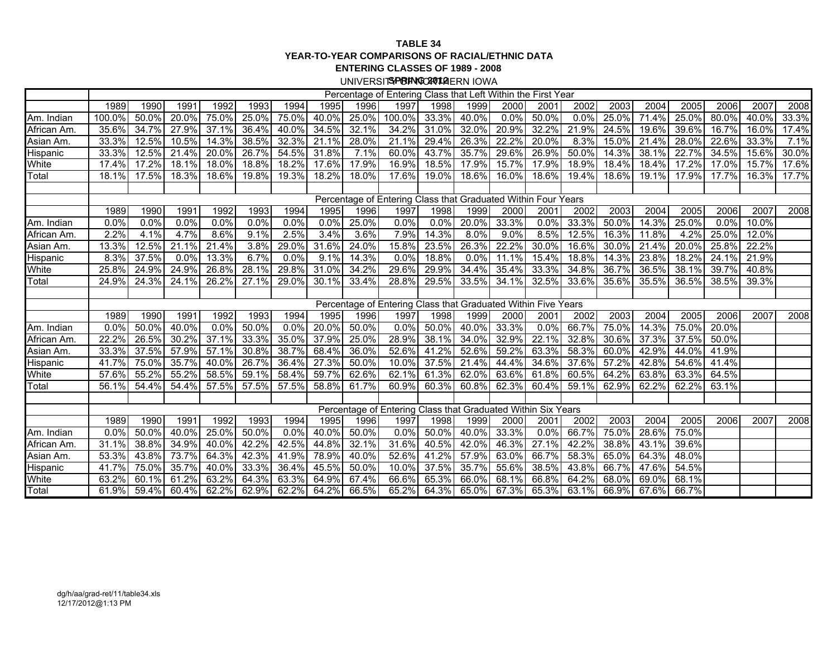#### **TABLE 34 YEAR-TO-YEAR COMPARISONS OF RACIAL/ETHNIC DATAENTERING CLASSES OF 1989 - 2008**

UNIVERSIT**SPRING CAO11 A**ERN IOWA

|                 |        |          |       |       |       |       |          |       | Percentage of Entering Class that Left Within the First Year  |          |       |         |             |       |       |          |       |       |       |       |
|-----------------|--------|----------|-------|-------|-------|-------|----------|-------|---------------------------------------------------------------|----------|-------|---------|-------------|-------|-------|----------|-------|-------|-------|-------|
|                 | 1989   | 1990     | 1991  | 1992  | 1993  | 1994  | 1995     | 1996  | 1997                                                          | 1998     | 1999  | 2000    | 2001        | 2002  | 2003  | 2004     | 2005  | 2006  | 2007  | 2008  |
| Am. Indian      | 100.0% | 50.0%    | 20.0% | 75.0% | 25.0% | 75.0% | 40.0%    | 25.0% | 100.0%                                                        | 33.3%    | 40.0% | 0.0%    | 50.0%       | 0.0%  | 25.0% | 71.4%    | 25.0% | 80.0% | 40.0% | 33.3% |
| African Am.     | 35.6%  | 34.7%    | 27.9% | 37.1% | 36.4% | 40.0% | 34.5%    | 32.1% | 34.2%                                                         | 31.0%    | 32.0% | 20.9%   | 32.2%       | 21.9% | 24.5% | 19.6%    | 39.6% | 16.7% | 16.0% | 17.4% |
| Asian Am.       | 33.3%  | 12.5%    | 10.5% | 14.3% | 38.5% | 32.3% | 21.1%    | 28.0% | 21.1%                                                         | 29.4%    | 26.3% | 22.2%   | 20.0%       | 8.3%  | 15.0% | 21.4%    | 28.0% | 22.6% | 33.3% | 7.1%  |
| Hispanic        | 33.3%  | $12.5\%$ | 21.4% | 20.0% | 26.7% | 54.5% | 31.8%    | 7.1%  | 60.0%                                                         | 43.7%    | 35.7% | 29.6%   | 26.9%       | 50.0% | 14.3% | 38.1%    | 22.7% | 34.5% | 15.6% | 30.0% |
| White           | 17.4%  | 17.2%    | 18.1% | 18.0% | 18.8% | 18.2% | 17.6%    | 17.9% | 16.9%                                                         | 18.5%    | 17.9% | 15.7%   | 17.9%       | 18.9% | 18.4% | 18.4%    | 17.2% | 17.0% | 15.7% | 17.6% |
| Total           | 18.1%  | 17.5%    | 18.3% | 18.6% | 19.8% | 19.3% | 18.2%    | 18.0% | 17.6%                                                         | 19.0%    | 18.6% | 16.0%   | 18.6%       | 19.4% | 18.6% | 19.1%    | 17.9% | 17.7% | 16.3% | 17.7% |
|                 |        |          |       |       |       |       |          |       |                                                               |          |       |         |             |       |       |          |       |       |       |       |
|                 |        |          |       |       |       |       |          |       | Percentage of Entering Class that Graduated Within Four Years |          |       |         |             |       |       |          |       |       |       |       |
|                 | 1989   | 1990     | 1991  | 1992  | 1993  | 1994  | 1995     | 1996  | 1997                                                          | 1998     | 1999  | 2000    | 2001        | 2002  | 2003  | 2004     | 2005  | 2006  | 2007  | 2008  |
| Am. Indian      | 0.0%   | 0.0%     | 0.0%  | 0.0%  | 0.0%  | 0.0%  | 0.0%     | 25.0% | 0.0%                                                          | 0.0%     | 20.0% | 33.3%   | 0.0%        | 33.3% | 50.0% | $14.3\%$ | 25.0% | 0.0%  | 10.0% |       |
| African Am.     | 2.2%   | 4.1%     | 4.7%  | 8.6%  | 9.1%  | 2.5%  | 3.4%     | 3.6%  | 7.9%                                                          | 14.3%    | 8.0%  | $9.0\%$ | 8.5%        | 12.5% | 16.3% | 11.8%    | 4.2%  | 25.0% | 12.0% |       |
| Asian Am.       | 13.3%  | 12.5%    | 21.1% | 21.4% | 3.8%  | 29.0% | 31.6%    | 24.0% | 15.8%                                                         | 23.5%    | 26.3% | 22.2%   | 30.0%       | 16.6% | 30.0% | 21.4%    | 20.0% | 25.8% | 22.2% |       |
| Hispanic        | 8.3%   | 37.5%    | 0.0%  | 13.3% | 6.7%  | 0.0%  | 9.1%     | 14.3% | 0.0%                                                          | 18.8%    | 0.0%  | 11.1%   | 15.4%       | 18.8% | 14.3% | 23.8%    | 18.2% | 24.1% | 21.9% |       |
| White           | 25.8%  | 24.9%    | 24.9% | 26.8% | 28.1% | 29.8% | 31.0%    | 34.2% | 29.6%                                                         | 29.9%    | 34.4% | 35.4%   | 33.3%       | 34.8% | 36.7% | 36.5%    | 38.1% | 39.7% | 40.8% |       |
| Total           | 24.9%  | $24.3\%$ | 24.1% | 26.2% | 27.1% | 29.0% | 30.1%    | 33.4% | 28.8%                                                         | 29.5%    | 33.5% | 34.1%   | 32.5%       | 33.6% | 35.6% | $35.5\%$ | 36.5% | 38.5% | 39.3% |       |
|                 |        |          |       |       |       |       |          |       |                                                               |          |       |         |             |       |       |          |       |       |       |       |
|                 |        |          |       |       |       |       |          |       | Percentage of Entering Class that Graduated Within Five Years |          |       |         |             |       |       |          |       |       |       |       |
|                 | 1989   | 1990     | 1991  | 1992  | 1993  | 1994  | 1995     | 1996  | 1997                                                          | 1998     | 1999  | 2000    | 2001        | 2002  | 2003  | 2004     | 2005  | 2006  | 2007  | 2008  |
| Am. Indian      | 0.0%   | 50.0%    | 40.0% | 0.0%  | 50.0% | 0.0%  | $20.0\%$ | 50.0% | 0.0%                                                          | $50.0\%$ | 40.0% | 33.3%   | $0.0\%$     | 66.7% | 75.0% | 14.3%    | 75.0% | 20.0% |       |       |
| African Am.     | 22.2%  | 26.5%    | 30.2% | 37.1% | 33.3% | 35.0% | 37.9%    | 25.0% | 28.9%                                                         | 38.1%    | 34.0% | 32.9%   | 22.1%       | 32.8% | 30.6% | 37.3%    | 37.5% | 50.0% |       |       |
| Asian Am.       | 33.3%  | 37.5%    | 57.9% | 57.1% | 30.8% | 38.7% | 68.4%    | 36.0% | 52.6%                                                         | 41.2%    | 52.6% | 59.2%   | 63.3%       | 58.3% | 60.0% | 42.9%    | 44.0% | 41.9% |       |       |
| Hispanic        | 41.7%  | 75.0%    | 35.7% | 40.0% | 26.7% | 36.4% | 27.3%    | 50.0% | 10.0%                                                         | 37.5%    | 21.4% | 44.4%   | 34.6%       | 37.6% | 57.2% | 42.8%    | 54.6% | 41.4% |       |       |
| White           | 57.6%  | 55.2%    | 55.2% | 58.5% | 59.1% | 58.4% | 59.7%    | 62.6% | 62.1%                                                         | 61.3%    | 62.0% | 63.6%   | 61.8%       | 60.5% | 64.2% | 63.8%    | 63.3% | 64.5% |       |       |
| Total           | 56.1%  | 54.4%    | 54.4% | 57.5% | 57.5% | 57.5% | 58.8%    | 61.7% | 60.9%                                                         | 60.3%    | 60.8% | 62.3%   | 60.4%       | 59.1% | 62.9% | 62.2%    | 62.2% | 63.1% |       |       |
|                 |        |          |       |       |       |       |          |       |                                                               |          |       |         |             |       |       |          |       |       |       |       |
|                 |        |          |       |       |       |       |          |       | Percentage of Entering Class that Graduated Within Six Years  |          |       |         |             |       |       |          |       |       |       |       |
|                 | 1989   | 1990     | 1991  | 1992  | 1993  | 1994  | 1995     | 1996  | 1997                                                          | 1998     | 1999  | 2000    | 2001        | 2002  | 2003  | 2004     | 2005  | 2006  | 2007  | 2008  |
| Am. Indian      | 0.0%   | 50.0%    | 40.0% | 25.0% | 50.0% | 0.0%  | 40.0%    | 50.0% | 0.0%                                                          | 50.0%    | 40.0% | 33.3%   | 0.0%        | 66.7% | 75.0% | 28.6%    | 75.0% |       |       |       |
| African Am.     | 31.1%  | 38.8%    | 34.9% | 40.0% | 42.2% | 42.5% | 44.8%    | 32.1% | 31.6%                                                         | 40.5%    | 42.0% | 46.3%   | 27.1%       | 42.2% | 38.8% | 43.1%    | 39.6% |       |       |       |
| Asian Am.       | 53.3%  | 43.8%    | 73.7% | 64.3% | 42.3% | 41.9% | 78.9%    | 40.0% | 52.6%                                                         | 41.2%    | 57.9% | 63.0%   | 66.7%       | 58.3% | 65.0% | 64.3%    | 48.0% |       |       |       |
| <b>Hispanic</b> | 41.7%  | 75.0%    | 35.7% | 40.0% | 33.3% | 36.4% | 45.5%    | 50.0% | 10.0%                                                         | 37.5%    | 35.7% | 55.6%   | 38.5%       | 43.8% | 66.7% | 47.6%    | 54.5% |       |       |       |
| <b>White</b>    | 63.2%  | 60.1%    | 61.2% | 63.2% | 64.3% | 63.3% | 64.9%    | 67.4% | 66.6%                                                         | 65.3%    | 66.0% | 68.1%   | 66.8%       | 64.2% | 68.0% | 69.0%    | 68.1% |       |       |       |
| Total           | 61.9%  | 59.4%    | 60.4% | 62.2% | 62.9% | 62.2% | 64.2%    | 66.5% | 65.2%                                                         | $64.3\%$ | 65.0% |         | 67.3% 65.3% | 63.1% | 66.9% | 67.6%    | 66.7% |       |       |       |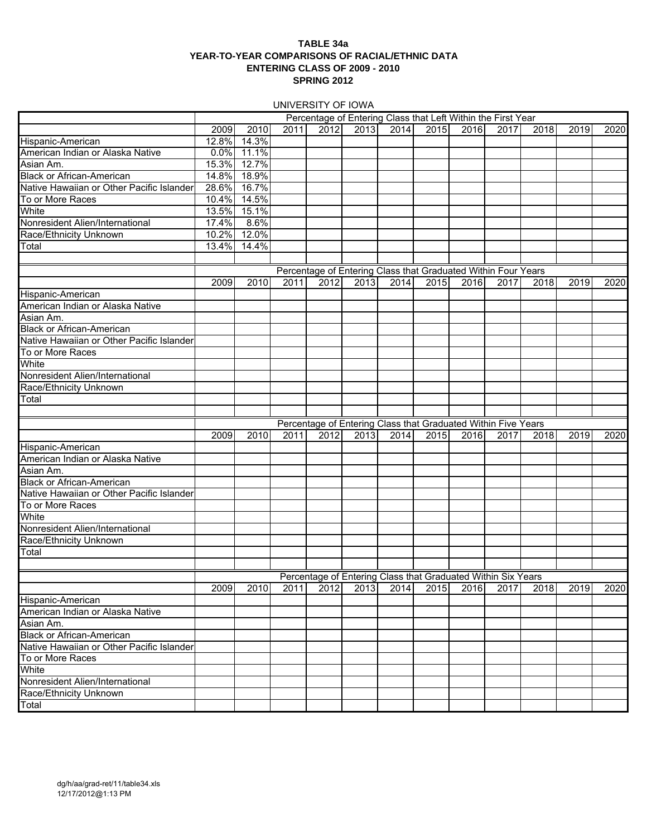#### **TABLE 34a YEAR-TO-YEAR COMPARISONS OF RACIAL/ETHNIC DATA ENTERING CLASS OF 2009 - 2010 SPRING 2012**

UNIVERSITY OF IOWA

|                                           |       |       |      |      |      |      |               |      | Percentage of Entering Class that Left Within the First Year  |      |      |      |
|-------------------------------------------|-------|-------|------|------|------|------|---------------|------|---------------------------------------------------------------|------|------|------|
|                                           | 2009  | 2010  | 2011 | 2012 | 2013 | 2014 | 2015          | 2016 | 2017                                                          | 2018 | 2019 | 2020 |
|                                           |       |       |      |      |      |      |               |      |                                                               |      |      |      |
| Hispanic-American                         | 12.8% | 14.3% |      |      |      |      |               |      |                                                               |      |      |      |
| American Indian or Alaska Native          | 0.0%  | 11.1% |      |      |      |      |               |      |                                                               |      |      |      |
| Asian Am.                                 | 15.3% | 12.7% |      |      |      |      |               |      |                                                               |      |      |      |
| <b>Black or African-American</b>          | 14.8% | 18.9% |      |      |      |      |               |      |                                                               |      |      |      |
| Native Hawaiian or Other Pacific Islander | 28.6% | 16.7% |      |      |      |      |               |      |                                                               |      |      |      |
| To or More Races                          | 10.4% | 14.5% |      |      |      |      |               |      |                                                               |      |      |      |
| White                                     | 13.5% | 15.1% |      |      |      |      |               |      |                                                               |      |      |      |
| Nonresident Alien/International           | 17.4% | 8.6%  |      |      |      |      |               |      |                                                               |      |      |      |
| Race/Ethnicity Unknown                    | 10.2% | 12.0% |      |      |      |      |               |      |                                                               |      |      |      |
| Total                                     | 13.4% | 14.4% |      |      |      |      |               |      |                                                               |      |      |      |
|                                           |       |       |      |      |      |      |               |      |                                                               |      |      |      |
|                                           |       |       |      |      |      |      |               |      | Percentage of Entering Class that Graduated Within Four Years |      |      |      |
|                                           | 2009  | 2010  | 2011 | 2012 | 2013 | 2014 | 2015          | 2016 | 2017                                                          | 2018 | 2019 | 2020 |
| Hispanic-American                         |       |       |      |      |      |      |               |      |                                                               |      |      |      |
| American Indian or Alaska Native          |       |       |      |      |      |      |               |      |                                                               |      |      |      |
| Asian Am.                                 |       |       |      |      |      |      |               |      |                                                               |      |      |      |
|                                           |       |       |      |      |      |      |               |      |                                                               |      |      |      |
| <b>Black or African-American</b>          |       |       |      |      |      |      |               |      |                                                               |      |      |      |
| Native Hawaiian or Other Pacific Islander |       |       |      |      |      |      |               |      |                                                               |      |      |      |
| To or More Races                          |       |       |      |      |      |      |               |      |                                                               |      |      |      |
| White                                     |       |       |      |      |      |      |               |      |                                                               |      |      |      |
| Nonresident Alien/International           |       |       |      |      |      |      |               |      |                                                               |      |      |      |
| Race/Ethnicity Unknown                    |       |       |      |      |      |      |               |      |                                                               |      |      |      |
| Total                                     |       |       |      |      |      |      |               |      |                                                               |      |      |      |
|                                           |       |       |      |      |      |      |               |      |                                                               |      |      |      |
|                                           |       |       |      |      |      |      |               |      | Percentage of Entering Class that Graduated Within Five Years |      |      |      |
|                                           | 2009  | 2010  | 2011 | 2012 | 2013 | 2014 | 2015 <b>1</b> | 2016 | 2017                                                          | 2018 | 2019 | 2020 |
| Hispanic-American                         |       |       |      |      |      |      |               |      |                                                               |      |      |      |
| American Indian or Alaska Native          |       |       |      |      |      |      |               |      |                                                               |      |      |      |
| Asian Am.                                 |       |       |      |      |      |      |               |      |                                                               |      |      |      |
| <b>Black or African-American</b>          |       |       |      |      |      |      |               |      |                                                               |      |      |      |
| Native Hawaiian or Other Pacific Islander |       |       |      |      |      |      |               |      |                                                               |      |      |      |
|                                           |       |       |      |      |      |      |               |      |                                                               |      |      |      |
| To or More Races                          |       |       |      |      |      |      |               |      |                                                               |      |      |      |
| White                                     |       |       |      |      |      |      |               |      |                                                               |      |      |      |
| Nonresident Alien/International           |       |       |      |      |      |      |               |      |                                                               |      |      |      |
| Race/Ethnicity Unknown                    |       |       |      |      |      |      |               |      |                                                               |      |      |      |
| Total                                     |       |       |      |      |      |      |               |      |                                                               |      |      |      |
|                                           |       |       |      |      |      |      |               |      |                                                               |      |      |      |
|                                           |       |       |      |      |      |      |               |      | Percentage of Entering Class that Graduated Within Six Years  |      |      |      |
|                                           | 2009  | 2010  | 2011 | 2012 | 2013 | 2014 | 2015          | 2016 | 2017                                                          | 2018 | 2019 | 2020 |
| Hispanic-American                         |       |       |      |      |      |      |               |      |                                                               |      |      |      |
| American Indian or Alaska Native          |       |       |      |      |      |      |               |      |                                                               |      |      |      |
| Asian Am.                                 |       |       |      |      |      |      |               |      |                                                               |      |      |      |
| <b>Black or African-American</b>          |       |       |      |      |      |      |               |      |                                                               |      |      |      |
| Native Hawaiian or Other Pacific Islander |       |       |      |      |      |      |               |      |                                                               |      |      |      |
| To or More Races                          |       |       |      |      |      |      |               |      |                                                               |      |      |      |
| White                                     |       |       |      |      |      |      |               |      |                                                               |      |      |      |
| Nonresident Alien/International           |       |       |      |      |      |      |               |      |                                                               |      |      |      |
| Race/Ethnicity Unknown                    |       |       |      |      |      |      |               |      |                                                               |      |      |      |
| Total                                     |       |       |      |      |      |      |               |      |                                                               |      |      |      |
|                                           |       |       |      |      |      |      |               |      |                                                               |      |      |      |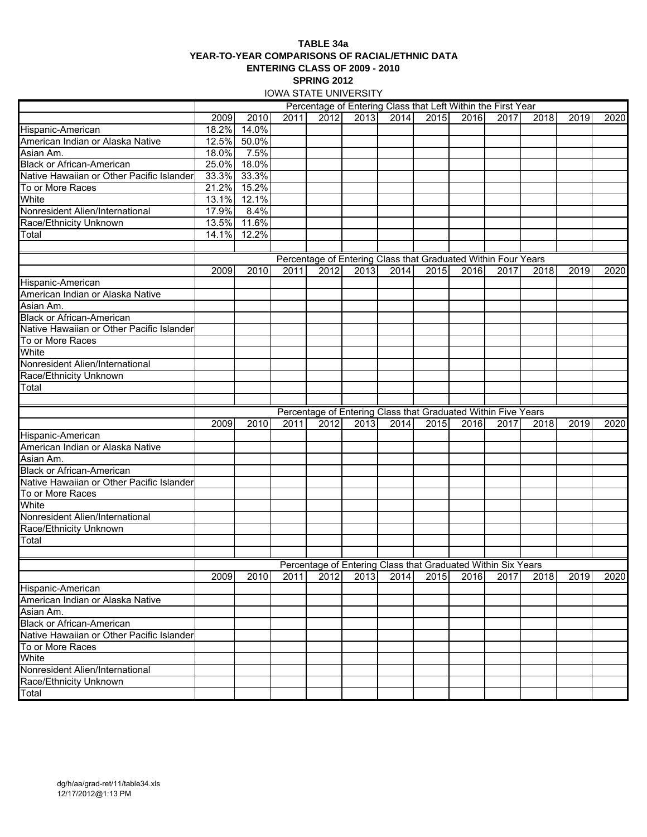#### **TABLE 34a YEAR-TO-YEAR COMPARISONS OF RACIAL/ETHNIC DATA ENTERING CLASS OF 2009 - 2010 SPRING 2012**

IOWA STATE UNIVERSITY

|                                                           |       |             |      |      |      |      |      |      | Percentage of Entering Class that Left Within the First Year  |      |      |      |
|-----------------------------------------------------------|-------|-------------|------|------|------|------|------|------|---------------------------------------------------------------|------|------|------|
|                                                           | 2009  | 2010        | 2011 | 2012 | 2013 | 2014 | 2015 | 2016 | 2017                                                          | 2018 | 2019 | 2020 |
| Hispanic-American                                         | 18.2% | 14.0%       |      |      |      |      |      |      |                                                               |      |      |      |
| American Indian or Alaska Native                          |       | 12.5% 50.0% |      |      |      |      |      |      |                                                               |      |      |      |
| Asian Am.                                                 | 18.0% | 7.5%        |      |      |      |      |      |      |                                                               |      |      |      |
| <b>Black or African-American</b>                          | 25.0% | 18.0%       |      |      |      |      |      |      |                                                               |      |      |      |
| Native Hawaiian or Other Pacific Islander                 | 33.3% | 33.3%       |      |      |      |      |      |      |                                                               |      |      |      |
| To or More Races                                          | 21.2% | 15.2%       |      |      |      |      |      |      |                                                               |      |      |      |
| White                                                     | 13.1% | 12.1%       |      |      |      |      |      |      |                                                               |      |      |      |
| Nonresident Alien/International                           | 17.9% | 8.4%        |      |      |      |      |      |      |                                                               |      |      |      |
| Race/Ethnicity Unknown                                    | 13.5% | 11.6%       |      |      |      |      |      |      |                                                               |      |      |      |
| Total                                                     | 14.1% | 12.2%       |      |      |      |      |      |      |                                                               |      |      |      |
|                                                           |       |             |      |      |      |      |      |      |                                                               |      |      |      |
|                                                           |       |             |      |      |      |      |      |      | Percentage of Entering Class that Graduated Within Four Years |      |      |      |
|                                                           | 2009  | 2010        | 2011 | 2012 | 2013 | 2014 | 2015 | 2016 | 2017                                                          | 2018 | 2019 | 2020 |
| Hispanic-American                                         |       |             |      |      |      |      |      |      |                                                               |      |      |      |
| American Indian or Alaska Native                          |       |             |      |      |      |      |      |      |                                                               |      |      |      |
| Asian Am.                                                 |       |             |      |      |      |      |      |      |                                                               |      |      |      |
| <b>Black or African-American</b>                          |       |             |      |      |      |      |      |      |                                                               |      |      |      |
| Native Hawaiian or Other Pacific Islander                 |       |             |      |      |      |      |      |      |                                                               |      |      |      |
| To or More Races                                          |       |             |      |      |      |      |      |      |                                                               |      |      |      |
| White                                                     |       |             |      |      |      |      |      |      |                                                               |      |      |      |
| Nonresident Alien/International                           |       |             |      |      |      |      |      |      |                                                               |      |      |      |
| Race/Ethnicity Unknown                                    |       |             |      |      |      |      |      |      |                                                               |      |      |      |
| Total                                                     |       |             |      |      |      |      |      |      |                                                               |      |      |      |
|                                                           |       |             |      |      |      |      |      |      |                                                               |      |      |      |
|                                                           |       |             |      |      |      |      |      |      | Percentage of Entering Class that Graduated Within Five Years |      |      |      |
|                                                           | 2009  | 2010        | 2011 | 2012 | 2013 | 2014 | 2015 | 2016 | 2017                                                          | 2018 | 2019 | 2020 |
| Hispanic-American                                         |       |             |      |      |      |      |      |      |                                                               |      |      |      |
| American Indian or Alaska Native                          |       |             |      |      |      |      |      |      |                                                               |      |      |      |
| Asian Am.                                                 |       |             |      |      |      |      |      |      |                                                               |      |      |      |
| <b>Black or African-American</b>                          |       |             |      |      |      |      |      |      |                                                               |      |      |      |
| Native Hawaiian or Other Pacific Islander                 |       |             |      |      |      |      |      |      |                                                               |      |      |      |
| To or More Races                                          |       |             |      |      |      |      |      |      |                                                               |      |      |      |
| White                                                     |       |             |      |      |      |      |      |      |                                                               |      |      |      |
| Nonresident Alien/International                           |       |             |      |      |      |      |      |      |                                                               |      |      |      |
| Race/Ethnicity Unknown                                    |       |             |      |      |      |      |      |      |                                                               |      |      |      |
| Total                                                     |       |             |      |      |      |      |      |      |                                                               |      |      |      |
|                                                           |       |             |      |      |      |      |      |      |                                                               |      |      |      |
|                                                           |       |             |      |      |      |      |      |      | Percentage of Entering Class that Graduated Within Six Years  |      |      |      |
|                                                           |       |             | 2011 |      | 2013 |      |      |      | 2017                                                          |      | 2019 |      |
| Hispanic-American                                         | 2009  | 2010        |      | 2012 |      | 2014 | 2015 | 2016 |                                                               | 2018 |      | 2020 |
| American Indian or Alaska Native                          |       |             |      |      |      |      |      |      |                                                               |      |      |      |
|                                                           |       |             |      |      |      |      |      |      |                                                               |      |      |      |
| Asian Am.<br><b>Black or African-American</b>             |       |             |      |      |      |      |      |      |                                                               |      |      |      |
| Native Hawaiian or Other Pacific Islander                 |       |             |      |      |      |      |      |      |                                                               |      |      |      |
|                                                           |       |             |      |      |      |      |      |      |                                                               |      |      |      |
| To or More Races<br>White                                 |       |             |      |      |      |      |      |      |                                                               |      |      |      |
|                                                           |       |             |      |      |      |      |      |      |                                                               |      |      |      |
| Nonresident Alien/International<br>Race/Ethnicity Unknown |       |             |      |      |      |      |      |      |                                                               |      |      |      |
|                                                           |       |             |      |      |      |      |      |      |                                                               |      |      |      |
| Total                                                     |       |             |      |      |      |      |      |      |                                                               |      |      |      |